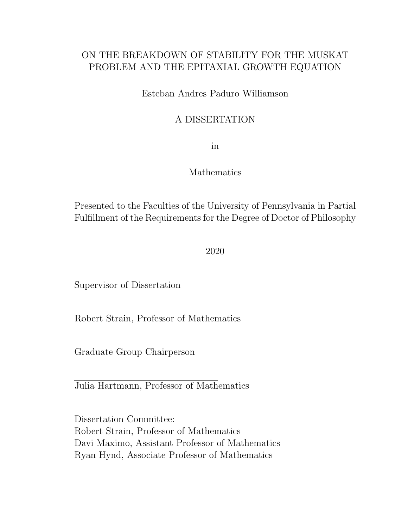### ON THE BREAKDOWN OF STABILITY FOR THE MUSKAT PROBLEM AND THE EPITAXIAL GROWTH EQUATION

Esteban Andres Paduro Williamson

### A DISSERTATION

in

### Mathematics

Presented to the Faculties of the University of Pennsylvania in Partial Fulfillment of the Requirements for the Degree of Doctor of Philosophy

2020

Supervisor of Dissertation

Robert Strain, Professor of Mathematics

Graduate Group Chairperson

Julia Hartmann, Professor of Mathematics

Dissertation Committee: Robert Strain, Professor of Mathematics Davi Maximo, Assistant Professor of Mathematics Ryan Hynd, Associate Professor of Mathematics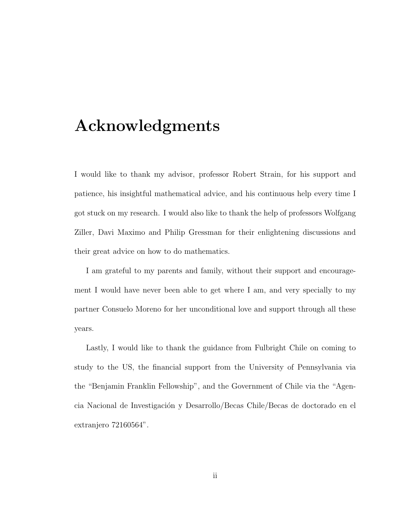# <span id="page-1-0"></span>Acknowledgments

I would like to thank my advisor, professor Robert Strain, for his support and patience, his insightful mathematical advice, and his continuous help every time I got stuck on my research. I would also like to thank the help of professors Wolfgang Ziller, Davi Maximo and Philip Gressman for their enlightening discussions and their great advice on how to do mathematics.

I am grateful to my parents and family, without their support and encouragement I would have never been able to get where I am, and very specially to my partner Consuelo Moreno for her unconditional love and support through all these years.

Lastly, I would like to thank the guidance from Fulbright Chile on coming to study to the US, the financial support from the University of Pennsylvania via the "Benjamin Franklin Fellowship", and the Government of Chile via the "Agencia Nacional de Investigación y Desarrollo/Becas Chile/Becas de doctorado en el extranjero 72160564".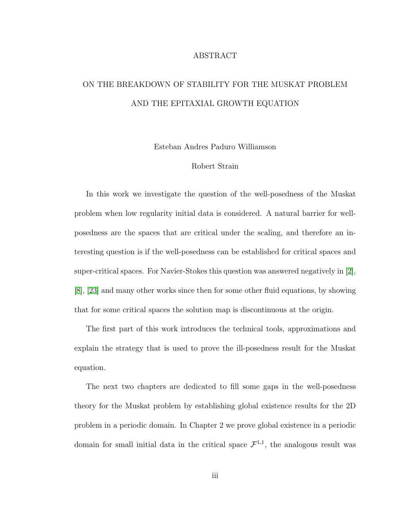#### ABSTRACT

# ON THE BREAKDOWN OF STABILITY FOR THE MUSKAT PROBLEM AND THE EPITAXIAL GROWTH EQUATION

Esteban Andres Paduro Williamson

#### Robert Strain

In this work we investigate the question of the well-posedness of the Muskat problem when low regularity initial data is considered. A natural barrier for wellposedness are the spaces that are critical under the scaling, and therefore an interesting question is if the well-posedness can be established for critical spaces and super-critical spaces. For Navier-Stokes this question was answered negatively in [\[2\]](#page-251-0), [\[8\]](#page-252-0), [\[23\]](#page-254-0) and many other works since then for some other fluid equations, by showing that for some critical spaces the solution map is discontinuous at the origin.

The first part of this work introduces the technical tools, approximations and explain the strategy that is used to prove the ill-posedness result for the Muskat equation.

The next two chapters are dedicated to fill some gaps in the well-posedness theory for the Muskat problem by establishing global existence results for the 2D problem in a periodic domain. In Chapter 2 we prove global existence in a periodic domain for small initial data in the critical space  $\mathcal{F}^{1,1}$ , the analogous result was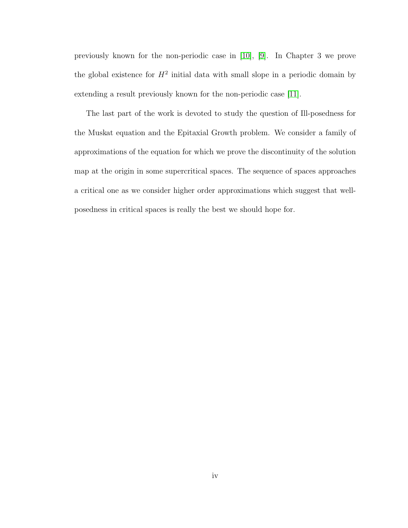previously known for the non-periodic case in [\[10\]](#page-252-1), [\[9\]](#page-252-2). In Chapter 3 we prove the global existence for  $H^2$  initial data with small slope in a periodic domain by extending a result previously known for the non-periodic case [\[11\]](#page-252-3).

The last part of the work is devoted to study the question of Ill-posedness for the Muskat equation and the Epitaxial Growth problem. We consider a family of approximations of the equation for which we prove the discontinuity of the solution map at the origin in some supercritical spaces. The sequence of spaces approaches a critical one as we consider higher order approximations which suggest that wellposedness in critical spaces is really the best we should hope for.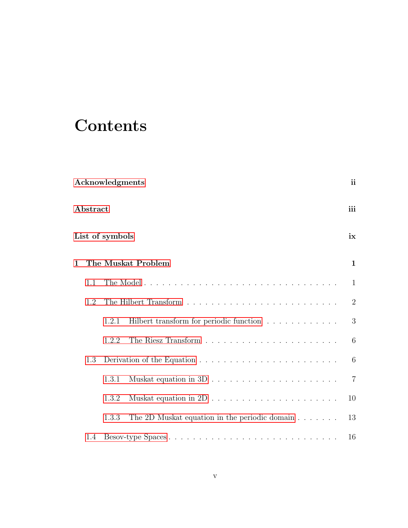# **Contents**

|   | <b>Acknowledgments</b>                                                                    |                 |                                                                          |                |  |
|---|-------------------------------------------------------------------------------------------|-----------------|--------------------------------------------------------------------------|----------------|--|
|   | ${\bf Abstract}$                                                                          |                 |                                                                          |                |  |
|   |                                                                                           | List of symbols |                                                                          | ix             |  |
| 1 | The Muskat Problem                                                                        |                 |                                                                          |                |  |
|   | 1.1                                                                                       |                 |                                                                          | $\mathbf{1}$   |  |
|   | 1.2                                                                                       |                 |                                                                          | $\overline{2}$ |  |
|   |                                                                                           | 1.2.1           | Hilbert transform for periodic function                                  | 3              |  |
|   |                                                                                           | 1.2.2           |                                                                          | 6              |  |
|   | Derivation of the Equation $\dots \dots \dots \dots \dots \dots \dots \dots \dots$<br>1.3 |                 |                                                                          | 6              |  |
|   |                                                                                           | 1.3.1           |                                                                          | $\overline{7}$ |  |
|   |                                                                                           | 1.3.2           | Muskat equation in $2D \ldots \ldots \ldots \ldots \ldots \ldots \ldots$ | 10             |  |
|   |                                                                                           | 1.3.3           | The 2D Muskat equation in the periodic domain $\dots \dots$              | 13             |  |
|   | 1.4                                                                                       |                 |                                                                          | 16             |  |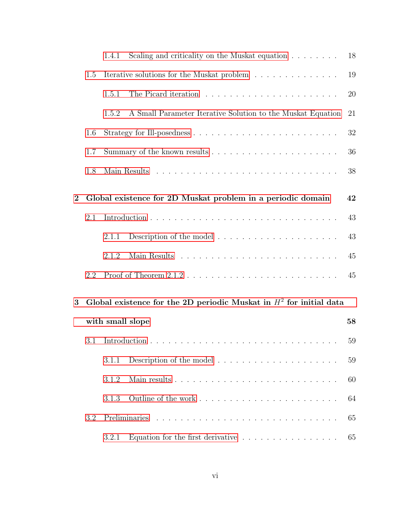|          |                                                                       | 1.4.1                                                                           | Scaling and criticality on the Muskat equation $\ldots \ldots$         | 18     |
|----------|-----------------------------------------------------------------------|---------------------------------------------------------------------------------|------------------------------------------------------------------------|--------|
|          | 1.5                                                                   | Iterative solutions for the Muskat problem                                      |                                                                        |        |
|          |                                                                       | 1.5.1                                                                           |                                                                        | 20     |
|          |                                                                       | 1.5.2                                                                           | A Small Parameter Iterative Solution to the Muskat Equation            | 21     |
|          | 1.6                                                                   |                                                                                 |                                                                        | $32\,$ |
|          | 1.7                                                                   | Summary of the known results $\ldots \ldots \ldots \ldots \ldots \ldots \ldots$ |                                                                        |        |
|          | 1.8                                                                   |                                                                                 |                                                                        | 38     |
| $\bf{2}$ | Global existence for 2D Muskat problem in a periodic domain           |                                                                                 |                                                                        |        |
|          | 2.1                                                                   |                                                                                 |                                                                        | 43     |
|          |                                                                       | 2.1.1                                                                           | Description of the model $\dots \dots \dots \dots \dots \dots \dots$   | 43     |
|          |                                                                       | 2.1.2                                                                           |                                                                        | 45     |
|          | 2.2                                                                   |                                                                                 |                                                                        | 45     |
| 3        | Global existence for the 2D periodic Muskat in $H^2$ for initial data |                                                                                 |                                                                        |        |
|          |                                                                       | with small slope                                                                |                                                                        | 58     |
|          | 3.1                                                                   |                                                                                 |                                                                        | 59     |
|          |                                                                       | 3.1.1                                                                           |                                                                        | 59     |
|          |                                                                       | 3.1.2                                                                           |                                                                        | 60     |
|          |                                                                       | 3.1.3                                                                           |                                                                        | 64     |
|          | 3.2                                                                   | Preliminaries                                                                   |                                                                        |        |
|          |                                                                       | 3.2.1                                                                           | Equation for the first derivative $\ldots \ldots \ldots \ldots \ldots$ | 65     |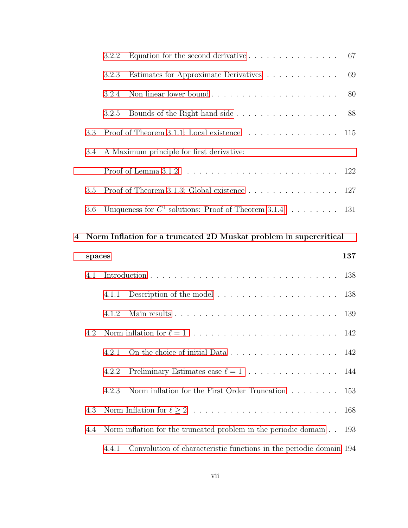| 4 Norm Inflation for a truncated 2D Muskat problem in supercritical |       |                                                                                                   |  |
|---------------------------------------------------------------------|-------|---------------------------------------------------------------------------------------------------|--|
|                                                                     |       | 3.6 Uniqueness for $C^1$ solutions: Proof of Theorem 3.1.4 131                                    |  |
|                                                                     |       |                                                                                                   |  |
|                                                                     |       | 3.5 Proof of Theorem 3.1.3: Global existence $\ldots \ldots \ldots \ldots \ldots 127$             |  |
|                                                                     |       |                                                                                                   |  |
|                                                                     |       | 3.4 A Maximum principle for first derivative:                                                     |  |
|                                                                     |       | 3.3 Proof of Theorem 3.1.1: Local existence $\dots \dots \dots \dots \dots \dots \dots \dots$ 115 |  |
|                                                                     | 3.2.5 | Bounds of the Right hand side 88                                                                  |  |
|                                                                     | 3.2.4 | 80                                                                                                |  |
|                                                                     | 3.2.3 | Estimates for Approximate Derivatives 69                                                          |  |
|                                                                     |       | 3.2.2 Equation for the second derivative $\dots \dots \dots \dots \dots \dots$ 67                 |  |

|     | spaces |       |                                                                             | 137 |
|-----|--------|-------|-----------------------------------------------------------------------------|-----|
| 4.1 |        |       |                                                                             |     |
|     |        | 4.1.1 |                                                                             |     |
|     |        | 4.1.2 |                                                                             |     |
| 4.2 |        |       |                                                                             |     |
|     |        |       |                                                                             |     |
|     |        | 4.2.2 |                                                                             |     |
|     |        | 4.2.3 | Norm inflation for the First Order Truncation $\dots \dots \dots \dots$ 153 |     |
| 4.3 |        |       |                                                                             |     |
| 4.4 |        |       | Norm inflation for the truncated problem in the periodic domain 193         |     |
|     |        | 4.4.1 | Convolution of characteristic functions in the periodic domain 194          |     |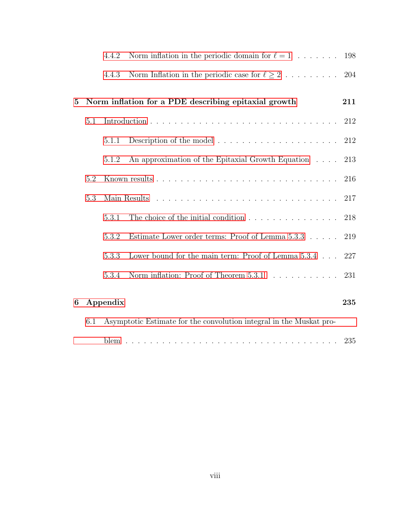|          |     | 4.4.2                                                               | Norm inflation in the periodic domain for $\ell = 1$                       | 198 |  |
|----------|-----|---------------------------------------------------------------------|----------------------------------------------------------------------------|-----|--|
|          |     | 4.4.3                                                               | Norm Inflation in the periodic case for $\ell \geq 2$                      | 204 |  |
| $\bf{5}$ |     | Norm inflation for a PDE describing epitaxial growth<br>211         |                                                                            |     |  |
|          | 5.1 |                                                                     |                                                                            | 212 |  |
|          |     | 5.1.1                                                               | Description of the model $\dots \dots \dots \dots \dots \dots \dots \dots$ | 212 |  |
|          |     | 5.1.2                                                               | An approximation of the Epitaxial Growth Equation                          | 213 |  |
|          | 5.2 |                                                                     |                                                                            | 216 |  |
|          | 5.3 |                                                                     |                                                                            | 217 |  |
|          |     | 5.3.1                                                               | The choice of the initial condition $\ldots \ldots \ldots \ldots \ldots$   | 218 |  |
|          |     | 5.3.2                                                               | Estimate Lower order terms: Proof of Lemma $5.3.3 \ldots$ .                | 219 |  |
|          |     | 5.3.3                                                               | Lower bound for the main term: Proof of Lemma $5.3.4 \ldots$               | 227 |  |
|          |     | 5.3.4                                                               |                                                                            | 231 |  |
| 6        |     | Appendix                                                            |                                                                            | 235 |  |
|          | 6.1 | Asymptotic Estimate for the convolution integral in the Muskat pro- |                                                                            |     |  |
|          |     |                                                                     |                                                                            |     |  |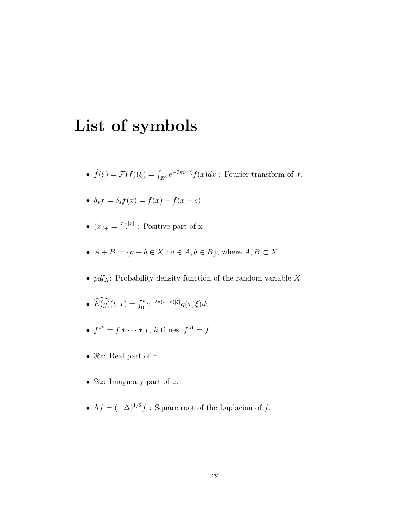# <span id="page-8-0"></span>List of symbols

- $\hat{f}(\xi) = \mathcal{F}(f)(\xi) = \int_{\mathbb{R}^d} e^{-2\pi i x \cdot \xi} f(x) dx$ : Fourier transform of f.
- $\delta_s f = \delta_s f(x) = f(x) f(x s)$
- $(x)_+ = \frac{x+|x|}{2}$  $\frac{2}{2}$ : Positive part of x
- $A + B = \{a + b \in X : a \in A, b \in B\}$ , where  $A, B \subset X$ ,
- $\bullet~pdf_X\colon$  Probability density function of the random variable  $X$
- $\widehat{E(g)}(t,x) = \int_0^t e^{-2\pi(t-\tau)|\xi|} g(\tau,\xi) d\tau.$
- $f^{*k} = f * \cdots * f$ , k times,  $f^{*1} = f$ .
- $\Re z$ : Real part of z.
- $\Im z$ : Imaginary part of z.
- $\Lambda f = (-\Delta)^{1/2} f$ : Square root of the Laplacian of f.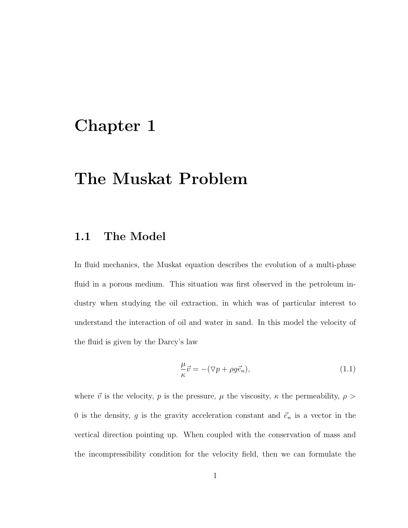# <span id="page-9-0"></span>Chapter 1

# The Muskat Problem

### <span id="page-9-1"></span>1.1 The Model

In fluid mechanics, the Muskat equation describes the evolution of a multi-phase fluid in a porous medium. This situation was first observed in the petroleum industry when studying the oil extraction, in which was of particular interest to understand the interaction of oil and water in sand. In this model the velocity of the fluid is given by the Darcy's law

<span id="page-9-2"></span>
$$
\frac{\mu}{\kappa}\vec{v} = -(\nabla p + \rho g \vec{e}_n),\tag{1.1}
$$

where  $\vec{v}$  is the velocity, p is the pressure,  $\mu$  the viscosity,  $\kappa$  the permeability,  $\rho$ 0 is the density, g is the gravity acceleration constant and  $\vec{e}_n$  is a vector in the vertical direction pointing up. When coupled with the conservation of mass and the incompressibility condition for the velocity field, then we can formulate the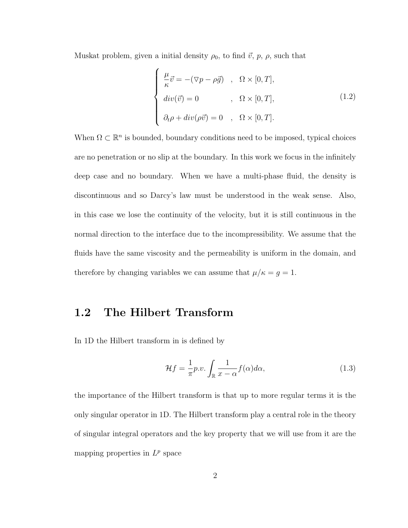Muskat problem, given a initial density  $\rho_0$ , to find  $\vec{v}$ ,  $p$ ,  $\rho$ , such that

$$
\begin{cases}\n\frac{\mu}{\kappa}\vec{v} = -(\nabla p - \rho\vec{g}) & , \ \Omega \times [0, T], \\
\dot{u}v(\vec{v}) = 0 & , \ \Omega \times [0, T], \\
\partial_t \rho + \dot{d}iv(\rho \vec{v}) = 0 & , \ \Omega \times [0, T].\n\end{cases}
$$
\n(1.2)

When  $\Omega \subset \mathbb{R}^n$  is bounded, boundary conditions need to be imposed, typical choices are no penetration or no slip at the boundary. In this work we focus in the infinitely deep case and no boundary. When we have a multi-phase fluid, the density is discontinuous and so Darcy's law must be understood in the weak sense. Also, in this case we lose the continuity of the velocity, but it is still continuous in the normal direction to the interface due to the incompressibility. We assume that the fluids have the same viscosity and the permeability is uniform in the domain, and therefore by changing variables we can assume that  $\mu/\kappa = g = 1$ .

## <span id="page-10-0"></span>1.2 The Hilbert Transform

In 1D the Hilbert transform in is defined by

<span id="page-10-1"></span>
$$
\mathcal{H}f = \frac{1}{\pi}p.v. \int_{\mathbb{R}} \frac{1}{x - \alpha} f(\alpha) d\alpha,
$$
\n(1.3)

the importance of the Hilbert transform is that up to more regular terms it is the only singular operator in 1D. The Hilbert transform play a central role in the theory of singular integral operators and the key property that we will use from it are the mapping properties in  $L^p$  space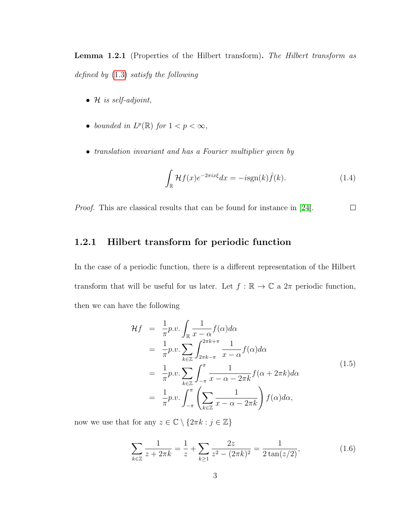Lemma 1.2.1 (Properties of the Hilbert transform). The Hilbert transform as defined by [\(1.3\)](#page-10-1) satisfy the following

- $H$  is self-adjoint,
- bounded in  $L^p(\mathbb{R})$  for  $1 < p < \infty$ ,
- translation invariant and has a Fourier multiplier given by

$$
\int_{\mathbb{R}} \mathcal{H}f(x)e^{-2\pi ix\xi}dx = -i\text{sgn}(k)\hat{f}(k).
$$
 (1.4)

Proof. This are classical results that can be found for instance in [\[24\]](#page-254-1).  $\Box$ 

#### <span id="page-11-0"></span>1.2.1 Hilbert transform for periodic function

In the case of a periodic function, there is a different representation of the Hilbert transform that will be useful for us later. Let  $f : \mathbb{R} \to \mathbb{C}$  a  $2\pi$  periodic function, then we can have the following

$$
\mathcal{H}f = \frac{1}{\pi} p.v. \int_{\mathbb{R}} \frac{1}{x - \alpha} f(\alpha) d\alpha \n= \frac{1}{\pi} p.v. \sum_{k \in \mathbb{Z}} \int_{2\pi k - \pi}^{2\pi k + \pi} \frac{1}{x - \alpha} f(\alpha) d\alpha \n= \frac{1}{\pi} p.v. \sum_{k \in \mathbb{Z}} \int_{-\pi}^{\pi} \frac{1}{x - \alpha - 2\pi k} f(\alpha + 2\pi k) d\alpha \n= \frac{1}{\pi} p.v. \int_{-\pi}^{\pi} \left( \sum_{k \in \mathbb{Z}} \frac{1}{x - \alpha - 2\pi k} \right) f(\alpha) d\alpha,
$$
\n(1.5)

now we use that for any  $z \in \mathbb{C} \setminus \{2\pi k : j \in \mathbb{Z}\}\$ 

$$
\sum_{k \in \mathbb{Z}} \frac{1}{z + 2\pi k} = \frac{1}{z} + \sum_{k \ge 1} \frac{2z}{z^2 - (2\pi k)^2} = \frac{1}{2\tan(z/2)},
$$
(1.6)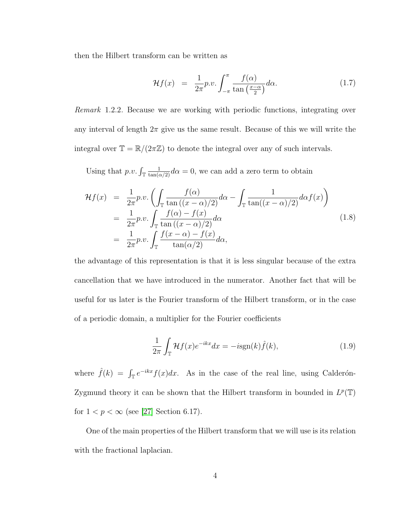then the Hilbert transform can be written as

$$
\mathcal{H}f(x) = \frac{1}{2\pi}p.v. \int_{-\pi}^{\pi} \frac{f(\alpha)}{\tan\left(\frac{x-\alpha}{2}\right)} d\alpha. \tag{1.7}
$$

Remark 1.2.2. Because we are working with periodic functions, integrating over any interval of length  $2\pi$  give us the same result. Because of this we will write the integral over  $\mathbb{T} = \mathbb{R}/(2\pi\mathbb{Z})$  to denote the integral over any of such intervals.

Using that  $p.v. \int_{\mathbb{T}} \frac{1}{\tan(\alpha/2)} d\alpha = 0$ , we can add a zero term to obtain

$$
\mathcal{H}f(x) = \frac{1}{2\pi}p.v. \left( \int_{\mathbb{T}} \frac{f(\alpha)}{\tan((x-\alpha)/2)} d\alpha - \int_{\mathbb{T}} \frac{1}{\tan((x-\alpha)/2)} d\alpha f(x) \right)
$$
  
\n
$$
= \frac{1}{2\pi}p.v. \int_{\mathbb{T}} \frac{f(\alpha) - f(x)}{\tan((x-\alpha)/2)} d\alpha
$$
  
\n
$$
= \frac{1}{2\pi}p.v. \int_{\mathbb{T}} \frac{f(x-\alpha) - f(x)}{\tan(\alpha/2)} d\alpha,
$$
\n(1.8)

the advantage of this representation is that it is less singular because of the extra cancellation that we have introduced in the numerator. Another fact that will be useful for us later is the Fourier transform of the Hilbert transform, or in the case of a periodic domain, a multiplier for the Fourier coefficients

$$
\frac{1}{2\pi} \int_{\mathbb{T}} \mathcal{H}f(x)e^{-ikx}dx = -i\text{sgn}(k)\hat{f}(k),\tag{1.9}
$$

where  $\hat{f}(k) = \int_{\mathbb{T}} e^{-ikx} f(x) dx$ . As in the case of the real line, using Calderón-Zygmund theory it can be shown that the Hilbert transform in bounded in  $L^p(\mathbb{T})$ for  $1 < p < \infty$  (see [\[27\]](#page-255-0) Section 6.17).

One of the main properties of the Hilbert transform that we will use is its relation with the fractional laplacian.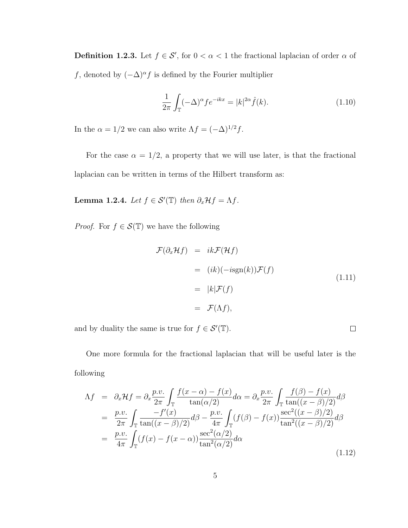**Definition 1.2.3.** Let  $f \in \mathcal{S}'$ , for  $0 < \alpha < 1$  the fractional laplacian of order  $\alpha$  of f, denoted by  $(-\Delta)^{\alpha} f$  is defined by the Fourier multiplier

$$
\frac{1}{2\pi} \int_{\mathbb{T}} (-\Delta)^{\alpha} f e^{-ikx} = |k|^{2\alpha} \hat{f}(k).
$$
 (1.10)

In the  $\alpha = 1/2$  we can also write  $\Lambda f = (-\Delta)^{1/2} f$ .

For the case  $\alpha = 1/2$ , a property that we will use later, is that the fractional laplacian can be written in terms of the Hilbert transform as:

**Lemma 1.2.4.** Let  $f \in \mathcal{S}'(\mathbb{T})$  then  $\partial_x \mathcal{H} f = \Lambda f$ .

*Proof.* For  $f \in \mathcal{S}(\mathbb{T})$  we have the following

$$
\mathcal{F}(\partial_x \mathcal{H}f) = ik \mathcal{F}(\mathcal{H}f)
$$
  
=  $(ik)(-i\text{sgn}(k))\mathcal{F}(f)$   
=  $|k|\mathcal{F}(f)$   
=  $\mathcal{F}(\Lambda f),$  (1.11)

 $\Box$ 

and by duality the same is true for  $f \in \mathcal{S}'(\mathbb{T})$ .

One more formula for the fractional laplacian that will be useful later is the following

$$
\Lambda f = \partial_x \mathcal{H} f = \partial_x \frac{p.v.}{2\pi} \int_{\mathbb{T}} \frac{f(x-\alpha) - f(x)}{\tan(\alpha/2)} d\alpha = \partial_x \frac{p.v.}{2\pi} \int_{\mathbb{T}} \frac{f(\beta) - f(x)}{\tan((x-\beta)/2)} d\beta
$$
  
\n
$$
= \frac{p.v.}{2\pi} \int_{\mathbb{T}} \frac{-f'(x)}{\tan((x-\beta)/2)} d\beta - \frac{p.v.}{4\pi} \int_{\mathbb{T}} (f(\beta) - f(x)) \frac{\sec^2((x-\beta)/2)}{\tan^2((x-\beta)/2)} d\beta
$$
  
\n
$$
= \frac{p.v.}{4\pi} \int_{\mathbb{T}} (f(x) - f(x-\alpha)) \frac{\sec^2(\alpha/2)}{\tan^2(\alpha/2)} d\alpha
$$
\n(1.12)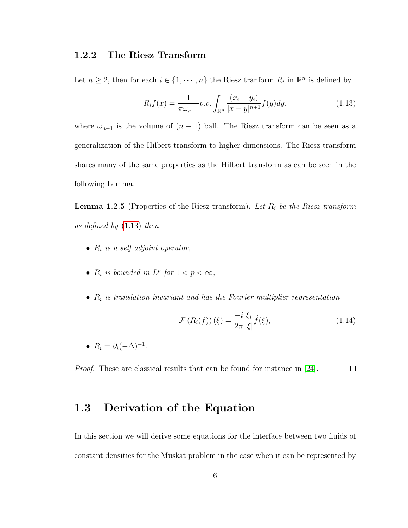#### <span id="page-14-0"></span>1.2.2 The Riesz Transform

Let  $n \geq 2$ , then for each  $i \in \{1, \dots, n\}$  the Riesz tranform  $R_i$  in  $\mathbb{R}^n$  is defined by

<span id="page-14-2"></span>
$$
R_i f(x) = \frac{1}{\pi \omega_{n-1}} p.v. \int_{\mathbb{R}^n} \frac{(x_i - y_i)}{|x - y|^{n+1}} f(y) dy,
$$
\n(1.13)

where  $\omega_{n-1}$  is the volume of  $(n-1)$  ball. The Riesz transform can be seen as a generalization of the Hilbert transform to higher dimensions. The Riesz transform shares many of the same properties as the Hilbert transform as can be seen in the following Lemma.

**Lemma 1.2.5** (Properties of the Riesz transform). Let  $R_i$  be the Riesz transform as defined by [\(1.13\)](#page-14-2) then

- $R_i$  is a self adjoint operator,
- $R_i$  is bounded in  $L^p$  for  $1 < p < \infty$ ,
- $R_i$  is translation invariant and has the Fourier multiplier representation

$$
\mathcal{F}\left(R_i(f)\right)(\xi) = \frac{-i}{2\pi} \frac{\xi_i}{|\xi|} \hat{f}(\xi),\tag{1.14}
$$

•  $R_i = \partial_i(-\Delta)^{-1}$ .

<span id="page-14-1"></span>Proof. These are classical results that can be found for instance in [\[24\]](#page-254-1).  $\Box$ 

### 1.3 Derivation of the Equation

In this section we will derive some equations for the interface between two fluids of constant densities for the Muskat problem in the case when it can be represented by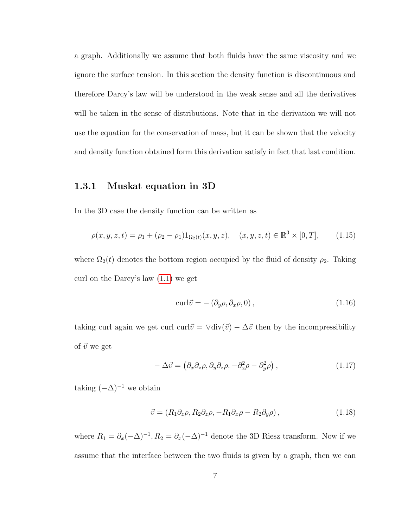a graph. Additionally we assume that both fluids have the same viscosity and we ignore the surface tension. In this section the density function is discontinuous and therefore Darcy's law will be understood in the weak sense and all the derivatives will be taken in the sense of distributions. Note that in the derivation we will not use the equation for the conservation of mass, but it can be shown that the velocity and density function obtained form this derivation satisfy in fact that last condition.

#### <span id="page-15-0"></span>1.3.1 Muskat equation in 3D

In the 3D case the density function can be written as

$$
\rho(x, y, z, t) = \rho_1 + (\rho_2 - \rho_1) 1_{\Omega_2(t)}(x, y, z), \quad (x, y, z, t) \in \mathbb{R}^3 \times [0, T], \quad (1.15)
$$

where  $\Omega_2(t)$  denotes the bottom region occupied by the fluid of density  $\rho_2$ . Taking curl on the Darcy's law [\(1.1\)](#page-9-2) we get

$$
\text{curl}\vec{v} = -(\partial_y \rho, \partial_x \rho, 0), \qquad (1.16)
$$

taking curl again we get curl curl $\vec{v} = \nabla \text{div}(\vec{v}) - \Delta \vec{v}$  then by the incompressibility of  $\vec{v}$  we get

$$
-\Delta \vec{v} = (\partial_x \partial_z \rho, \partial_y \partial_z \rho, -\partial_x^2 \rho - \partial_y^2 \rho) , \qquad (1.17)
$$

taking  $(-\Delta)^{-1}$  we obtain

<span id="page-15-1"></span>
$$
\vec{v} = (R_1 \partial_z \rho, R_2 \partial_z \rho, -R_1 \partial_x \rho - R_2 \partial_y \rho), \qquad (1.18)
$$

where  $R_1 = \partial_x(-\Delta)^{-1}$ ,  $R_2 = \partial_x(-\Delta)^{-1}$  denote the 3D Riesz transform. Now if we assume that the interface between the two fluids is given by a graph, then we can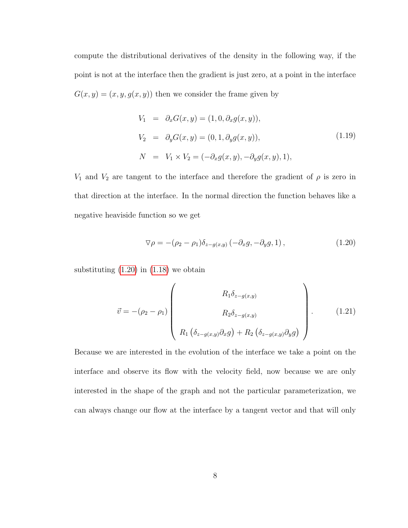compute the distributional derivatives of the density in the following way, if the point is not at the interface then the gradient is just zero, at a point in the interface  $G(x, y) = (x, y, g(x, y))$  then we consider the frame given by

$$
V_1 = \partial_x G(x, y) = (1, 0, \partial_x g(x, y)),
$$
  
\n
$$
V_2 = \partial_y G(x, y) = (0, 1, \partial_y g(x, y)),
$$
  
\n
$$
N = V_1 \times V_2 = (-\partial_x g(x, y), -\partial_y g(x, y), 1),
$$
  
\n(1.19)

 $V_1$  and  $V_2$  are tangent to the interface and therefore the gradient of  $\rho$  is zero in that direction at the interface. In the normal direction the function behaves like a negative heaviside function so we get

<span id="page-16-0"></span>
$$
\nabla \rho = -(\rho_2 - \rho_1)\delta_{z-g(x,y)}(-\partial_x g, -\partial_y g, 1), \qquad (1.20)
$$

substituting  $(1.20)$  in  $(1.18)$  we obtain

$$
\vec{v} = -(\rho_2 - \rho_1) \begin{pmatrix} R_1 \delta_{z-g(x,y)} \\ R_2 \delta_{z-g(x,y)} \\ R_1 (\delta_{z-g(x,y)} \partial_x g) + R_2 (\delta_{z-g(x,y)} \partial_y g) \end{pmatrix} .
$$
 (1.21)

Because we are interested in the evolution of the interface we take a point on the interface and observe its flow with the velocity field, now because we are only interested in the shape of the graph and not the particular parameterization, we can always change our flow at the interface by a tangent vector and that will only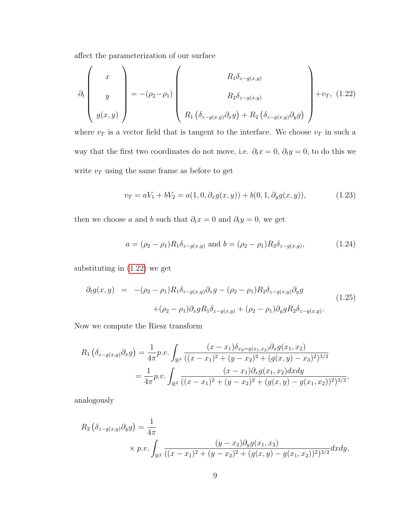affect the parameterization of our surface

<span id="page-17-0"></span>
$$
\partial_t \begin{pmatrix} x \\ y \\ g(x,y) \end{pmatrix} = -(\rho_2 - \rho_1) \begin{pmatrix} R_1 \delta_{z-g(x,y)} \\ R_2 \delta_{z-g(x,y)} \\ R_1 \left( \delta_{z-g(x,y)} \partial_x g \right) + R_2 \left( \delta_{z-g(x,y)} \partial_y g \right) \end{pmatrix} + v_T, (1.22)
$$

where  $v_T$  is a vector field that is tangent to the interface. We choose  $v_T$  in such a way that the first two coordinates do not move, i.e.  $\partial_t x = 0$ ,  $\partial_t y = 0$ , to do this we write  $\boldsymbol{v}_{T}$  using the same frame as before to get

$$
v_T = aV_1 + bV_2 = a(1, 0, \partial_x g(x, y)) + b(0, 1, \partial_y g(x, y)), \tag{1.23}
$$

then we choose a and b such that  $\partial_t x = 0$  and  $\partial_t y = 0$ , we get

$$
a = (\rho_2 - \rho_1) R_1 \delta_{z - g(x, y)}
$$
 and  $b = (\rho_2 - \rho_1) R_2 \delta_{z - g(x, y)}$ , (1.24)

substituting in [\(1.22\)](#page-17-0) we get

<span id="page-17-1"></span>
$$
\partial_t g(x, y) = -(\rho_2 - \rho_1) R_1 \delta_{z - g(x, y)} \partial_x g - (\rho_2 - \rho_1) R_2 \delta_{z - g(x, y)} \partial_y g
$$
  
+ 
$$
(\rho_2 - \rho_1) \partial_x g R_1 \delta_{z - g(x, y)} + (\rho_2 - \rho_1) \partial_y g R_2 \delta_{z - g(x, y)}.
$$
(1.25)

Now we compute the Riesz transform

$$
R_1\left(\delta_{z-g(x,y)}\partial_x g\right) = \frac{1}{4\pi}p.v.\int_{\mathbb{R}^3} \frac{(x-x_1)\delta_{x_3=g(x_1,x_2)}\partial_x g(x_1,x_2)}{((x-x_1)^2+(y-x_2)^2+(g(x,y)-x_3)^2)^{3/2}}
$$
  
= 
$$
\frac{1}{4\pi}p.v.\int_{\mathbb{R}^2} \frac{(x-x_1)\partial_x g(x_1,x_2) dxdy}{((x-x_1)^2+(y-x_2)^2+(g(x,y)-g(x_1,x_2))^2)^{3/2}},
$$

analogously

$$
R_2 \left( \delta_{z-g(x,y)} \partial_y g \right) = \frac{1}{4\pi} \times p.v. \int_{\mathbb{R}^2} \frac{(y-x_2) \partial_y g(x_1,x_2)}{((x-x_1)^2 + (y-x_2)^2 + (g(x,y) - g(x_1,x_2))^2)^{3/2}} dx dy,
$$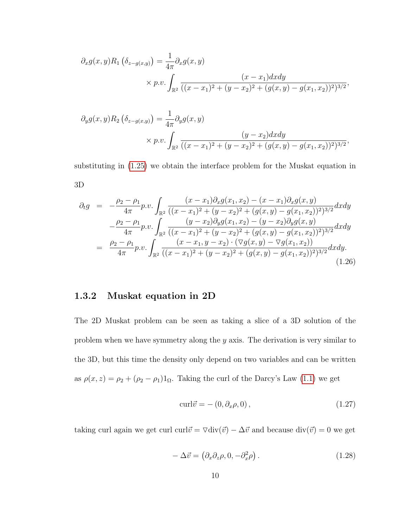$$
\partial_x g(x, y) R_1 \left( \delta_{z-g(x,y)} \right) = \frac{1}{4\pi} \partial_x g(x, y)
$$
  
\$\times p.v. \int\_{\mathbb{R}^2} \frac{(x - x\_1) dx dy}{((x - x\_1)^2 + (y - x\_2)^2 + (g(x, y) - g(x\_1, x\_2))^2)^{3/2}}\$,

$$
\partial_y g(x, y) R_2 \left( \delta_{z-g(x,y)} \right) = \frac{1}{4\pi} \partial_y g(x, y)
$$
  
\$\times p.v. \int\_{\mathbb{R}^2} \frac{(y - x\_2) dx dy}{((x - x\_1)^2 + (y - x\_2)^2 + (g(x, y) - g(x\_1, x\_2))^2)^{3/2}},\$

substituting in [\(1.25\)](#page-17-1) we obtain the interface problem for the Muskat equation in 3D

$$
\partial_t g = -\frac{\rho_2 - \rho_1}{4\pi} p.v. \int_{\mathbb{R}^2} \frac{(x - x_1) \partial_x g(x_1, x_2) - (x - x_1) \partial_x g(x, y)}{((x - x_1)^2 + (y - x_2)^2 + (g(x, y) - g(x_1, x_2))^2)^{3/2}} dx dy \n- \frac{\rho_2 - \rho_1}{4\pi} p.v. \int_{\mathbb{R}^2} \frac{(y - x_2) \partial_y g(x_1, x_2) - (y - x_2) \partial_y g(x, y)}{((x - x_1)^2 + (y - x_2)^2 + (g(x, y) - g(x_1, x_2))^2)^{3/2}} dx dy \n= \frac{\rho_2 - \rho_1}{4\pi} p.v. \int_{\mathbb{R}^2} \frac{(x - x_1, y - x_2) \cdot (\nabla g(x, y) - \nabla g(x_1, x_2))}{((x - x_1)^2 + (y - x_2)^2 + (g(x, y) - g(x_1, x_2))^2)^{3/2}} dx dy.
$$
\n(1.26)

### <span id="page-18-0"></span>1.3.2 Muskat equation in 2D

The 2D Muskat problem can be seen as taking a slice of a 3D solution of the problem when we have symmetry along the y axis. The derivation is very similar to the 3D, but this time the density only depend on two variables and can be written as  $\rho(x, z) = \rho_2 + (\rho_2 - \rho_1)1_{\Omega}$ . Taking the curl of the Darcy's Law [\(1.1\)](#page-9-2) we get

$$
\text{curl}\vec{v} = -\left(0, \partial_x \rho, 0\right),\tag{1.27}
$$

taking curl again we get curl curl $\vec{v} = \nabla \text{div}(\vec{v}) - \Delta \vec{v}$  and because  $\text{div}(\vec{v}) = 0$  we get

$$
-\Delta \vec{v} = (\partial_x \partial_z \rho, 0, -\partial_x^2 \rho). \tag{1.28}
$$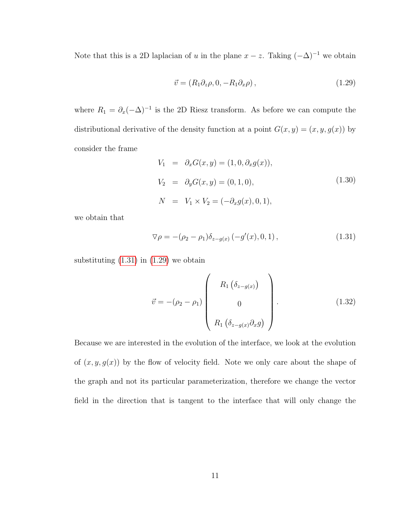Note that this is a 2D laplacian of u in the plane  $x - z$ . Taking  $(-\Delta)^{-1}$  we obtain

<span id="page-19-1"></span>
$$
\vec{v} = (R_1 \partial_z \rho, 0, -R_1 \partial_x \rho), \qquad (1.29)
$$

where  $R_1 = \partial_x(-\Delta)^{-1}$  is the 2D Riesz transform. As before we can compute the distributional derivative of the density function at a point  $G(x, y) = (x, y, g(x))$  by consider the frame

$$
V_1 = \partial_x G(x, y) = (1, 0, \partial_x g(x)),
$$
  
\n
$$
V_2 = \partial_y G(x, y) = (0, 1, 0),
$$
  
\n
$$
N = V_1 \times V_2 = (-\partial_x g(x), 0, 1),
$$
  
\n(1.30)

we obtain that

<span id="page-19-0"></span>
$$
\nabla \rho = -(\rho_2 - \rho_1) \delta_{z - g(x)} (-g'(x), 0, 1), \qquad (1.31)
$$

substituting  $(1.31)$  in  $(1.29)$  we obtain

$$
\vec{v} = -(\rho_2 - \rho_1) \begin{pmatrix} R_1 \left( \delta_{z-g(x)} \right) \\ 0 \\ R_1 \left( \delta_{z-g(x)} \partial_x g \right) \end{pmatrix} . \tag{1.32}
$$

Because we are interested in the evolution of the interface, we look at the evolution of  $(x, y, g(x))$  by the flow of velocity field. Note we only care about the shape of the graph and not its particular parameterization, therefore we change the vector field in the direction that is tangent to the interface that will only change the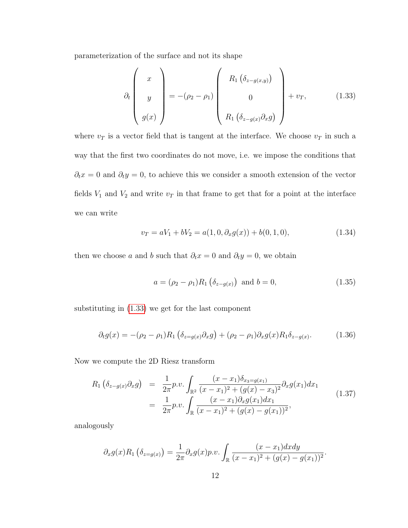parameterization of the surface and not its shape

<span id="page-20-0"></span>
$$
\partial_t \begin{pmatrix} x \\ y \\ g(x) \end{pmatrix} = -(\rho_2 - \rho_1) \begin{pmatrix} R_1 \left( \delta_{z-g(x,y)} \right) \\ 0 \\ R_1 \left( \delta_{z-g(x)} \partial_x g \right) \end{pmatrix} + v_T, \qquad (1.33)
$$

where  $v_T$  is a vector field that is tangent at the interface. We choose  $v_T$  in such a way that the first two coordinates do not move, i.e. we impose the conditions that  $\partial_t x = 0$  and  $\partial_t y = 0$ , to achieve this we consider a smooth extension of the vector fields  $V_1$  and  $V_2$  and write  $v_T$  in that frame to get that for a point at the interface we can write

$$
v_T = aV_1 + bV_2 = a(1, 0, \partial_x g(x)) + b(0, 1, 0), \tag{1.34}
$$

then we choose a and b such that  $\partial_t x = 0$  and  $\partial_t y = 0$ , we obtain

$$
a = (\rho_2 - \rho_1) R_1 \left( \delta_{z - g(x)} \right) \text{ and } b = 0,
$$
\n(1.35)

substituting in [\(1.33\)](#page-20-0) we get for the last component

<span id="page-20-1"></span>
$$
\partial_t g(x) = -(\rho_2 - \rho_1) R_1 \left( \delta_{z=g(x)} \partial_x g \right) + (\rho_2 - \rho_1) \partial_x g(x) R_1 \delta_{z=g(x)}.
$$
 (1.36)

Now we compute the 2D Riesz transform

$$
R_1 \left( \delta_{z-g(x)} \partial_x g \right) = \frac{1}{2\pi} p.v. \int_{\mathbb{R}^2} \frac{(x - x_1) \delta_{x_3 = g(x_1)}}{(x - x_1)^2 + (g(x) - x_3)^2} \partial_x g(x_1) dx_1
$$
  
= 
$$
\frac{1}{2\pi} p.v. \int_{\mathbb{R}} \frac{(x - x_1) \partial_x g(x_1) dx_1}{(x - x_1)^2 + (g(x) - g(x_1))^2},
$$
(1.37)

analogously

$$
\partial_x g(x) R_1 \left( \delta_{z=g(x)} \right) = \frac{1}{2\pi} \partial_x g(x) p.v. \int_{\mathbb{R}} \frac{(x-x_1) dx dy}{(x-x_1)^2 + (g(x)-g(x_1))^2}.
$$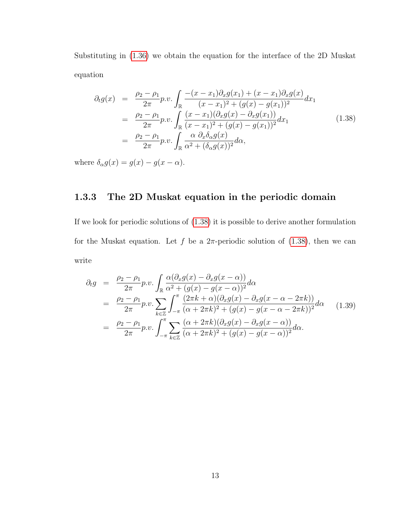Substituting in [\(1.36\)](#page-20-1) we obtain the equation for the interface of the 2D Muskat equation

<span id="page-21-1"></span>
$$
\partial_{t}g(x) = \frac{\rho_{2} - \rho_{1}}{2\pi} p.v. \int_{\mathbb{R}} \frac{-(x - x_{1})\partial_{x}g(x_{1}) + (x - x_{1})\partial_{x}g(x)}{(x - x_{1})^{2} + (g(x) - g(x_{1}))^{2}} dx_{1}
$$
\n
$$
= \frac{\rho_{2} - \rho_{1}}{2\pi} p.v. \int_{\mathbb{R}} \frac{(x - x_{1})(\partial_{x}g(x) - \partial_{x}g(x_{1}))}{(x - x_{1})^{2} + (g(x) - g(x_{1}))^{2}} dx_{1}
$$
\n
$$
= \frac{\rho_{2} - \rho_{1}}{2\pi} p.v. \int_{\mathbb{R}} \frac{\alpha \partial_{x}\delta_{\alpha}g(x)}{\alpha^{2} + (\delta_{\alpha}g(x))^{2}} d\alpha,
$$
\n(1.38)

where  $\delta_{\alpha} g(x) = g(x) - g(x - \alpha)$ .

### <span id="page-21-0"></span>1.3.3 The 2D Muskat equation in the periodic domain

If we look for periodic solutions of [\(1.38\)](#page-21-1) it is possible to derive another formulation for the Muskat equation. Let f be a  $2\pi$ -periodic solution of [\(1.38\)](#page-21-1), then we can write

$$
\partial_t g = \frac{\rho_2 - \rho_1}{2\pi} p.v. \int_{\mathbb{R}} \frac{\alpha(\partial_x g(x) - \partial_x g(x - \alpha))}{\alpha^2 + (g(x) - g(x - \alpha))^2} d\alpha
$$
  
\n
$$
= \frac{\rho_2 - \rho_1}{2\pi} p.v. \sum_{k \in \mathbb{Z}} \int_{-\pi}^{\pi} \frac{(2\pi k + \alpha)(\partial_x g(x) - \partial_x g(x - \alpha - 2\pi k))}{(\alpha + 2\pi k)^2 + (g(x) - g(x - \alpha - 2\pi k))^2} d\alpha
$$
(1.39)  
\n
$$
= \frac{\rho_2 - \rho_1}{2\pi} p.v. \int_{-\pi}^{\pi} \sum_{k \in \mathbb{Z}} \frac{(\alpha + 2\pi k)(\partial_x g(x) - \partial_x g(x - \alpha))}{(\alpha + 2\pi k)^2 + (g(x) - g(x - \alpha))^2} d\alpha.
$$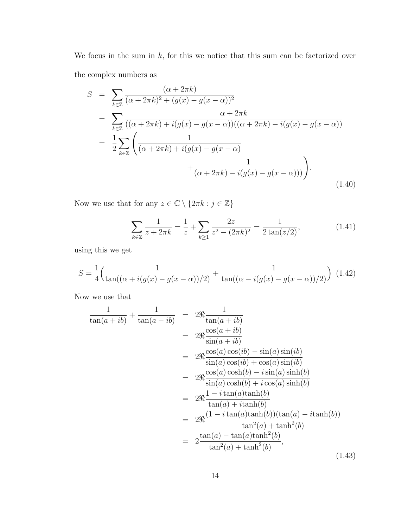We focus in the sum in  $k$ , for this we notice that this sum can be factorized over the complex numbers as

$$
S = \sum_{k \in \mathbb{Z}} \frac{(\alpha + 2\pi k)}{(\alpha + 2\pi k)^2 + (g(x) - g(x - \alpha))^2}
$$
  
= 
$$
\sum_{k \in \mathbb{Z}} \frac{\alpha + 2\pi k}{((\alpha + 2\pi k) + i(g(x) - g(x - \alpha))((\alpha + 2\pi k) - i(g(x) - g(x - \alpha)))}
$$
  
= 
$$
\frac{1}{2} \sum_{k \in \mathbb{Z}} \left( \frac{1}{(\alpha + 2\pi k) + i(g(x) - g(x - \alpha))} + \frac{1}{(\alpha + 2\pi k) - i(g(x) - g(x - \alpha)))} \right).
$$
(1.40)

Now we use that for any  $z\in\mathbb{C}\setminus\{2\pi k:j\in\mathbb{Z}\}$ 

$$
\sum_{k \in \mathbb{Z}} \frac{1}{z + 2\pi k} = \frac{1}{z} + \sum_{k \ge 1} \frac{2z}{z^2 - (2\pi k)^2} = \frac{1}{2\tan(z/2)},\tag{1.41}
$$

using this we get

$$
S = \frac{1}{4} \left( \frac{1}{\tan((\alpha + i(g(x) - g(x - \alpha))/2)} + \frac{1}{\tan((\alpha - i(g(x) - g(x - \alpha))/2)}) \right) (1.42)
$$

Now we use that

$$
\frac{1}{\tan(a+ib)} + \frac{1}{\tan(a-ib)} = 2\Re \frac{1}{\tan(a+ib)}
$$
\n
$$
= 2\Re \frac{\cos(a+ib)}{\sin(a+ib)}
$$
\n
$$
= 2\Re \frac{\cos(a)\cos(b) - \sin(a)\sin(b)}{\sin(a)\cos(b) + \cos(a)\sin(b)}
$$
\n
$$
= 2\Re \frac{\cos(a)\cosh(b) - i\sin(a)\sinh(b)}{\sin(a)\cosh(b) + i\cos(a)\sinh(b)}
$$
\n
$$
= 2\Re \frac{1 - i\tan(a)\tanh(b)}{\tan(a) + i\tanh(b)}
$$
\n
$$
= 2\Re \frac{(1 - i\tan(a)\tanh(b))(\tan(a) - i\tanh(b))}{\tan^2(a) + \tanh^2(b)}
$$
\n
$$
= 2\frac{\tan(a) - \tan(a)\tanh^2(b)}{\tan^2(a) + \tanh^2(b)}, \qquad (1.43)
$$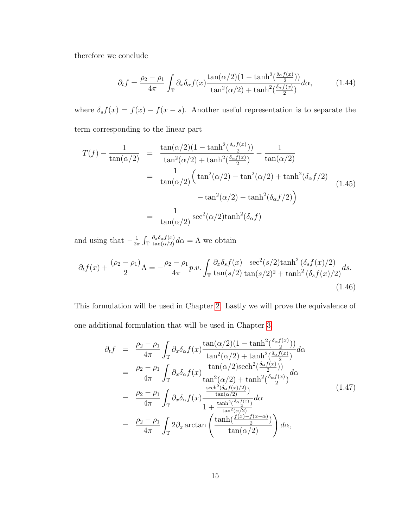therefore we conclude

$$
\partial_t f = \frac{\rho_2 - \rho_1}{4\pi} \int_{\mathbb{T}} \partial_x \delta_\alpha f(x) \frac{\tan(\alpha/2)(1 - \tanh^2(\frac{\delta_\alpha f(x)}{2}))}{\tan^2(\alpha/2) + \tanh^2(\frac{\delta_\alpha f(x)}{2})} d\alpha, \tag{1.44}
$$

where  $\delta_s f(x) = f(x) - f(x - s)$ . Another useful representation is to separate the term corresponding to the linear part

$$
T(f) - \frac{1}{\tan(\alpha/2)} = \frac{\tan(\alpha/2)(1 - \tanh^2(\frac{\delta_{\alpha}f(x)}{2}))}{\tan^2(\alpha/2) + \tanh^2(\frac{\delta_{\alpha}f(x)}{2})} - \frac{1}{\tan(\alpha/2)}
$$
  

$$
= \frac{1}{\tan(\alpha/2)} \Big( \tan^2(\alpha/2) - \tan^2(\alpha/2) + \tanh^2(\delta_{\alpha}f/2) - \tan^2(\alpha/2) - \tanh^2(\delta_{\alpha}f/2) \Big)
$$
  

$$
= \frac{1}{\tan(\alpha/2)} \sec^2(\alpha/2)\tanh^2(\delta_{\alpha}f)
$$
 (1.45)

and using that  $-\frac{1}{2}$  $\frac{1}{2\pi} \int_{\mathbb{T}} \frac{\partial_x \delta_{\alpha} f(x)}{\tan(\alpha/2)} d\alpha = \Lambda$  we obtain

$$
\partial_t f(x) + \frac{(\rho_2 - \rho_1)}{2} \Lambda = -\frac{\rho_2 - \rho_1}{4\pi} p.v. \int_{\mathbb{T}} \frac{\partial_x \delta_s f(x)}{\tan(s/2)} \frac{\sec^2(s/2) \tanh^2(\delta_s f(x)/2)}{\tan(s/2)^2 + \tanh^2(\delta_s f(x)/2)} ds.
$$
\n(1.46)

This formulation will be used in Chapter [2.](#page-50-0) Lastly we will prove the equivalence of one additional formulation that will be used in Chapter [3.](#page-66-0)

$$
\partial_{t}f = \frac{\rho_{2} - \rho_{1}}{4\pi} \int_{\mathbb{T}} \partial_{x}\delta_{\alpha}f(x) \frac{\tan(\alpha/2)(1 - \tanh^{2}(\frac{\delta_{\alpha}f(x)}{2}))}{\tan^{2}(\alpha/2) + \tanh^{2}(\frac{\delta_{\alpha}f(x)}{2})} d\alpha
$$
\n
$$
= \frac{\rho_{2} - \rho_{1}}{4\pi} \int_{\mathbb{T}} \partial_{x}\delta_{\alpha}f(x) \frac{\tan(\alpha/2)\mathrm{sech}^{2}(\frac{\delta_{\alpha}f(x)}{2}))}{\tan^{2}(\alpha/2) + \tanh^{2}(\frac{\delta_{\alpha}f(x)}{2})} d\alpha
$$
\n
$$
= \frac{\rho_{2} - \rho_{1}}{4\pi} \int_{\mathbb{T}} \partial_{x}\delta_{\alpha}f(x) \frac{\frac{\mathrm{sech}^{2}(\delta_{\alpha}f(x)/2)}{\tan(\alpha/2)}}{1 + \frac{\tanh^{2}(\frac{\delta_{\alpha}f(x)}{2})}{\tan^{2}(\alpha/2)}} d\alpha
$$
\n
$$
= \frac{\rho_{2} - \rho_{1}}{4\pi} \int_{\mathbb{T}} 2\partial_{x} \arctan\left(\frac{\tanh(\frac{f(x) - f(x - \alpha)}{2})}{\tan(\alpha/2)}\right) d\alpha,
$$
\n(1.47)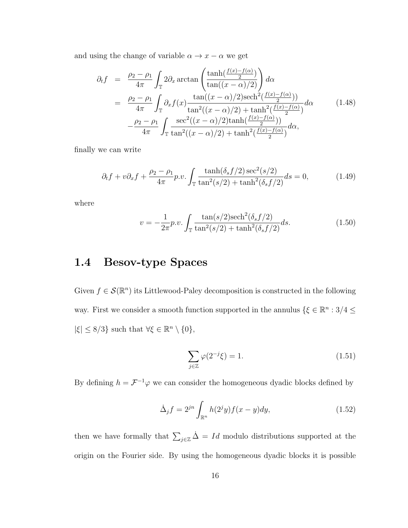and using the change of variable  $\alpha \rightarrow x-\alpha$  we get

$$
\partial_t f = \frac{\rho_2 - \rho_1}{4\pi} \int_{\mathbb{T}} 2\partial_x \arctan\left(\frac{\tanh\left(\frac{f(x) - f(\alpha)}{2}\right)}{\tan\left((x - \alpha)/2\right)}\right) d\alpha
$$
  
\n
$$
= \frac{\rho_2 - \rho_1}{4\pi} \int_{\mathbb{T}} \partial_x f(x) \frac{\tan\left((x - \alpha)/2\right) \operatorname{sech}^2\left(\frac{f(x) - f(\alpha)}{2}\right)}{\tan^2\left((x - \alpha)/2\right) + \tanh^2\left(\frac{f(x) - f(\alpha)}{2}\right)} d\alpha
$$
(1.48)  
\n
$$
- \frac{\rho_2 - \rho_1}{4\pi} \int_{\mathbb{T}} \frac{\operatorname{sec}^2\left((x - \alpha)/2\right) \tanh\left(\frac{f(x) - f(\alpha)}{2}\right)}{\tan^2\left((x - \alpha)/2\right) + \tanh^2\left(\frac{f(x) - f(\alpha)}{2}\right)} d\alpha,
$$

finally we can write

$$
\partial_t f + v \partial_x f + \frac{\rho_2 - \rho_1}{4\pi} p.v. \int_{\mathbb{T}} \frac{\tanh(\delta_s f/2) \sec^2(s/2)}{\tan^2(s/2) + \tanh^2(\delta_s f/2)} ds = 0,
$$
 (1.49)

where

$$
v = -\frac{1}{2\pi}p.v.\int_{\mathbb{T}} \frac{\tan(s/2)\mathrm{sech}^2(\delta_s f/2)}{\tan^2(s/2) + \tanh^2(\delta_s f/2)} ds.
$$
 (1.50)

### <span id="page-24-0"></span>1.4 Besov-type Spaces

Given  $f \in \mathcal{S}(\mathbb{R}^n)$  its Littlewood-Paley decomposition is constructed in the following way. First we consider a smooth function supported in the annulus  $\{\xi \in \mathbb{R}^n : 3/4 \leq \xi \leq 3/4\}$  $|\xi| \leq 8/3$ } such that  $\forall \xi \in \mathbb{R}^n \setminus \{0\},\$ 

$$
\sum_{j\in\mathbb{Z}}\varphi(2^{-j}\xi) = 1.
$$
\n(1.51)

By defining  $h = \mathcal{F}^{-1}\varphi$  we can consider the homogeneous dyadic blocks defined by

$$
\dot{\Delta}_j f = 2^{jn} \int_{\mathbb{R}^n} h(2^j y) f(x - y) dy, \qquad (1.52)
$$

then we have formally that  $\sum_{j\in\mathbb{Z}}\dot{\Delta}=Id$  modulo distributions supported at the origin on the Fourier side. By using the homogeneous dyadic blocks it is possible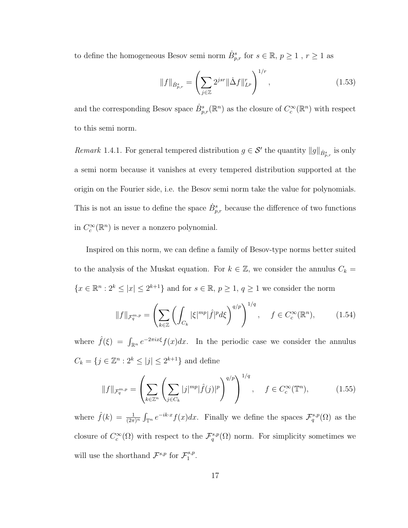to define the homogeneous Besov semi norm  $\dot{B}^s_{p,r}$  for  $s \in \mathbb{R}, p \ge 1$ ,  $r \ge 1$  as

$$
||f||_{\dot{B}_{p,r}^s} = \left(\sum_{j\in\mathbb{Z}} 2^{jsr} ||\dot{\Delta}f||_{L^p}^r \right)^{1/r},\tag{1.53}
$$

and the corresponding Besov space  $\dot{B}_{p,r}^s(\mathbb{R}^n)$  as the closure of  $C_c^{\infty}(\mathbb{R}^n)$  with respect to this semi norm.

Remark 1.4.1. For general tempered distribution  $g \in \mathcal{S}'$  the quantity  $||g||_{\dot{B}^s_{p,r}}$  is only a semi norm because it vanishes at every tempered distribution supported at the origin on the Fourier side, i.e. the Besov semi norm take the value for polynomials. This is not an issue to define the space  $\dot{B}_{p,r}^s$  because the difference of two functions in  $C_c^{\infty}(\mathbb{R}^n)$  is never a nonzero polynomial.

Inspired on this norm, we can define a family of Besov-type norms better suited to the analysis of the Muskat equation. For  $k \in \mathbb{Z}$ , we consider the annulus  $C_k =$  ${x \in \mathbb{R}^n : 2^k \leq |x| \leq 2^{k+1}}$  and for  $s \in \mathbb{R}, p \geq 1, q \geq 1$  we consider the norm

$$
||f||_{\mathcal{F}_q^{m,p}} = \left(\sum_{k \in \mathbb{Z}} \left(\int_{C_k} |\xi|^{mp} |\hat{f}|^p d\xi\right)^{q/p}\right)^{1/q}, \quad f \in C_c^{\infty}(\mathbb{R}^n),\tag{1.54}
$$

where  $\hat{f}(\xi) = \int_{\mathbb{R}^n} e^{-2\pi i x \xi} f(x) dx$ . In the periodic case we consider the annulus  $C_k = \{j \in \mathbb{Z}^n : 2^k \leq |j| \leq 2^{k+1}\}\$ and define

$$
||f||_{\mathcal{F}_q^{m,p}} = \left(\sum_{k \in \mathbb{Z}^n} \left(\sum_{j \in C_k} |j|^{mp} |\hat{f}(j)|^p\right)^{q/p}\right)^{1/q}, \quad f \in C_c^{\infty}(\mathbb{T}^n),
$$
 (1.55)

where  $\hat{f}(k) = \frac{1}{(2\pi)^n} \int_{\mathbb{T}^n} e^{-ik \cdot x} f(x) dx$ . Finally we define the spaces  $\mathcal{F}_q^{s,p}(\Omega)$  as the closure of  $C_c^{\infty}(\Omega)$  with respect to the  $\mathcal{F}_q^{s,p}(\Omega)$  norm. For simplicity sometimes we will use the shorthand  $\mathcal{F}^{s,p}$  for  $\mathcal{F}^{s,p}_1$  $\frac{s,p}{1}$ .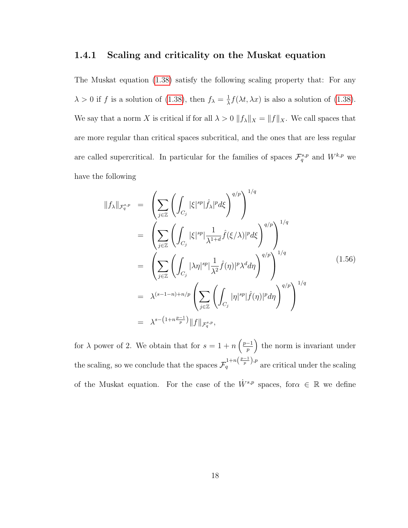#### <span id="page-26-0"></span>1.4.1 Scaling and criticality on the Muskat equation

The Muskat equation [\(1.38\)](#page-21-1) satisfy the following scaling property that: For any  $\lambda > 0$  if f is a solution of [\(1.38\)](#page-21-1), then  $f_{\lambda} = \frac{1}{\lambda}$  $\frac{1}{\lambda} f(\lambda t, \lambda x)$  is also a solution of [\(1.38\)](#page-21-1). We say that a norm X is critical if for all  $\lambda > 0$   $||f_{\lambda}||_X = ||f||_X$ . We call spaces that are more regular than critical spaces subcritical, and the ones that are less regular are called supercritical. In particular for the families of spaces  $\mathcal{F}_q^{s,p}$  and  $W^{k,p}$  we have the following

$$
||f_{\lambda}||_{\mathcal{F}_{q}^{s,p}} = \left(\sum_{j\in\mathbb{Z}} \left(\int_{C_{j}} |\xi|^{sp} |\hat{f}_{\lambda}|^{p} d\xi\right)^{q/p}\right)^{1/q}
$$
  
\n
$$
= \left(\sum_{j\in\mathbb{Z}} \left(\int_{C_{j}} |\xi|^{sp} |\frac{1}{\lambda^{1+d}} \hat{f}(\xi/\lambda)|^{p} d\xi\right)^{q/p}\right)^{1/q}
$$
  
\n
$$
= \left(\sum_{j\in\mathbb{Z}} \left(\int_{C_{j}} |\lambda\eta|^{sp} |\frac{1}{\lambda^{2}} \hat{f}(\eta)|^{p} \lambda^{d} d\eta\right)^{q/p}\right)^{1/q}
$$
  
\n
$$
= \lambda^{(s-1-n)+n/p} \left(\sum_{j\in\mathbb{Z}} \left(\int_{C_{j}} |\eta|^{sp} |\hat{f}(\eta)|^{p} d\eta\right)^{q/p}\right)^{1/q}
$$
  
\n
$$
= \lambda^{s-(1+n\frac{p-1}{p})} ||f||_{\mathcal{F}_{q}^{s,p}}, \qquad (1.56)
$$

for  $\lambda$  power of 2. We obtain that for  $s = 1 + n \left( \frac{p-1}{n} \right)$  $\left(\frac{-1}{p}\right)$  the norm is invariant under the scaling, so we conclude that the spaces  $\mathcal{F}_q^{1+n(\frac{p-1}{p}),p}$  are critical under the scaling of the Muskat equation. For the case of the  $\dot{W}^{s,p}$  spaces, for  $\alpha \in \mathbb{R}$  we define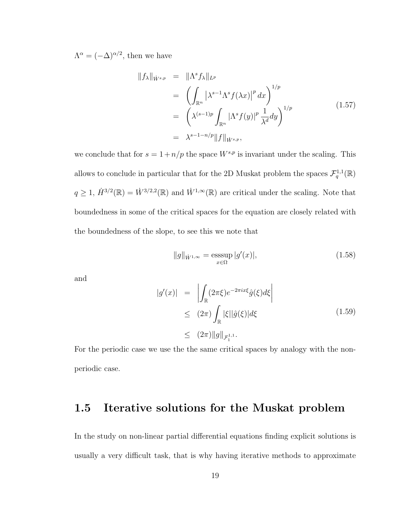$\Lambda^{\alpha} = (-\Delta)^{\alpha/2}$ , then we have

$$
\|f_{\lambda}\|_{\dot{W}^{s,p}} = \|\Lambda^s f_{\lambda}\|_{L^p}
$$
  
\n
$$
= \left(\int_{\mathbb{R}^n} |\lambda^{s-1} \Lambda^s f(\lambda x)|^p dx\right)^{1/p}
$$
  
\n
$$
= \left(\lambda^{(s-1)p} \int_{\mathbb{R}^n} |\Lambda^s f(y)|^p \frac{1}{\lambda^d} dy\right)^{1/p}
$$
  
\n
$$
= \lambda^{s-1-n/p} \|f\|_{\dot{W}^{s,p}}, \qquad (1.57)
$$

we conclude that for  $s = 1 + n/p$  the space  $W^{s,p}$  is invariant under the scaling. This allows to conclude in particular that for the 2D Muskat problem the spaces  $\mathcal{F}_q^{1,1}(\mathbb{R})$  $q \geq 1$ ,  $\dot{H}^{3/2}(\mathbb{R}) = \dot{W}^{3/2,2}(\mathbb{R})$  and  $\dot{W}^{1,\infty}(\mathbb{R})$  are critical under the scaling. Note that boundedness in some of the critical spaces for the equation are closely related with the boundedness of the slope, to see this we note that

$$
||g||_{\dot{W}^{1,\infty}} = \underset{x \in \Omega}{\text{esssup}} |g'(x)|,\tag{1.58}
$$

and

$$
|g'(x)| = \left| \int_{\mathbb{R}} (2\pi\xi)e^{-2\pi ix\xi} \hat{g}(\xi) d\xi \right|
$$
  
\n
$$
\leq (2\pi) \int_{\mathbb{R}} |\xi| |\hat{g}(\xi)| d\xi
$$
  
\n
$$
\leq (2\pi) \|g\|_{\mathcal{F}_1^{1,1}}.
$$
\n(1.59)

For the periodic case we use the the same critical spaces by analogy with the nonperiodic case.

### <span id="page-27-0"></span>1.5 Iterative solutions for the Muskat problem

In the study on non-linear partial differential equations finding explicit solutions is usually a very difficult task, that is why having iterative methods to approximate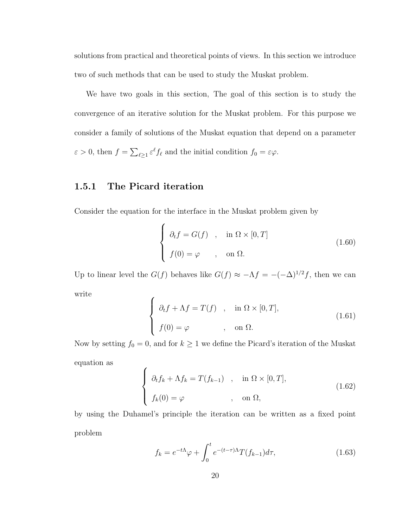solutions from practical and theoretical points of views. In this section we introduce two of such methods that can be used to study the Muskat problem.

We have two goals in this section, The goal of this section is to study the convergence of an iterative solution for the Muskat problem. For this purpose we consider a family of solutions of the Muskat equation that depend on a parameter  $\varepsilon > 0$ , then  $f = \sum_{\ell \geq 1} \varepsilon^{\ell} f_{\ell}$  and the initial condition  $f_0 = \varepsilon \varphi$ .

### <span id="page-28-0"></span>1.5.1 The Picard iteration

Consider the equation for the interface in the Muskat problem given by

$$
\begin{cases}\n\partial_t f = G(f) & , \text{ in } \Omega \times [0, T] \\
f(0) = \varphi & , \text{ on } \Omega.\n\end{cases}
$$
\n(1.60)

Up to linear level the  $G(f)$  behaves like  $G(f) \approx -\Lambda f = -(-\Delta)^{1/2} f$ , then we can write

$$
\begin{cases}\n\partial_t f + \Lambda f = T(f) & , \quad \text{in } \Omega \times [0, T], \\
f(0) = \varphi & , \quad \text{on } \Omega.\n\end{cases}
$$
\n(1.61)

Now by setting  $f_0 = 0$ , and for  $k \ge 1$  we define the Picard's iteration of the Muskat equation as

$$
\begin{cases}\n\partial_t f_k + \Lambda f_k = T(f_{k-1}) & , \quad \text{in } \Omega \times [0, T], \\
f_k(0) = \varphi & , \quad \text{on } \Omega,\n\end{cases}
$$
\n(1.62)

by using the Duhamel's principle the iteration can be written as a fixed point problem

$$
f_k = e^{-t\Lambda}\varphi + \int_0^t e^{-(t-\tau)\Lambda} T(f_{k-1}) d\tau,
$$
\n(1.63)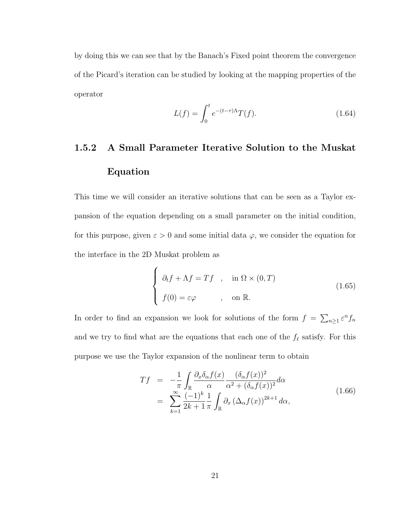by doing this we can see that by the Banach's Fixed point theorem the convergence of the Picard's iteration can be studied by looking at the mapping properties of the operator

$$
L(f) = \int_0^t e^{-(t-\tau)\Lambda} T(f). \tag{1.64}
$$

# <span id="page-29-0"></span>1.5.2 A Small Parameter Iterative Solution to the Muskat Equation

This time we will consider an iterative solutions that can be seen as a Taylor expansion of the equation depending on a small parameter on the initial condition, for this purpose, given  $\varepsilon > 0$  and some initial data  $\varphi$ , we consider the equation for the interface in the 2D Muskat problem as

$$
\begin{cases}\n\partial_t f + \Lambda f = Tf, & \text{in } \Omega \times (0, T) \\
f(0) = \varepsilon \varphi, & \text{on } \mathbb{R}.\n\end{cases}
$$
\n(1.65)

In order to find an expansion we look for solutions of the form  $f = \sum_{n\geq 1} \varepsilon^n f_n$ and we try to find what are the equations that each one of the  $f_{\ell}$  satisfy. For this purpose we use the Taylor expansion of the nonlinear term to obtain

<span id="page-29-1"></span>
$$
Tf = -\frac{1}{\pi} \int_{\mathbb{R}} \frac{\partial_x \delta_\alpha f(x)}{\alpha} \frac{(\delta_\alpha f(x))^2}{\alpha^2 + (\delta_\alpha f(x))^2} d\alpha
$$
  
= 
$$
\sum_{k=1}^{\infty} \frac{(-1)^k}{2k+1} \frac{1}{\pi} \int_{\mathbb{R}} \partial_x (\Delta_\alpha f(x))^{2k+1} d\alpha,
$$
 (1.66)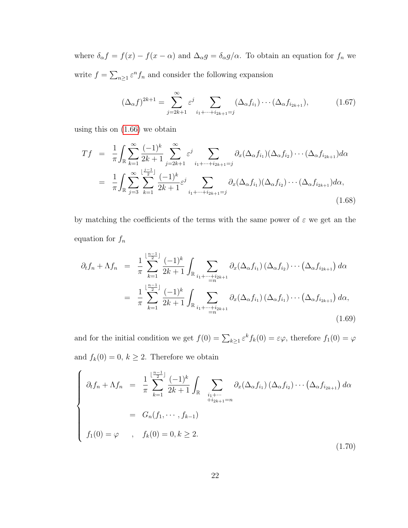where  $\delta_{\alpha} f = f(x) - f(x - \alpha)$  and  $\Delta_{\alpha} g = \delta_{\alpha} g / \alpha$ . To obtain an equation for  $f_n$  we write  $f = \sum_{n\geq 1} \varepsilon^n f_n$  and consider the following expansion

$$
(\Delta_{\alpha}f)^{2k+1} = \sum_{j=2k+1}^{\infty} \varepsilon^{j} \sum_{i_{1}+\dots+i_{2k+1}=j} (\Delta_{\alpha}f_{i_{1}}) \cdots (\Delta_{\alpha}f_{i_{2k+1}}), \qquad (1.67)
$$

using this on [\(1.66\)](#page-29-1) we obtain

$$
Tf = \frac{1}{\pi} \int_{\mathbb{R}} \sum_{k=1}^{\infty} \frac{(-1)^k}{2k+1} \sum_{j=2k+1}^{\infty} \varepsilon^j \sum_{i_1 + \dots + i_{2k+1} = j} \partial_x (\Delta_\alpha f_{i_1}) (\Delta_\alpha f_{i_2}) \cdots (\Delta_\alpha f_{i_{2k+1}}) d\alpha
$$
  

$$
= \frac{1}{\pi} \int_{\mathbb{R}} \sum_{j=3}^{\infty} \sum_{k=1}^{\lfloor \frac{j-1}{2} \rfloor} \frac{(-1)^k}{2k+1} \varepsilon^j \sum_{i_1 + \dots + i_{2k+1} = j} \partial_x (\Delta_\alpha f_{i_1}) (\Delta_\alpha f_{i_2}) \cdots (\Delta_\alpha f_{i_{2k+1}}) d\alpha,
$$
(1.68)

by matching the coefficients of the terms with the same power of  $\varepsilon$  we get an the equation for  $f_{\mathfrak n}$ 

$$
\partial_{t} f_{n} + \Lambda f_{n} = \frac{1}{\pi} \sum_{k=1}^{\lfloor \frac{n-1}{2} \rfloor} \frac{(-1)^{k}}{2k+1} \int_{\mathbb{R}} \sum_{\substack{i_{1} + \dots + i_{2k+1} \\ = n}} \partial_{x}(\Delta_{\alpha} f_{i_{1}}) (\Delta_{\alpha} f_{i_{2}}) \cdots (\Delta_{\alpha} f_{i_{2k+1}}) d\alpha
$$

$$
= \frac{1}{\pi} \sum_{k=1}^{\lfloor \frac{n-1}{2} \rfloor} \frac{(-1)^{k}}{2k+1} \int_{\mathbb{R}} \sum_{\substack{i_{1} + \dots + i_{2k+1} \\ = n}} \partial_{x}(\Delta_{\alpha} f_{i_{1}}) (\Delta_{\alpha} f_{i_{1}}) \cdots (\Delta_{\alpha} f_{i_{2k+1}}) d\alpha,
$$
(1.69)

and for the initial condition we get  $f(0) = \sum_{k \geq 1} \varepsilon^k f_k(0) = \varepsilon \varphi$ , therefore  $f_1(0) = \varphi$ and  $f_k(0) = 0, k \ge 2$ . Therefore we obtain

<span id="page-30-0"></span>
$$
\begin{cases}\n\partial_t f_n + \Lambda f_n = \frac{1}{\pi} \sum_{k=1}^{\lfloor \frac{n-1}{2} \rfloor} \frac{(-1)^k}{2k+1} \int_{\mathbb{R}} \sum_{\substack{i_1 + \cdots + i_{2k+1} = n}} \partial_x (\Delta_\alpha f_{i_1}) (\Delta_\alpha f_{i_2}) \cdots (\Delta_\alpha f_{i_{2k+1}}) d\alpha \\
= G_n(f_1, \cdots, f_{k-1}) \\
f_1(0) = \varphi, \quad f_k(0) = 0, k \ge 2.\n\end{cases} \tag{1.70}
$$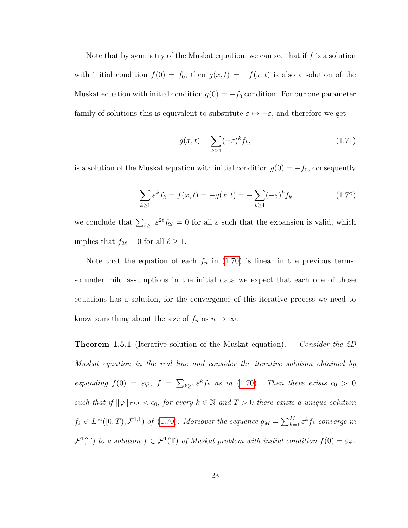Note that by symmetry of the Muskat equation, we can see that if  $f$  is a solution with initial condition  $f(0) = f_0$ , then  $g(x,t) = -f(x,t)$  is also a solution of the Muskat equation with initial condition  $g(0) = -f_0$  condition. For our one parameter family of solutions this is equivalent to substitute  $\varepsilon \mapsto -\varepsilon$ , and therefore we get

$$
g(x,t) = \sum_{k\geq 1} (-\varepsilon)^k f_k,
$$
\n(1.71)

is a solution of the Muskat equation with initial condition  $g(0) = -f_0$ , consequently

$$
\sum_{k\geq 1} \varepsilon^k f_k = f(x, t) = -g(x, t) = -\sum_{k\geq 1} (-\varepsilon)^k f_k \tag{1.72}
$$

we conclude that  $\sum_{\ell \geq 1} \varepsilon^{2\ell} f_{2\ell} = 0$  for all  $\varepsilon$  such that the expansion is valid, which implies that  $f_{2\ell} = 0$  for all  $\ell \ge 1$ .

Note that the equation of each  $f_n$  in [\(1.70\)](#page-30-0) is linear in the previous terms, so under mild assumptions in the initial data we expect that each one of those equations has a solution, for the convergence of this iterative process we need to know something about the size of  $f_n$  as  $n \to \infty$ .

<span id="page-31-0"></span>**Theorem 1.5.1** (Iterative solution of the Muskat equation). Consider the 2D Muskat equation in the real line and consider the iterative solution obtained by expanding  $f(0) = \varepsilon \varphi$ ,  $f = \sum_{k \geq 1} \varepsilon^k f_k$  as in [\(1.70\)](#page-30-0). Then there exists  $c_0 > 0$ such that if  $\|\varphi\|_{\mathcal{F}^{1,1}} < c_0$ , for every  $k \in \mathbb{N}$  and  $T > 0$  there exists a unique solution  $f_k \in L^{\infty}([0,T), \mathcal{F}^{1,1})$  of  $(1.70)$ . Moreover the sequence  $g_M = \sum_{k=1}^{M} \varepsilon^k f_k$  converge in  $\mathcal{F}^1(\mathbb{T})$  to a solution  $f \in \mathcal{F}^1(\mathbb{T})$  of Muskat problem with initial condition  $f(0) = \varepsilon \varphi$ .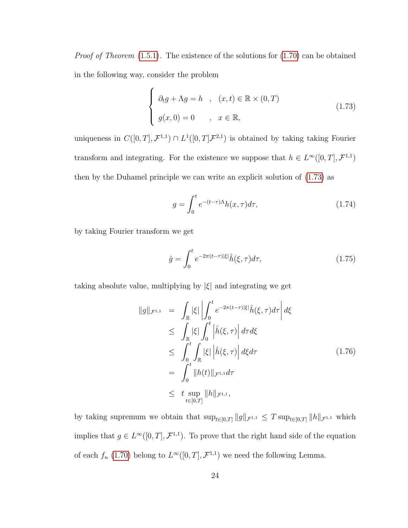Proof of Theorem  $(1.5.1)$ . The existence of the solutions for  $(1.70)$  can be obtained in the following way, consider the problem

<span id="page-32-0"></span>
$$
\begin{cases}\n\partial_t g + \Lambda g = h, & (x, t) \in \mathbb{R} \times (0, T) \\
g(x, 0) = 0, & x \in \mathbb{R},\n\end{cases}
$$
\n(1.73)

uniqueness in  $C([0,T], \mathcal{F}^{1,1}) \cap L^1([0,T], \mathcal{F}^{2,1})$  is obtained by taking taking Fourier transform and integrating. For the existence we suppose that  $h \in L^{\infty}([0,T], \mathcal{F}^{1,1})$ then by the Duhamel principle we can write an explicit solution of [\(1.73\)](#page-32-0) as

$$
g = \int_0^t e^{-(t-\tau)\Lambda} h(x,\tau) d\tau,
$$
\n(1.74)

by taking Fourier transform we get

$$
\hat{g} = \int_0^t e^{-2\pi(t-\tau)|\xi|} \hat{h}(\xi,\tau)d\tau,\tag{1.75}
$$

taking absolute value, multiplying by  $|\xi|$  and integrating we get

$$
\|g\|_{\mathcal{F}^{1,1}} = \int_{\mathbb{R}} |\xi| \left| \int_{0}^{t} e^{-2\pi(t-\tau)|\xi|} \hat{h}(\xi,\tau) d\tau \right| d\xi
$$
  
\n
$$
\leq \int_{\mathbb{R}} |\xi| \int_{0}^{t} |\hat{h}(\xi,\tau)| d\tau d\xi
$$
  
\n
$$
\leq \int_{0}^{t} \int_{\mathbb{R}} |\xi| |\hat{h}(\xi,\tau)| d\xi d\tau
$$
  
\n
$$
= \int_{0}^{t} \|h(t)\|_{\mathcal{F}^{1,1}} d\tau
$$
  
\n
$$
\leq t \sup_{t \in [0,T]} \|h\|_{\mathcal{F}^{1,1}},
$$
  
\n(1.76)

by taking supremum we obtain that  $\sup_{t\in[0,T]}\|g\|_{\mathcal{F}^{1,1}} \leq T \sup_{t\in[0,T]}\|h\|_{\mathcal{F}^{1,1}}$  which implies that  $g \in L^{\infty}([0,T], \mathcal{F}^{1,1})$ . To prove that the right hand side of the equation of each  $f_n$  [\(1.70\)](#page-30-0) belong to  $L^{\infty}([0,T], \mathcal{F}^{1,1})$  we need the following Lemma.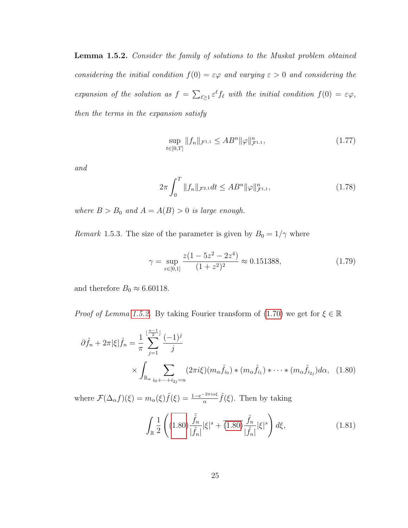<span id="page-33-0"></span>Lemma 1.5.2. Consider the family of solutions to the Muskat problem obtained considering the initial condition  $f(0) = \varepsilon \varphi$  and varying  $\varepsilon > 0$  and considering the expansion of the solution as  $f = \sum_{\ell \geq 1} \varepsilon^{\ell} f_{\ell}$  with the initial condition  $f(0) = \varepsilon \varphi$ , then the terms in the expansion satisfy

$$
\sup_{t \in [0,T]} \|f_n\|_{\mathcal{F}^{1,1}} \le AB^n \|\varphi\|_{\mathcal{F}^{1,1}}^n,\tag{1.77}
$$

and

$$
2\pi \int_0^T \|f_n\|_{\mathcal{F}^{2,1}} dt \le AB^n \|\varphi\|_{\mathcal{F}^{1,1}}^n,
$$
\n(1.78)

where  $B > B_0$  and  $A = A(B) > 0$  is large enough.

Remark 1.5.3. The size of the parameter is given by  $B_0 = 1/\gamma$  where

$$
\gamma = \sup_{z \in [0,1]} \frac{z(1 - 5z^2 - 2z^4)}{(1 + z^2)^2} \approx 0.151388,\tag{1.79}
$$

and therefore  $B_0 \approx 6.60118$ .

*Proof of Lemma [1.5.2.](#page-33-0)* By taking Fourier transform of [\(1.70\)](#page-30-0) we get for  $\xi \in \mathbb{R}$ 

$$
\partial \hat{f}_n + 2\pi |\xi| \hat{f}_n = \frac{1}{\pi} \sum_{j=1}^{\lfloor \frac{n-1}{2} \rfloor} \frac{(-1)^j}{j}
$$
  
 
$$
\times \int_{\mathbb{R}_{\alpha}} \sum_{i_0 + \dots + i_{2j} = n} (2\pi i \xi) (m_\alpha \hat{f}_{i_0}) * (m_\alpha \hat{f}_{i_1}) * \dots * (m_\alpha \hat{f}_{i_{2j}}) d\alpha, \quad (1.80)
$$

where  $\mathcal{F}(\Delta_\alpha f)(\xi) = m_\alpha(\xi) \hat{f}(\xi) = \frac{1 - e^{-2\pi i \alpha \xi}}{\alpha} \hat{f}(\xi)$ . Then by taking

<span id="page-33-1"></span>
$$
\int_{\mathbb{R}} \frac{1}{2} \left( (1.80) \frac{\bar{\hat{f}}_n}{|\hat{f}_n|} |\xi|^s + \overline{(1.80)} \frac{\hat{f}_n}{|\hat{f}_n|} |\xi|^s \right) d\xi, \tag{1.81}
$$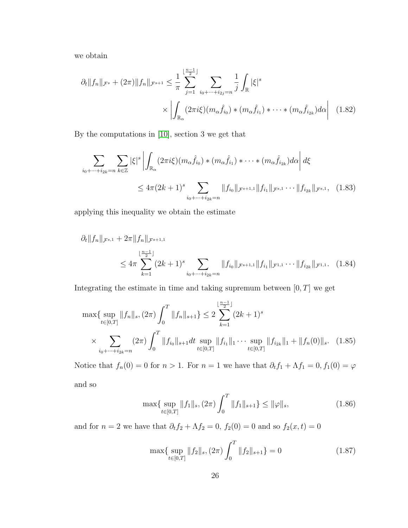we obtain

$$
\partial_t \|f_n\|_{\mathcal{F}^s} + (2\pi) \|f_n\|_{\mathcal{F}^{s+1}} \leq \frac{1}{\pi} \sum_{j=1}^{\lfloor \frac{n-1}{2} \rfloor} \sum_{i_0 + \dots + i_{2j} = n} \frac{1}{j} \int_{\mathbb{R}} |\xi|^s
$$

$$
\times \left| \int_{\mathbb{R}_\alpha} (2\pi i \xi)(m_\alpha \hat{f}_{i_0}) * (m_\alpha \hat{f}_{i_1}) * \dots * (m_\alpha \hat{f}_{i_{2k}}) d\alpha \right| \quad (1.82)
$$

By the computations in [\[10\]](#page-252-1), section 3 we get that

$$
\sum_{i_0 + \dots + i_{2k} = n} \sum_{k \in \mathbb{Z}} |\xi|^s \left| \int_{\mathbb{R}_\alpha} (2\pi i \xi)(m_\alpha \hat{f}_{i_0}) * (m_\alpha \hat{f}_{i_1}) * \dots * (m_\alpha \hat{f}_{i_{2k}}) d\alpha \right| d\xi
$$
  
 
$$
\leq 4\pi (2k+1)^s \sum_{i_0 + \dots + i_{2k} = n} \|f_{i_0}\|_{\mathcal{F}^{s+1,1}} \|f_{i_1}\|_{\mathcal{F}^{s,1}} \dots \|f_{i_{2k}}\|_{\mathcal{F}^{s,1}}, \quad (1.83)
$$

applying this inequality we obtain the estimate

$$
\partial_t \|f_n\|_{\mathcal{F}^{s,1}} + 2\pi \|f_n\|_{\mathcal{F}^{s+1,1}} \n\le 4\pi \sum_{k=1}^{\lfloor \frac{n-1}{2} \rfloor} (2k+1)^s \sum_{i_0 + \dots + i_{2k} = n} \|f_{i_0}\|_{\mathcal{F}^{s+1,1}} \|f_{i_1}\|_{\mathcal{F}^{1,1}} \dots \|f_{i_{2k}}\|_{\mathcal{F}^{1,1}}.
$$
\n(1.84)

Integrating the estimate in time and taking supremum between  $[0, T]$  we get

$$
\max\{\sup_{t\in[0,T]}\|f_n\|_s, (2\pi)\int_0^T \|f_n\|_{s+1}\} \le 2\sum_{k=1}^{\lfloor \frac{n-1}{2} \rfloor} (2k+1)^s
$$
  
 
$$
\times \sum_{i_0+\dots+i_{2k}=n} (2\pi) \int_0^T \|f_{i_0}\|_{s+1} dt \sup_{t\in[0,T]}\|f_{i_1}\|_1 \cdots \sup_{t\in[0,T]}\|f_{i_{2k}}\|_1 + \|f_n(0)\|_s. \tag{1.85}
$$

Notice that  $f_n(0) = 0$  for  $n > 1$ . For  $n = 1$  we have that  $\partial_t f_1 + \Lambda f_1 = 0$ ,  $f_1(0) = \varphi$ and so

<span id="page-34-1"></span><span id="page-34-0"></span>
$$
\max\{\sup_{t\in[0,T]}\|f_1\|_s, (2\pi)\int_0^T\|f_1\|_{s+1}\} \le \|\varphi\|_s,\tag{1.86}
$$

and for  $n = 2$  we have that  $\partial_t f_2 + \Lambda f_2 = 0$ ,  $f_2(0) = 0$  and so  $f_2(x, t) = 0$ 

<span id="page-34-2"></span>
$$
\max\{\sup_{t\in[0,T]}\|f_2\|_s, (2\pi)\int_0^T\|f_2\|_{s+1}\}=0\tag{1.87}
$$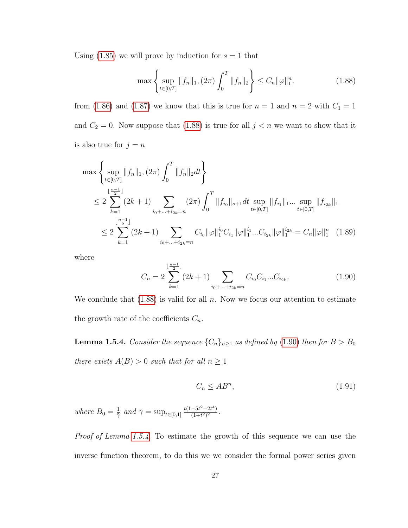Using  $(1.85)$  we will prove by induction for  $s = 1$  that

<span id="page-35-0"></span>
$$
\max\left\{\sup_{t\in[0,T]}\|f_n\|_1, (2\pi)\int_0^T\|f_n\|_2\right\} \le C_n \|\varphi\|_1^n. \tag{1.88}
$$

from [\(1.86\)](#page-34-1) and [\(1.87\)](#page-34-2) we know that this is true for  $n = 1$  and  $n = 2$  with  $C_1 = 1$ and  $C_2 = 0$ . Now suppose that [\(1.88\)](#page-35-0) is true for all  $j < n$  we want to show that it is also true for  $j = n$ 

$$
\max \left\{ \sup_{t \in [0,T]} ||f_n||_1, (2\pi) \int_0^T ||f_n||_2 dt \right\}
$$
  
\n
$$
\leq 2 \sum_{k=1}^{\lfloor \frac{n-1}{2} \rfloor} (2k+1) \sum_{i_0 + \dots + i_{2k} = n} (2\pi) \int_0^T ||f_{i_0}||_{s+1} dt \sup_{t \in [0,T]} ||f_{i_1}||_1 \dots \sup_{t \in [0,T]} ||f_{i_{2k}}||_1
$$
  
\n
$$
\leq 2 \sum_{k=1}^{\lfloor \frac{n-1}{2} \rfloor} (2k+1) \sum_{i_0 + \dots + i_{2k} = n} C_{i_0} ||\varphi||_1^{i_0} C_{i_1} ||\varphi||_1^{i_1} \dots C_{i_{2k}} ||\varphi||_1^{i_{2k}} = C_n ||\varphi||_1^n \quad (1.89)
$$

where

<span id="page-35-1"></span>
$$
C_n = 2 \sum_{k=1}^{\lfloor \frac{n-1}{2} \rfloor} (2k+1) \sum_{i_0 + \dots + i_{2k} = n} C_{i_0} C_{i_1} \dots C_{i_{2k}}.
$$
 (1.90)

We conclude that  $(1.88)$  is valid for all n. Now we focus our attention to estimate the growth rate of the coefficients  $C_n$ .

<span id="page-35-2"></span>**Lemma 1.5.4.** Consider the sequence  $\{C_n\}_{n\geq 1}$  as defined by [\(1.90\)](#page-35-1) then for  $B > B_0$ there exists  $A(B) > 0$  such that for all  $n \geq 1$ 

$$
C_n \le AB^n,\tag{1.91}
$$

where  $B_0 = \frac{1}{\tilde{z}}$  $\frac{1}{\tilde{\gamma}}$  and  $\tilde{\gamma} = \sup_{t \in [0,1]} \frac{t(1-5t^2-2t^4)}{(1+t^2)^2}$  $\frac{-5t^2-2t^4}{(1+t^2)^2}$ .

Proof of Lemma [1.5.4.](#page-35-2) To estimate the growth of this sequence we can use the inverse function theorem, to do this we we consider the formal power series given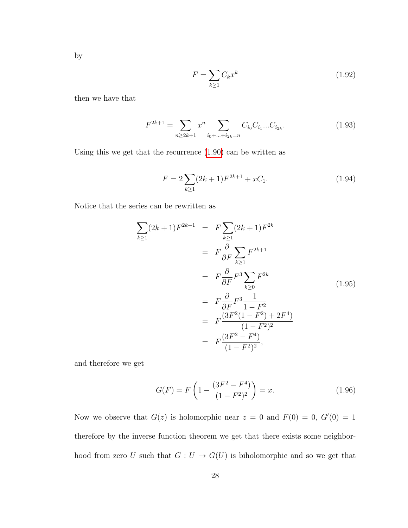by

$$
F = \sum_{k \ge 1} C_k x^k \tag{1.92}
$$

then we have that

$$
F^{2k+1} = \sum_{n \ge 2k+1} x^n \sum_{i_0 + \dots + i_{2k} = n} C_{i_0} C_{i_1} \dots C_{i_{2k}}.
$$
 (1.93)

Using this we get that the recurrence [\(1.90\)](#page-35-0) can be written as

$$
F = 2\sum_{k\geq 1} (2k+1)F^{2k+1} + xC_1.
$$
 (1.94)

Notice that the series can be rewritten as

$$
\sum_{k\geq 1} (2k+1)F^{2k+1} = F \sum_{k\geq 1} (2k+1)F^{2k}
$$
  
=  $F \frac{\partial}{\partial F} \sum_{k\geq 1} F^{2k+1}$   
=  $F \frac{\partial}{\partial F} F^3 \sum_{k\geq 0} F^{2k}$   
=  $F \frac{\partial}{\partial F} F^3 \frac{1}{1 - F^2}$   
=  $F \frac{(3F^2(1 - F^2) + 2F^4)}{(1 - F^2)^2}$   
=  $F \frac{(3F^2 - F^4)}{(1 - F^2)^2}$ ,

and therefore we get

<span id="page-36-0"></span>
$$
G(F) = F\left(1 - \frac{(3F^2 - F^4)}{(1 - F^2)^2}\right) = x.
$$
\n(1.96)

Now we observe that  $G(z)$  is holomorphic near  $z = 0$  and  $F(0) = 0$ ,  $G'(0) = 1$ therefore by the inverse function theorem we get that there exists some neighborhood from zero U such that  $G: U \to G(U)$  is biholomorphic and so we get that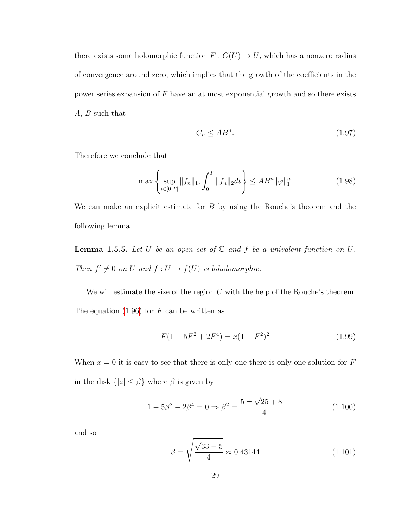there exists some holomorphic function  $F: G(U) \to U$ , which has a nonzero radius of convergence around zero, which implies that the growth of the coefficients in the power series expansion of  $F$  have an at most exponential growth and so there exists A, B such that

$$
C_n \le AB^n. \tag{1.97}
$$

Therefore we conclude that

$$
\max\left\{\sup_{t\in[0,T]}\|f_n\|_1, \int_0^T \|f_n\|_2 dt\right\} \le AB^n \|\varphi\|_1^n. \tag{1.98}
$$

We can make an explicit estimate for B by using the Rouche's theorem and the following lemma

**Lemma 1.5.5.** Let U be an open set of  $\mathbb C$  and f be a univalent function on  $U$ . Then  $f' \neq 0$  on U and  $f: U \rightarrow f(U)$  is biholomorphic.

We will estimate the size of the region  $U$  with the help of the Rouche's theorem. The equation  $(1.96)$  for F can be written as

$$
F(1 - 5F^2 + 2F^4) = x(1 - F^2)^2
$$
\n(1.99)

When  $x = 0$  it is easy to see that there is only one there is only one solution for F in the disk  $\{|z| \leq \beta\}$  where  $\beta$  is given by

$$
1 - 5\beta^2 - 2\beta^4 = 0 \Rightarrow \beta^2 = \frac{5 \pm \sqrt{25 + 8}}{-4}
$$
 (1.100)

and so

$$
\beta = \sqrt{\frac{\sqrt{33} - 5}{4}} \approx 0.43144 \tag{1.101}
$$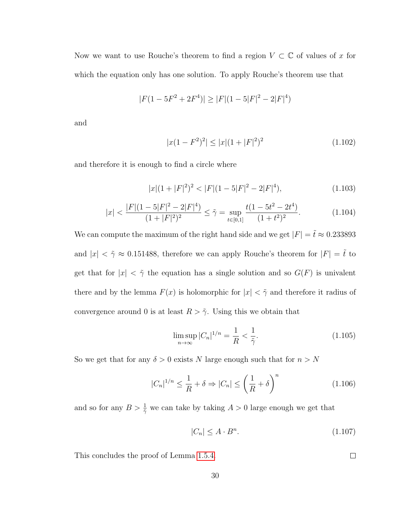Now we want to use Rouche's theorem to find a region  $V \subset \mathbb{C}$  of values of x for which the equation only has one solution. To apply Rouche's theorem use that

$$
|F(1 - 5F^2 + 2F^4)| \ge |F|(1 - 5|F|^2 - 2|F|^4)
$$

and

$$
|x(1 - F^2)^2| \le |x|(1 + |F|^2)^2 \tag{1.102}
$$

and therefore it is enough to find a circle where

$$
|x|(1+|F|^2)^2 < |F|(1-5|F|^2-2|F|^4),\tag{1.103}
$$

$$
|x| < \frac{|F|(1 - 5|F|^2 - 2|F|^4)}{(1 + |F|^2)^2} \le \tilde{\gamma} = \sup_{t \in [0,1]} \frac{t(1 - 5t^2 - 2t^4)}{(1 + t^2)^2}.\tag{1.104}
$$

We can compute the maximum of the right hand side and we get  $|F| = \tilde{t} \approx 0.233893$ and  $|x| < \tilde{\gamma} \approx 0.151488$ , therefore we can apply Rouche's theorem for  $|F| = \tilde{t}$  to get that for  $|x| < \tilde{\gamma}$  the equation has a single solution and so  $G(F)$  is univalent there and by the lemma  $F(x)$  is holomorphic for  $|x| < \tilde{\gamma}$  and therefore it radius of convergence around 0 is at least  $R > \tilde{\gamma}$ . Using this we obtain that

$$
\limsup_{n \to \infty} |C_n|^{1/n} = \frac{1}{R} < \frac{1}{\tilde{\gamma}}.\tag{1.105}
$$

So we get that for any  $\delta > 0$  exists N large enough such that for  $n > N$ 

$$
|C_n|^{1/n} \le \frac{1}{R} + \delta \Rightarrow |C_n| \le \left(\frac{1}{R} + \delta\right)^n \tag{1.106}
$$

and so for any  $B > \frac{1}{2}$  we can take by taking  $A > 0$  large enough we get that

$$
|C_n| \le A \cdot B^n. \tag{1.107}
$$

 $\Box$ 

This concludes the proof of Lemma [1.5.4.](#page-35-1)

30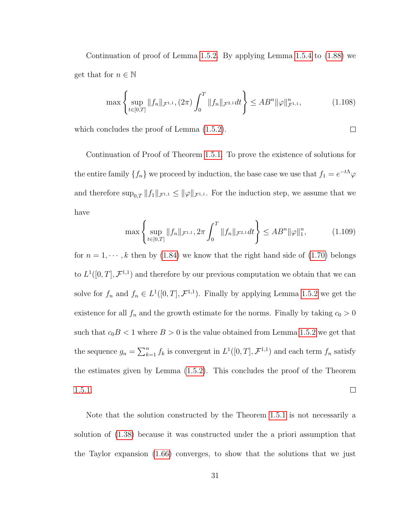Continuation of proof of Lemma [1.5.2.](#page-33-0) By applying Lemma [1.5.4](#page-35-1) to  $(1.88)$  we get that for  $n \in \mathbb{N}$ 

$$
\max\left\{\sup_{t\in[0,T]}\|f_n\|_{\mathcal{F}^{1,1}},(2\pi)\int_0^T\|f_n\|_{\mathcal{F}^{2,1}}dt\right\}\leq AB^n\|\varphi\|_{\mathcal{F}^{1,1}}^n,\tag{1.108}
$$

 $\Box$ 

which concludes the proof of Lemma  $(1.5.2)$ .

Continuation of Proof of Theorem [1.5.1.](#page-31-0) To prove the existence of solutions for the entire family  $\{f_n\}$  we proceed by induction, the base case we use that  $f_1 = e^{-t\Lambda}\varphi$ and therefore  $\sup_{0,T} ||f_1||_{\mathcal{F}^{1,1}} \leq ||\varphi||_{\mathcal{F}^{1,1}}$ . For the induction step, we assume that we have

$$
\max\left\{\sup_{t\in[0,T]}\|f_n\|_{\mathcal{F}^{1,1}}, 2\pi \int_0^T \|f_n\|_{\mathcal{F}^{2,1}} dt\right\} \le AB^n \|\varphi\|_1^n, \tag{1.109}
$$

for  $n = 1, \dots, k$  then by [\(1.84\)](#page-34-0) we know that the right hand side of [\(1.70\)](#page-30-0) belongs to  $L^1([0,T], \mathcal{F}^{1,1})$  and therefore by our previous computation we obtain that we can solve for  $f_n$  and  $f_n \in L^1([0,T], \mathcal{F}^{1,1})$ . Finally by applying Lemma [1.5.2](#page-33-0) we get the existence for all  $f_n$  and the growth estimate for the norms. Finally by taking  $c_0 > 0$ such that  $c_0B < 1$  where  $B > 0$  is the value obtained from Lemma [1.5.2](#page-33-0) we get that the sequence  $g_n = \sum_{k=1}^n f_k$  is convergent in  $L^1([0,T], \mathcal{F}^{1,1})$  and each term  $f_n$  satisfy the estimates given by Lemma [\(1.5.2\)](#page-33-0). This concludes the proof of the Theorem [1.5.1.](#page-31-0)  $\Box$ 

Note that the solution constructed by the Theorem [1.5.1](#page-31-0) is not necessarily a solution of [\(1.38\)](#page-21-0) because it was constructed under the a priori assumption that the Taylor expansion [\(1.66\)](#page-29-0) converges, to show that the solutions that we just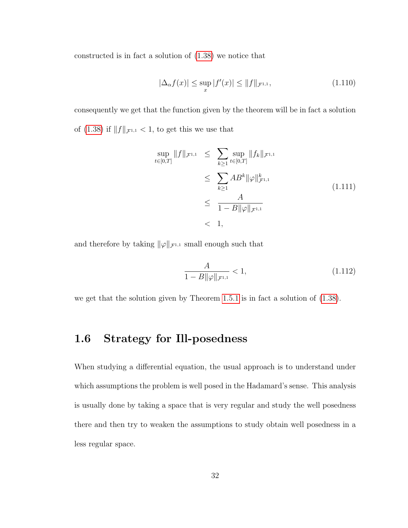constructed is in fact a solution of [\(1.38\)](#page-21-0) we notice that

$$
|\Delta_{\alpha} f(x)| \le \sup_{x} |f'(x)| \le ||f||_{\mathcal{F}^{1,1}},
$$
\n(1.110)

consequently we get that the function given by the theorem will be in fact a solution of [\(1.38\)](#page-21-0) if  $||f||_{\mathcal{F}^{1,1}} < 1$ , to get this we use that

$$
\sup_{t \in [0,T]} \|f\|_{\mathcal{F}^{1,1}} \leq \sum_{k \geq 1} \sup_{t \in [0,T]} \|f_k\|_{\mathcal{F}^{1,1}} \leq \sum_{k \geq 1} AB^k \|\varphi\|_{\mathcal{F}^{1,1}}^k \leq \frac{A}{1 - B \|\varphi\|_{\mathcal{F}^{1,1}}}
$$
\n(1.111)\n
$$
\leq 1,
$$

and therefore by taking  $\|\varphi\|_{\mathcal{F}^{1,1}}$  small enough such that

$$
\frac{A}{1 - B\|\varphi\|_{\mathcal{F}^{1,1}}} < 1,\tag{1.112}
$$

<span id="page-40-0"></span>we get that the solution given by Theorem [1.5.1](#page-31-0) is in fact a solution of [\(1.38\)](#page-21-0).

### 1.6 Strategy for Ill-posedness

When studying a differential equation, the usual approach is to understand under which assumptions the problem is well posed in the Hadamard's sense. This analysis is usually done by taking a space that is very regular and study the well posedness there and then try to weaken the assumptions to study obtain well posedness in a less regular space.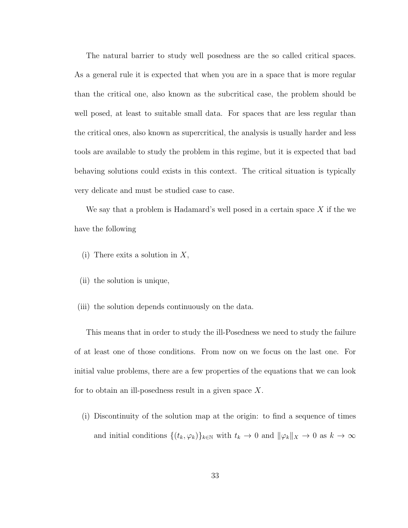The natural barrier to study well posedness are the so called critical spaces. As a general rule it is expected that when you are in a space that is more regular than the critical one, also known as the subcritical case, the problem should be well posed, at least to suitable small data. For spaces that are less regular than the critical ones, also known as supercritical, the analysis is usually harder and less tools are available to study the problem in this regime, but it is expected that bad behaving solutions could exists in this context. The critical situation is typically very delicate and must be studied case to case.

We say that a problem is Hadamard's well posed in a certain space  $X$  if the we have the following

- (i) There exits a solution in  $X$ ,
- (ii) the solution is unique,
- (iii) the solution depends continuously on the data.

This means that in order to study the ill-Posedness we need to study the failure of at least one of those conditions. From now on we focus on the last one. For initial value problems, there are a few properties of the equations that we can look for to obtain an ill-posedness result in a given space X.

(i) Discontinuity of the solution map at the origin: to find a sequence of times and initial conditions  $\{(t_k, \varphi_k)\}_{k\in\mathbb{N}}$  with  $t_k \to 0$  and  $\|\varphi_k\|_X \to 0$  as  $k \to \infty$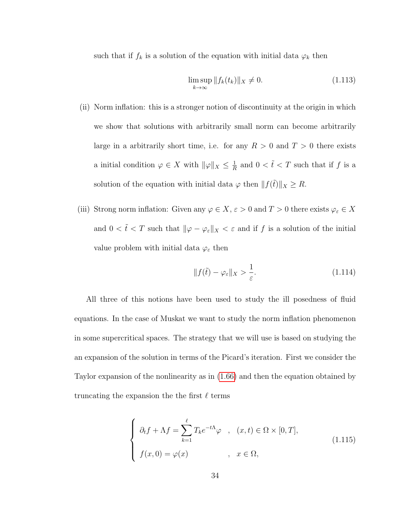such that if  $f_k$  is a solution of the equation with initial data  $\varphi_k$  then

$$
\limsup_{k \to \infty} \|f_k(t_k)\|_X \neq 0. \tag{1.113}
$$

- (ii) Norm inflation: this is a stronger notion of discontinuity at the origin in which we show that solutions with arbitrarily small norm can become arbitrarily large in a arbitrarily short time, i.e. for any  $R > 0$  and  $T > 0$  there exists a initial condition  $\varphi \in X$  with  $\|\varphi\|_X \leq \frac{1}{R}$  $\frac{1}{R}$  and  $0 < \tilde{t} < T$  such that if f is a solution of the equation with initial data  $\varphi$  then  $|| f(\tilde{t}) ||_X \geq R$ .
- (iii) Strong norm inflation: Given any  $\varphi \in X, \, \varepsilon > 0$  and  $T > 0$  there exists  $\varphi_\varepsilon \in X$ and  $0 < \tilde{t} < T$  such that  $\|\varphi - \varphi_{\varepsilon}\|_{X} < \varepsilon$  and if f is a solution of the initial value problem with initial data  $\varphi_{\varepsilon}$  then

$$
||f(\tilde{t}) - \varphi_{\varepsilon}||_X > \frac{1}{\varepsilon}.
$$
\n(1.114)

All three of this notions have been used to study the ill posedness of fluid equations. In the case of Muskat we want to study the norm inflation phenomenon in some supercritical spaces. The strategy that we will use is based on studying the an expansion of the solution in terms of the Picard's iteration. First we consider the Taylor expansion of the nonlinearity as in [\(1.66\)](#page-29-0) and then the equation obtained by truncating the expansion the the first  $\ell$  terms

<span id="page-42-0"></span>
$$
\begin{cases}\n\partial_t f + \Lambda f = \sum_{k=1}^{\ell} T_k e^{-t\Lambda} \varphi, & (x, t) \in \Omega \times [0, T], \\
f(x, 0) = \varphi(x) & , x \in \Omega,\n\end{cases}
$$
\n(1.115)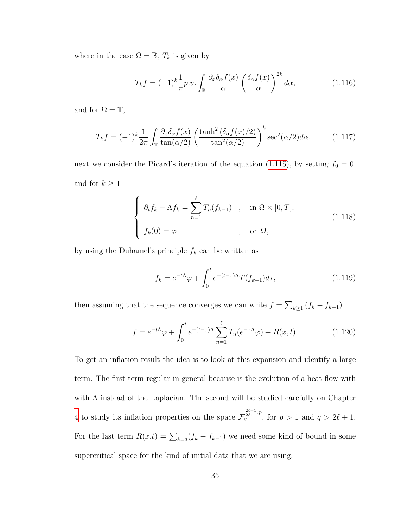where in the case  $\Omega = \mathbb{R}, T_k$  is given by

$$
T_k f = (-1)^k \frac{1}{\pi} p.v. \int_{\mathbb{R}} \frac{\partial_x \delta_\alpha f(x)}{\alpha} \left( \frac{\delta_\alpha f(x)}{\alpha} \right)^{2k} d\alpha, \tag{1.116}
$$

and for  $\Omega = \mathbb{T}$ ,

$$
T_k f = (-1)^k \frac{1}{2\pi} \int_{\mathbb{T}} \frac{\partial_x \delta_\alpha f(x)}{\tan(\alpha/2)} \left( \frac{\tanh^2 \left( \delta_\alpha f(x)/2 \right)}{\tan^2(\alpha/2)} \right)^k \sec^2(\alpha/2) d\alpha. \tag{1.117}
$$

next we consider the Picard's iteration of the equation [\(1.115\)](#page-42-0), by setting  $f_0 = 0$ , and for  $k \geq 1$ 

$$
\begin{cases}\n\partial_t f_k + \Lambda f_k = \sum_{n=1}^{\ell} T_n(f_{k-1}) & , \quad \text{in } \Omega \times [0, T], \\
f_k(0) = \varphi & , \quad \text{on } \Omega,\n\end{cases}
$$
\n(1.118)

by using the Duhamel's principle  $f_k$  can be written as

$$
f_k = e^{-t\Lambda}\varphi + \int_0^t e^{-(t-\tau)\Lambda} T(f_{k-1}) d\tau,
$$
\n(1.119)

then assuming that the sequence converges we can write  $f = \sum_{k \geq 1} (f_k - f_{k-1})$ 

<span id="page-43-0"></span>
$$
f = e^{-t\Lambda}\varphi + \int_0^t e^{-(t-\tau)\Lambda} \sum_{n=1}^\ell T_n(e^{-\tau\Lambda}\varphi) + R(x,t). \tag{1.120}
$$

To get an inflation result the idea is to look at this expansion and identify a large term. The first term regular in general because is the evolution of a heat flow with with Λ instead of the Laplacian. The second will be studied carefully on Chapter [4](#page-145-0) to study its inflation properties on the space  $\mathcal{F}_q^{\frac{2\ell-1}{2\ell+1},p}$ , for  $p>1$  and  $q>2\ell+1$ . For the last term  $R(x,t) = \sum_{k=3}(f_k - f_{k-1})$  we need some kind of bound in some supercritical space for the kind of initial data that we are using.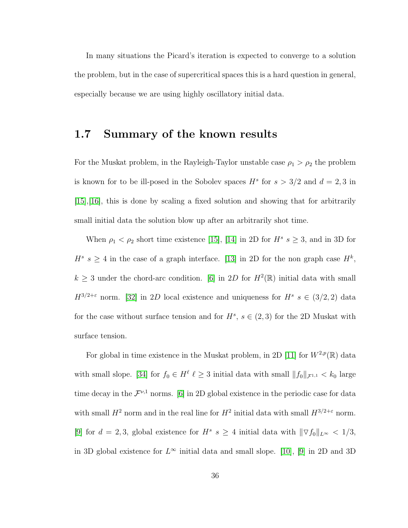In many situations the Picard's iteration is expected to converge to a solution the problem, but in the case of supercritical spaces this is a hard question in general, especially because we are using highly oscillatory initial data.

# 1.7 Summary of the known results

For the Muskat problem, in the Rayleigh-Taylor unstable case  $\rho_1 > \rho_2$  the problem is known for to be ill-posed in the Sobolev spaces  $H^s$  for  $s > 3/2$  and  $d = 2, 3$  in [\[15\]](#page-253-0),[\[16\]](#page-253-1), this is done by scaling a fixed solution and showing that for arbitrarily small initial data the solution blow up after an arbitrarily shot time.

When  $\rho_1 < \rho_2$  short time existence [\[15\]](#page-253-0), [\[14\]](#page-253-2) in 2D for  $H^s$   $s \geq 3$ , and in 3D for  $H^s$  s  $\geq$  4 in the case of a graph interface. [\[13\]](#page-253-3) in 2D for the non graph case  $H^k$ ,  $k \geq 3$  under the chord-arc condition. [\[6\]](#page-252-0) in 2D for  $H^2(\mathbb{R})$  initial data with small  $H^{3/2+\epsilon}$  norm. [\[32\]](#page-255-0) in 2D local existence and uniqueness for  $H^s$   $s \in (3/2, 2)$  data for the case without surface tension and for  $H^s$ ,  $s \in (2,3)$  for the 2D Muskat with surface tension.

For global in time existence in the Muskat problem, in 2D [\[11\]](#page-252-1) for  $W^{2,p}(\mathbb{R})$  data with small slope. [\[34\]](#page-256-0) for  $f_0 \in H^{\ell}$   $\ell \geq 3$  initial data with small  $||f_0||_{\mathcal{F}^{1,1}} < k_0$  large time decay in the  $\mathcal{F}^{\nu,1}$  norms. [\[6\]](#page-252-0) in 2D global existence in the periodic case for data with small  $H^2$  norm and in the real line for  $H^2$  initial data with small  $H^{3/2+\epsilon}$  norm. [\[9\]](#page-252-2) for  $d = 2, 3$ , global existence for  $H^s s \geq 4$  initial data with  $\|\nabla f_0\|_{L^{\infty}} < 1/3$ , in 3D global existence for  $L^{\infty}$  initial data and small slope. [\[10\]](#page-252-3), [\[9\]](#page-252-2) in 2D and 3D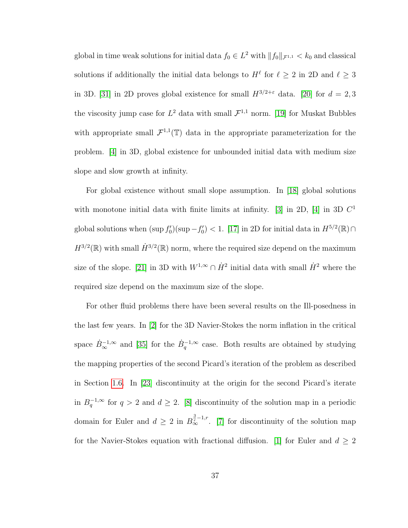global in time weak solutions for initial data  $f_0 \in L^2$  with  $||f_0||_{\mathcal{F}^{1,1}} < k_0$  and classical solutions if additionally the initial data belongs to  $H^{\ell}$  for  $\ell \geq 2$  in 2D and  $\ell \geq 3$ in 3D. [\[31\]](#page-255-1) in 2D proves global existence for small  $H^{3/2+\varepsilon}$  data. [\[20\]](#page-254-0) for  $d=2,3$ the viscosity jump case for  $L^2$  data with small  $\mathcal{F}^{1,1}$  norm. [\[19\]](#page-254-1) for Muskat Bubbles with appropriate small  $\mathcal{F}^{1,1}(\mathbb{T})$  data in the appropriate parameterization for the problem. [\[4\]](#page-251-0) in 3D, global existence for unbounded initial data with medium size slope and slow growth at infinity.

For global existence without small slope assumption. In [\[18\]](#page-253-4) global solutions with monotone initial data with finite limits at infinity. [\[3\]](#page-251-1) in 2D, [\[4\]](#page-251-0) in 3D  $C<sup>1</sup>$ global solutions when  $(\sup f_0')(\sup -f_0') < 1$ . [\[17\]](#page-253-5) in 2D for initial data in  $H^{5/2}(\mathbb{R}) \cap$  $H^{3/2}(\mathbb{R})$  with small  $\dot{H}^{3/2}(\mathbb{R})$  norm, where the required size depend on the maximum size of the slope. [\[21\]](#page-254-2) in 3D with  $W^{1,\infty} \cap \dot{H}^2$  initial data with small  $\dot{H}^2$  where the required size depend on the maximum size of the slope.

For other fluid problems there have been several results on the Ill-posedness in the last few years. In [\[2\]](#page-251-2) for the 3D Navier-Stokes the norm inflation in the critical space  $\dot{B}_{\infty}^{-1,\infty}$  and [\[35\]](#page-256-1) for the  $\dot{B}_{q}^{-1,\infty}$  case. Both results are obtained by studying the mapping properties of the second Picard's iteration of the problem as described in Section [1.6.](#page-40-0) In [\[23\]](#page-254-3) discontinuity at the origin for the second Picard's iterate in  $B_q^{-1,\infty}$  for  $q > 2$  and  $d \geq 2$ . [\[8\]](#page-252-4) discontinuity of the solution map in a periodic domain for Euler and  $d \geq 2$  in  $B_{\infty}^{\frac{3}{2}-1,r}$ . [\[7\]](#page-252-5) for discontinuity of the solution map for the Navier-Stokes equation with fractional diffusion. [\[1\]](#page-251-3) for Euler and  $d \geq 2$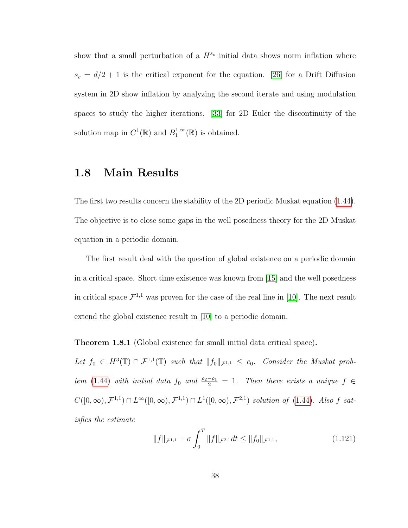show that a small perturbation of a  $H^{s_c}$  initial data shows norm inflation where  $s_c = d/2 + 1$  is the critical exponent for the equation. [\[26\]](#page-255-2) for a Drift Diffusion system in 2D show inflation by analyzing the second iterate and using modulation spaces to study the higher iterations. [\[33\]](#page-256-2) for 2D Euler the discontinuity of the solution map in  $C^1(\mathbb{R})$  and  $B_1^{1,\infty}$  $i_1^{1,\infty}(\mathbb{R})$  is obtained.

# 1.8 Main Results

The first two results concern the stability of the 2D periodic Muskat equation [\(1.44\)](#page-23-0). The objective is to close some gaps in the well posedness theory for the 2D Muskat equation in a periodic domain.

The first result deal with the question of global existence on a periodic domain in a critical space. Short time existence was known from [\[15\]](#page-253-0) and the well posedness in critical space  $\mathcal{F}^{1,1}$  was proven for the case of the real line in [\[10\]](#page-252-3). The next result extend the global existence result in [\[10\]](#page-252-3) to a periodic domain.

<span id="page-46-0"></span>Theorem 1.8.1 (Global existence for small initial data critical space).

Let  $f_0 \in H^3(\mathbb{T}) \cap \mathcal{F}^{1,1}(\mathbb{T})$  such that  $||f_0||_{\mathcal{F}^{1,1}} \leq c_0$ . Consider the Muskat prob-lem [\(1.44\)](#page-23-0) with initial data  $f_0$  and  $\frac{\rho_2-\rho_1}{2} = 1$ . Then there exists a unique  $f \in$  $C([0,\infty), \mathcal{F}^{1,1}) \cap L^{\infty}([0,\infty), \mathcal{F}^{1,1}) \cap L^{1}([0,\infty), \mathcal{F}^{2,1})$  solution of [\(1.44\)](#page-23-0). Also f satisfies the estimate

$$
||f||_{\mathcal{F}^{1,1}} + \sigma \int_0^T ||f||_{\mathcal{F}^{2,1}} dt \le ||f_0||_{\mathcal{F}^{1,1}},
$$
\n(1.121)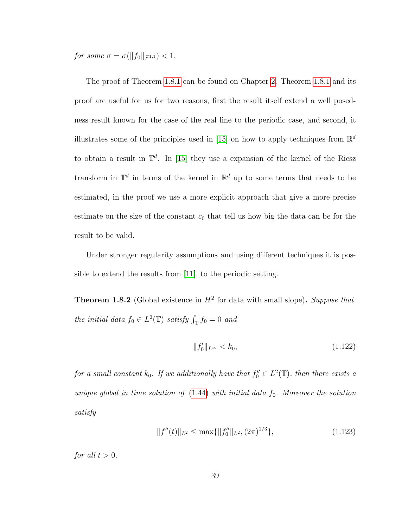for some  $\sigma = \sigma(||f_0||_{\mathcal{F}^{1,1}}) < 1$ .

The proof of Theorem [1.8.1](#page-46-0) can be found on Chapter [2.](#page-50-0) Theorem [1.8.1](#page-46-0) and its proof are useful for us for two reasons, first the result itself extend a well posedness result known for the case of the real line to the periodic case, and second, it illustrates some of the principles used in [\[15\]](#page-253-0) on how to apply techniques from  $\mathbb{R}^d$ to obtain a result in  $\mathbb{T}^d$ . In [\[15\]](#page-253-0) they use a expansion of the kernel of the Riesz transform in  $\mathbb{T}^d$  in terms of the kernel in  $\mathbb{R}^d$  up to some terms that needs to be estimated, in the proof we use a more explicit approach that give a more precise estimate on the size of the constant  $c_0$  that tell us how big the data can be for the result to be valid.

Under stronger regularity assumptions and using different techniques it is possible to extend the results from [\[11\]](#page-252-1), to the periodic setting.

<span id="page-47-0"></span>**Theorem 1.8.2** (Global existence in  $H^2$  for data with small slope). Suppose that the initial data  $f_0 \in L^2(\mathbb{T})$  satisfy  $\int_{\mathbb{T}} f_0 = 0$  and

$$
||f_0'||_{L^{\infty}} < k_0,
$$
\n(1.122)

for a small constant  $k_0$ . If we additionally have that  $f_0'' \in L^2(\mathbb{T})$ , then there exists a unique global in time solution of  $(1.44)$  with initial data  $f_0$ . Moreover the solution satisfy

$$
||f''(t)||_{L^2} \le \max\{||f_0''||_{L^2}, (2\pi)^{1/3}\},\tag{1.123}
$$

for all  $t > 0$ .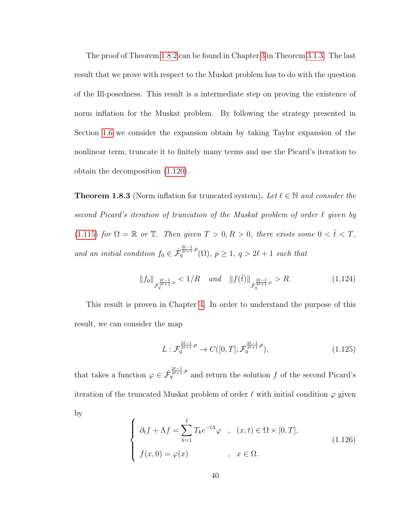The proof of Theorem [1.8.2](#page-47-0) can be found in Chapter [3](#page-66-0) in Theorem [3.1.3.](#page-69-0) The last result that we prove with respect to the Muskat problem has to do with the question of the Ill-posedness. This result is a intermediate step on proving the existence of norm inflation for the Muskat problem. By following the strategy presented in Section [1.6](#page-40-0) we consider the expansion obtain by taking Taylor expansion of the nonlinear term, truncate it to finitely many terms and use the Picard's iteration to obtain the decomposition [\(1.120\)](#page-43-0).

<span id="page-48-0"></span>**Theorem 1.8.3** (Norm inflation for truncated system). Let  $\ell \in \mathbb{N}$  and consider the second Picard's iteration of truncation of the Muskat problem of order  $\ell$  given by [\(1.115\)](#page-42-0) for  $\Omega = \mathbb{R}$  or  $\mathbb{T}$ . Then given  $T > 0, R > 0$ , there exists some  $0 < \tilde{t} < T$ , and an initial condition  $f_0 \in \dot{\mathcal{F}}_q^{\frac{2\ell-1}{2\ell+1},p}(\Omega), p \geq 1, q > 2\ell+1$  such that

$$
||f_0||_{\mathcal{F}_q^{\frac{2\ell-1}{2\ell+1},p}} < 1/R \quad and \quad ||f(\tilde{t})||_{\dot{\mathcal{F}_q^{\frac{2\ell-1}{2\ell+1},p}}} > R. \tag{1.124}
$$

This result is proven in Chapter [4.](#page-145-0) In order to understand the purpose of this result, we can consider the map

$$
L: \mathcal{F}_q^{\frac{2\ell-1}{2\ell+1},p} \to C([0,T]; \mathcal{F}_q^{\frac{2\ell-1}{2\ell+1},p}), \tag{1.125}
$$

that takes a function  $\varphi \in \dot{\mathcal{F}}_q^{\frac{2\ell-1}{2\ell+1},p}$  and return the solution f of the second Picard's iteration of the truncated Muskat problem of order  $\ell$  with initial condition  $\varphi$  given by

$$
\begin{cases}\n\partial_t f + \Lambda f = \sum_{k=1}^{\ell} T_k e^{-t\Lambda} \varphi, & (x, t) \in \Omega \times [0, T], \\
f(x, 0) = \varphi(x) & , x \in \Omega.\n\end{cases}
$$
\n(1.126)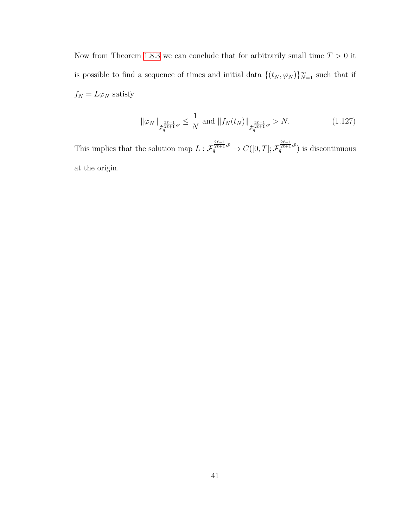Now from Theorem [1.8.3](#page-48-0) we can conclude that for arbitrarily small time  $T > 0$  it is possible to find a sequence of times and initial data  $\{(t_N, \varphi_N)\}_{N=1}^{\infty}$  such that if  $f_N=L\varphi _N$  satisfy

$$
\|\varphi_N\|_{\dot{\mathcal{F}}_q^{\frac{2\ell-1}{2\ell+1},p}} \le \frac{1}{N} \text{ and } \|f_N(t_N)\|_{\dot{\mathcal{F}}_q^{\frac{2\ell-1}{2\ell+1},p}} > N. \tag{1.127}
$$

This implies that the solution map  $L: \dot{\mathcal{F}}_q^{\frac{2\ell-1}{2\ell+1},p} \to C([0,T]; \mathcal{F}_q^{\frac{2\ell-1}{2\ell+1},p})$  is discontinuous at the origin.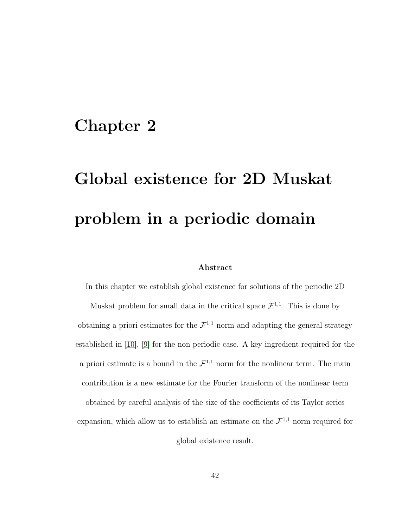# <span id="page-50-0"></span>Chapter 2

# Global existence for 2D Muskat problem in a periodic domain

#### Abstract

In this chapter we establish global existence for solutions of the periodic 2D Muskat problem for small data in the critical space  $\mathcal{F}^{1,1}$ . This is done by obtaining a priori estimates for the  $\mathcal{F}^{1,1}$  norm and adapting the general strategy established in [\[10\]](#page-252-3), [\[9\]](#page-252-2) for the non periodic case. A key ingredient required for the a priori estimate is a bound in the  $\mathcal{F}^{1,1}$  norm for the nonlinear term. The main contribution is a new estimate for the Fourier transform of the nonlinear term obtained by careful analysis of the size of the coefficients of its Taylor series

expansion, which allow us to establish an estimate on the  $\mathcal{F}^{1,1}$  norm required for global existence result.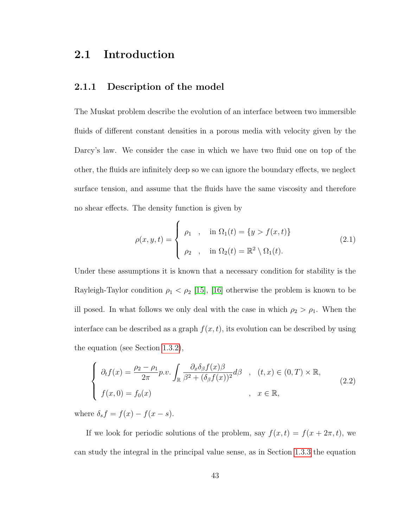# 2.1 Introduction

#### 2.1.1 Description of the model

The Muskat problem describe the evolution of an interface between two immersible fluids of different constant densities in a porous media with velocity given by the Darcy's law. We consider the case in which we have two fluid one on top of the other, the fluids are infinitely deep so we can ignore the boundary effects, we neglect surface tension, and assume that the fluids have the same viscosity and therefore no shear effects. The density function is given by

$$
\rho(x, y, t) = \begin{cases} \rho_1, & \text{in } \Omega_1(t) = \{y > f(x, t)\} \\ \rho_2, & \text{in } \Omega_2(t) = \mathbb{R}^2 \setminus \Omega_1(t). \end{cases}
$$
\n(2.1)

Under these assumptions it is known that a necessary condition for stability is the Rayleigh-Taylor condition  $\rho_1 < \rho_2$  [\[15\]](#page-253-0), [\[16\]](#page-253-1) otherwise the problem is known to be ill posed. In what follows we only deal with the case in which  $\rho_2 > \rho_1$ . When the interface can be described as a graph  $f(x, t)$ , its evolution can be described by using the equation (see Section [1.3.2\)](#page-18-0),

$$
\begin{cases}\n\partial_t f(x) = \frac{\rho_2 - \rho_1}{2\pi} p.v. \int_{\mathbb{R}} \frac{\partial_x \delta_\beta f(x)\beta}{\beta^2 + (\delta_\beta f(x))^2} d\beta, & (t, x) \in (0, T) \times \mathbb{R}, \\
f(x, 0) = f_0(x) & , x \in \mathbb{R},\n\end{cases}
$$
\n(2.2)

where  $\delta_s f = f(x) - f(x - s)$ .

If we look for periodic solutions of the problem, say  $f(x, t) = f(x + 2\pi, t)$ , we can study the integral in the principal value sense, as in Section [1.3.3](#page-21-1) the equation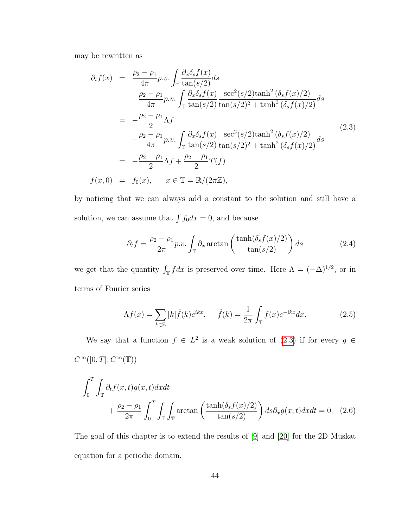may be rewritten as

<span id="page-52-0"></span>
$$
\partial_{t}f(x) = \frac{\rho_{2} - \rho_{1}}{4\pi} p.v. \int_{\mathbb{T}} \frac{\partial_{x}\delta_{s}f(x)}{\tan(s/2)} ds \n- \frac{\rho_{2} - \rho_{1}}{4\pi} p.v. \int_{\mathbb{T}} \frac{\partial_{x}\delta_{s}f(x)}{\tan(s/2)} \frac{\sec^{2}(s/2)\tanh^{2}(\delta_{s}f(x)/2)}{\tan(s/2)^{2} + \tanh^{2}(\delta_{s}f(x)/2)} ds \n= - \frac{\rho_{2} - \rho_{1}}{2} \Lambda f \n- \frac{\rho_{2} - \rho_{1}}{4\pi} p.v. \int_{\mathbb{T}} \frac{\partial_{x}\delta_{s}f(x)}{\tan(s/2)} \frac{\sec^{2}(s/2)\tanh^{2}(\delta_{s}f(x)/2)}{\tan(s/2)^{2} + \tanh^{2}(\delta_{s}f(x)/2)} ds \n= - \frac{\rho_{2} - \rho_{1}}{2} \Lambda f + \frac{\rho_{2} - \rho_{1}}{2} T(f) \nf(x, 0) = f_{0}(x), \quad x \in \mathbb{T} = \mathbb{R}/(2\pi\mathbb{Z}),
$$
\n(2.3)

by noticing that we can always add a constant to the solution and still have a solution, we can assume that  $\int f_0 dx = 0$ , and because

$$
\partial_t f = \frac{\rho_2 - \rho_1}{2\pi} p.v. \int_{\mathbb{T}} \partial_x \arctan\left(\frac{\tanh(\delta_s f(x)/2)}{\tan(s/2)}\right) ds \tag{2.4}
$$

we get that the quantity  $\int_{\mathbb{T}} f dx$  is preserved over time. Here  $\Lambda = (-\Delta)^{1/2}$ , or in terms of Fourier series

$$
\Lambda f(x) = \sum_{k \in \mathbb{Z}} |k| \hat{f}(k) e^{ikx}, \quad \hat{f}(k) = \frac{1}{2\pi} \int_{\mathbb{T}} f(x) e^{-ikx} dx.
$$
 (2.5)

We say that a function  $f \in L^2$  is a weak solution of [\(2.3\)](#page-52-0) if for every  $g \in$  $C^{\infty}([0,T]; C^{\infty}(\mathbb{T}))$ 

$$
\int_0^T \int_{\mathbb{T}} \partial_t f(x, t) g(x, t) dx dt
$$
  
+  $\frac{\rho_2 - \rho_1}{2\pi} \int_0^T \int_{\mathbb{T}} \int_{\mathbb{T}} \arctan\left(\frac{\tanh(\delta_s f(x)/2)}{\tan(s/2)}\right) ds \partial_x g(x, t) dx dt = 0.$  (2.6)

The goal of this chapter is to extend the results of [\[9\]](#page-252-2) and [\[20\]](#page-254-0) for the 2D Muskat equation for a periodic domain.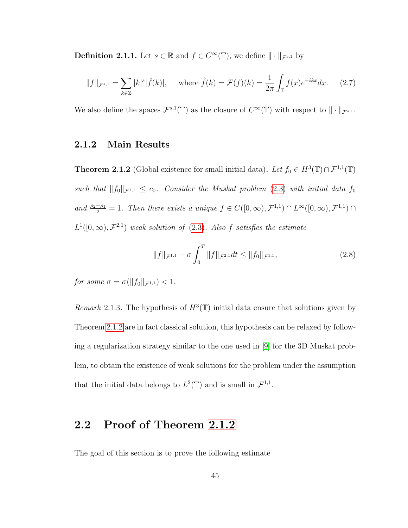**Definition 2.1.1.** Let  $s \in \mathbb{R}$  and  $f \in C^{\infty}(\mathbb{T})$ , we define  $\|\cdot\|_{\mathcal{F}^{s,1}}$  by

$$
||f||_{\mathcal{F}^{s,1}} = \sum_{k \in \mathbb{Z}} |k|^s |\hat{f}(k)|, \quad \text{where } \hat{f}(k) = \mathcal{F}(f)(k) = \frac{1}{2\pi} \int_{\mathbb{T}} f(x) e^{-ikx} dx. \tag{2.7}
$$

We also define the spaces  $\mathcal{F}^{s,1}(\mathbb{T})$  as the closure of  $C^{\infty}(\mathbb{T})$  with respect to  $\|\cdot\|_{\mathcal{F}^{s,1}}$ .

#### <span id="page-53-0"></span>2.1.2 Main Results

**Theorem 2.1.2** (Global existence for small initial data). Let  $f_0 \in H^3(\mathbb{T}) \cap \mathcal{F}^{1,1}(\mathbb{T})$ such that  $||f_0||_{\mathcal{F}^{1,1}} \leq c_0$ . Consider the Muskat problem [\(2.3\)](#page-52-0) with initial data  $f_0$ and  $\frac{\rho_2-\rho_1}{2}=1$ . Then there exists a unique  $f \in C([0,\infty), \mathcal{F}^{1,1}) \cap L^{\infty}([0,\infty), \mathcal{F}^{1,1}) \cap$  $L^1([0,\infty), \mathcal{F}^{2,1})$  weak solution of [\(2.3\)](#page-52-0). Also f satisfies the estimate

$$
||f||_{\mathcal{F}^{1,1}} + \sigma \int_0^T ||f||_{\mathcal{F}^{2,1}} dt \le ||f_0||_{\mathcal{F}^{1,1}},
$$
\n(2.8)

for some  $\sigma = \sigma(||f_0||_{\mathcal{F}^{1,1}}) < 1.$ 

Remark 2.1.3. The hypothesis of  $H^3(\mathbb{T})$  initial data ensure that solutions given by Theorem [2.1.2](#page-53-0) are in fact classical solution, this hypothesis can be relaxed by following a regularization strategy similar to the one used in [\[9\]](#page-252-2) for the 3D Muskat problem, to obtain the existence of weak solutions for the problem under the assumption that the initial data belongs to  $L^2(\mathbb{T})$  and is small in  $\mathcal{F}^{1,1}$ .

### 2.2 Proof of Theorem [2.1.2](#page-53-0)

The goal of this section is to prove the following estimate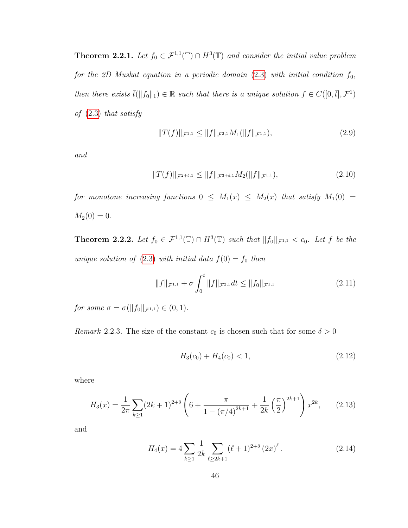<span id="page-54-1"></span>**Theorem 2.2.1.** Let  $f_0 \in \mathcal{F}^{1,1}(\mathbb{T}) \cap H^3(\mathbb{T})$  and consider the initial value problem for the 2D Muskat equation in a periodic domain  $(2.3)$  with initial condition  $f_0$ , then there exists  $\bar{t}(\|f_0\|_1) \in \mathbb{R}$  such that there is a unique solution  $f \in C([0,\bar{t}], \mathcal{F}^1)$ of [\(2.3\)](#page-52-0) that satisfy

<span id="page-54-2"></span>
$$
||T(f)||_{\mathcal{F}^{1,1}} \le ||f||_{\mathcal{F}^{2,1}} M_1(||f||_{\mathcal{F}^{1,1}}),
$$
\n(2.9)

and

<span id="page-54-3"></span>
$$
||T(f)||_{\mathcal{F}^{2+\delta,1}} \le ||f||_{\mathcal{F}^{3+\delta,1}} M_2(||f||_{\mathcal{F}^{1,1}}),
$$
\n(2.10)

for monotone increasing functions  $0 \leq M_1(x) \leq M_2(x)$  that satisfy  $M_1(0) =$  $M_2(0) = 0.$ 

<span id="page-54-0"></span>**Theorem 2.2.2.** Let  $f_0 \in \mathcal{F}^{1,1}(\mathbb{T}) \cap H^3(\mathbb{T})$  such that  $||f_0||_{\mathcal{F}^{1,1}} < c_0$ . Let f be the unique solution of  $(2.3)$  with initial data  $f(0) = f_0$  then

$$
||f||_{\mathcal{F}^{1,1}} + \sigma \int_0^t ||f||_{\mathcal{F}^{2,1}} dt \le ||f_0||_{\mathcal{F}^{1,1}} \tag{2.11}
$$

for some  $\sigma = \sigma(||f_0||_{\mathcal{F}^{1,1}}) \in (0,1)$ .

*Remark* 2.2.3. The size of the constant  $c_0$  is chosen such that for some  $\delta > 0$ 

$$
H_3(c_0) + H_4(c_0) < 1,\tag{2.12}
$$

where

$$
H_3(x) = \frac{1}{2\pi} \sum_{k \ge 1} (2k+1)^{2+\delta} \left(6 + \frac{\pi}{1 - (\pi/4)^{2k+1}} + \frac{1}{2k} \left(\frac{\pi}{2}\right)^{2k+1}\right) x^{2k},\qquad(2.13)
$$

and

$$
H_4(x) = 4 \sum_{k \ge 1} \frac{1}{2k} \sum_{\ell \ge 2k+1} (\ell+1)^{2+\delta} (2x)^{\ell}.
$$
 (2.14)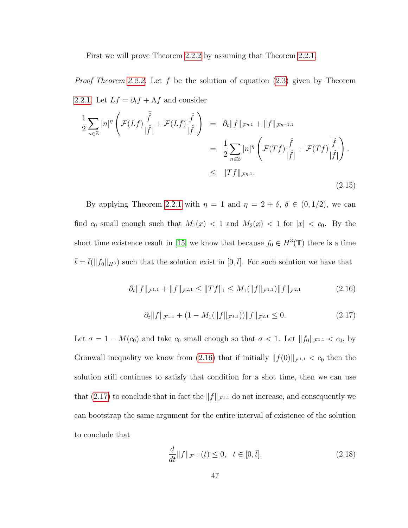First we will prove Theorem [2.2.2](#page-54-0) by assuming that Theorem [2.2.1.](#page-54-1)

*Proof Theorem [2.2.2.](#page-54-0)* Let f be the solution of equation  $(2.3)$  given by Theorem [2.2.1.](#page-54-1) Let  $Lf = \partial_t f + \Lambda f$  and consider

$$
\frac{1}{2} \sum_{n \in \mathbb{Z}} |n|^{\eta} \left( \mathcal{F}(Lf) \frac{\tilde{f}}{|\hat{f}|} + \overline{\mathcal{F}(Lf)} \frac{\hat{f}}{|\hat{f}|} \right) = \partial_t \|f\|_{\mathcal{F}^{\eta,1}} + \|f\|_{\mathcal{F}^{\eta+1,1}} \n= \frac{1}{2} \sum_{n \in \mathbb{Z}} |n|^{\eta} \left( \mathcal{F}(Tf) \frac{\hat{f}}{|\hat{f}|} + \overline{\mathcal{F}(Tf)} \frac{\overline{\hat{f}}}{|\hat{f}|} \right) \n\leq \|Tf\|_{\mathcal{F}^{\eta,1}}.
$$
\n(2.15)

By applying Theorem [2.2.1](#page-54-1) with  $\eta = 1$  and  $\eta = 2 + \delta$ ,  $\delta \in (0, 1/2)$ , we can find  $c_0$  small enough such that  $M_1(x) < 1$  and  $M_2(x) < 1$  for  $|x| < c_0$ . By the short time existence result in [\[15\]](#page-253-0) we know that because  $f_0 \in H^3(\mathbb{T})$  there is a time  $\bar{t} = \bar{t}(\Vert f_0 \Vert_{H^3})$  such that the solution exist in  $[0,\bar{t}]$ . For such solution we have that

<span id="page-55-0"></span>
$$
\partial_t \|f\|_{\mathcal{F}^{1,1}} + \|f\|_{\mathcal{F}^{2,1}} \le \|Tf\|_1 \le M_1(\|f\|_{\mathcal{F}^{1,1}}) \|f\|_{\mathcal{F}^{2,1}} \tag{2.16}
$$

<span id="page-55-1"></span>
$$
\partial_t \|f\|_{\mathcal{F}^{1,1}} + (1 - M_1(\|f\|_{\mathcal{F}^{1,1}})) \|f\|_{\mathcal{F}^{2,1}} \le 0. \tag{2.17}
$$

Let  $\sigma = 1 - M(c_0)$  and take  $c_0$  small enough so that  $\sigma < 1$ . Let  $||f_0||_{\mathcal{F}^{1,1}} < c_0$ , by Gronwall inequality we know from [\(2.16\)](#page-55-0) that if initially  $|| f(0)||_{\mathcal{F}^{1,1}} < c_0$  then the solution still continues to satisfy that condition for a shot time, then we can use that [\(2.17\)](#page-55-1) to conclude that in fact the  $||f||_{\mathcal{F}^{1,1}}$  do not increase, and consequently we can bootstrap the same argument for the entire interval of existence of the solution to conclude that

$$
\frac{d}{dt}||f||_{\mathcal{F}^{1,1}}(t) \le 0, \quad t \in [0, \bar{t}].
$$
\n(2.18)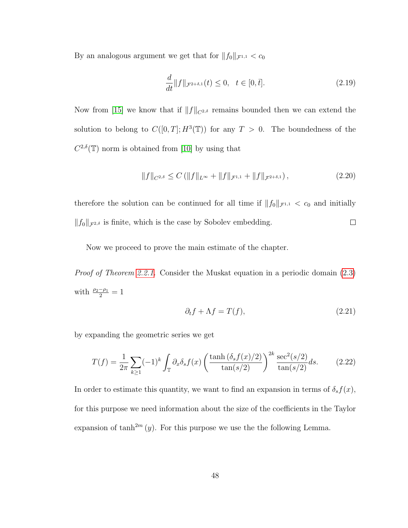By an analogous argument we get that for  $\|f_0\|_{\mathcal{F}^{1,1}} < c_0$ 

$$
\frac{d}{dt} \|f\|_{\mathcal{F}^{2+\delta,1}}(t) \le 0, \quad t \in [0,\bar{t}]. \tag{2.19}
$$

Now from [\[15\]](#page-253-0) we know that if  $||f||_{C^{2,\delta}}$  remains bounded then we can extend the solution to belong to  $C([0,T]; H^3(\mathbb{T}))$  for any  $T > 0$ . The boundedness of the  $C^{2,\delta}(\mathbb{T})$  norm is obtained from [\[10\]](#page-252-3) by using that

$$
||f||_{C^{2,\delta}} \leq C \left( ||f||_{L^{\infty}} + ||f||_{\mathcal{F}^{1,1}} + ||f||_{\mathcal{F}^{2+\delta,1}} \right),
$$
\n(2.20)

therefore the solution can be continued for all time if  $||f_0||_{\mathcal{F}^{1,1}} < c_0$  and initially  $||f_0||_{\mathcal{F}^{2,\delta}}$  is finite, which is the case by Sobolev embedding.  $\Box$ 

Now we proceed to prove the main estimate of the chapter.

Proof of Theorem [2.2.1.](#page-54-1) Consider the Muskat equation in a periodic domain [\(2.3\)](#page-52-0) with  $\frac{\rho_2-\rho_1}{2}=1$ 

$$
\partial_t f + \Lambda f = T(f),\tag{2.21}
$$

by expanding the geometric series we get

<span id="page-56-0"></span>
$$
T(f) = \frac{1}{2\pi} \sum_{k \ge 1} (-1)^k \int_{\mathbb{T}} \partial_x \delta_s f(x) \left( \frac{\tanh(\delta_s f(x)/2)}{\tan(s/2)} \right)^{2k} \frac{\sec^2(s/2)}{\tan(s/2)} ds. \tag{2.22}
$$

In order to estimate this quantity, we want to find an expansion in terms of  $\delta_s f(x)$ , for this purpose we need information about the size of the coefficients in the Taylor expansion of  $\tanh^{2m}(y)$ . For this purpose we use the the following Lemma.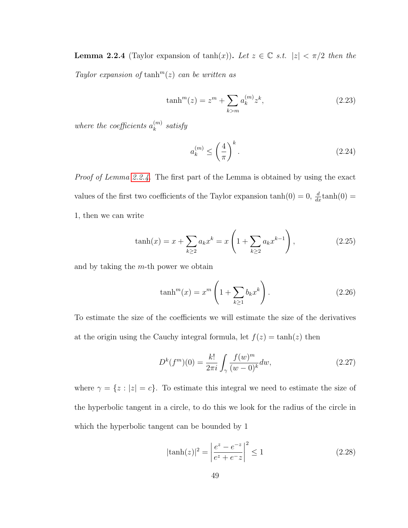<span id="page-57-0"></span>**Lemma 2.2.4** (Taylor expansion of tanh(x)). Let  $z \in \mathbb{C}$  s.t.  $|z| < \pi/2$  then the Taylor expansion of  $\tanh^{m}(z)$  can be written as

$$
\tanh^{m}(z) = z^{m} + \sum_{k>m} a_{k}^{(m)} z^{k},
$$
\n(2.23)

where the coefficients  $a_k^{(m)}$  $\binom{m}{k}$  satisfy

$$
a_k^{(m)} \le \left(\frac{4}{\pi}\right)^k. \tag{2.24}
$$

Proof of Lemma [2.2.4.](#page-57-0) The first part of the Lemma is obtained by using the exact values of the first two coefficients of the Taylor expansion  $tanh(0) = 0$ ,  $\frac{d}{dx}tanh(0) =$ 1, then we can write

$$
\tanh(x) = x + \sum_{k \ge 2} a_k x^k = x \left( 1 + \sum_{k \ge 2} a_k x^{k-1} \right),
$$
\n(2.25)

and by taking the  $m$ -th power we obtain

$$
\tanh^{m}(x) = x^{m} \left( 1 + \sum_{k \ge 1} b_{k} x^{k} \right). \tag{2.26}
$$

To estimate the size of the coefficients we will estimate the size of the derivatives at the origin using the Cauchy integral formula, let  $f(z) = \tanh(z)$  then

$$
D^{k}(f^{m})(0) = \frac{k!}{2\pi i} \int_{\gamma} \frac{f(w)^{m}}{(w-0)^{k}} dw,
$$
\n(2.27)

where  $\gamma = \{z : |z| = c\}$ . To estimate this integral we need to estimate the size of the hyperbolic tangent in a circle, to do this we look for the radius of the circle in which the hyperbolic tangent can be bounded by 1

$$
|\tanh(z)|^2 = \left| \frac{e^z - e^{-z}}{e^z + e^{-z}} \right|^2 \le 1
$$
\n(2.28)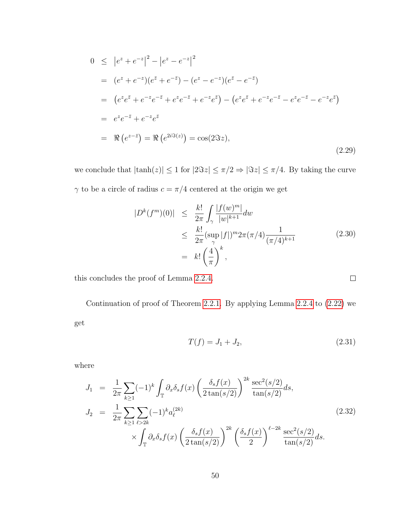$$
0 \leq |e^{z} + e^{-z}|^{2} - |e^{z} - e^{-z}|^{2}
$$
  
\n
$$
= (e^{z} + e^{-z})(e^{\overline{z}} + e^{-\overline{z}}) - (e^{z} - e^{-z})(e^{\overline{z}} - e^{-\overline{z}})
$$
  
\n
$$
= (e^{z}e^{\overline{z}} + e^{-z}e^{-\overline{z}} + e^{z}e^{-\overline{z}} + e^{-z}e^{\overline{z}}) - (e^{z}e^{\overline{z}} + e^{-z}e^{-\overline{z}} - e^{z}e^{-\overline{z}} - e^{-z}e^{\overline{z}})
$$
  
\n
$$
= e^{z}e^{-\overline{z}} + e^{-z}e^{\overline{z}}
$$
  
\n
$$
= \Re(e^{z-\overline{z}}) = \Re(e^{2i\Im(z)}) = \cos(2\Im z),
$$
  
\n(2.29)

we conclude that  $|\tanh(z)| \leq 1$  for  $|2\Im z| \leq \pi/2 \Rightarrow |\Im z| \leq \pi/4$ . By taking the curve  $\gamma$  to be a circle of radius  $c=\pi/4$  centered at the origin we get

$$
|D^{k}(f^{m})(0)| \leq \frac{k!}{2\pi} \int_{\gamma} \frac{|f(w)^{m}|}{|w|^{k+1}} dw
$$
  
\n
$$
\leq \frac{k!}{2\pi} \frac{\left(\sup_{\gamma} |f|\right)^{m} 2\pi (\pi/4) \frac{1}{(\pi/4)^{k+1}}}{\left(\frac{4}{\pi}\right)^{k}},
$$
\n(2.30)

this concludes the proof of Lemma [2.2.4.](#page-57-0)

Continuation of proof of Theorem [2.2.1.](#page-54-1) By applying Lemma [2.2.4](#page-57-0) to [\(2.22\)](#page-56-0) we get

$$
T(f) = J_1 + J_2,\t\t(2.31)
$$

 $\Box$ 

where

<span id="page-58-0"></span>
$$
J_1 = \frac{1}{2\pi} \sum_{k\geq 1} (-1)^k \int_{\mathbb{T}} \partial_x \delta_s f(x) \left( \frac{\delta_s f(x)}{2 \tan(s/2)} \right)^{2k} \frac{\sec^2(s/2)}{\tan(s/2)} ds,
$$
  
\n
$$
J_2 = \frac{1}{2\pi} \sum_{k\geq 1} \sum_{\ell > 2k} (-1)^k a_{\ell}^{(2k)} \times \int_{\mathbb{T}} \partial_x \delta_s f(x) \left( \frac{\delta_s f(x)}{2 \tan(s/2)} \right)^{2k} \left( \frac{\delta_s f(x)}{2} \right)^{\ell-2k} \frac{\sec^2(s/2)}{\tan(s/2)} ds.
$$
\n(2.32)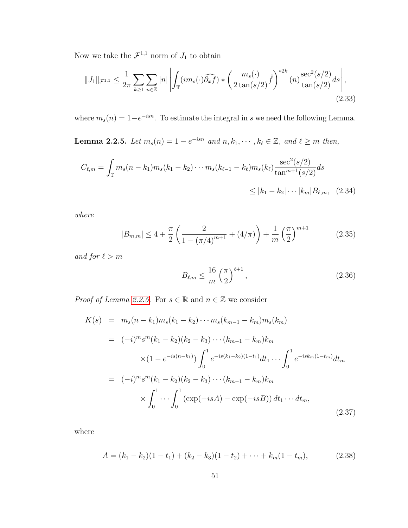Now we take the  $\mathcal{F}^{1,1}$  norm of  $J_1$  to obtain

<span id="page-59-1"></span>
$$
||J_{1}||_{\mathcal{F}^{1,1}} \leq \frac{1}{2\pi} \sum_{k \geq 1} \sum_{n \in \mathbb{Z}} |n| \left| \int_{\mathbb{T}} (\imath m_{s}(\cdot) \widehat{\partial_{x} f}) \ast \left( \frac{m_{s}(\cdot)}{2 \tan(s/2)} \widehat{f} \right)^{*2k} (n) \frac{\sec^{2}(s/2)}{\tan(s/2)} ds \right|, \tag{2.33}
$$

<span id="page-59-0"></span>where  $m_s(n) = 1-e^{-isn}$ . To estimate the integral in s we need the following Lemma.

**Lemma 2.2.5.** Let  $m_s(n) = 1 - e^{-isn}$  and  $n, k_1, \dots, k_\ell \in \mathbb{Z}$ , and  $\ell \geq m$  then,

$$
C_{\ell,m} = \int_{\mathbb{T}} m_s (n - k_1) m_s (k_1 - k_2) \cdots m_s (k_{\ell-1} - k_{\ell}) m_s (k_{\ell}) \frac{\sec^2(s/2)}{\tan^{m+1}(s/2)} ds
$$
  

$$
\leq |k_1 - k_2| \cdots |k_m| B_{\ell,m}, \quad (2.34)
$$

where

$$
|B_{m,m}| \le 4 + \frac{\pi}{2} \left( \frac{2}{1 - (\pi/4)^{m+1}} + (4/\pi) \right) + \frac{1}{m} \left( \frac{\pi}{2} \right)^{m+1}
$$
 (2.35)

and for  $\ell > m$ 

$$
B_{\ell,m} \le \frac{16}{m} \left(\frac{\pi}{2}\right)^{\ell+1},\tag{2.36}
$$

*Proof of Lemma [2.2.5.](#page-59-0)* For  $s \in \mathbb{R}$  and  $n \in \mathbb{Z}$  we consider

$$
K(s) = m_s(n - k_1)m_s(k_1 - k_2) \cdots m_s(k_{m-1} - k_m)m_s(k_m)
$$
  
\n
$$
= (-i)^m s^m (k_1 - k_2)(k_2 - k_3) \cdots (k_{m-1} - k_m)k_m
$$
  
\n
$$
\times (1 - e^{-is(n-k_1)}) \int_0^1 e^{-is(k_1 - k_2)(1 - t_1)} dt_1 \cdots \int_0^1 e^{-isk_m(1 - t_m)} dt_m
$$
  
\n
$$
= (-i)^m s^m (k_1 - k_2)(k_2 - k_3) \cdots (k_{m-1} - k_m)k_m
$$
  
\n
$$
\times \int_0^1 \cdots \int_0^1 (\exp(-isA) - \exp(-isB)) dt_1 \cdots dt_m,
$$
\n(2.37)

where

$$
A = (k_1 - k_2)(1 - t_1) + (k_2 - k_3)(1 - t_2) + \dots + k_m(1 - t_m),
$$
\n(2.38)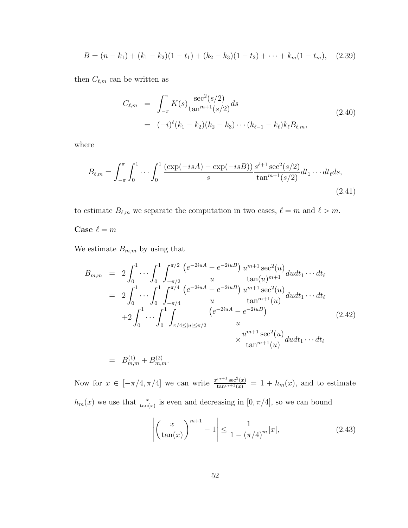$$
B = (n - k_1) + (k_1 - k_2)(1 - t_1) + (k_2 - k_3)(1 - t_2) + \cdots + k_m(1 - t_m), \quad (2.39)
$$

then  $C_{\ell,m}$  can be written as

$$
C_{\ell,m} = \int_{-\pi}^{\pi} K(s) \frac{\sec^2(s/2)}{\tan^{m+1}(s/2)} ds
$$
  
=  $(-i)^{\ell} (k_1 - k_2)(k_2 - k_3) \cdots (k_{\ell-1} - k_{\ell}) k_{\ell} B_{\ell,m},$  (2.40)

where

$$
B_{\ell,m} = \int_{-\pi}^{\pi} \int_0^1 \cdots \int_0^1 \frac{(\exp(-isA) - \exp(-isB))}{s} \frac{s^{\ell+1} \sec^2(s/2)}{\tan^{m+1}(s/2)} dt_1 \cdots dt_{\ell} ds,
$$
\n(2.41)

to estimate  $B_{\ell,m}$  we separate the computation in two cases,  $\ell = m$  and  $\ell > m$ .

#### Case  $\ell = m$

We estimate  $B_{m,m}$  by using that

$$
B_{m,m} = 2 \int_0^1 \cdots \int_0^1 \int_{-\pi/2}^{\pi/2} \frac{(e^{-2iuA} - e^{-2iuB})}{u} \frac{u^{m+1} \sec^2(u)}{\tan(u)^{m+1}} du dt_1 \cdots dt_\ell
$$
  
\n
$$
= 2 \int_0^1 \cdots \int_0^1 \int_{-\pi/4}^{\pi/4} \frac{(e^{-2iuA} - e^{-2iuB})}{u} \frac{u^{m+1} \sec^2(u)}{\tan^{m+1}(u)} du dt_1 \cdots dt_\ell
$$
  
\n
$$
+ 2 \int_0^1 \cdots \int_0^1 \int_{\pi/4 \le |u| \le \pi/2}^{\pi/4} \frac{(e^{-2iuA} - e^{-2iuB})}{u} \times \frac{u^{m+1} \sec^2(u)}{\tan^{m+1}(u)} du dt_1 \cdots dt_\ell
$$
  
\n
$$
= B_{m,m}^{(1)} + B_{m,m}^{(2)}.
$$
\n(2.42)

Now for  $x \in [-\pi/4, \pi/4]$  we can write  $\frac{x^{m+1} \sec^2(x)}{\tan^{m+1}(x)} = 1 + h_m(x)$ , and to estimate  $h_m(x)$  we use that  $\frac{x}{\tan(x)}$  is even and decreasing in  $[0, \pi/4]$ , so we can bound

$$
\left| \left( \frac{x}{\tan(x)} \right)^{m+1} - 1 \right| \le \frac{1}{1 - (\pi/4)^m} |x|,
$$
\n(2.43)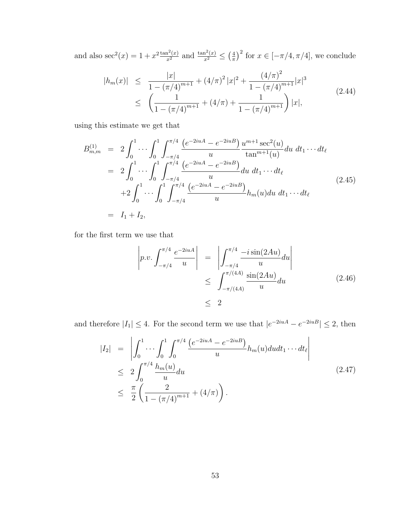and also sec<sup>2</sup>(*x*) = 1 +  $x^2 \frac{\tan^2(x)}{x^2}$  and  $\frac{\tan^2(x)}{x^2} \leq (\frac{4}{\pi})$  $(\frac{4}{\pi})^2$  for  $x \in [-\pi/4, \pi/4]$ , we conclude

$$
|h_m(x)| \leq \frac{|x|}{1 - (\pi/4)^{m+1}} + (4/\pi)^2 |x|^2 + \frac{(4/\pi)^2}{1 - (\pi/4)^{m+1}} |x|^3
$$
  
 
$$
\leq \left(\frac{1}{1 - (\pi/4)^{m+1}} + (4/\pi) + \frac{1}{1 - (\pi/4)^{m+1}}\right) |x|,
$$
 (2.44)

using this estimate we get that

$$
B_{m,m}^{(1)} = 2 \int_0^1 \cdots \int_0^1 \int_{-\pi/4}^{\pi/4} \frac{\left(e^{-2iuA} - e^{-2iuB}\right) u^{m+1} \sec^2(u)}{u} du dt_1 \cdots dt_\ell
$$
  
\n
$$
= 2 \int_0^1 \cdots \int_0^1 \int_{-\pi/4}^{\pi/4} \frac{\left(e^{-2iuA} - e^{-2iuB}\right)}{u} du dt_1 \cdots dt_\ell
$$
  
\n
$$
+ 2 \int_0^1 \cdots \int_0^1 \int_{-\pi/4}^{\pi/4} \frac{\left(e^{-2iuA} - e^{-2iuB}\right)}{u} h_m(u) du dt_1 \cdots dt_\ell
$$
  
\n
$$
= I_1 + I_2,
$$
\n(2.45)

for the first term we use that

$$
\left| p.v. \int_{-\pi/4}^{\pi/4} \frac{e^{-2iuA}}{u} \right| = \left| \int_{-\pi/4}^{\pi/4} \frac{-i \sin(2Au)}{u} du \right|
$$
  

$$
\leq \int_{-\pi/(4A)}^{\pi/(4A)} \frac{\sin(2Au)}{u} du
$$
(2.46)  

$$
\leq 2
$$

and therefore  $|I_1| \leq 4$ . For the second term we use that  $|e^{-2iuA} - e^{-2iuB}| \leq 2$ , then

$$
|I_2| = \left| \int_0^1 \cdots \int_0^1 \int_0^{\pi/4} \frac{(e^{-2iuA} - e^{-2iuB})}{u} h_m(u) du dt_1 \cdots dt_\ell \right|
$$
  
\n
$$
\leq 2 \int_0^{\pi/4} \frac{h_m(u)}{u} du
$$
  
\n
$$
\leq \frac{\pi}{2} \left( \frac{2}{1 - (\pi/4)^{m+1}} + (4/\pi) \right).
$$
 (2.47)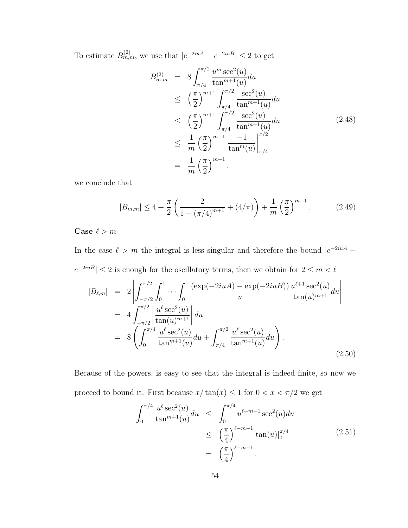To estimate  $B_{m,m}^{(2)}$ , we use that  $|e^{-2iuA}-e^{-2iuB}| \leq 2$  to get

<span id="page-62-0"></span>
$$
B_{m,m}^{(2)} = 8 \int_{\pi/4}^{\pi/2} \frac{u^m \sec^2(u)}{\tan^{m+1}(u)} du
$$
  
\n
$$
\leq \left(\frac{\pi}{2}\right)^{m+1} \int_{\pi/4}^{\pi/2} \frac{\sec^2(u)}{\tan^{m+1}(u)} du
$$
  
\n
$$
\leq \left(\frac{\pi}{2}\right)^{m+1} \int_{\pi/4}^{\pi/2} \frac{\sec^2(u)}{\tan^{m+1}(u)} du
$$
  
\n
$$
\leq \frac{1}{m} \left(\frac{\pi}{2}\right)^{m+1} \frac{-1}{\tan^m(u)} \Big|_{\pi/4}^{\pi/2}
$$
  
\n
$$
= \frac{1}{m} \left(\frac{\pi}{2}\right)^{m+1},
$$
  
\n(2.48)

we conclude that

<span id="page-62-1"></span>
$$
|B_{m,m}| \le 4 + \frac{\pi}{2} \left( \frac{2}{1 - (\pi/4)^{m+1}} + (4/\pi) \right) + \frac{1}{m} \left( \frac{\pi}{2} \right)^{m+1}.
$$
 (2.49)

Case  $\ell > m$ 

In the case  $\ell > m$  the integral is less singular and therefore the bound  $|e^{-2iuA} |e^{-2iuB}| \leq 2$  is enough for the oscillatory terms, then we obtain for  $2 \leq m < \ell$  $|B_{\ell,m}| = 2$   $\int^{\pi/2}$  $-\pi/2$  $\int_0^1$ 0  $\cdots \int^1$ 0  $(\exp(-2iuA) - \exp(-2iuB))$ u  $u^{\ell+1} \sec^2(u)$  $\frac{\sec(u)}{\tan(u)^{m+1}} du$   $= 4 \int_0^{\pi/2}$  $-\pi/2$  $\begin{array}{c} \hline \end{array}$  $u^{\ell}$  sec<sup>2</sup> $(u)$  $\tan(u)^{m+1}$  $\begin{array}{c} \begin{array}{c} \begin{array}{c} \end{array} \\ \begin{array}{c} \end{array} \end{array} \end{array}$ du  $= 8 \int_0^{\pi/4}$ 0  $u^{\ell}$  sec<sup>2</sup> $(u)$  $\frac{u^{\ell}\sec^2(u)}{\tan^{m+1}(u)}du + \int_{\pi/4}^{\pi/2}$  $\pi/4$  $u^{\ell}$  sec<sup>2</sup> $(u)$  $\tan^{m+1}(u)$  $du$ . (2.50)

Because of the powers, is easy to see that the integral is indeed finite, so now we proceed to bound it. First because  $x/\tan(x) \leq 1$  for  $0 < x < \pi/2$  we get

$$
\int_0^{\pi/4} \frac{u^{\ell} \sec^2(u)}{\tan^{m+1}(u)} du \leq \int_0^{\pi/4} u^{\ell-m-1} \sec^2(u) du
$$
  
 
$$
\leq \left(\frac{\pi}{4}\right)^{\ell-m-1} \tan(u) \Big|_0^{\pi/4}
$$
 (2.51)  
 
$$
= \left(\frac{\pi}{4}\right)^{\ell-m-1}.
$$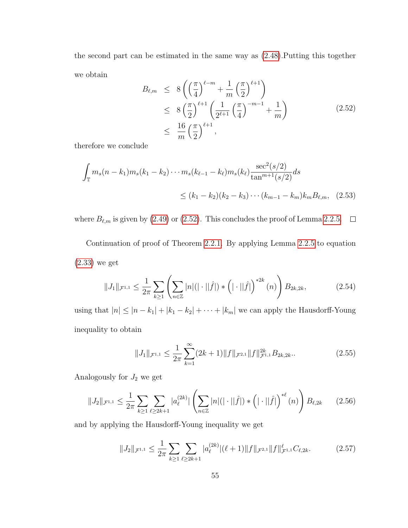the second part can be estimated in the same way as [\(2.48\)](#page-62-0).Putting this together we obtain

<span id="page-63-0"></span>
$$
B_{\ell,m} \le 8\left(\left(\frac{\pi}{4}\right)^{\ell-m} + \frac{1}{m}\left(\frac{\pi}{2}\right)^{\ell+1}\right) \le 8\left(\frac{\pi}{2}\right)^{\ell+1}\left(\frac{1}{2^{\ell+1}}\left(\frac{\pi}{4}\right)^{-m-1} + \frac{1}{m}\right) \le \frac{16}{m}\left(\frac{\pi}{2}\right)^{\ell+1},
$$
\n(2.52)

therefore we conclude

$$
\int_{\mathbb{T}} m_s(n - k_1) m_s(k_1 - k_2) \cdots m_s(k_{\ell-1} - k_{\ell}) m_s(k_{\ell}) \frac{\sec^2(s/2)}{\tan^{m+1}(s/2)} ds
$$
  
 
$$
\leq (k_1 - k_2)(k_2 - k_3) \cdots (k_{m-1} - k_m) k_m B_{\ell,m}, \quad (2.53)
$$

where  $B_{\ell,m}$  is given by [\(2.49\)](#page-62-1) or [\(2.52\)](#page-63-0). This concludes the proof of Lemma [2.2.5.](#page-59-0)  $\Box$ 

Continuation of proof of Theorem [2.2.1.](#page-54-1) By applying Lemma [2.2.5](#page-59-0) to equation [\(2.33\)](#page-59-1) we get

<span id="page-63-1"></span>
$$
||J_1||_{\mathcal{F}^{1,1}} \leq \frac{1}{2\pi} \sum_{k \geq 1} \left( \sum_{n \in \mathbb{Z}} |n| (|\cdot||\hat{f}|) * (|\cdot||\hat{f}|)^{*2k} (n) \right) B_{2k,2k}, \tag{2.54}
$$

using that  $|n| \le |n - k_1| + |k_1 - k_2| + \cdots + |k_m|$  we can apply the Hausdorff-Young inequality to obtain

$$
||J_1||_{\mathcal{F}^{1,1}} \le \frac{1}{2\pi} \sum_{k=1}^{\infty} (2k+1) ||f||_{\mathcal{F}^{2,1}} ||f||_{\mathcal{F}^{1,1}}^{2k} B_{2k,2k}.
$$
 (2.55)

Analogously for  $J_2$  we get

$$
||J_2||_{\mathcal{F}^{1,1}} \leq \frac{1}{2\pi} \sum_{k \geq 1} \sum_{\ell \geq 2k+1} |a_{\ell}^{(2k)}| \left( \sum_{n \in \mathbb{Z}} |n| (|\cdot||\hat{f}|) * \left(|\cdot||\hat{f}|\right)^{* \ell} (n) \right) B_{\ell,2k} \qquad (2.56)
$$

and by applying the Hausdorff-Young inequality we get

$$
||J_2||_{\mathcal{F}^{1,1}} \leq \frac{1}{2\pi} \sum_{k \geq 1} \sum_{\ell \geq 2k+1} |a_{\ell}^{(2k)}|(\ell+1) ||f||_{\mathcal{F}^{2,1}} ||f||_{\mathcal{F}^{1,1}}^{\ell} C_{\ell,2k}.
$$
 (2.57)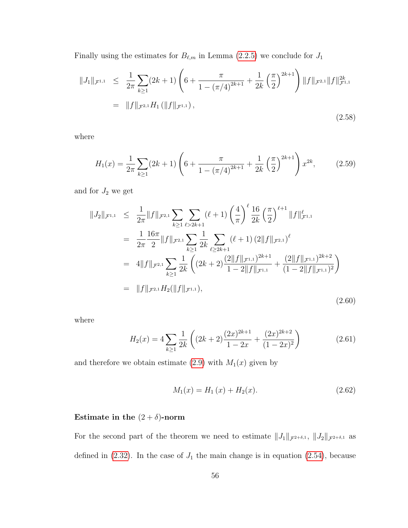Finally using the estimates for  $B_{\ell,m}$  in Lemma [\(2.2.5\)](#page-59-0) we conclude for  $J_1$ 

$$
||J_{1}||_{\mathcal{F}^{1,1}} \leq \frac{1}{2\pi} \sum_{k\geq 1} (2k+1) \left( 6 + \frac{\pi}{1 - (\pi/4)^{2k+1}} + \frac{1}{2k} \left( \frac{\pi}{2} \right)^{2k+1} \right) ||f||_{\mathcal{F}^{2,1}} ||f||_{\mathcal{F}^{1,1}}^{2k}
$$
  
=  $||f||_{\mathcal{F}^{2,1}} H_{1} (||f||_{\mathcal{F}^{1,1}}),$  (2.58)

where

$$
H_1(x) = \frac{1}{2\pi} \sum_{k \ge 1} (2k+1) \left( 6 + \frac{\pi}{1 - (\pi/4)^{2k+1}} + \frac{1}{2k} \left( \frac{\pi}{2} \right)^{2k+1} \right) x^{2k}, \tag{2.59}
$$

and for  $J_2$  we get

$$
||J_{2}||_{\mathcal{F}^{1,1}} \leq \frac{1}{2\pi} ||f||_{\mathcal{F}^{2,1}} \sum_{k\geq 1} \sum_{\ell>2k+1} (\ell+1) \left(\frac{4}{\pi}\right)^{\ell} \frac{16}{2k} \left(\frac{\pi}{2}\right)^{\ell+1} ||f||_{\mathcal{F}^{1,1}}^{\ell}
$$
  
\n
$$
= \frac{1}{2\pi} \frac{16\pi}{2} ||f||_{\mathcal{F}^{2,1}} \sum_{k\geq 1} \frac{1}{2k} \sum_{\ell\geq 2k+1} (\ell+1) (2||f||_{\mathcal{F}^{2,1}})^{\ell}
$$
  
\n
$$
= 4||f||_{\mathcal{F}^{2,1}} \sum_{k\geq 1} \frac{1}{2k} \left( (2k+2) \frac{(2||f||_{\mathcal{F}^{1,1}})^{2k+1}}{1-2||f||_{\mathcal{F}^{1,1}}} + \frac{(2||f||_{\mathcal{F}^{1,1}})^{2k+2}}{(1-2||f||_{\mathcal{F}^{1,1}})^{2}} \right)
$$
  
\n
$$
= ||f||_{\mathcal{F}^{2,1}} H_{2}(|f||_{\mathcal{F}^{1,1}}), \qquad (2.60)
$$

where

$$
H_2(x) = 4\sum_{k\geq 1} \frac{1}{2k} \left( (2k+2) \frac{(2x)^{2k+1}}{1-2x} + \frac{(2x)^{2k+2}}{(1-2x)^2} \right) \tag{2.61}
$$

and therefore we obtain estimate [\(2.9\)](#page-54-2) with  $M_1(x)$  given by

$$
M_1(x) = H_1(x) + H_2(x). \tag{2.62}
$$

# Estimate in the  $(2 + \delta)$ -norm

For the second part of the theorem we need to estimate  $||J_1||_{\mathcal{F}^{2+\delta,1}}$ ,  $||J_2||_{\mathcal{F}^{2+\delta,1}}$  as defined in  $(2.32)$ . In the case of  $J_1$  the main change is in equation  $(2.54)$ , because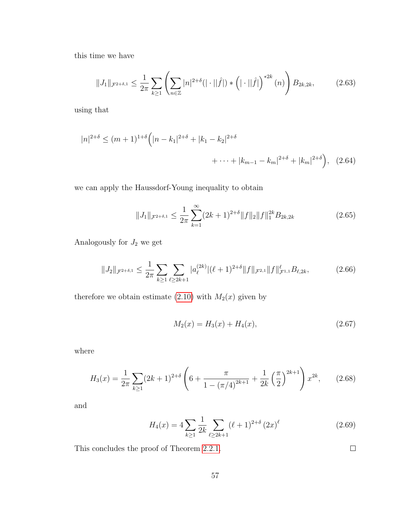this time we have

$$
||J_1||_{\mathcal{F}^{2+\delta,1}} \leq \frac{1}{2\pi} \sum_{k\geq 1} \left( \sum_{n\in\mathbb{Z}} |n|^{2+\delta} (|\cdot||\hat{f}|) * (|\cdot||\hat{f}|)^{*2k} (n) \right) B_{2k,2k}, \tag{2.63}
$$

using that

$$
|n|^{2+\delta} \le (m+1)^{1+\delta} \Big( |n-k_1|^{2+\delta} + |k_1-k_2|^{2+\delta} + \dots + |k_{m-1}-k_m|^{2+\delta} + |k_m|^{2+\delta} \Big), \quad (2.64)
$$

we can apply the Haussdorf-Young inequality to obtain

$$
||J_1||_{\mathcal{F}^{2+\delta,1}} \le \frac{1}{2\pi} \sum_{k=1}^{\infty} (2k+1)^{2+\delta} ||f||_2 ||f||_1^{2k} B_{2k,2k}
$$
 (2.65)

Analogously for  ${\cal J}_2$  we get

$$
||J_2||_{\mathcal{F}^{2+\delta,1}} \leq \frac{1}{2\pi} \sum_{k \geq 1} \sum_{\ell \geq 2k+1} |a_{\ell}^{(2k)}| (\ell+1)^{2+\delta} ||f||_{\mathcal{F}^{2,1}} ||f||_{\mathcal{F}^{1,1}}^{\ell} B_{\ell,2k}, \tag{2.66}
$$

therefore we obtain estimate [\(2.10\)](#page-54-3) with  $M_2(x)$  given by

$$
M_2(x) = H_3(x) + H_4(x), \tag{2.67}
$$

where

$$
H_3(x) = \frac{1}{2\pi} \sum_{k \ge 1} (2k+1)^{2+\delta} \left(6 + \frac{\pi}{1 - (\pi/4)^{2k+1}} + \frac{1}{2k} \left(\frac{\pi}{2}\right)^{2k+1}\right) x^{2k},\qquad(2.68)
$$

and

$$
H_4(x) = 4 \sum_{k \ge 1} \frac{1}{2k} \sum_{\ell \ge 2k+1} (\ell+1)^{2+\delta} (2x)^{\ell}
$$
 (2.69)

This concludes the proof of Theorem [2.2.1.](#page-54-1)

 $\Box$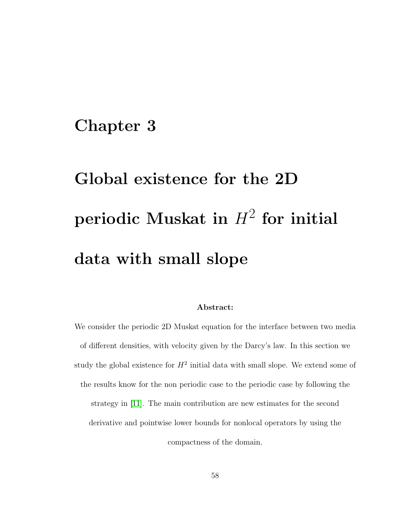# <span id="page-66-0"></span>Chapter 3

# Global existence for the 2D  $\bold{periodic}$  Muskat in  $H^2$  for initial data with small slope

#### Abstract:

We consider the periodic 2D Muskat equation for the interface between two media of different densities, with velocity given by the Darcy's law. In this section we study the global existence for  $H^2$  initial data with small slope. We extend some of the results know for the non periodic case to the periodic case by following the strategy in [\[11\]](#page-252-1). The main contribution are new estimates for the second derivative and pointwise lower bounds for nonlocal operators by using the compactness of the domain.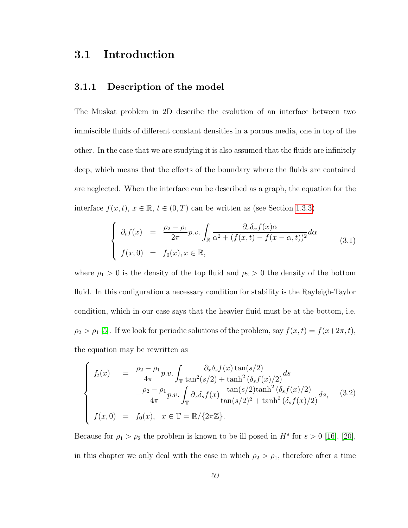# 3.1 Introduction

#### 3.1.1 Description of the model

The Muskat problem in 2D describe the evolution of an interface between two immiscible fluids of different constant densities in a porous media, one in top of the other. In the case that we are studying it is also assumed that the fluids are infinitely deep, which means that the effects of the boundary where the fluids are contained are neglected. When the interface can be described as a graph, the equation for the interface  $f(x, t)$ ,  $x \in \mathbb{R}$ ,  $t \in (0, T)$  can be written as (see Section [1.3.3\)](#page-21-1)

$$
\begin{cases}\n\partial_t f(x) = \frac{\rho_2 - \rho_1}{2\pi} p.v. \int_{\mathbb{R}} \frac{\partial_x \delta_\alpha f(x) \alpha}{\alpha^2 + (f(x, t) - f(x - \alpha, t))^2} d\alpha \\
f(x, 0) = f_0(x), x \in \mathbb{R},\n\end{cases} \tag{3.1}
$$

where  $\rho_1 > 0$  is the density of the top fluid and  $\rho_2 > 0$  the density of the bottom fluid. In this configuration a necessary condition for stability is the Rayleigh-Taylor condition, which in our case says that the heavier fluid must be at the bottom, i.e.  $\rho_2 > \rho_1$  [\[5\]](#page-251-4). If we look for periodic solutions of the problem, say  $f(x, t) = f(x+2\pi, t)$ , the equation may be rewritten as

<span id="page-67-0"></span>
$$
\begin{cases}\nf_t(x) = \frac{\rho_2 - \rho_1}{4\pi} p.v. \int_{\mathbb{T}} \frac{\partial_x \delta_s f(x) \tan(s/2)}{\tan^2(s/2) + \tanh^2(\delta_s f(x)/2)} ds \\
-\frac{\rho_2 - \rho_1}{4\pi} p.v. \int_{\mathbb{T}} \partial_x \delta_s f(x) \frac{\tan(s/2) \tanh^2(\delta_s f(x)/2)}{\tan(s/2)^2 + \tanh^2(\delta_s f(x)/2)} ds,\n\end{cases} (3.2)
$$
\n
$$
f(x, 0) = f_0(x), \quad x \in \mathbb{T} = \mathbb{R}/\{2\pi \mathbb{Z}\}.
$$

Because for  $\rho_1 > \rho_2$  the problem is known to be ill posed in  $H^s$  for  $s > 0$  [\[16\]](#page-253-1), [\[20\]](#page-254-0), in this chapter we only deal with the case in which  $\rho_2 > \rho_1$ , therefore after a time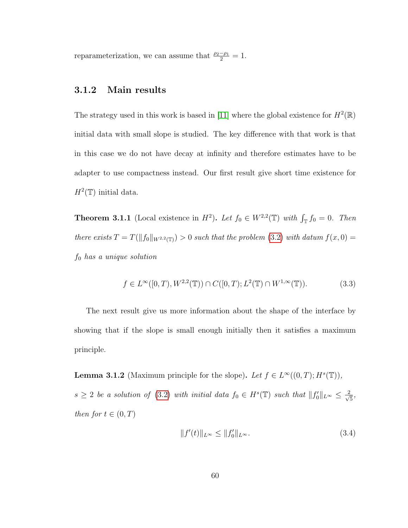reparameterization, we can assume that  $\frac{\rho_2-\rho_1}{2}=1$ .

#### 3.1.2 Main results

The strategy used in this work is based in [\[11\]](#page-252-1) where the global existence for  $H^2(\mathbb{R})$ initial data with small slope is studied. The key difference with that work is that in this case we do not have decay at infinity and therefore estimates have to be adapter to use compactness instead. Our first result give short time existence for  $H^2(\mathbb{T})$  initial data.

<span id="page-68-0"></span>**Theorem 3.1.1** (Local existence in  $H^2$ ). Let  $f_0 \in W^{2,2}(\mathbb{T})$  with  $\int_{\mathbb{T}} f_0 = 0$ . Then there exists  $T = T(||f_0||_{W^{2,2}(\mathbb{T})}) > 0$  such that the problem [\(3.2\)](#page-67-0) with datum  $f(x, 0) =$  $f_0$  has a unique solution

$$
f \in L^{\infty}([0, T), W^{2,2}(\mathbb{T})) \cap C([0, T); L^{2}(\mathbb{T}) \cap W^{1, \infty}(\mathbb{T})).
$$
\n(3.3)

The next result give us more information about the shape of the interface by showing that if the slope is small enough initially then it satisfies a maximum principle.

**Lemma 3.1.2** (Maximum principle for the slope). Let  $f \in L^{\infty}((0, T); H^{s}(\mathbb{T}))$ ,  $s \geq 2$  be a solution of [\(3.2\)](#page-67-0) with initial data  $f_0 \in H^s(\mathbb{T})$  such that  $||f_0'||_{L^{\infty}} \leq \frac{2}{\sqrt{n}}$  $\frac{1}{5}$ , then for  $t \in (0, T)$ 

$$
||f'(t)||_{L^{\infty}} \le ||f'_0||_{L^{\infty}}.
$$
\n(3.4)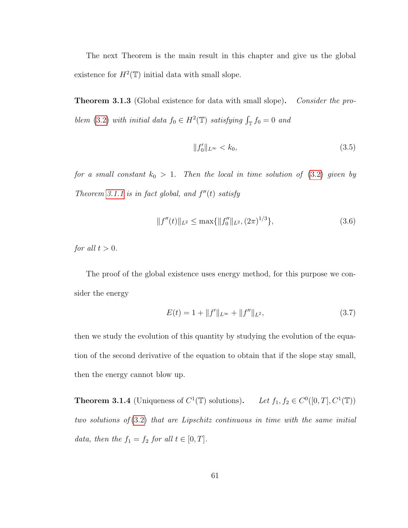The next Theorem is the main result in this chapter and give us the global existence for  $H^2(\mathbb{T})$  initial data with small slope.

<span id="page-69-0"></span>**Theorem 3.1.3** (Global existence for data with small slope). Consider the pro-blem [\(3.2\)](#page-67-0) with initial data  $f_0 \in H^2(\mathbb{T})$  satisfying  $\int_{\mathbb{T}} f_0 = 0$  and

$$
||f_0'||_{L^{\infty}} < k_0,
$$
\n(3.5)

for a small constant  $k_0 > 1$ . Then the local in time solution of [\(3.2\)](#page-67-0) given by Theorem [3.1.1](#page-68-0) is in fact global, and  $f''(t)$  satisfy

$$
||f''(t)||_{L^2} \le \max\{||f_0''||_{L^2}, (2\pi)^{1/3}\},\tag{3.6}
$$

for all  $t > 0$ .

The proof of the global existence uses energy method, for this purpose we consider the energy

$$
E(t) = 1 + ||f'||_{L^{\infty}} + ||f''||_{L^{2}},
$$
\n(3.7)

then we study the evolution of this quantity by studying the evolution of the equation of the second derivative of the equation to obtain that if the slope stay small, then the energy cannot blow up.

**Theorem 3.1.4** (Uniqueness of  $C^1(\mathbb{T})$  solutions). Let  $f_1, f_2 \in C^0([0, T], C^1(\mathbb{T}))$ two solutions of  $(3.2)$  that are Lipschitz continuous in time with the same initial data, then the  $f_1 = f_2$  for all  $t \in [0, T]$ .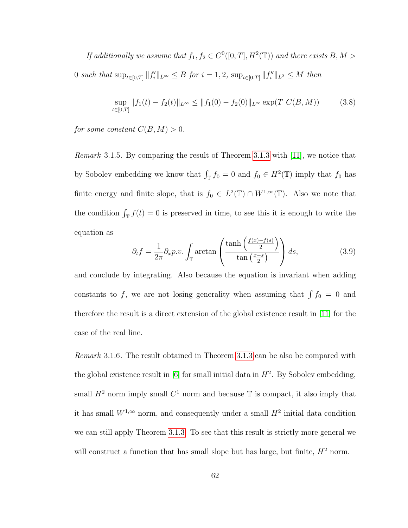If additionally we assume that  $f_1, f_2 \in C^0([0,T], H^2(\mathbb{T}))$  and there exists B, M > 0 such that  $\sup_{t \in [0,T]} ||f'_i||_{L^{\infty}} \leq B$  for  $i = 1, 2$ ,  $\sup_{t \in [0,T]} ||f''_i||_{L^2} \leq M$  then

$$
\sup_{t \in [0,T]} \|f_1(t) - f_2(t)\|_{L^\infty} \le \|f_1(0) - f_2(0)\|_{L^\infty} \exp(T \ C(B,M)) \tag{3.8}
$$

for some constant  $C(B, M) > 0$ .

Remark 3.1.5. By comparing the result of Theorem [3.1.3](#page-69-0) with [\[11\]](#page-252-1), we notice that by Sobolev embedding we know that  $\int_{\mathbb{T}} f_0 = 0$  and  $f_0 \in H^2(\mathbb{T})$  imply that  $f_0$  has finite energy and finite slope, that is  $f_0 \in L^2(\mathbb{T}) \cap W^{1,\infty}(\mathbb{T})$ . Also we note that the condition  $\int_{\mathbb{T}} f(t) = 0$  is preserved in time, to see this it is enough to write the equation as

$$
\partial_t f = \frac{1}{2\pi} \partial_x p.v. \int_{\mathbb{T}} \arctan\left(\frac{\tanh\left(\frac{f(x) - f(s)}{2}\right)}{\tan\left(\frac{x - s}{2}\right)}\right) ds,\tag{3.9}
$$

and conclude by integrating. Also because the equation is invariant when adding constants to f, we are not losing generality when assuming that  $\int f_0 = 0$  and therefore the result is a direct extension of the global existence result in [\[11\]](#page-252-1) for the case of the real line.

Remark 3.1.6. The result obtained in Theorem [3.1.3](#page-69-0) can be also be compared with the global existence result in  $[6]$  for small initial data in  $H^2$ . By Sobolev embedding, small  $H^2$  norm imply small  $C^1$  norm and because  $\mathbb T$  is compact, it also imply that it has small  $W^{1,\infty}$  norm, and consequently under a small  $H^2$  initial data condition we can still apply Theorem [3.1.3.](#page-69-0) To see that this result is strictly more general we will construct a function that has small slope but has large, but finite,  $H^2$  norm.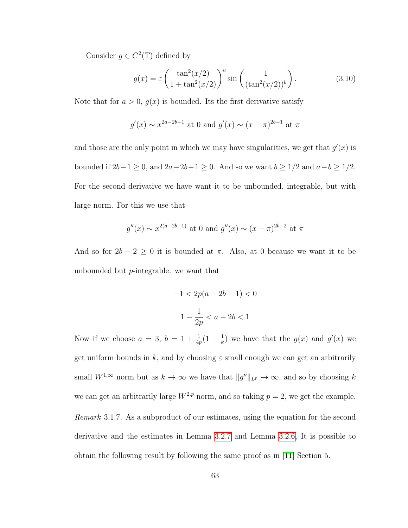Consider  $g \in C^2(\mathbb{T})$  defined by

$$
g(x) = \varepsilon \left(\frac{\tan^2(x/2)}{1 + \tan^2(x/2)}\right)^a \sin\left(\frac{1}{(\tan^2(x/2))^b}\right). \tag{3.10}
$$

Note that for  $a > 0$ ,  $g(x)$  is bounded. Its the first derivative satisfy

$$
g'(x) \sim x^{2a-2b-1}
$$
 at 0 and  $g'(x) \sim (x - \pi)^{2b-1}$  at  $\pi$ 

and those are the only point in which we may have singularities, we get that  $g'(x)$  is bounded if  $2b-1 \ge 0$ , and  $2a-2b-1 \ge 0$ . And so we want  $b \ge 1/2$  and  $a-b \ge 1/2$ . For the second derivative we have want it to be unbounded, integrable, but with large norm. For this we use that

$$
g''(x) \sim x^{2(a-2b-1)}
$$
 at 0 and  $g''(x) \sim (x - \pi)^{2b-2}$  at  $\pi$ 

And so for  $2b - 2 \ge 0$  it is bounded at  $\pi$ . Also, at 0 because we want it to be unbounded but p-integrable. we want that

$$
-1 < 2p(a - 2b - 1) < 0
$$
  

$$
1 - \frac{1}{2p} < a - 2b < 1
$$

Now if we choose  $a = 3, b = 1 + \frac{1}{4p}(1 - \frac{1}{k})$  $\frac{1}{k}$ ) we have that the  $g(x)$  and  $g'(x)$  we get uniform bounds in k, and by choosing  $\varepsilon$  small enough we can get an arbitrarily small  $W^{1,\infty}$  norm but as  $k \to \infty$  we have that  $||g''||_{L^p} \to \infty$ , and so by choosing k we can get an arbitrarily large  $W^{2,p}$  norm, and so taking  $p=2$ , we get the example. Remark 3.1.7. As a subproduct of our estimates, using the equation for the second derivative and the estimates in Lemma [3.2.7](#page-96-0) and Lemma [3.2.6,](#page-89-0) It is possible to obtain the following result by following the same proof as in [\[11\]](#page-252-1) Section 5.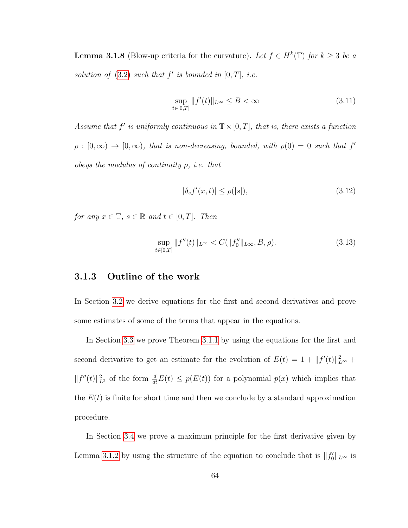**Lemma 3.1.8** (Blow-up criteria for the curvature). Let  $f \in H^k(\mathbb{T})$  for  $k \geq 3$  be a solution of  $(3.2)$  such that  $f'$  is bounded in  $[0, T]$ , i.e.

$$
\sup_{t \in [0,T]} \|f'(t)\|_{L^{\infty}} \le B < \infty \tag{3.11}
$$

Assume that f' is uniformly continuous in  $\mathbb{T} \times [0,T]$ , that is, there exists a function  $\rho : [0, \infty) \to [0, \infty)$ , that is non-decreasing, bounded, with  $\rho(0) = 0$  such that  $f'$ obeys the modulus of continuity  $\rho$ , i.e. that

$$
|\delta_s f'(x,t)| \le \rho(|s|),\tag{3.12}
$$

for any  $x \in \mathbb{T}$ ,  $s \in \mathbb{R}$  and  $t \in [0, T]$ . Then

$$
\sup_{t \in [0,T]} \|f''(t)\|_{L^{\infty}} < C(\|f_0''\|_{L^{\infty}}, B, \rho). \tag{3.13}
$$

#### 3.1.3 Outline of the work

In Section [3.2](#page-73-0) we derive equations for the first and second derivatives and prove some estimates of some of the terms that appear in the equations.

In Section [3.3](#page-123-0) we prove Theorem [3.1.1](#page-68-0) by using the equations for the first and second derivative to get an estimate for the evolution of  $E(t) = 1 + ||f'(t)||_{L^{\infty}}^2 +$  $||f''(t)||_{L^2}^2$  of the form  $\frac{d}{dt}E(t) \leq p(E(t))$  for a polynomial  $p(x)$  which implies that the  $E(t)$  is finite for short time and then we conclude by a standard approximation procedure.

In Section [3.4](#page-130-0) we prove a maximum principle for the first derivative given by Lemma [3.1.2](#page-68-1) by using the structure of the equation to conclude that is  $||f_0'||_{L^{\infty}}$  is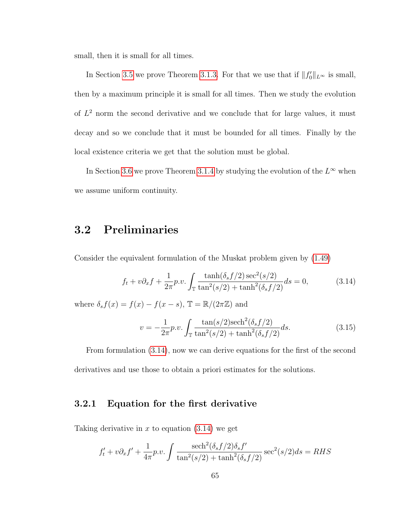small, then it is small for all times.

In Section [3.5](#page-135-0) we prove Theorem [3.1.3.](#page-69-0) For that we use that if  $||f_0'||_{L^{\infty}}$  is small, then by a maximum principle it is small for all times. Then we study the evolution of  $L^2$  norm the second derivative and we conclude that for large values, it must decay and so we conclude that it must be bounded for all times. Finally by the local existence criteria we get that the solution must be global.

In Section [3.6](#page-139-0) we prove Theorem [3.1.4](#page-69-1) by studying the evolution of the  $L^{\infty}$  when we assume uniform continuity.

# <span id="page-73-0"></span>3.2 Preliminaries

Consider the equivalent formulation of the Muskat problem given by [\(1.49\)](#page-24-0)

<span id="page-73-1"></span>
$$
f_t + v\partial_x f + \frac{1}{2\pi} p.v. \int_{\mathbb{T}} \frac{\tanh(\delta_s f/2) \sec^2(s/2)}{\tan^2(s/2) + \tanh^2(\delta_s f/2)} ds = 0,
$$
 (3.14)

where  $\delta_s f(x) = f(x) - f(x - s)$ ,  $\mathbb{T} = \mathbb{R}/(2\pi\mathbb{Z})$  and

$$
v = -\frac{1}{2\pi}p.v.\int_{\mathbb{T}} \frac{\tan(s/2)\mathrm{sech}^2(\delta_s f/2)}{\tan^2(s/2) + \tanh^2(\delta_s f/2)} ds.
$$
 (3.15)

From formulation [\(3.14\)](#page-73-1), now we can derive equations for the first of the second derivatives and use those to obtain a priori estimates for the solutions.

## 3.2.1 Equation for the first derivative

Taking derivative in  $x$  to equation  $(3.14)$  we get

$$
f'_t + v\partial_x f' + \frac{1}{4\pi}p.v.\int \frac{\mathrm{sech}^2(\delta_s f/2)\delta_s f'}{\tan^2(s/2) + \tanh^2(\delta_s f/2)} \mathrm{sec}^2(s/2)ds = RHS
$$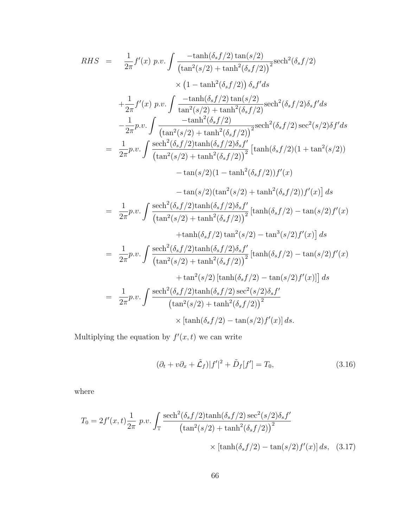$$
RHS = \frac{1}{2\pi} f'(x) p.v. \int \frac{-\tanh(\delta_s f/2) \tan(s/2)}{(\tan^2(s/2) + \tanh^2(\delta_s f/2))} \text{sech}^2(\delta_s f/2)
$$
  
\n
$$
\times (1 - \tanh^2(\delta_s f/2)) \delta_s f' ds
$$
  
\n
$$
+ \frac{1}{2\pi} f'(x) p.v. \int \frac{-\tanh(\delta_s f/2) \tan(s/2)}{\tan^2(s/2) + \tanh^2(\delta_s f/2)} \text{sech}^2(\delta_s f/2) \delta_s f' ds
$$
  
\n
$$
- \frac{1}{2\pi} p.v. \int \frac{-\tanh^2(\delta_s f/2) \tan(s/2)}{(\tan^2(s/2) + \tanh^2(\delta_s f/2))} \text{sech}^2(\delta_s f/2) \text{sec}^2(s/2) \delta f' ds
$$
  
\n
$$
= \frac{1}{2\pi} p.v. \int \frac{\text{sech}^2(\delta_s f/2) \tanh(\delta_s f/2) \delta_s f'}{(\tan^2(s/2) + \tanh^2(\delta_s f/2))} \left[\tanh(\delta_s f/2)(1 + \tan^2(s/2)) - \tan(s/2)(1 - \tanh^2(\delta_s f/2)) f'(x)\right]
$$
  
\n
$$
- \tan(s/2) (\tan^2(s/2) + \tanh^2(\delta_s f/2)) f'(x)
$$
  
\n
$$
- \tan(s/2) (\tan^2(s/2) + \tanh^2(\delta_s f/2)) f'(x)
$$
  
\n
$$
+ \tanh(\delta_s f/2) \tan^2(s/2) - \tan^3(s/2) f'(x) \right] ds
$$
  
\n
$$
= \frac{1}{2\pi} p.v. \int \frac{\text{sech}^2(\delta_s f/2) \tanh(\delta_s f/2) \delta_s f'}{(\tan^2(s/2) + \tanh^2(\delta_s f/2))} \left[\tanh(\delta_s f/2) - \tan(s/2) f'(x)\right] ds
$$
  
\n
$$
= \frac{1}{2\pi} p.v. \int \frac{\text{sech}^2(\delta_s f/2) \tanh(\delta_s f/2) \sec^2(s/2) \delta_s f'}{(\tan^2(s/2) + \tanh^
$$

Multiplying the equation by  $f'(x,t)$  we can write

$$
(\partial_t + v\partial_x + \tilde{L}_f)|f'|^2 + \tilde{D}_f[f'] = T_0,
$$
\n(3.16)

where

$$
T_0 = 2f'(x,t)\frac{1}{2\pi} p.v. \int_{\mathbb{T}} \frac{\mathrm{sech}^2(\delta_s f/2)\mathrm{tanh}(\delta_s f/2)\mathrm{sec}^2(s/2)\delta_s f'}{\left(\tan^2(s/2) + \tanh^2(\delta_s f/2)\right)^2} \times \left[\tanh(\delta_s f/2) - \tan(s/2)f'(x)\right] ds, (3.17)
$$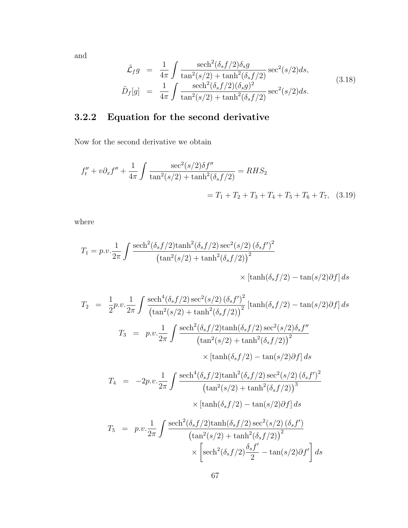and

$$
\tilde{\mathcal{L}}_f g = \frac{1}{4\pi} \int \frac{\text{sech}^2(\delta_s f/2) \delta_s g}{\text{tan}^2(s/2) + \text{tanh}^2(\delta_s f/2)} \text{sec}^2(s/2) ds, \n\tilde{D}_f[g] = \frac{1}{4\pi} \int \frac{\text{sech}^2(\delta_s f/2) (\delta_s g)^2}{\text{tan}^2(s/2) + \text{tanh}^2(\delta_s f/2)} \text{sec}^2(s/2) ds.
$$
\n(3.18)

# <span id="page-75-1"></span>3.2.2 Equation for the second derivative

Now for the second derivative we obtain

$$
f''_t + v \partial_x f'' + \frac{1}{4\pi} \int \frac{\sec^2(s/2)\delta f''}{\tan^2(s/2) + \tanh^2(\delta_s f/2)} = RHS_2
$$
  
=  $T_1 + T_2 + T_3 + T_4 + T_5 + T_6 + T_7$ , (3.19)

where

$$
T_1 = p.v.\frac{1}{2\pi} \int \frac{\mathrm{sech}^2(\delta_s f/2)\mathrm{tanh}^2(\delta_s f/2)\mathrm{sec}^2(s/2)\left(\delta_s f'\right)^2}{\left(\mathrm{tan}^2(s/2) + \mathrm{tanh}^2(\delta_s f/2)\right)^2}
$$

<span id="page-75-0"></span>
$$
\times \left[ \tanh(\delta_s f/2) - \tan(s/2)\partial f \right] ds
$$

$$
T_2 = \frac{1}{2}p.v.\frac{1}{2\pi} \int \frac{\text{sech}^4(\delta_s f/2)\sec^2(s/2)(\delta_s f')^2}{(\tan^2(s/2) + \tanh^2(\delta_s f/2))^2} [\tanh(\delta_s f/2) - \tan(s/2)\partial f] ds
$$
  
\n
$$
T_3 = p.v.\frac{1}{2\pi} \int \frac{\text{sech}^2(\delta_s f/2)\tanh(\delta_s f/2)\sec^2(s/2)\delta_s f''}{(\tan^2(s/2) + \tanh^2(\delta_s f/2))^2}
$$
  
\n
$$
\times [\tanh(\delta_s f/2) - \tan(s/2)\partial f] ds
$$
  
\n
$$
T_4 = -2p.v.\frac{1}{2\pi} \int \frac{\text{sech}^4(\delta_s f/2)\tanh^2(\delta_s f/2)\sec^2(s/2)(\delta_s f')^2}{(\tan^2(s/2) + \tanh^2(\delta_s f/2))^3}
$$
  
\n
$$
\times [\tanh(\delta_s f/2) - \tan(s/2)\partial f] ds
$$
  
\n
$$
T_5 = p.v.\frac{1}{2\pi} \int \frac{\text{sech}^2(\delta_s f/2)\tanh(\delta_s f/2)\sec^2(s/2)(\delta_s f')}{(\tan^2(s/2) + \tanh^2(\delta_s f/2))^2}
$$
  
\n
$$
\times \left[\text{sech}^2(\delta_s f/2)\frac{\delta_s f'}{2} - \tan(s/2)\partial f'\right] ds
$$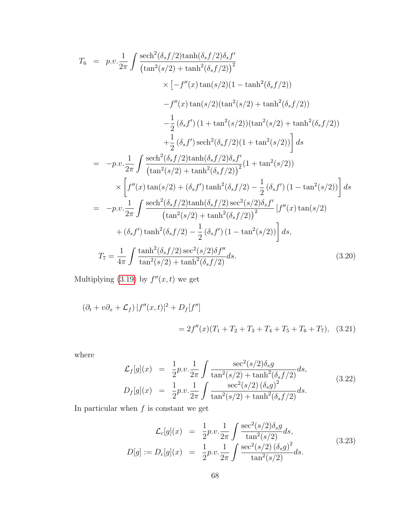$$
T_{6} = p.v.\frac{1}{2\pi} \int \frac{\text{sech}^{2}(\delta_{s}f/2)\tanh(\delta_{s}f/2)\delta_{s}f'}{\tanh^{2}(s/2) + \tanh^{2}(\delta_{s}f/2))^{2}} \times [-f''(x)\tan(s/2)(1 - \tanh^{2}(\delta_{s}f/2)) -f''(x)\tan(s/2)(\tan^{2}(s/2) + \tanh^{2}(\delta_{s}f/2)) -\frac{1}{2}(\delta_{s}f')(1 + \tan^{2}(s/2))(\tan^{2}(s/2) + \tanh^{2}(\delta_{s}f/2)) +\frac{1}{2}(\delta_{s}f')\operatorname{sech}^{2}(\delta_{s}f/2)(1 + \tan^{2}(s/2))\Big] ds
$$
  
\n
$$
= -p.v.\frac{1}{2\pi} \int \frac{\operatorname{sech}^{2}(\delta_{s}f/2)\tanh(\delta_{s}f/2)\delta_{s}f'}{\tanh^{2}(s/2) + \tanh^{2}(\delta_{s}f/2)\Big]}(1 + \tan^{2}(s/2))
$$
  
\n
$$
\times \left[f''(x)\tan(s/2) + (\delta_{s}f')\tanh^{2}(\delta_{s}f/2) - \frac{1}{2}(\delta_{s}f')(1 - \tan^{2}(s/2))\right] ds
$$
  
\n
$$
= -p.v.\frac{1}{2\pi} \int \frac{\operatorname{sech}^{2}(\delta_{s}f/2)\tanh(\delta_{s}f/2)\operatorname{sec}^{2}(s/2)\delta_{s}f'}{\tanh^{2}(\delta_{s}f/2) + \tanh^{2}(\delta_{s}f/2)\Big]^{2}} [f''(x)\tan(s/2) + (\delta_{s}f')\tanh^{2}(\delta_{s}f/2) - \frac{1}{2}(\delta_{s}f')(1 - \tan^{2}(s/2))\Big] ds,
$$
  
\n
$$
T_{7} = \frac{1}{4\pi} \int \frac{\tanh^{2}(\delta_{s}f/2)\sec^{2}(s/2)\delta f''}{\tan^{2}(s/2) + \tanh^{2}(\delta_{s}f/2)} ds.
$$
 (3.20)

Multiplying  $(3.19)$  by  $f''(x,t)$  we get

$$
(\partial_t + v\partial_x + \mathcal{L}_f) |f''(x, t)|^2 + D_f[f'']
$$
  
=  $2f''(x)(T_1 + T_2 + T_3 + T_4 + T_5 + T_6 + T_7),$  (3.21)

where

<span id="page-76-0"></span>
$$
\mathcal{L}_{f}[g](x) = \frac{1}{2}p.v.\frac{1}{2\pi} \int \frac{\sec^{2}(s/2)\delta_{s}g}{\tan^{2}(s/2) + \tanh^{2}(\delta_{s}f/2)} ds, \nD_{f}[g](x) = \frac{1}{2}p.v.\frac{1}{2\pi} \int \frac{\sec^{2}(s/2)(\delta_{s}g)^{2}}{\tan^{2}(s/2) + \tanh^{2}(\delta_{s}f/2)} ds.
$$
\n(3.22)

In particular when  $\boldsymbol{f}$  is constant we get

<span id="page-76-1"></span>
$$
\mathcal{L}_c[g](x) = \frac{1}{2}p.v.\frac{1}{2\pi} \int \frac{\sec^2(s/2)\delta_s g}{\tan^2(s/2)} ds,
$$
\n
$$
D[g] := D_c[g](x) = \frac{1}{2}p.v.\frac{1}{2\pi} \int \frac{\sec^2(s/2)(\delta_s g)^2}{\tan^2(s/2)} ds.
$$
\n(3.23)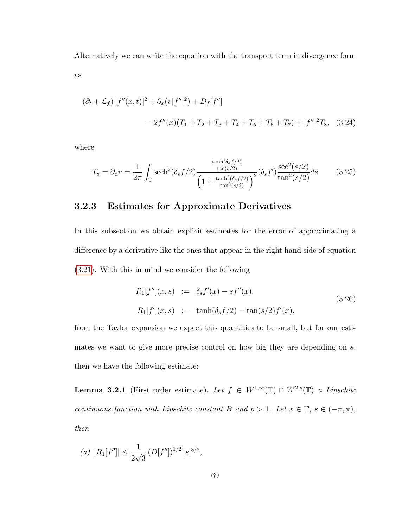Alternatively we can write the equation with the transport term in divergence form as

$$
(\partial_t + \mathcal{L}_f) |f''(x, t)|^2 + \partial_x (v|f''|^2) + D_f[f'']
$$
  
=  $2f''(x)(T_1 + T_2 + T_3 + T_4 + T_5 + T_6 + T_7) + |f''|^2 T_8$ , (3.24)

where

$$
T_8 = \partial_x v = \frac{1}{2\pi} \int_{\mathbb{T}} \mathrm{sech}^2(\delta_s f/2) \frac{\frac{\tanh(\delta_s f/2)}{\tan(s/2)}}{\left(1 + \frac{\tanh^2(\delta_s f/2)}{\tan^2(s/2)}\right)^2} (\delta_s f') \frac{\sec^2(s/2)}{\tan^2(s/2)} ds \tag{3.25}
$$

## 3.2.3 Estimates for Approximate Derivatives

In this subsection we obtain explicit estimates for the error of approximating a difference by a derivative like the ones that appear in the right hand side of equation [\(3.21\)](#page-76-0). With this in mind we consider the following

$$
R_1[f''](x, s) := \delta_s f'(x) - s f''(x),
$$
  
\n
$$
R_1[f'](x, s) := \tanh(\delta_s f/2) - \tan(s/2) f'(x),
$$
\n(3.26)

from the Taylor expansion we expect this quantities to be small, but for our estimates we want to give more precise control on how big they are depending on s. then we have the following estimate:

<span id="page-77-0"></span>**Lemma 3.2.1** (First order estimate). Let  $f \in W^{1,\infty}(\mathbb{T}) \cap W^{2,p}(\mathbb{T})$  a Lipschitz continuous function with Lipschitz constant B and  $p > 1$ . Let  $x \in \mathbb{T}$ ,  $s \in (-\pi, \pi)$ , then

(a) 
$$
|R_1[f'']| \le \frac{1}{2\sqrt{3}} (D[f''])^{1/2} |s|^{3/2},
$$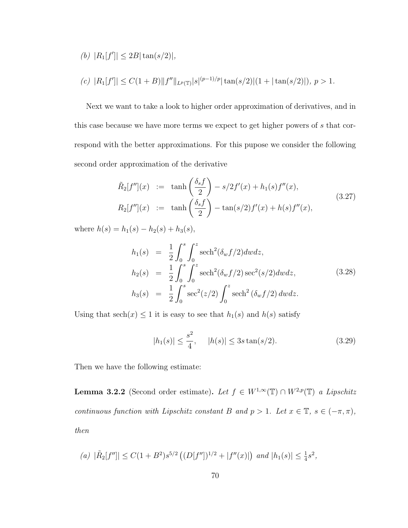(b)  $|R_1[f']| \leq 2B|\tan(s/2)|$ ,

$$
(c) |R_1[f]| \leq C(1+B) ||f''||_{L^p(\mathbb{T})}|s|^{(p-1)/p} |\tan(s/2)|(1+|\tan(s/2)|), p>1.
$$

Next we want to take a look to higher order approximation of derivatives, and in this case because we have more terms we expect to get higher powers of s that correspond with the better approximations. For this pupose we consider the following second order approximation of the derivative

$$
\tilde{R}_2[f''](x) := \tanh\left(\frac{\delta_s f}{2}\right) - s/2f'(x) + h_1(s)f''(x),
$$
\n(3.27)  
\n
$$
R_2[f''](x) := \tanh\left(\frac{\delta_s f}{2}\right) - \tan(s/2)f'(x) + h(s)f''(x),
$$

where  $h(s) = h_1(s) - h_2(s) + h_3(s)$ ,

<span id="page-78-1"></span>
$$
h_1(s) = \frac{1}{2} \int_0^s \int_0^z \mathrm{sech}^2(\delta_w f/2) dw dz,
$$
  
\n
$$
h_2(s) = \frac{1}{2} \int_0^s \int_0^z \mathrm{sech}^2(\delta_w f/2) \mathrm{sec}^2(s/2) dw dz,
$$
  
\n
$$
h_3(s) = \frac{1}{2} \int_0^s \mathrm{sec}^2(z/2) \int_0^z \mathrm{sech}^2(\delta_w f/2) dw dz.
$$
\n(3.28)

Using that  $sech(x) \leq 1$  it is easy to see that  $h_1(s)$  and  $h(s)$  satisfy

$$
|h_1(s)| \le \frac{s^2}{4}, \quad |h(s)| \le 3s \tan(s/2). \tag{3.29}
$$

Then we have the following estimate:

<span id="page-78-0"></span>**Lemma 3.2.2** (Second order estimate). Let  $f \in W^{1,\infty}(\mathbb{T}) \cap W^{2,p}(\mathbb{T})$  a Lipschitz continuous function with Lipschitz constant B and  $p > 1$ . Let  $x \in \mathbb{T}$ ,  $s \in (-\pi, \pi)$ , then

(a) 
$$
|\tilde{R}_2[f'']| \leq C(1+B^2)s^{5/2} \left( (D[f''])^{1/2} + |f''(x)| \right)
$$
 and  $|h_1(s)| \leq \frac{1}{4}s^2$ ,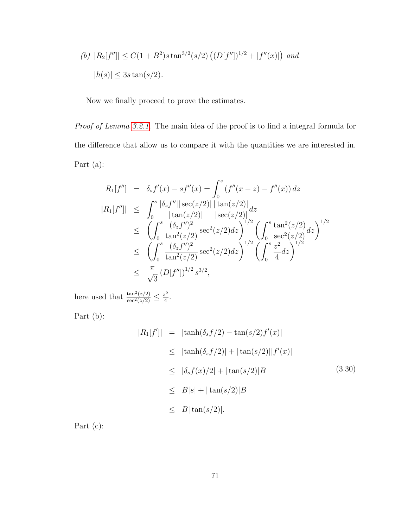(b) 
$$
|R_2[f'']| \le C(1 + B^2)s \tan^{3/2}(s/2) ((D[f''])^{1/2} + |f''(x)|)
$$
 and  
 $|h(s)| \le 3s \tan(s/2).$ 

Now we finally proceed to prove the estimates.

Proof of Lemma [3.2.1.](#page-77-0) The main idea of the proof is to find a integral formula for the difference that allow us to compare it with the quantities we are interested in. Part (a):

$$
R_{1}[f''] = \delta_{s}f'(x) - sf''(x) = \int_{0}^{s} (f''(x - z) - f''(x)) dz
$$
  
\n
$$
|R_{1}[f'']| \leq \int_{0}^{s} \frac{|\delta_{s}f''| |\sec(z/2)|}{|\tan(z/2)|} \frac{|\tan(z/2)|}{|\sec(z/2)|} dz
$$
  
\n
$$
\leq \left(\int_{0}^{s} \frac{(\delta_{z}f'')^{2}}{\tan^{2}(z/2)} \sec^{2}(z/2) dz\right)^{1/2} \left(\int_{0}^{s} \frac{\tan^{2}(z/2)}{\sec^{2}(z/2)} dz\right)^{1/2}
$$
  
\n
$$
\leq \left(\int_{0}^{s} \frac{(\delta_{z}f'')^{2}}{\tan^{2}(z/2)} \sec^{2}(z/2) dz\right)^{1/2} \left(\int_{0}^{s} \frac{z^{2}}{4} dz\right)^{1/2}
$$
  
\n
$$
\leq \frac{\pi}{\sqrt{3}} (D[f''])^{1/2} s^{3/2},
$$

here used that  $\frac{\tan^2(z/2)}{\sec^2(z/2)} \leq \frac{z^2}{4}$  $\frac{z^2}{4}$ .

Part (b):

$$
|R_1[f']| = |\tanh(\delta_s f/2) - \tan(s/2)f'(x)|
$$
  
\n
$$
\leq |\tanh(\delta_s f/2)| + |\tan(s/2)||f'(x)|
$$
  
\n
$$
\leq |\delta_s f(x)/2| + |\tan(s/2)|B
$$
  
\n
$$
\leq B|s| + |\tan(s/2)|B
$$
  
\n
$$
\leq B|\tan(s/2)|.
$$
 (3.30)

Part (c):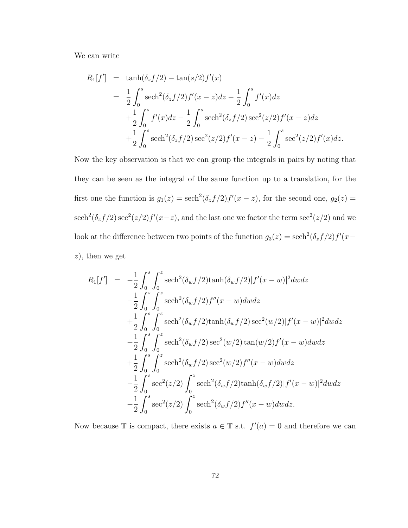We can write

$$
R_1[f'] = \tanh(\delta_s f/2) - \tan(s/2)f'(x)
$$
  
=  $\frac{1}{2} \int_0^s \operatorname{sech}^2(\delta_z f/2) f'(x - z) dz - \frac{1}{2} \int_0^s f'(x) dz$   
+  $\frac{1}{2} \int_0^s f'(x) dz - \frac{1}{2} \int_0^s \operatorname{sech}^2(\delta_z f/2) \operatorname{sec}^2(z/2) f'(x - z) dz$   
+  $\frac{1}{2} \int_0^s \operatorname{sech}^2(\delta_z f/2) \operatorname{sec}^2(z/2) f'(x - z) - \frac{1}{2} \int_0^s \operatorname{sec}^2(z/2) f'(x) dz.$ 

Now the key observation is that we can group the integrals in pairs by noting that they can be seen as the integral of the same function up to a translation, for the first one the function is  $g_1(z) = \operatorname{sech}^2(\delta_z f/2) f'(x-z)$ , for the second one,  $g_2(z) =$  $\text{sech}^2(\delta_z f/2) \text{ sec}^2(z/2) f'(x-z)$ , and the last one we factor the term  $\text{sec}^2(z/2)$  and we look at the difference between two points of the function  $g_3(z) = \operatorname{sech}^2(\delta_z f/2) f'(x (z)$ , then we get

$$
R_1[f'] = -\frac{1}{2} \int_0^s \int_0^z \mathrm{sech}^2(\delta_w f/2) \tanh(\delta_w f/2) |f'(x - w)|^2 dw dz
$$
  
\n
$$
-\frac{1}{2} \int_0^s \int_0^z \mathrm{sech}^2(\delta_w f/2) f''(x - w) dw dz
$$
  
\n
$$
+\frac{1}{2} \int_0^s \int_0^z \mathrm{sech}^2(\delta_w f/2) \tanh(\delta_w f/2) \mathrm{sec}^2(w/2) |f'(x - w)|^2 dw dz
$$
  
\n
$$
-\frac{1}{2} \int_0^s \int_0^z \mathrm{sech}^2(\delta_w f/2) \mathrm{sec}^2(w/2) \tan(w/2) f'(x - w) dw dz
$$
  
\n
$$
+\frac{1}{2} \int_0^s \int_0^z \mathrm{sech}^2(\delta_w f/2) \mathrm{sec}^2(w/2) f''(x - w) dw dz
$$
  
\n
$$
-\frac{1}{2} \int_0^s \mathrm{sec}^2(z/2) \int_0^z \mathrm{sech}^2(\delta_w f/2) \tanh(\delta_w f/2) |f'(x - w)|^2 dw dz
$$
  
\n
$$
-\frac{1}{2} \int_0^s \mathrm{sec}^2(z/2) \int_0^z \mathrm{sech}^2(\delta_w f/2) f''(x - w) dw dz.
$$

Now because  $\mathbb T$  is compact, there exists  $a \in \mathbb T$  s.t.  $f'(a) = 0$  and therefore we can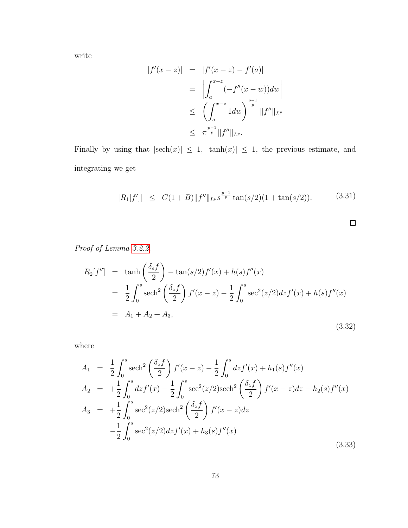write

$$
|f'(x-z)| = |f'(x-z) - f'(a)|
$$
  
=  $\left| \int_a^{x-z} (-f''(x-w))dw \right|$   
 $\leq \left( \int_a^{x-z} 1dw \right)^{\frac{p-1}{p}} ||f''||_{L^p}$   
 $\leq \pi^{\frac{p-1}{p}} ||f''||_{L^p}.$ 

Finally by using that  $|\text{sech}(x)| \leq 1$ ,  $|\tanh(x)| \leq 1$ , the previous estimate, and integrating we get

$$
|R_1[f']| \le C(1+B) \|f''\|_{L^{p}S}^{\frac{p-1}{p}} \tan(s/2)(1+\tan(s/2)). \tag{3.31}
$$

 $\Box$ 

Proof of Lemma [3.2.2.](#page-78-0)

$$
R_2[f''] = \tanh\left(\frac{\delta_s f}{2}\right) - \tan(s/2)f'(x) + h(s)f''(x)
$$
  
=  $\frac{1}{2} \int_0^s \operatorname{sech}^2\left(\frac{\delta_z f}{2}\right) f'(x - z) - \frac{1}{2} \int_0^s \operatorname{sec}^2(z/2) dz f'(x) + h(s) f''(x)$   
=  $A_1 + A_2 + A_3,$  (3.32)

where

$$
A_1 = \frac{1}{2} \int_0^s \operatorname{sech}^2 \left( \frac{\delta_z f}{2} \right) f'(x - z) - \frac{1}{2} \int_0^s dz f'(x) + h_1(s) f''(x)
$$
  
\n
$$
A_2 = + \frac{1}{2} \int_0^s dz f'(x) - \frac{1}{2} \int_0^s \operatorname{sec}^2(z/2) \operatorname{sech}^2 \left( \frac{\delta_z f}{2} \right) f'(x - z) dz - h_2(s) f''(x)
$$
  
\n
$$
A_3 = + \frac{1}{2} \int_0^s \operatorname{sec}^2(z/2) \operatorname{sech}^2 \left( \frac{\delta_z f}{2} \right) f'(x - z) dz
$$
  
\n
$$
- \frac{1}{2} \int_0^s \operatorname{sec}^2(z/2) dz f'(x) + h_3(s) f''(x)
$$
  
\n(3.33)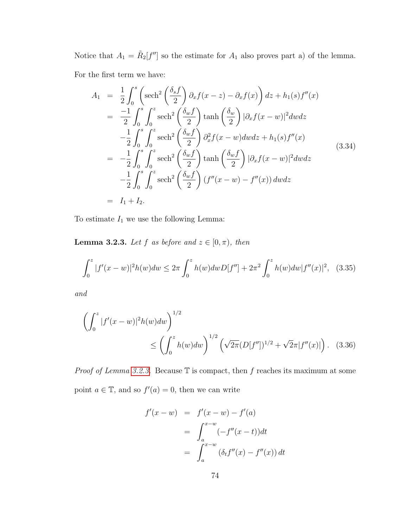Notice that  $A_1 = \tilde{R}_2[f'']$  so the estimate for  $A_1$  also proves part a) of the lemma.

For the first term we have:

$$
A_1 = \frac{1}{2} \int_0^s \left( \operatorname{sech}^2 \left( \frac{\delta_s f}{2} \right) \partial_x f(x - z) - \partial_x f(x) \right) dz + h_1(s) f''(x)
$$
  
\n
$$
= \frac{-1}{2} \int_0^s \int_0^z \operatorname{sech}^2 \left( \frac{\delta_w f}{2} \right) \tanh \left( \frac{\delta_w}{2} \right) |\partial_x f(x - w)|^2 dw dz
$$
  
\n
$$
- \frac{1}{2} \int_0^s \int_0^z \operatorname{sech}^2 \left( \frac{\delta_w f}{2} \right) \partial_x^2 f(x - w) dw dz + h_1(s) f''(x)
$$
  
\n
$$
= - \frac{1}{2} \int_0^s \int_0^z \operatorname{sech}^2 \left( \frac{\delta_w f}{2} \right) \tanh \left( \frac{\delta_w f}{2} \right) |\partial_x f(x - w)|^2 dw dz
$$
  
\n
$$
- \frac{1}{2} \int_0^s \int_0^z \operatorname{sech}^2 \left( \frac{\delta_w f}{2} \right) (f''(x - w) - f''(x)) dw dz
$$
  
\n
$$
= I_1 + I_2.
$$
 (3.34)

<span id="page-82-0"></span>To estimate  ${\cal I}_1$  we use the following Lemma:

**Lemma 3.2.3.** Let f as before and  $z \in [0, \pi)$ , then

$$
\int_0^z |f'(x-w)|^2 h(w) dw \le 2\pi \int_0^z h(w) dw D[f''] + 2\pi^2 \int_0^z h(w) dw |f''(x)|^2, \quad (3.35)
$$

and

$$
\left(\int_0^z |f'(x-w)|^2 h(w) dw\right)^{1/2} \le \left(\int_0^z h(w) dw\right)^{1/2} \left(\sqrt{2\pi} (D[f''])^{1/2} + \sqrt{2\pi} |f''(x)|\right). \tag{3.36}
$$

*Proof of Lemma [3.2.3.](#page-82-0)* Because  $\mathbb T$  is compact, then f reaches its maximum at some point  $a \in \mathbb{T}$ , and so  $f'(a) = 0$ , then we can write

$$
f'(x - w) = f'(x - w) - f'(a)
$$
  
= 
$$
\int_{a}^{x-w} (-f''(x - t)) dt
$$
  
= 
$$
\int_{a}^{x-w} (\delta_t f''(x) - f''(x)) dt
$$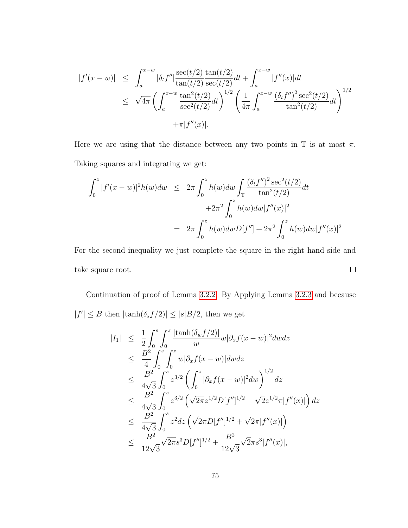$$
|f'(x - w)| \leq \int_{a}^{x-w} |\delta_t f''| \frac{\sec(t/2)}{\tan(t/2)} \frac{\tan(t/2)}{\sec(t/2)} dt + \int_{a}^{x-w} |f''(x)| dt
$$
  

$$
\leq \sqrt{4\pi} \left( \int_{a}^{x-w} \frac{\tan^2(t/2)}{\sec^2(t/2)} dt \right)^{1/2} \left( \frac{1}{4\pi} \int_{a}^{x-w} \frac{(\delta_t f'')^2 \sec^2(t/2)}{\tan^2(t/2)} dt \right)^{1/2}
$$
  

$$
+ \pi |f''(x)|.
$$

Here we are using that the distance between any two points in  $\mathbb T$  is at most  $\pi$ . Taking squares and integrating we get:

$$
\int_0^z |f'(x-w)|^2 h(w) dw \le 2\pi \int_0^z h(w) dw \int_\mathbb{T} \frac{(\delta_t f'')^2 \sec^2(t/2)}{\tan^2(t/2)} dt
$$
  
+2\pi^2 \int\_0^z h(w) dw |f''(x)|^2  
= 2\pi \int\_0^z h(w) dw D[f''] + 2\pi^2 \int\_0^z h(w) dw |f''(x)|^2

For the second inequality we just complete the square in the right hand side and  $\Box$ take square root.

Continuation of proof of Lemma [3.2.2.](#page-78-0) By Applying Lemma [3.2.3](#page-82-0) and because  $|f'| \leq B$  then  $|\tanh(\delta_s f/2)| \leq |s|B/2$ , then we get

$$
|I_{1}| \leq \frac{1}{2} \int_{0}^{s} \int_{0}^{z} \frac{|\tanh(\delta_{w}f/2)|}{w} w |\partial_{x}f(x-w)|^{2} dw dz
$$
  
\n
$$
\leq \frac{B^{2}}{4} \int_{0}^{s} \int_{0}^{z} w |\partial_{x}f(x-w)| dw dz
$$
  
\n
$$
\leq \frac{B^{2}}{4\sqrt{3}} \int_{0}^{s} z^{3/2} \left( \int_{0}^{z} |\partial_{x}f(x-w)|^{2} dw \right)^{1/2} dz
$$
  
\n
$$
\leq \frac{B^{2}}{4\sqrt{3}} \int_{0}^{s} z^{3/2} \left( \sqrt{2\pi} z^{1/2} D[f'']^{1/2} + \sqrt{2} z^{1/2} \pi |f''(x)| \right) dz
$$
  
\n
$$
\leq \frac{B^{2}}{4\sqrt{3}} \int_{0}^{s} z^{2} dz \left( \sqrt{2\pi} D[f'']^{1/2} + \sqrt{2}\pi |f''(x)| \right)
$$
  
\n
$$
\leq \frac{B^{2}}{12\sqrt{3}} \sqrt{2\pi} s^{3} D[f'']^{1/2} + \frac{B^{2}}{12\sqrt{3}} \sqrt{2\pi} s^{3} |f''(x)|,
$$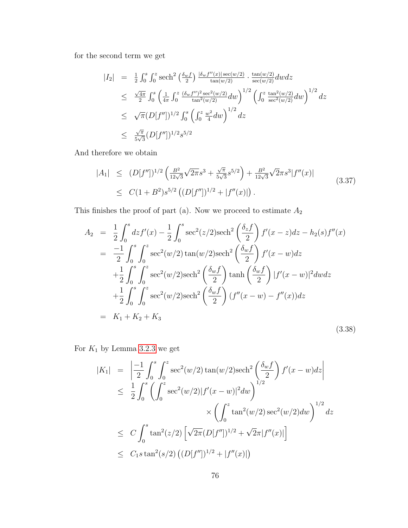for the second term we get

$$
|I_2| = \frac{1}{2} \int_0^s \int_0^z \operatorname{sech}^2 \left( \frac{\delta_w f}{2} \right) \frac{|\delta_w f''(x)| \operatorname{sec}(w/2)}{\tan(w/2)} \cdot \frac{\tan(w/2)}{\sec(w/2)} dw dz
$$
  
\n
$$
\leq \frac{\sqrt{4\pi}}{2} \int_0^s \left( \frac{1}{4\pi} \int_0^z \frac{(\delta_w f'')^2 \sec^2(w/2)}{\tan^2(w/2)} dw \right)^{1/2} \left( \int_0^z \frac{\tan^2(w/2)}{\sec^2(w/2)} dw \right)^{1/2} dz
$$
  
\n
$$
\leq \sqrt{\pi} (D[f''])^{1/2} \int_0^s \left( \int_0^z \frac{w^2}{4} dw \right)^{1/2} dz
$$
  
\n
$$
\leq \frac{\sqrt{\pi}}{5\sqrt{3}} (D[f''])^{1/2} s^{5/2}
$$

And therefore we obtain

$$
|A_1| \le (D[f''])^{1/2} \left( \frac{B^2}{12\sqrt{3}} \sqrt{2\pi} s^3 + \frac{\sqrt{\pi}}{5\sqrt{3}} s^{5/2} \right) + \frac{B^2}{12\sqrt{3}} \sqrt{2\pi} s^3 |f''(x)|
$$
  
 
$$
\le C(1+B^2) s^{5/2} \left( (D[f''])^{1/2} + |f''(x)| \right).
$$
 (3.37)

This finishes the proof of part (a). Now we proceed to estimate  $\mathcal{A}_2$ 

$$
A_2 = \frac{1}{2} \int_0^s dz f'(x) - \frac{1}{2} \int_0^s \sec^2(z/2) \operatorname{sech}^2\left(\frac{\delta_z f}{2}\right) f'(x - z) dz - h_2(s) f''(x)
$$
  
\n
$$
= \frac{-1}{2} \int_0^s \int_0^z \sec^2(w/2) \tan(w/2) \operatorname{sech}^2\left(\frac{\delta_w f}{2}\right) f'(x - w) dz
$$
  
\n
$$
+ \frac{1}{2} \int_0^s \int_0^z \sec^2(w/2) \operatorname{sech}^2\left(\frac{\delta_w f}{2}\right) \tanh\left(\frac{\delta_w f}{2}\right) |f'(x - w)|^2 dw dz
$$
  
\n
$$
+ \frac{1}{2} \int_0^s \int_0^z \sec^2(w/2) \operatorname{sech}^2\left(\frac{\delta_w f}{2}\right) (f''(x - w) - f''(x)) dz
$$
  
\n
$$
= K_1 + K_2 + K_3
$$
\n(3.38)

For  $K_1$  by Lemma [3.2.3](#page-82-0) we get

$$
|K_1| = \left| \frac{-1}{2} \int_0^s \int_0^z \sec^2(w/2) \tan(w/2) \sech^2\left(\frac{\delta_w f}{2}\right) f'(x - w) dz \right|
$$
  
\n
$$
\leq \frac{1}{2} \int_0^s \left( \int_0^z \sec^2(w/2) |f'(x - w)|^2 dw \right)^{1/2}
$$
  
\n
$$
\times \left( \int_0^z \tan^2(w/2) \sec^2(w/2) dw \right)^{1/2} dz
$$
  
\n
$$
\leq C \int_0^s \tan^2(z/2) \left[ \sqrt{2\pi} (D[f''])^{1/2} + \sqrt{2\pi} |f''(x)| \right]
$$
  
\n
$$
\leq C_1 s \tan^2(s/2) \left( (D[f''])^{1/2} + |f''(x)| \right)
$$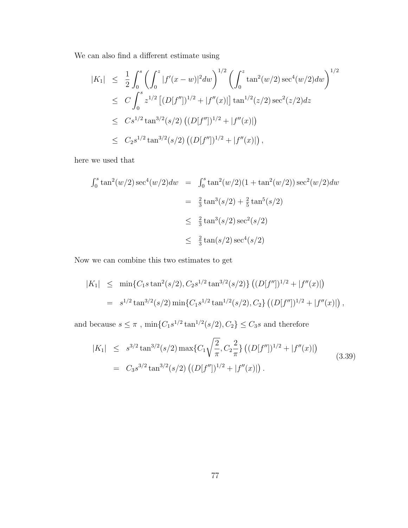We can also find a different estimate using

$$
|K_1| \leq \frac{1}{2} \int_0^s \left( \int_0^z |f'(x-w)|^2 dw \right)^{1/2} \left( \int_0^z \tan^2(w/2) \sec^4(w/2) dw \right)^{1/2}
$$
  
\n
$$
\leq C \int_0^s z^{1/2} \left[ (D[f''])^{1/2} + |f''(x)| \right] \tan^{1/2}(z/2) \sec^2(z/2) dz
$$
  
\n
$$
\leq C s^{1/2} \tan^{3/2}(s/2) \left( (D[f''])^{1/2} + |f''(x)| \right)
$$
  
\n
$$
\leq C_2 s^{1/2} \tan^{3/2}(s/2) \left( (D[f''])^{1/2} + |f''(x)| \right),
$$

here we used that

$$
\int_0^s \tan^2(w/2) \sec^4(w/2) dw = \int_0^s \tan^2(w/2) (1 + \tan^2(w/2)) \sec^2(w/2) dw
$$
  
=  $\frac{2}{3} \tan^3(s/2) + \frac{2}{5} \tan^5(s/2)$   
 $\leq \frac{2}{3} \tan^3(s/2) \sec^2(s/2)$   
 $\leq \frac{2}{3} \tan(s/2) \sec^4(s/2)$ 

Now we can combine this two estimates to get

$$
|K_1| \leq \min\{C_1 s \tan^2(s/2), C_2 s^{1/2} \tan^{3/2}(s/2)\} \left( (D[f''])^{1/2} + |f''(x)| \right)
$$
  
=  $s^{1/2} \tan^{3/2}(s/2) \min\{C_1 s^{1/2} \tan^{1/2}(s/2), C_2\} \left( (D[f''])^{1/2} + |f''(x)| \right),$ 

and because  $s \leq \pi$ ,  $\min\{C_1s^{1/2}\tan^{1/2}(s/2), C_2\} \leq C_3s$  and therefore

$$
|K_1| \leq s^{3/2} \tan^{3/2}(s/2) \max\{C_1 \sqrt{\frac{2}{\pi}}, C_2 \frac{2}{\pi}\} \left( (D[f''])^{1/2} + |f''(x)| \right)
$$
  
=  $C_3 s^{3/2} \tan^{3/2}(s/2) \left( (D[f''])^{1/2} + |f''(x)| \right).$  (3.39)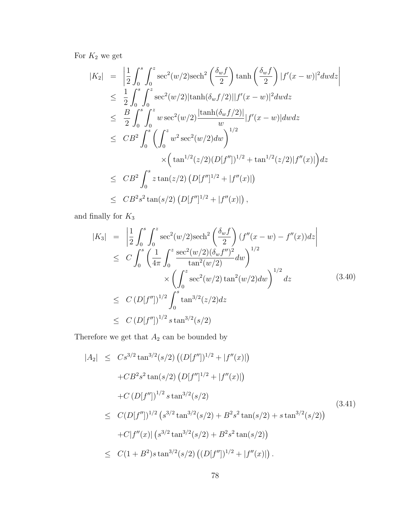For  $K_2$  we get

$$
|K_2| = \left| \frac{1}{2} \int_0^s \int_0^z \sec^2(w/2) \operatorname{sech}^2\left(\frac{\delta_w f}{2}\right) \tanh\left(\frac{\delta_w f}{2}\right) |f'(x-w)|^2 dw dz \right|
$$
  
\n
$$
\leq \frac{1}{2} \int_0^s \int_0^z \sec^2(w/2) |\tanh(\delta_w f/2)| |f'(x-w)|^2 dw dz
$$
  
\n
$$
\leq \frac{B}{2} \int_0^s \int_0^z w \sec^2(w/2) \frac{|\tanh(\delta_w f/2)|}{w} |f'(x-w)| dw dz
$$
  
\n
$$
\leq CB^2 \int_0^s \left( \int_0^z w^2 \sec^2(w/2) dw \right)^{1/2} + \tan^{1/2}(z/2) |f''(x)| \right) dz
$$
  
\n
$$
\leq CB^2 \int_0^s z \tan(z/2) (D[f'']^{1/2} + |f''(x)|)
$$
  
\n
$$
\leq CB^2 s^2 \tan(s/2) (D[f'']^{1/2} + |f''(x)|),
$$

and finally for  $\mathcal{K}_3$ 

$$
|K_3| = \left| \frac{1}{2} \int_0^s \int_0^z \sec^2(w/2) \operatorname{sech}^2\left(\frac{\delta_w f}{2}\right) (f''(x - w) - f''(x)) dz \right|
$$
  
\n
$$
\leq C \int_0^s \left( \frac{1}{4\pi} \int_0^z \frac{\sec^2(w/2) (\delta_w f'')^2}{\tan^2(w/2)} dw \right)^{1/2}
$$
  
\n
$$
\times \left( \int_0^z \sec^2(w/2) \tan^2(w/2) dw \right)^{1/2} dz
$$
  
\n
$$
\leq C \left( D[f''] \right)^{1/2} \int_0^s \tan^{3/2}(z/2) dz
$$
  
\n
$$
\leq C \left( D[f''] \right)^{1/2} s \tan^{3/2}(s/2)
$$
  
\n(3.40)

Therefore we get that  $\mathcal{A}_2$  can be bounded by

$$
|A_2| \leq Cs^{3/2} \tan^{3/2}(s/2) \left( (D[f''])^{1/2} + |f''(x)| \right)
$$
  
+  $CB^2 s^2 \tan(s/2) \left( D[f'']^{1/2} + |f''(x)| \right)$   
+  $C \left( D[f''] \right)^{1/2} s \tan^{3/2}(s/2)$   
 $\leq C (D[f''])^{1/2} \left( s^{3/2} \tan^{3/2}(s/2) + B^2 s^2 \tan(s/2) + s \tan^{3/2}(s/2) \right)$   
+  $C |f''(x)| \left( s^{3/2} \tan^{3/2}(s/2) + B^2 s^2 \tan(s/2) \right)$   
 $\leq C (1 + B^2) s \tan^{3/2}(s/2) \left( (D[f''])^{1/2} + |f''(x)| \right).$  (3.41)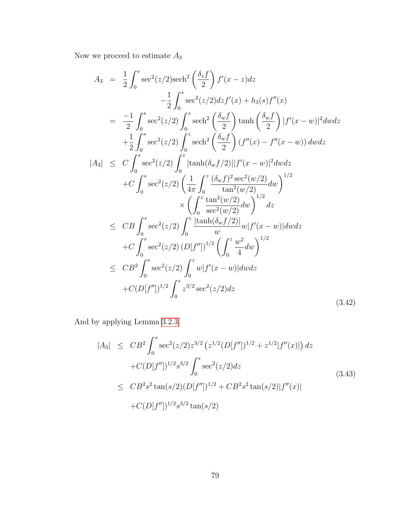Now we proceed to estimate  $\mathcal{A}_3$ 

$$
A_3 = \frac{1}{2} \int_0^s \sec^2(z/2) \operatorname{sech}^2\left(\frac{\delta_z f}{2}\right) f'(x-z) dz
$$
  
\n
$$
- \frac{1}{2} \int_0^s \sec^2(z/2) dz f'(x) + h_3(s) f''(x)
$$
  
\n
$$
= \frac{-1}{2} \int_0^s \sec^2(z/2) \int_0^z \operatorname{sech}^2\left(\frac{\delta_w f}{2}\right) \tanh\left(\frac{\delta_w f}{2}\right) |f'(x-w)|^2 dw dz
$$
  
\n
$$
+ \frac{1}{2} \int_0^s \sec^2(z/2) \int_0^z \operatorname{sech}^2\left(\frac{\delta_w f}{2}\right) (f''(x) - f''(x-w)) dw dz
$$
  
\n
$$
|A_3| \leq C \int_0^s \sec^2(z/2) \int_0^z |\tanh(\delta_w f/2)| |f'(x-w)|^2 dw dz
$$
  
\n
$$
+ C \int_0^s \sec^2(z/2) \left(\frac{1}{4\pi} \int_0^z \frac{(\delta_w f)^2 \sec^2(w/2)}{\tan^2(w/2)} dw\right)^{1/2} dz
$$
  
\n
$$
\leq C B \int_0^s \sec^2(z/2) \int_0^z \frac{|\tanh(\delta_w f/2)|}{w} w |f'(x-w)| dw dz
$$
  
\n
$$
+ C \int_0^s \sec^2(z/2) (D[f''])^{1/2} \left(\int_0^z \frac{w^2}{4} dw\right)^{1/2}
$$
  
\n
$$
\leq C B^2 \int_0^s \sec^2(z/2) \int_0^z w |f'(x-w)| dw dz
$$
  
\n
$$
+ C (D[f''])^{1/2} \int_0^z z^{3/2} \sec^2(z/2) dz
$$
  
\n(3.42)

And by applying Lemma [3.2.3](#page-82-0)

$$
|A_3| \leq CB^2 \int_0^s \sec^2(z/2) z^{3/2} (z^{1/2} (D[f''])^{1/2} + z^{1/2} |f''(x)|) dz
$$
  
+
$$
C(D[f''])^{1/2} s^{3/2} \int_0^s \sec^2(z/2) dz
$$
  

$$
\leq CB^2 s^2 \tan(s/2) (D[f''])^{1/2} + CB^2 s^2 \tan(s/2) |f''(x)|
$$
  
+
$$
C(D[f''])^{1/2} s^{3/2} \tan(s/2)
$$
 (3.43)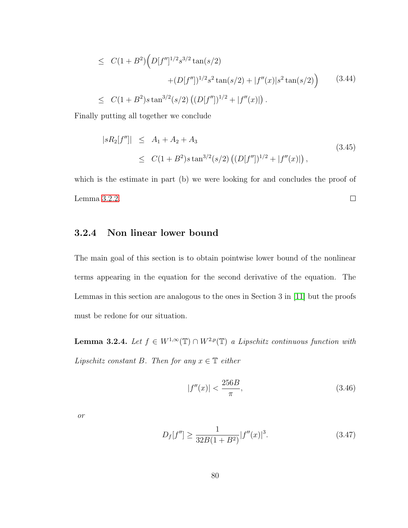$$
\leq C(1+B^2)\Big(D[f'']^{1/2}s^{3/2}\tan(s/2) + (D[f''])^{1/2}s^2\tan(s/2) + |f''(x)|s^2\tan(s/2)\Big) \qquad (3.44)
$$
  

$$
\leq C(1+B^2)s\tan^{3/2}(s/2)\left((D[f''])^{1/2} + |f''(x)|\right).
$$

Finally putting all together we conclude

$$
|sR_2[f'']| \le A_1 + A_2 + A_3
$$
  
\n
$$
\le C(1 + B^2)s \tan^{3/2}(s/2) \left( (D[f''])^{1/2} + |f''(x)| \right),
$$
\n(3.45)

which is the estimate in part (b) we were looking for and concludes the proof of Lemma [3.2.2.](#page-78-0)  $\Box$ 

## <span id="page-88-1"></span>3.2.4 Non linear lower bound

The main goal of this section is to obtain pointwise lower bound of the nonlinear terms appearing in the equation for the second derivative of the equation. The Lemmas in this section are analogous to the ones in Section 3 in [\[11\]](#page-252-0) but the proofs must be redone for our situation.

<span id="page-88-0"></span>**Lemma 3.2.4.** Let  $f \in W^{1,\infty}(\mathbb{T}) \cap W^{2,p}(\mathbb{T})$  a Lipschitz continuous function with Lipschitz constant B. Then for any  $x \in \mathbb{T}$  either

$$
|f''(x)| < \frac{256B}{\pi},\tag{3.46}
$$

or

$$
D_f[f''] \ge \frac{1}{32B(1+B^2)} |f''(x)|^3. \tag{3.47}
$$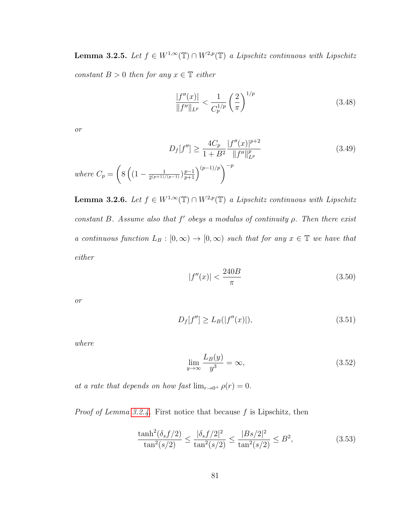<span id="page-89-0"></span>**Lemma 3.2.5.** Let  $f \in W^{1,\infty}(\mathbb{T}) \cap W^{2,p}(\mathbb{T})$  a Lipschitz continuous with Lipschitz constant  $B > 0$  then for any  $x \in \mathbb{T}$  either

$$
\frac{|f''(x)|}{\|f''\|_{L^p}} < \frac{1}{C_p^{1/p}} \left(\frac{2}{\pi}\right)^{1/p} \tag{3.48}
$$

or

$$
D_f[f''] \ge \frac{4C_p}{1 + B^2} \frac{|f''(x)|^{p+2}}{\|f''\|_{L^p}^p}
$$
\nwhere  $C_p = \left(8\left((1 - \frac{1}{2^{(p+1)/(p-1)}})\frac{p-1}{p+1}\right)^{(p-1)/p}\right)^{-p}$ 

\n(3.49)

<span id="page-89-1"></span>**Lemma 3.2.6.** Let  $f \in W^{1,\infty}(\mathbb{T}) \cap W^{2,p}(\mathbb{T})$  a Lipschitz continuous with Lipschitz constant B. Assume also that  $f'$  obeys a modulus of continuity  $\rho$ . Then there exist a continuous function  $L_B : [0, \infty) \to [0, \infty)$  such that for any  $x \in \mathbb{T}$  we have that either

$$
|f''(x)| < \frac{240B}{\pi} \tag{3.50}
$$

or

$$
D_f[f''] \ge L_B(|f''(x)|),\tag{3.51}
$$

where

<span id="page-89-2"></span>
$$
\lim_{y \to \infty} \frac{L_B(y)}{y^3} = \infty,\tag{3.52}
$$

at a rate that depends on how fast  $\lim_{r\to 0^+} \rho(r) = 0$ .

*Proof of Lemma [3.2.4.](#page-88-0)* First notice that because  $f$  is Lipschitz, then

$$
\frac{\tanh^2(\delta_s f/2)}{\tan^2(s/2)} \le \frac{|\delta_s f/2|^2}{\tan^2(s/2)} \le \frac{|Bs/2|^2}{\tan^2(s/2)} \le B^2,\tag{3.53}
$$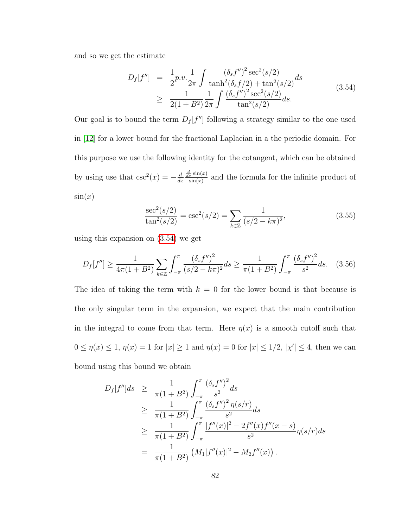and so we get the estimate

<span id="page-90-0"></span>
$$
D_f[f''] = \frac{1}{2}p.v.\frac{1}{2\pi} \int \frac{(\delta_s f'')^2 \sec^2(s/2)}{\tanh^2(\delta_s f/2) + \tan^2(s/2)} ds
$$
  
 
$$
\geq \frac{1}{2(1+B^2)} \frac{1}{2\pi} \int \frac{(\delta_s f'')^2 \sec^2(s/2)}{\tan^2(s/2)} ds.
$$
 (3.54)

Our goal is to bound the term  $D_f[f'']$  following a strategy similar to the one used in [\[12\]](#page-253-0) for a lower bound for the fractional Laplacian in a the periodic domain. For this purpose we use the following identity for the cotangent, which can be obtained by using use that  $\csc^2(x) = -\frac{d}{dx}$  $dx$  $\frac{d}{dx}\sin(x)$  $\frac{\pi}{\sin(x)}$  and the formula for the infinite product of  $\sin(x)$ 

$$
\frac{\sec^2(s/2)}{\tan^2(s/2)} = \csc^2(s/2) = \sum_{k \in \mathbb{Z}} \frac{1}{(s/2 - k\pi)^2},\tag{3.55}
$$

using this expansion on [\(3.54\)](#page-90-0) we get

<span id="page-90-1"></span>
$$
D_f[f''] \ge \frac{1}{4\pi(1+B^2)} \sum_{k \in \mathbb{Z}} \int_{-\pi}^{\pi} \frac{(\delta_s f'')^2}{(s/2 - k\pi)^2} ds \ge \frac{1}{\pi(1+B^2)} \int_{-\pi}^{\pi} \frac{(\delta_s f'')^2}{s^2} ds. \tag{3.56}
$$

The idea of taking the term with  $k = 0$  for the lower bound is that because is the only singular term in the expansion, we expect that the main contribution in the integral to come from that term. Here  $\eta(x)$  is a smooth cutoff such that  $0 \le \eta(x) \le 1, \eta(x) = 1$  for  $|x| \ge 1$  and  $\eta(x) = 0$  for  $|x| \le 1/2, |x'| \le 4$ , then we can bound using this bound we obtain

$$
D_f[f'']ds \geq \frac{1}{\pi(1+B^2)} \int_{-\pi}^{\pi} \frac{(\delta_s f'')^2}{s^2} ds
$$
  
\n
$$
\geq \frac{1}{\pi(1+B^2)} \int_{-\pi}^{\pi} \frac{(\delta_s f'')^2 \eta(s/r)}{s^2} ds
$$
  
\n
$$
\geq \frac{1}{\pi(1+B^2)} \int_{-\pi}^{\pi} \frac{|f''(x)|^2 - 2f''(x)f''(x-s)}{s^2} \eta(s/r) ds
$$
  
\n
$$
= \frac{1}{\pi(1+B^2)} (M_1|f''(x)|^2 - M_2f''(x)).
$$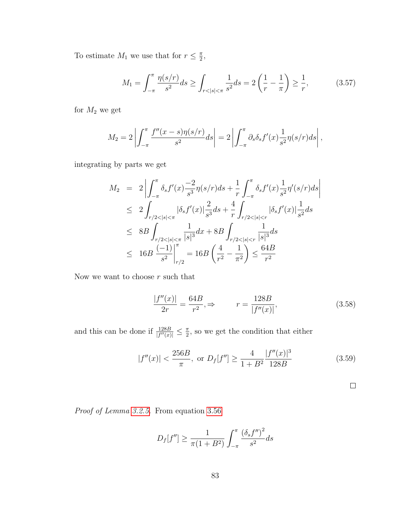To estimate  $M_1$  we use that for  $r \leq \frac{\pi}{2}$  $\frac{\pi}{2}$ 

$$
M_1 = \int_{-\pi}^{\pi} \frac{\eta(s/r)}{s^2} ds \ge \int_{r < |s| < \pi} \frac{1}{s^2} ds = 2\left(\frac{1}{r} - \frac{1}{\pi}\right) \ge \frac{1}{r},\tag{3.57}
$$

for  $M_2$  we get

$$
M_2 = 2\left|\int_{-\pi}^{\pi} \frac{f''(x-s)\eta(s/r)}{s^2} ds\right| = 2\left|\int_{-\pi}^{\pi} \partial_s \delta_s f'(x) \frac{1}{s^2} \eta(s/r) ds\right|,
$$

integrating by parts we get

$$
M_2 = 2 \left| \int_{-\pi}^{\pi} \delta_s f'(x) \frac{-2}{s^3} \eta(s/r) ds + \frac{1}{r} \int_{-\pi}^{\pi} \delta_s f'(x) \frac{1}{s^2} \eta'(s/r) ds \right|
$$
  
\n
$$
\leq 2 \int_{r/2 < |s| < \pi} |\delta_s f'(x)| \frac{2}{s^3} ds + \frac{4}{r} \int_{r/2 < |s| < r} |\delta_s f'(x)| \frac{1}{s^2} ds
$$
  
\n
$$
\leq 8B \int_{r/2 < |s| < \pi} \frac{1}{|s|^3} dx + 8B \int_{r/2 < |s| < r} \frac{1}{|s|^3} ds
$$
  
\n
$$
\leq 16B \frac{(-1)}{s^2} \Big|_{r/2}^{\pi} = 16B \left( \frac{4}{r^2} - \frac{1}{\pi^2} \right) \leq \frac{64B}{r^2}
$$

Now we want to choose  $r$  such that

$$
\frac{|f''(x)|}{2r} = \frac{64B}{r^2}, \Rightarrow \qquad r = \frac{128B}{|f''(x)|},\tag{3.58}
$$

and this can be done if  $\frac{128B}{|f''(x)|} \leq \frac{\pi}{2}$  $\frac{\pi}{2}$ , so we get the condition that either

$$
|f''(x)| < \frac{256B}{\pi}, \text{ or } D_f[f''] \ge \frac{4}{1+B^2} \frac{|f''(x)|^3}{128B} \tag{3.59}
$$

$$
\boxed{\phantom{0}}
$$

Proof of Lemma [3.2.5.](#page-89-0) From equation [3.56](#page-90-1)

$$
D_f[f''] \ge \frac{1}{\pi (1 + B^2)} \int_{-\pi}^{\pi} \frac{(\delta_s f'')^2}{s^2} ds
$$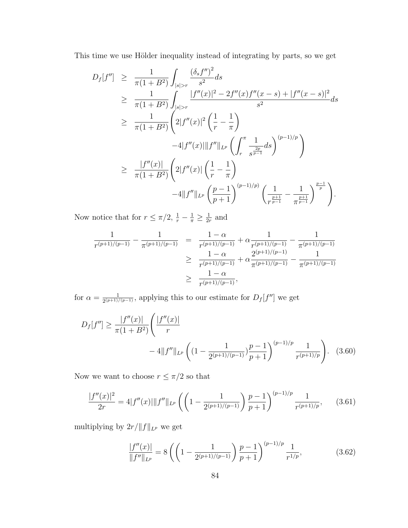This time we use Hölder inequality instead of integrating by parts, so we get

$$
D_{f}[f''] \geq \frac{1}{\pi(1+B^{2})} \int_{|s|>r} \frac{(\delta_{s}f'')^{2}}{s^{2}} ds
$$
  
\n
$$
\geq \frac{1}{\pi(1+B^{2})} \int_{|s|>r} \frac{|f''(x)|^{2} - 2f''(x)f''(x-s) + |f''(x-s)|^{2}}{s^{2}} ds
$$
  
\n
$$
\geq \frac{1}{\pi(1+B^{2})} \left( 2|f''(x)|^{2} \left( \frac{1}{r} - \frac{1}{\pi} \right) -4|f''(x)|||f''||_{L^{p}} \left( \int_{r}^{\pi} \frac{1}{s^{\frac{2p}{p-1}}} ds \right)^{(p-1)/p} \right)
$$
  
\n
$$
\geq \frac{|f''(x)|}{\pi(1+B^{2})} \left( 2|f''(x)| \left( \frac{1}{r} - \frac{1}{\pi} \right) -4\|f''||_{L^{p}} \left( \frac{p-1}{p+1} \right)^{(p-1)/p} \left( \frac{1}{r^{\frac{p+1}{p-1}}} - \frac{1}{\pi^{\frac{p+1}{p-1}}} \right)^{\frac{p-1}{p}} \right).
$$

Now notice that for  $r \leq \pi/2$ ,  $\frac{1}{r} - \frac{1}{\pi} \geq \frac{1}{2n}$  $\frac{1}{2r}$  and

$$
\frac{1}{r^{(p+1)/(p-1)}} - \frac{1}{\pi^{(p+1)/(p-1)}} = \frac{1-\alpha}{r^{(p+1)/(p-1)}} + \alpha \frac{1}{r^{(p+1)/(p-1)}} - \frac{1}{\pi^{(p+1)/(p-1)}} \n\ge \frac{1-\alpha}{r^{(p+1)/(p-1)}} + \alpha \frac{2^{(p+1)/(p-1)}}{\pi^{(p+1)/(p-1)}} - \frac{1}{\pi^{(p+1)/(p-1)}} \n\ge \frac{1-\alpha}{r^{(p+1)/(p-1)}},
$$

for  $\alpha = \frac{1}{2(p+1)}$  $\frac{1}{2^{(p+1)/(p-1)}}$ , applying this to our estimate for  $D_f[f'']$  we get

$$
D_f[f''] \ge \frac{|f''(x)|}{\pi (1 + B^2)} \left( \frac{|f''(x)|}{r} - 4||f''||_{L^p} \left( (1 - \frac{1}{2^{(p+1)/(p-1)}}) \frac{p-1}{p+1} \right)^{(p-1)/p} \frac{1}{r^{(p+1)/p}} \right). \tag{3.60}
$$

Now we want to choose  $r\leq \pi/2$  so that

$$
\frac{|f''(x)|^2}{2r} = 4|f''(x)||f''||_{L^p}\left(\left(1 - \frac{1}{2^{(p+1)/(p-1)}}\right)\frac{p-1}{p+1}\right)^{(p-1)/p}\frac{1}{r^{(p+1)/p}},\qquad(3.61)
$$

multiplying by  $2r/\|f\|_{L^p}$  we get

$$
\frac{|f''(x)|}{\|f''\|_{L^p}} = 8\left(\left(1 - \frac{1}{2^{(p+1)/(p-1)}}\right)\frac{p-1}{p+1}\right)^{(p-1)/p}\frac{1}{r^{1/p}},\tag{3.62}
$$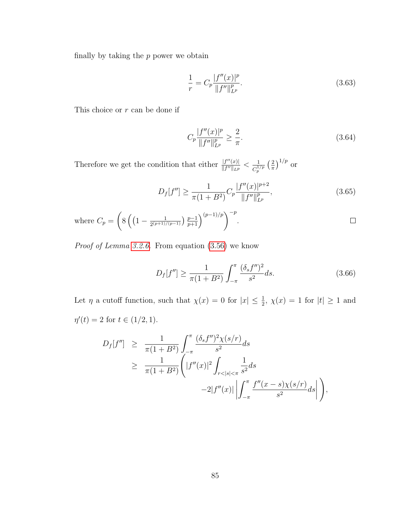finally by taking the  $p$  power we obtain

$$
\frac{1}{r} = C_p \frac{|f''(x)|^p}{\|f''\|_{L^p}^p}.\tag{3.63}
$$

This choice or  $\boldsymbol{r}$  can be done if

$$
C_p \frac{|f''(x)|^p}{\|f''\|_{L^p}^p} \ge \frac{2}{\pi}.\tag{3.64}
$$

Therefore we get the condition that either  $\frac{|f''(x)|}{||f''||_{x,y}}$  $\frac{|f''(x)|}{\|f''\|_{L^p}} < \frac{1}{C_p^1}$  $\frac{1}{C_p^{1/p}}\left(\frac{2}{\pi}\right)$  $\frac{2}{\pi}$ )<sup>1/p</sup> or

$$
D_f[f''] \ge \frac{1}{\pi (1 + B^2)} C_p \frac{|f''(x)|^{p+2}}{\|f''\|_{L^p}^p},
$$
\n(3.65)

where 
$$
C_p = \left( 8 \left( \left( 1 - \frac{1}{2^{(p+1)/(p-1)}} \right) \frac{p-1}{p+1} \right)^{(p-1)/p} \right)^{-p}
$$
.

Proof of Lemma [3.2.6.](#page-89-1) From equation [\(3.56\)](#page-90-1) we know

$$
D_f[f''] \ge \frac{1}{\pi(1+B^2)} \int_{-\pi}^{\pi} \frac{(\delta_s f'')^2}{s^2} ds.
$$
 (3.66)

Let  $\eta$  a cutoff function, such that  $\chi(x) = 0$  for  $|x| \leq \frac{1}{2}$ ,  $\chi(x) = 1$  for  $|t| \geq 1$  and  $\eta'(t) = 2$  for  $t \in (1/2, 1)$ .

$$
D_f[f''] \geq \frac{1}{\pi(1+B^2)} \int_{-\pi}^{\pi} \frac{(\delta_s f'')^2 \chi(s/r)}{s^2} ds
$$
  
 
$$
\geq \frac{1}{\pi(1+B^2)} \left( |f''(x)|^2 \int_{r<|s|<\pi} \frac{1}{s^2} ds -2|f''(x)| \left| \int_{-\pi}^{\pi} \frac{f''(x-s)\chi(s/r)}{s^2} ds \right| \right),
$$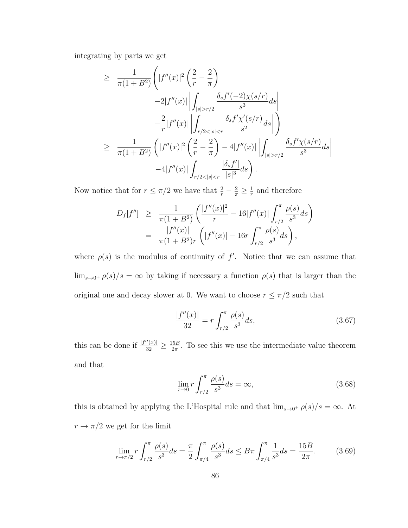integrating by parts we get

$$
\geq \frac{1}{\pi(1+B^2)} \Biggl( |f''(x)|^2 \left( \frac{2}{r} - \frac{2}{\pi} \right) -2|f''(x)| \Biggl| \int_{|s|>r/2} \frac{\delta_s f'(-2)\chi(s/r)}{s^3} ds \Biggr|
$$
  

$$
- \frac{2}{r} |f''(x)| \Biggl| \int_{r/2 < |s|  

$$
\geq \frac{1}{\pi(1+B^2)} \left( |f''(x)|^2 \left( \frac{2}{r} - \frac{2}{\pi} \right) - 4|f''(x)| \Biggl| \int_{|s|>r/2} \frac{\delta_s f'\chi(s/r)}{s^3} ds \Biggr|
$$
  

$$
-4|f''(x)| \int_{r/2 < |s|
$$
$$

Now notice that for  $r \leq \pi/2$  we have that  $\frac{2}{r} - \frac{2}{\pi} \geq \frac{1}{r}$  $\frac{1}{r}$  and therefore

$$
D_f[f''] \geq \frac{1}{\pi(1+B^2)} \left( \frac{|f''(x)|^2}{r} - 16|f''(x)| \int_{r/2}^{\pi} \frac{\rho(s)}{s^3} ds \right)
$$
  
= 
$$
\frac{|f''(x)|}{\pi(1+B^2)r} \left( |f''(x)| - 16r \int_{r/2}^{\pi} \frac{\rho(s)}{s^3} ds \right),
$$

where  $\rho(s)$  is the modulus of continuity of f'. Notice that we can assume that  $\lim_{s\to 0^+}\rho(s)/s=\infty$  by taking if necessary a function  $\rho(s)$  that is larger than the original one and decay slower at 0. We want to choose  $r\leq \pi/2$  such that

<span id="page-94-0"></span>
$$
\frac{|f''(x)|}{32} = r \int_{r/2}^{\pi} \frac{\rho(s)}{s^3} ds,
$$
\n(3.67)

this can be done if  $\frac{|f''(x)|}{32} \ge \frac{15B}{2\pi}$  $\frac{5B}{2\pi}$ . To see this we use the intermediate value theorem and that

<span id="page-94-1"></span>
$$
\lim_{r \to 0} r \int_{r/2}^{\pi} \frac{\rho(s)}{s^3} ds = \infty,
$$
\n(3.68)

this is obtained by applying the L'Hospital rule and that  $\lim_{s\to 0^+} \rho(s)/s = \infty$ . At  $r\rightarrow \pi/2$  we get for the limit

$$
\lim_{r \to \pi/2} r \int_{r/2}^{\pi} \frac{\rho(s)}{s^3} ds = \frac{\pi}{2} \int_{\pi/4}^{\pi} \frac{\rho(s)}{s^3} ds \le B \pi \int_{\pi/4}^{\pi} \frac{1}{s^3} ds = \frac{15B}{2\pi}.
$$
 (3.69)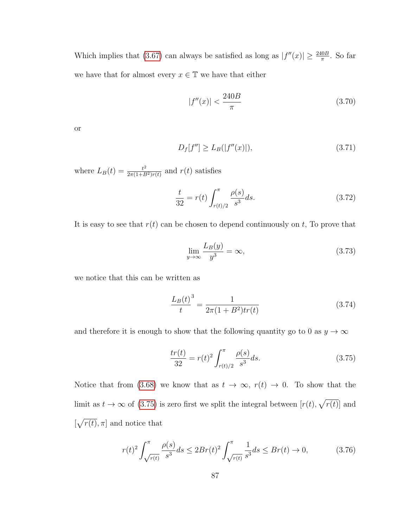Which implies that [\(3.67\)](#page-94-0) can always be satisfied as long as  $|f''(x)| \ge \frac{240B}{\pi}$ . So far we have that for almost every  $x\in\mathbb{T}$  we have that either

$$
|f''(x)| < \frac{240B}{\pi} \tag{3.70}
$$

or

$$
D_f[f''] \ge L_B(|f''(x)|),\tag{3.71}
$$

where  $L_B(t) = \frac{t^2}{2\pi(1+B)}$  $\frac{t^2}{2\pi(1+B^2)r(t)}$  and  $r(t)$  satisfies

$$
\frac{t}{32} = r(t) \int_{r(t)/2}^{\pi} \frac{\rho(s)}{s^3} ds.
$$
 (3.72)

It is easy to see that  $r(t)$  can be chosen to depend continuously on  $t$ , To prove that

$$
\lim_{y \to \infty} \frac{L_B(y)}{y^3} = \infty,\tag{3.73}
$$

we notice that this can be written as

$$
\frac{L_B(t)}{t}^3 = \frac{1}{2\pi(1+B^2)tr(t)}\tag{3.74}
$$

and therefore it is enough to show that the following quantity go to 0 as  $y\to\infty$ 

<span id="page-95-0"></span>
$$
\frac{tr(t)}{32} = r(t)^2 \int_{r(t)/2}^{\pi} \frac{\rho(s)}{s^3} ds.
$$
 (3.75)

Notice that from [\(3.68\)](#page-94-1) we know that as  $t \to \infty$ ,  $r(t) \to 0$ . To show that the limit as  $t \to \infty$  of [\(3.75\)](#page-95-0) is zero first we split the integral between  $[r(t), \sqrt{r(t)}]$  and  $[\sqrt{r(t)}, \pi]$  and notice that

$$
r(t)^{2} \int_{\sqrt{r(t)}}^{\pi} \frac{\rho(s)}{s^{3}} ds \le 2Br(t)^{2} \int_{\sqrt{r(t)}}^{\pi} \frac{1}{s^{3}} ds \le Br(t) \to 0,
$$
 (3.76)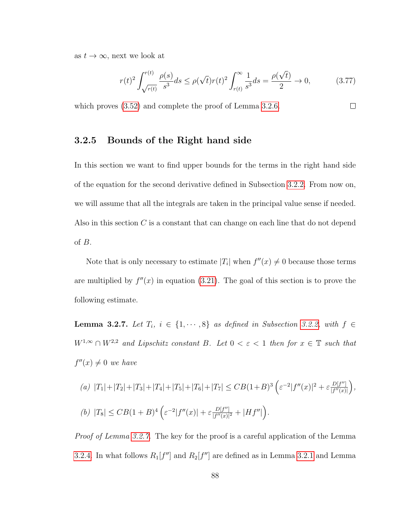as  $t \to \infty$ , next we look at

$$
r(t)^2 \int_{\sqrt{r(t)}}^{r(t)} \frac{\rho(s)}{s^3} ds \le \rho(\sqrt{t}) r(t)^2 \int_{r(t)}^{\infty} \frac{1}{s^3} ds = \frac{\rho(\sqrt{t})}{2} \to 0,
$$
 (3.77)

which proves [\(3.52\)](#page-89-2) and complete the proof of Lemma [3.2.6.](#page-89-1)  $\Box$ 

#### 3.2.5 Bounds of the Right hand side

In this section we want to find upper bounds for the terms in the right hand side of the equation for the second derivative defined in Subsection [3.2.2.](#page-75-1) From now on, we will assume that all the integrals are taken in the principal value sense if needed. Also in this section C is a constant that can change on each line that do not depend of  $B$ .

Note that is only necessary to estimate  $|T_i|$  when  $f''(x) \neq 0$  because those terms are multiplied by  $f''(x)$  in equation [\(3.21\)](#page-76-0). The goal of this section is to prove the following estimate.

<span id="page-96-0"></span>Lemma 3.2.7. Let  $T_i$ ,  $i \in \{1, \dots, 8\}$  as defined in Subsection [3.2.2,](#page-75-1) with  $f \in$  $W^{1,\infty} \cap W^{2,2}$  and Lipschitz constant B. Let  $0 < \varepsilon < 1$  then for  $x \in \mathbb{T}$  such that  $f''(x) \neq 0$  we have

(a) 
$$
|T_1| + |T_2| + |T_3| + |T_4| + |T_5| + |T_6| + |T_7| \leq CB(1+B)^3 \left( \varepsilon^{-2} |f''(x)|^2 + \varepsilon \frac{D[f'']}{|f''(x)|} \right),
$$
  
\n(b)  $|T_8| \leq CB(1+B)^4 \left( \varepsilon^{-2} |f''(x)| + \varepsilon \frac{D[f'']}{|f''(x)|^2} + |Hf''| \right).$ 

Proof of Lemma [3.2.7.](#page-96-0) The key for the proof is a careful application of the Lemma [3.2.4.](#page-88-1) In what follows  $R_1[f'']$  and  $R_2[f'']$  are defined as in Lemma [3.2.1](#page-77-0) and Lemma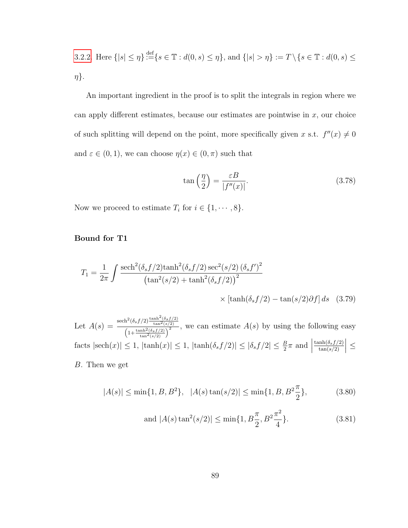3.2.2. Here 
$$
\{|s| \leq \eta\} \stackrel{\text{def}}{:=} \{s \in \mathbb{T} : d(0, s) \leq \eta\}, \text{ and } \{|s| > \eta\} := T \setminus \{s \in \mathbb{T} : d(0, s) \leq \eta\}.
$$

An important ingredient in the proof is to split the integrals in region where we can apply different estimates, because our estimates are pointwise in  $x$ , our choice of such splitting will depend on the point, more specifically given x s.t.  $f''(x) \neq 0$ and  $\varepsilon \in (0,1)$ , we can choose  $\eta(x) \in (0,\pi)$  such that

<span id="page-97-0"></span>
$$
\tan\left(\frac{\eta}{2}\right) = \frac{\varepsilon B}{|f''(x)|}.\tag{3.78}
$$

Now we proceed to estimate  $T_i$  for  $i \in \{1, \dots, 8\}$ .

Bound for T1

$$
T_1 = \frac{1}{2\pi} \int \frac{\mathrm{sech}^2(\delta_s f/2)\mathrm{tanh}^2(\delta_s f/2)\mathrm{sec}^2(s/2)\left(\delta_s f'\right)^2}{\left(\tan^2(s/2) + \tanh^2(\delta_s f/2)\right)^2} \times \left[\tanh(\delta_s f/2) - \tan(s/2)\partial f\right] ds \quad (3.79)
$$

Let  $A(s) = \frac{\text{sech}^2(\delta_s f/2) \frac{\tanh^2(\delta_s f/2)}{\tan^2(s/2)}}{\sqrt{(\text{sech}^2(\delta_s f/2))^2}}$  $\frac{1+\tanh^2(\delta_s f/2)}{\left(1+\tfrac{\tanh^2(\delta_s f/2)}{\tan^2(s/2)}\right)^2}$ , we can estimate  $A(s)$  by using the following easy facts  $|\text{sech}(x)| \le 1$ ,  $|\tanh(x)| \le 1$ ,  $|\tanh(\delta_s f/2)| \le |\delta_s f/2| \le \frac{B}{2}\pi$  and  $|$  $\tanh(\delta_s f/2)$  $tan(s/2)$  $\vert \leq$ B. Then we get

$$
|A(s)| \le \min\{1, B, B^2\}, \ |A(s)\tan(s/2)| \le \min\{1, B, B^2\frac{\pi}{2}\},\tag{3.80}
$$

and 
$$
|A(s) \tan^2(s/2)| \le \min\{1, B\frac{\pi}{2}, B^2\frac{\pi^2}{4}\}.
$$
 (3.81)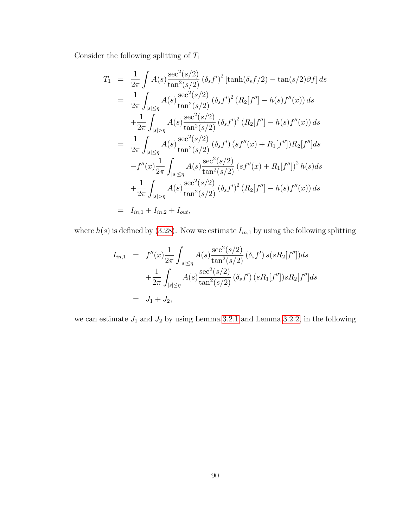Consider the following splitting of  $\mathcal{T}_1$ 

$$
T_{1} = \frac{1}{2\pi} \int A(s) \frac{\sec^{2}(s/2)}{\tan^{2}(s/2)} (\delta_{s}f')^{2} [\tanh(\delta_{s}f/2) - \tan(s/2)\partial f] ds
$$
  
\n
$$
= \frac{1}{2\pi} \int_{|s| \leq \eta} A(s) \frac{\sec^{2}(s/2)}{\tan^{2}(s/2)} (\delta_{s}f')^{2} (R_{2}[f''] - h(s)f''(x)) ds
$$
  
\n
$$
+ \frac{1}{2\pi} \int_{|s| > \eta} A(s) \frac{\sec^{2}(s/2)}{\tan^{2}(s/2)} (\delta_{s}f')^{2} (R_{2}[f''] - h(s)f''(x)) ds
$$
  
\n
$$
= \frac{1}{2\pi} \int_{|s| \leq \eta} A(s) \frac{\sec^{2}(s/2)}{\tan^{2}(s/2)} (\delta_{s}f') (s f''(x) + R_{1}[f'']) R_{2}[f''] ds
$$
  
\n
$$
-f''(x) \frac{1}{2\pi} \int_{|s| \leq \eta} A(s) \frac{\sec^{2}(s/2)}{\tan^{2}(s/2)} (s f''(x) + R_{1}[f''])^{2} h(s) ds
$$
  
\n
$$
+ \frac{1}{2\pi} \int_{|s| > \eta} A(s) \frac{\sec^{2}(s/2)}{\tan^{2}(s/2)} (\delta_{s}f')^{2} (R_{2}[f''] - h(s)f''(x)) ds
$$
  
\n
$$
= I_{in,1} + I_{in,2} + I_{out},
$$

where  $h(s)$  is defined by [\(3.28\)](#page-78-1). Now we estimate  $I_{in,1}$  by using the following splitting

$$
I_{in,1} = f''(x) \frac{1}{2\pi} \int_{|s| \le \eta} A(s) \frac{\sec^2(s/2)}{\tan^2(s/2)} (\delta_s f') s(sR_2[f'']) ds
$$
  
+ 
$$
\frac{1}{2\pi} \int_{|s| \le \eta} A(s) \frac{\sec^2(s/2)}{\tan^2(s/2)} (\delta_s f') (sR_1[f'']) sR_2[f''] ds
$$
  
= 
$$
J_1 + J_2,
$$

we can estimate  $J_1$  and  $J_2$  by using Lemma [3.2.1](#page-77-0) and Lemma [3.2.2,](#page-78-0) in the following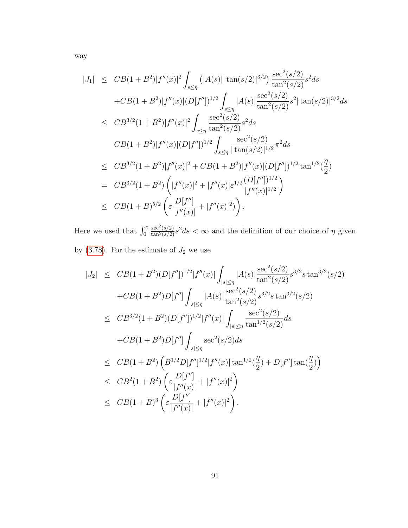way

$$
|J_{1}| \leq CB(1+B^{2})|f''(x)|^{2} \int_{s\leq \eta} (|A(s)||\tan(s/2)|^{3/2}) \frac{\sec^{2}(s/2)}{\tan^{2}(s/2)} s^{2} ds
$$
  
+ $CB(1+B^{2})|f''(x)|(D[f''])^{1/2} \int_{s\leq \eta} |A(s)| \frac{\sec^{2}(s/2)}{\tan^{2}(s/2)} s^{2} |\tan(s/2)|^{3/2} ds$   
 $\leq CB^{3/2}(1+B^{2})|f''(x)|^{2} \int_{s\leq \eta} \frac{\sec^{2}(s/2)}{\tan^{2}(s/2)} s^{2} ds$   
 $CB(1+B^{2})|f''(x)|(D[f''])^{1/2} \int_{s\leq \eta} \frac{\sec^{2}(s/2)}{|\tan(s/2)|^{1/2}} \pi^{2} ds$   
 $\leq CB^{3/2}(1+B^{2})|f''(x)|^{2} + CB(1+B^{2})|f''(x)|(D[f''])^{1/2} \tan^{1/2}(\frac{\eta}{2})$   
 $= CB^{3/2}(1+B^{2}) \left(|f''(x)|^{2} + |f''(x)|\varepsilon^{1/2} \frac{(D[f''])^{1/2}}{|f''(x)|^{1/2}}\right)$   
 $\leq CB(1+B)^{5/2} \left(\varepsilon \frac{D[f'']}{|f''(x)|} + |f''(x)|^{2}\right).$ 

Here we used that  $\int_0^{\pi}$  $\frac{\sec^2(s/2)}{\tan^2(s/2)}s^2ds < \infty$  and the definition of our choice of  $\eta$  given by [\(3.78\)](#page-97-0). For the estimate of  $J_2$  we use

$$
|J_2| \leq CB(1+B^2)(D[f''])^{1/2}|f''(x)| \int_{|s|\leq \eta} |A(s)| \frac{\sec^2(s/2)}{\tan^2(s/2)} s^{3/2} s \tan^{3/2}(s/2)
$$
  
+ $CB(1+B^2)D[f''] \int_{|s|\leq \eta} |A(s)| \frac{\sec^2(s/2)}{\tan^2(s/2)} s^{3/2} s \tan^{3/2}(s/2)$   
 $\leq CB^{3/2}(1+B^2)(D[f''])^{1/2}|f''(x)| \int_{|s|\leq \eta} \frac{\sec^2(s/2)}{\tan^{1/2}(s/2)} ds$   
+ $CB(1+B^2)D[f''] \int_{|s|\leq \eta} \sec^2(s/2) ds$   
 $\leq CB(1+B^2) \left( B^{1/2}D[f'']^{1/2}|f''(x)| \tan^{1/2}(\frac{\eta}{2}) + D[f''] \tan(\frac{\eta}{2}) \right)$   
 $\leq CB^2(1+B^2) \left( \frac{D[f'']}{|f''(x)|} + |f''(x)|^2 \right)$   
 $\leq CB(1+B)^3 \left( \frac{D[f'']}{f''(x)} + |f''(x)|^2 \right).$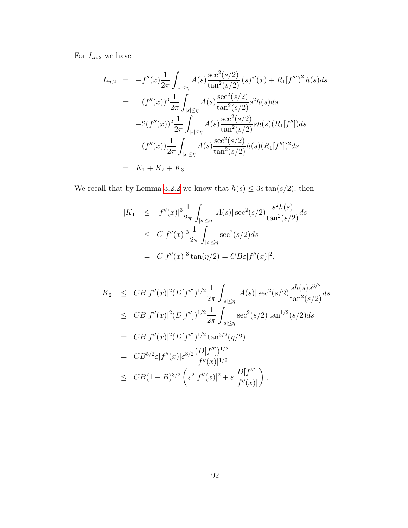For  $I_{in,2}$  we have

$$
I_{in,2} = -f''(x)\frac{1}{2\pi} \int_{|s|\leq \eta} A(s) \frac{\sec^2(s/2)}{\tan^2(s/2)} \left(s f''(x) + R_1[f'']\right)^2 h(s) ds
$$
  
\n
$$
= -(f''(x))^3 \frac{1}{2\pi} \int_{|s|\leq \eta} A(s) \frac{\sec^2(s/2)}{\tan^2(s/2)} s^2 h(s) ds
$$
  
\n
$$
-2(f''(x))^2 \frac{1}{2\pi} \int_{|s|\leq \eta} A(s) \frac{\sec^2(s/2)}{\tan^2(s/2)} sh(s) (R_1[f'']) ds
$$
  
\n
$$
-(f''(x)) \frac{1}{2\pi} \int_{|s|\leq \eta} A(s) \frac{\sec^2(s/2)}{\tan^2(s/2)} h(s) (R_1[f''])^2 ds
$$
  
\n
$$
= K_1 + K_2 + K_3.
$$

We recall that by Lemma [3.2.2](#page-78-0) we know that  $h(s) \leq 3s \tan(s/2)$ , then

$$
|K_1| \leq |f''(x)|^3 \frac{1}{2\pi} \int_{|s| \leq \eta} |A(s)| \sec^2(s/2) \frac{s^2 h(s)}{\tan^2(s/2)} ds
$$
  
\n
$$
\leq C |f''(x)|^3 \frac{1}{2\pi} \int_{|s| \leq \eta} \sec^2(s/2) ds
$$
  
\n
$$
= C |f''(x)|^3 \tan(\eta/2) = C B \epsilon |f''(x)|^2,
$$

$$
|K_2| \leq CB|f''(x)|^2 (D[f''])^{1/2} \frac{1}{2\pi} \int_{|s| \leq \eta} |A(s)| \sec^2(s/2) \frac{sh(s)s^{3/2}}{\tan^2(s/2)} ds
$$
  
\n
$$
\leq CB|f''(x)|^2 (D[f''])^{1/2} \frac{1}{2\pi} \int_{|s| \leq \eta} \sec^2(s/2) \tan^{1/2}(s/2) ds
$$
  
\n
$$
= CB|f''(x)|^2 (D[f''])^{1/2} \tan^{3/2}(\eta/2)
$$
  
\n
$$
= CB^{5/2} \varepsilon |f''(x)| \varepsilon^{3/2} \frac{(D[f''])^{1/2}}{|f''(x)|^{1/2}}
$$
  
\n
$$
\leq CB(1+B)^{3/2} \left( \varepsilon^2 |f''(x)|^2 + \varepsilon \frac{D[f'']}{|f''(x)|} \right),
$$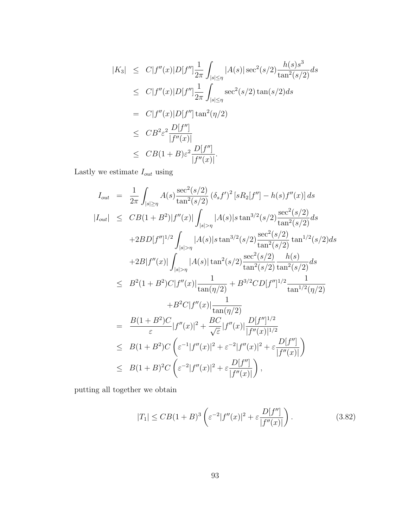$$
|K_3| \leq C|f''(x)|D[f''] \frac{1}{2\pi} \int_{|s| \leq \eta} |A(s)| \sec^2(s/2) \frac{h(s)s^3}{\tan^2(s/2)} ds
$$
  
\n
$$
\leq C|f''(x)|D[f''] \frac{1}{2\pi} \int_{|s| \leq \eta} \sec^2(s/2) \tan(s/2) ds
$$
  
\n
$$
= C|f''(x)|D[f''] \tan^2(\eta/2)
$$
  
\n
$$
\leq C B^2 \varepsilon^2 \frac{D[f'']}{|f''(x)|}
$$
  
\n
$$
\leq C B(1+B) \varepsilon^2 \frac{D[f'']}{|f''(x)|}.
$$

Lastly we estimate  $\mathcal{I}_{out}$  using

$$
I_{out} = \frac{1}{2\pi} \int_{|s| \ge \eta} A(s) \frac{\sec^2(s/2)}{\tan^2(s/2)} (\delta_s f')^2 [sR_2[f''] - h(s) f''(x)] ds
$$
  
\n
$$
|I_{out}| \le CB(1 + B^2)|f''(x)| \int_{|s| > \eta} |A(s)| s \tan^{3/2}(s/2) \frac{\sec^2(s/2)}{\tan^2(s/2)} ds
$$
  
\n
$$
+ 2BD[f'']^{1/2} \int_{|s| > \eta} |A(s)| s \tan^{3/2}(s/2) \frac{\sec^2(s/2)}{\tan^2(s/2)} \tan^{1/2}(s/2) ds
$$
  
\n
$$
+ 2B|f''(x)| \int_{|s| > \eta} |A(s)| \tan^2(s/2) \frac{\sec^2(s/2)}{\tan^2(s/2)} \frac{h(s)}{\tan^2(s/2)} ds
$$
  
\n
$$
\le B^2(1 + B^2)C|f''(x)| \frac{1}{\tan(\eta/2)} + B^{3/2}CD[f'']^{1/2} \frac{1}{\tan^{1/2}(\eta/2)}
$$
  
\n
$$
+ B^2C|f''(x)| \frac{1}{\tan(\eta/2)}
$$
  
\n
$$
= \frac{B(1 + B^2)C}{\varepsilon} |f''(x)|^2 + \frac{BC}{\sqrt{\varepsilon}} |f''(x)| \frac{D[f'']^{1/2}}{|f''(x)|^{1/2}}
$$
  
\n
$$
\le B(1 + B^2)C \left( \varepsilon^{-1}|f''(x)|^2 + \varepsilon^{-2}|f''(x)|^2 + \varepsilon \frac{D[f'']}{|f''(x)|} \right)
$$
  
\n
$$
\le B(1 + B)^2 C \left( \varepsilon^{-2}|f''(x)|^2 + \varepsilon \frac{D[f'']}{|f''(x)|} \right),
$$

putting all together we obtain

$$
|T_1| \leq CB(1+B)^3 \left( \varepsilon^{-2} |f''(x)|^2 + \varepsilon \frac{D[f'']}{|f''(x)|} \right).
$$
 (3.82)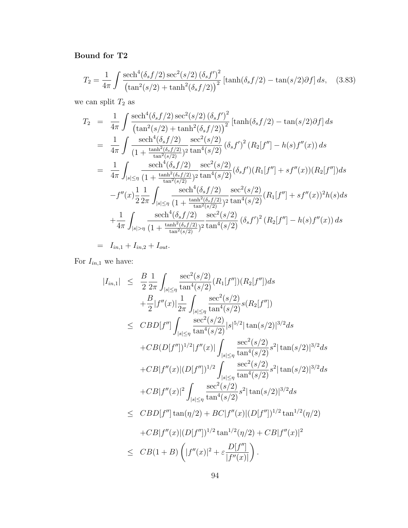# Bound for T2

$$
T_2 = \frac{1}{4\pi} \int \frac{\mathrm{sech}^4(\delta_s f/2) \mathrm{sec}^2(s/2) (\delta_s f')^2}{\left(\tan^2(s/2) + \tanh^2(\delta_s f/2)\right)^2} \left[\tanh(\delta_s f/2) - \tan(s/2)\partial f\right] ds, \quad (3.83)
$$

we can split  $\mathcal{T}_2$  as

$$
T_2 = \frac{1}{4\pi} \int \frac{\text{sech}^4(\delta_s f/2) \sec^2(s/2) (\delta_s f')^2}{(\tan^2(s/2) + \tanh^2(\delta_s f/2))} [\tanh(\delta_s f/2) - \tan(s/2)\partial f] ds
$$
  
\n
$$
= \frac{1}{4\pi} \int \frac{\text{sech}^4(\delta_s f/2) \sec^2(s/2)}{(1 + \frac{\tanh^2(\delta_s f/2)}{\tan^2(s/2)})^2} \frac{\sec^2(s/2)}{\tan^4(s/2)} (\delta_s f')^2 (R_2[f''] - h(s)f''(x)) ds
$$
  
\n
$$
= \frac{1}{4\pi} \int \frac{\text{sech}^4(\delta_s f/2) \sec^2(s/2)}{(1 + \frac{\tanh^2(\delta_s f/2)}{\tan^2(s/2)})^2} \frac{\sec^2(s/2)}{\tan^4(s/2)} (\delta_s f')(R_1[f''] + sf''(x))(R_2[f'']) ds
$$
  
\n
$$
-f''(x)\frac{1}{2} \frac{1}{2\pi} \int_{|s| \le \eta} \frac{\text{sech}^4(\delta_s f/2) \sec^2(s/2)}{(1 + \frac{\tanh^2(\delta_s f/2)}{\tan^2(s/2)})^2} \frac{\sec^2(s/2)}{\tan^4(s/2)} (R_1[f''] + sf''(x))^2 h(s) ds
$$
  
\n
$$
+ \frac{1}{4\pi} \int_{|s| > \eta} \frac{\text{sech}^4(\delta_s f/2) \sec^2(s/2)}{(1 + \frac{\tanh^2(\delta_s f/2)}{\tan^2(s/2)})^2} \frac{\sec^2(s/2)}{\tan^4(s/2)} (\delta_s f')^2 (R_2[f''] - h(s)f''(x)) ds
$$
  
\n
$$
= I_{in,1} + I_{in,2} + I_{out}.
$$

For  $\mathcal{I}_{in,1}$  we have:

$$
|I_{in,1}| \leq \frac{B}{2} \frac{1}{2\pi} \int_{|s| \leq \eta} \frac{\sec^2(s/2)}{\tan^4(s/2)} (R_1[f'])[R_2[f'']) ds + \frac{B}{2} |f''(x)| \frac{1}{2\pi} \int_{|s| \leq \eta} \frac{\sec^2(s/2)}{\tan^4(s/2)} s(R_2[f'']) \leq CBD[f''] \int_{|s| \leq \eta} \frac{\sec^2(s/2)}{\tan^4(s/2)} |s|^{5/2} |\tan(s/2)|^{3/2} ds + CB(D[f''])^{1/2} |f''(x)| \int_{|s| \leq \eta} \frac{\sec^2(s/2)}{\tan^4(s/2)} s^2 |\tan(s/2)|^{3/2} ds + CB|f''(x)| (D[f''])^{1/2} \int_{|s| \leq \eta} \frac{\sec^2(s/2)}{\tan^4(s/2)} s^2 |\tan(s/2)|^{3/2} ds + CB|f''(x)|^2 \int_{|s| \leq \eta} \frac{\sec^2(s/2)}{\tan^4(s/2)} s^2 |\tan(s/2)|^{3/2} ds \leq CBD[f''] \tan(\eta/2) + BC|f''(x)| (D[f''])^{1/2} \tan^{1/2}(\eta/2) + CB|f''(x)| (D[f''])^{1/2} \tan^{1/2}(\eta/2) + CB|f''(x)|^2  $\leq CB(1+B) (|f''(x)|^2 + \varepsilon \frac{D[f'']}{|f''(x)|})$ .
$$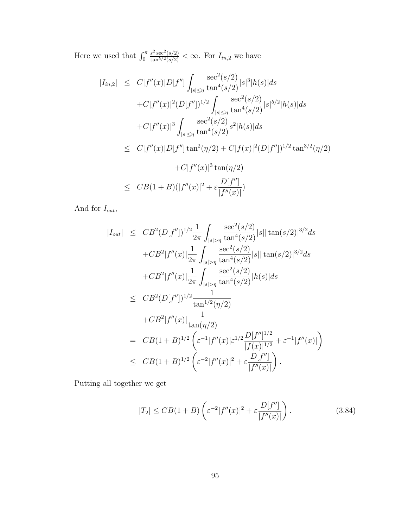Here we used that  $\int_0^{\pi}$  $\frac{s^2 \sec^2(s/2)}{\tan^{5/2}(s/2)} < \infty$ . For  $I_{in,2}$  we have

$$
|I_{in,2}| \leq C|f''(x)|D[f''] \int_{|s|\leq \eta} \frac{\sec^2(s/2)}{\tan^4(s/2)} |s|^3 |h(s)| ds
$$
  
+ $C|f''(x)|^2 (D[f''])^{1/2} \int_{|s|\leq \eta} \frac{\sec^2(s/2)}{\tan^4(s/2)} |s|^{5/2} |h(s)| ds$   
+ $C|f''(x)|^3 \int_{|s|\leq \eta} \frac{\sec^2(s/2)}{\tan^4(s/2)} s^2 |h(s)| ds$   
 $\leq C|f''(x)|D[f''] \tan^2(\eta/2) + C|f(x)|^2 (D[f''])^{1/2} \tan^{3/2}(\eta/2)$   
+ $C|f''(x)|^3 \tan(\eta/2)$   
 $\leq CB(1+B)(|f''(x)|^2 + \varepsilon \frac{D[f'']}{|f''(x)|})$ 

And for  $I_{out}$ ,

$$
|I_{out}| \leq CB^2(D[f''])^{1/2} \frac{1}{2\pi} \int_{|s|>\eta} \frac{\sec^2(s/2)}{\tan^4(s/2)} |s| |\tan(s/2)|^{3/2} ds
$$
  
+  $CB^2|f''(x)| \frac{1}{2\pi} \int_{|s|>\eta} \frac{\sec^2(s/2)}{\tan^4(s/2)} |s| |\tan(s/2)|^{3/2} ds$   
+  $CB^2|f''(x)| \frac{1}{2\pi} \int_{|s|>\eta} \frac{\sec^2(s/2)}{\tan^4(s/2)} |h(s)| ds$   
 $\leq CB^2(D[f''])^{1/2} \frac{1}{\tan^{1/2}(\eta/2)}$   
+  $CB^2|f''(x)| \frac{1}{\tan(\eta/2)}$   
=  $CB(1+B)^{1/2} \left( \varepsilon^{-1} |f''(x)| \varepsilon^{1/2} \frac{D[f'']^{1/2}}{|f(x)|^{1/2}} + \varepsilon^{-1} |f''(x)| \right)$   
 $\leq CB(1+B)^{1/2} \left( \varepsilon^{-2} |f''(x)|^2 + \varepsilon \frac{D[f'']}{|f''(x)|} \right).$ 

Putting all together we get

$$
|T_2| \leq CB(1+B)\left(\varepsilon^{-2}|f''(x)|^2 + \varepsilon \frac{D[f'']}{|f''(x)|}\right). \tag{3.84}
$$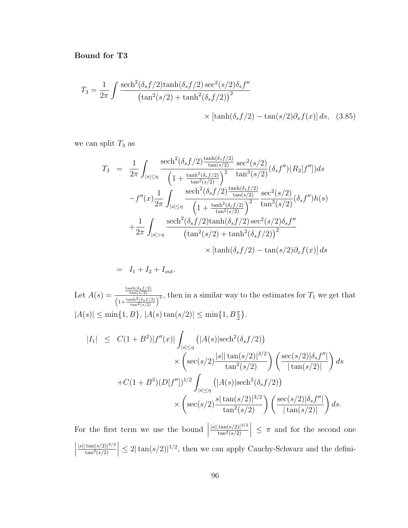Bound for T3

$$
T_3 = \frac{1}{2\pi} \int \frac{\mathrm{sech}^2(\delta_s f/2)\mathrm{tanh}(\delta_s f/2)\mathrm{sec}^2(s/2)\delta_s f''}{\left(\mathrm{tan}^2(s/2) + \mathrm{tanh}^2(\delta_s f/2)\right)^2} \times \left[\mathrm{tanh}(\delta_s f/2) - \mathrm{tan}(s/2)\partial_x f(x)\right] ds, \quad (3.85)
$$

we can split  $T_3$  as

$$
T_3 = \frac{1}{2\pi} \int_{|s| \le \eta} \frac{\text{sech}^2(\delta_s f/2) \frac{\tanh(\delta_s f/2)}{\tan(s/2)}}{\left(1 + \frac{\tanh^2(\delta_s f/2)}{\tan^2(s/2)}\right)^2} \frac{\text{sec}^2(s/2)}{\tan^3(s/2)} (\delta_s f'')(R_2[f'']) ds
$$
  

$$
-f''(x) \frac{1}{2\pi} \int_{|s| \le \eta} \frac{\text{sech}^2(\delta_s f/2) \frac{\tanh(\delta_s f/2)}{\tan(s/2)}}{\left(1 + \frac{\tanh^2(\delta_s f/2)}{\tan^2(s/2)}\right)^2} \frac{\text{sec}^2(s/2)}{\tan^3(s/2)} (\delta_s f'')h(s)
$$
  

$$
+ \frac{1}{2\pi} \int_{|s| > \eta} \frac{\text{sech}^2(\delta_s f/2) \tanh(\delta_s f/2) \text{sec}^2(s/2) \delta_s f''}{\left(\tan^2(s/2) + \tanh^2(\delta_s f/2)\right)^2}
$$
  

$$
\times \left[\tanh(\delta_s f/2) - \tan(s/2) \partial_x f(x)\right] ds
$$

$$
= I_1 + I_2 + I_{out}.
$$

Let  $A(s) = \frac{\frac{\tanh(\delta_s f/2)}{\tan(s/2)}}{\sqrt{1-\tanh^2(\delta_s f/2)}}$  $\frac{\tan(s/2)}{\left(1+\frac{\tanh^2(\delta_s f/2)}{\tan^2(s/2)}\right)^2}$ , then in a similar way to the estimates for  $T_1$  we get that  $|A(s)| \le \min\{1, B\}, |A(s) \tan(s/2)| \le \min\{1, B\frac{\pi}{2}\}.$ 

$$
|I_{1}| \leq C(1+B^{2})|f''(x)| \int_{|s|\leq \eta} (|A(s)| \mathrm{sech}^{2}(\delta_{s} f/2))
$$
  
 
$$
\times \left( \mathrm{sec}(s/2) \frac{|s| |\tan(s/2)|^{3/2}}{\tan^{2}(s/2)} \right) \left( \frac{\mathrm{sec}(s/2)|\delta_{s} f''|}{|\tan(s/2)|} \right) ds
$$
  
+
$$
C(1+B^{2})(D[f''])^{1/2} \int_{|s|\leq \eta} (|A(s)| \mathrm{sech}^{2}(\delta_{s} f/2))
$$
  

$$
\times \left( \mathrm{sec}(s/2) \frac{s |\tan(s/2)|^{3/2}}{\tan^{2}(s/2)} \right) \left( \frac{\mathrm{sec}(s/2)|\delta_{s} f''|}{|\tan(s/2)|} \right) ds.
$$

For the first term we use the bound  $\Big|$  $|s| |\tan(s/2)|^{3/2}$  $\tan^2(s/2)$  $\vert \leq \pi$  and for the second one  $\begin{array}{c} \begin{array}{c} \begin{array}{c} \end{array} \\ \begin{array}{c} \end{array} \end{array} \end{array}$  $|s| |\tan(s/2)|^{3/2}$  $\tan^2(s/2)$  $\vert \leq 2 \vert \tan(s/2) \vert^{1/2}$ , then we can apply Cauchy-Schwarz and the defini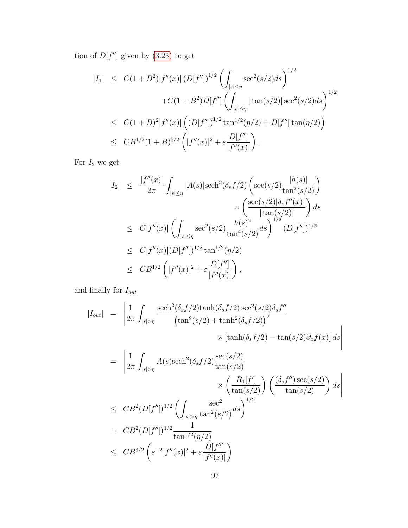tion of  $D[f'']$  given by [\(3.23\)](#page-76-1) to get

$$
|I_{1}| \leq C(1+B^{2})|f''(x)| (D[f''])^{1/2} \left( \int_{|s| \leq \eta} \sec^{2}(s/2) ds \right)^{1/2} + C(1+B^{2})D[f''] \left( \int_{|s| \leq \eta} |\tan(s/2)| \sec^{2}(s/2) ds \right)^{1/2} \leq C(1+B)^{2}|f''(x)| \left( (D[f''])^{1/2} \tan^{1/2}(\eta/2) + D[f''] \tan(\eta/2) \right) \leq C B^{1/2} (1+B)^{5/2} \left( |f''(x)|^{2} + \varepsilon \frac{D[f'']}{|f''(x)|} \right).
$$

For  $\mathcal{I}_2$  we get

$$
|I_2| \leq \frac{|f''(x)|}{2\pi} \int_{|s| \leq \eta} |A(s)| \mathrm{sech}^2(\delta_s f/2) \left( \mathrm{sec}(s/2) \frac{|h(s)|}{\tan^2(s/2)} \right) \times \left( \frac{\mathrm{sec}(s/2)|\delta_s f''(x)|}{|\tan(s/2)|} \right) ds
$$
  
\n
$$
\leq C|f''(x)| \left( \int_{|s| \leq \eta} \mathrm{sec}^2(s/2) \frac{h(s)^2}{\tan^4(s/2)} ds \right)^{1/2} (D[f''])^{1/2}
$$
  
\n
$$
\leq C|f''(x)| (D[f''])^{1/2} \tan^{1/2}(\eta/2)
$$
  
\n
$$
\leq C B^{1/2} \left( |f''(x)|^2 + \varepsilon \frac{D[f'']}{|f''(x)|} \right),
$$

and finally for  $\mathcal{I}_{out}$ 

$$
|I_{out}| = \left| \frac{1}{2\pi} \int_{|s| > \eta} \frac{\mathrm{sech}^2(\delta_s f/2) \mathrm{tanh}(\delta_s f/2) \mathrm{sec}^2(s/2) \delta_s f''}{\left(\mathrm{tan}^2(s/2) + \mathrm{tanh}^2(\delta_s f/2)\right)^2} \times \left[\mathrm{tanh}(\delta_s f/2) - \mathrm{tan}(s/2) \partial_x f(x)\right] ds \right|
$$

$$
= \left| \frac{1}{2\pi} \int_{|s|>\eta} A(s) \text{sech}^2(\delta_s f/2) \frac{\text{sec}(s/2)}{\tan(s/2)} \right| \times \left( \frac{R_1[f']}{\tan(s/2)} \right) \left( \frac{(\delta_s f'') \sec(s/2)}{\tan(s/2)} \right) ds
$$
  
\n
$$
\leq C B^2 (D[f''])^{1/2} \left( \int_{|s|>\eta} \frac{\sec^2}{\tan^2(s/2)} ds \right)^{1/2}
$$
  
\n
$$
= C B^2 (D[f''])^{1/2} \frac{1}{\tan^{1/2}(\eta/2)}
$$
  
\n
$$
\leq C B^{3/2} \left( \varepsilon^{-2} |f''(x)|^2 + \varepsilon \frac{D[f'']}{|f''(x)|} \right),
$$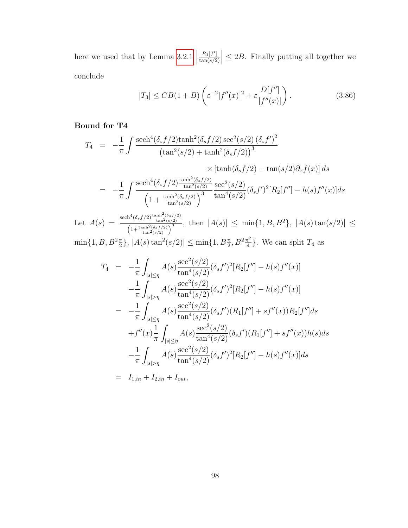here we used that by Lemma [3.2.1](#page-77-0)  $\Big|$  $R_1[f']$  $tan(s/2)$  $\vert \leq 2B$ . Finally putting all together we conclude

$$
|T_3| \leq CB(1+B)\left(\varepsilon^{-2}|f''(x)|^2 + \varepsilon \frac{D[f'']}{|f''(x)|}\right). \tag{3.86}
$$

#### Bound for T4

$$
T_4 = -\frac{1}{\pi} \int \frac{\mathrm{sech}^4(\delta_s f/2) \tanh^2(\delta_s f/2) \sec^2(s/2) (\delta_s f')^2}{\left(\tan^2(s/2) + \tanh^2(\delta_s f/2)\right)^3} \times \left[\tanh(\delta_s f/2) - \tan(s/2) \partial_x f(x)\right] ds
$$
  
= 
$$
-\frac{1}{\pi} \int \frac{\mathrm{sech}^4(\delta_s f/2) \frac{\tanh^2(\delta_s f/2)}{\tan^2(s/2)}}{\left(1 + \frac{\tanh^2(\delta_s f/2)}{\tan^2(s/2)}\right)^3} \frac{\sec^2(s/2)}{\tan^4(s/2)} (\delta_s f')^2 [R_2[f''] - h(s) f''(x)] ds
$$

Let  $A(s) = \frac{\text{sech}^4(\delta_s f/2) \frac{\tanh^2(\delta_s f/2)}{\tan^2(s/2)}}{\left(\frac{\tanh^2(\delta_s f/2)}{\cosh^2(\delta_s f/2)}\right)^3}$  $\frac{\ln \left(\frac{\log f}{\log f}\right)}{\left(1+\frac{\tanh^2(\delta_S f/2)}{\tan^2(s/2)}\right)^3}$ , then  $|A(s)| \le \min\{1, B, B^2\}$ ,  $|A(s) \tan(s/2)| \le$  $\min\{1, B, B^2\frac{\pi}{2}\}, |A(s) \tan^2(s/2)| \leq \min\{1, B\frac{\pi}{2}, B^2\frac{\pi^2}{4}\}\$  $\frac{\tau^2}{4}$ . We can split  $T_4$  as

$$
T_4 = -\frac{1}{\pi} \int_{|s| \le \eta} A(s) \frac{\sec^2(s/2)}{\tan^4(s/2)} (\delta_s f')^2 [R_2[f''] - h(s) f''(x)]
$$
  
\n
$$
- \frac{1}{\pi} \int_{|s| > \eta} A(s) \frac{\sec^2(s/2)}{\tan^4(s/2)} (\delta_s f')^2 [R_2[f''] - h(s) f''(x)]
$$
  
\n
$$
= -\frac{1}{\pi} \int_{|s| \le \eta} A(s) \frac{\sec^2(s/2)}{\tan^4(s/2)} (\delta_s f') (R_1[f''] + sf''(x)) R_2[f''] ds
$$
  
\n
$$
+ f''(x) \frac{1}{\pi} \int_{|s| \le \eta} A(s) \frac{\sec^2(s/2)}{\tan^4(s/2)} (\delta_s f') (R_1[f''] + sf''(x)) h(s) ds
$$
  
\n
$$
- \frac{1}{\pi} \int_{|s| > \eta} A(s) \frac{\sec^2(s/2)}{\tan^4(s/2)} (\delta_s f')^2 [R_2[f''] - h(s) f''(x)] ds
$$
  
\n
$$
= I_{1,in} + I_{2,in} + I_{out},
$$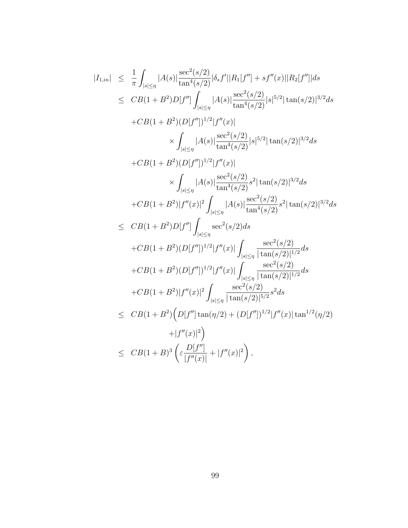$$
|I_{1,in}| \leq \frac{1}{\pi} \int_{|s| \leq \eta} |A(s)| \frac{\sec^2(s/2)}{\tan^4(s/2)} |\delta_s f'| |R_1[f''] + sf''(x)||R_2[f'']| ds
$$
  
\n
$$
\leq CB(1 + B^2)D[f''] \int_{|s| \leq \eta} |A(s)| \frac{\sec^2(s/2)}{\tan^4(s/2)} |s|^{5/2} |\tan(s/2)|^{3/2} ds
$$
  
\n
$$
+ CB(1 + B^2)(D[f''])^{1/2} |f''(x)|
$$
  
\n
$$
\times \int_{|s| \leq \eta} |A(s)| \frac{\sec^2(s/2)}{\tan^4(s/2)} |s|^{5/2} |\tan(s/2)|^{3/2} ds
$$
  
\n
$$
+ CB(1 + B^2)(D[f''])^{1/2} |f''(x)|
$$
  
\n
$$
\times \int_{|s| \leq \eta} |A(s)| \frac{\sec^2(s/2)}{\tan^4(s/2)} s^2 |\tan(s/2)|^{3/2} ds
$$
  
\n
$$
+ CB(1 + B^2)|f''(x)|^2 \int_{|s| \leq \eta} |A(s)| \frac{\sec^2(s/2)}{\tan^4(s/2)} s^2 |\tan(s/2)|^{3/2} ds
$$
  
\n
$$
\leq CB(1 + B^2)D[f''] \int_{|s| \leq \eta} \sec^2(s/2) ds
$$
  
\n
$$
+ CB(1 + B^2)(D[f''])^{1/2} |f''(x)| \int_{|s| \leq \eta} \frac{\sec^2(s/2)}{|\tan(s/2)|^{1/2}} ds
$$
  
\n
$$
+ CB(1 + B^2)(D[f''])^{1/2} |f''(x)| \int_{|s| \leq \eta} \frac{\sec^2(s/2)}{|\tan(s/2)|^{1/2}} ds
$$
  
\n
$$
+ CB(1 + B^2)|f''(x)|^2 \int_{|s| \leq \eta} \frac{\sec^2(s/2)}{|\tan(s/2)|^{1/2}} ds
$$
  
\n
$$
+ CB(1 + B^2)(D[f''] \tan(\eta/2) + (D[f''])^{1/2} |f''(x)| \tan^{1/2}(\eta/2) + |f''(x)|^2)
$$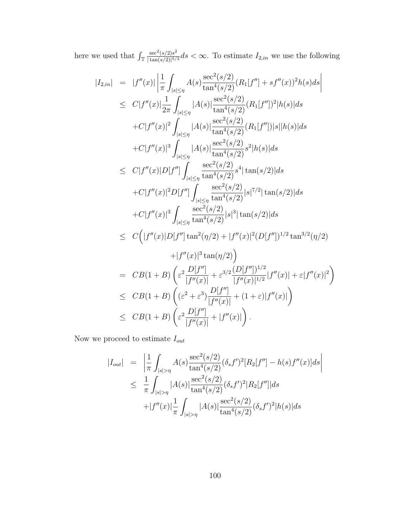here we used that  $\int_{\mathbb{T}}$  $\sec^2(s/2)s^2$  $\frac{\sec^{2}(s/2)s^{2}}{\tan(s/2)|5/2}ds < \infty$ . To estimate  $I_{2,in}$  we use the following

$$
|I_{2,in}| = |f''(x)| \left| \frac{1}{\pi} \int_{|s| \le \eta} A(s) \frac{\sec^2(s/2)}{\tan^4(s/2)} (R_1[f''] + sf''(x))^2 h(s) ds \right|
$$
  
\n
$$
\le C|f''(x)| \frac{1}{2\pi} \int_{|s| \le \eta} |A(s)| \frac{\sec^2(s/2)}{\tan^4(s/2)} (R_1[f''])^2 |h(s)| ds
$$
  
\n
$$
+ C|f''(x)|^2 \int_{|s| \le \eta} |A(s)| \frac{\sec^2(s/2)}{\tan^4(s/2)} (R_1[f'']) |s| |h(s)| ds
$$
  
\n
$$
+ C|f''(x)|^3 \int_{|s| \le \eta} |A(s)| \frac{\sec^2(s/2)}{\tan^4(s/2)} s^2 |h(s)| ds
$$
  
\n
$$
\le C|f''(x)| D[f''] \int_{|s| \le \eta} \frac{\sec^2(s/2)}{\tan^4(s/2)} s^4 | \tan(s/2) | ds
$$
  
\n
$$
+ C|f''(x)|^2 D[f''] \int_{|s| \le \eta} \frac{\sec^2(s/2)}{\tan^4(s/2)} |s|^{7/2} |\tan(s/2)| ds
$$
  
\n
$$
+ C|f''(x)|^3 \int_{|s| \le \eta} \frac{\sec^2(s/2)}{\tan^4(s/2)} |s|^3 |\tan(s/2)| ds
$$
  
\n
$$
\le C(|f''(x)| D[f''] \tan^2(\eta/2) + |f''(x)|^2 (D[f''])^{1/2} \tan^{3/2}(\eta/2) + |f''(x)|^3 \tan(\eta/2))
$$
  
\n
$$
+ |f''(x)|^3 \tan(\eta/2)
$$
  
\n
$$
= CB(1 + B) \left( \varepsilon^2 \frac{D[f'']}{|f''(x)|} + \varepsilon^{3/2} \frac{(D[f''])^{1/2}}{|f''(x)|^{1/2}} |f''(x)| + \varepsilon |f''(x)|^2 \right)
$$
  
\n
$$
\le CB(1 + B) \left( \varepsilon^2 + \varepsilon^3 \frac{D[f'']}{|f''(x)|} + (1 + \varepsilon) |f''(x)| \right)
$$
  
\n<

Now we proceed to estimate  $\mathcal{I}_{out}$ 

$$
|I_{out}| = \left| \frac{1}{\pi} \int_{|s| > \eta} A(s) \frac{\sec^2(s/2)}{\tan^4(s/2)} (\delta_s f')^2 [R_2[f''] - h(s) f''(x)] ds \right|
$$
  

$$
\leq \frac{1}{\pi} \int_{|s| > \eta} |A(s)| \frac{\sec^2(s/2)}{\tan^4(s/2)} (\delta_s f')^2 [R_2[f'']] ds
$$
  

$$
+ |f''(x)| \frac{1}{\pi} \int_{|s| > \eta} |A(s)| \frac{\sec^2(s/2)}{\tan^4(s/2)} (\delta_s f')^2 |h(s)| ds
$$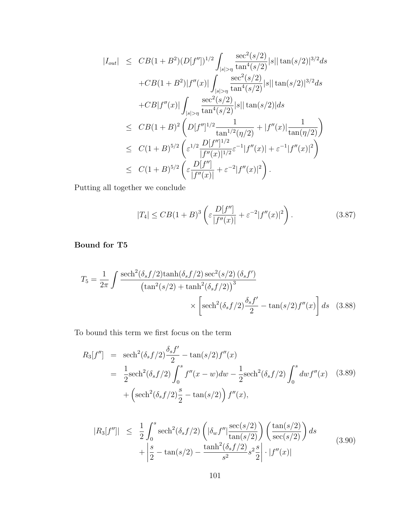$$
|I_{out}| \leq CB(1+B^2)(D[f''])^{1/2} \int_{|s|>\eta} \frac{\sec^2(s/2)}{\tan^4(s/2)} |s| |\tan(s/2)|^{3/2} ds
$$
  
+ $CB(1+B^2)|f''(x)| \int_{|s|>\eta} \frac{\sec^2(s/2)}{\tan^4(s/2)} |s| |\tan(s/2)|^{3/2} ds$   
+ $CB|f''(x)| \int_{|s|>\eta} \frac{\sec^2(s/2)}{\tan^4(s/2)} |s| |\tan(s/2)| ds$   
 $\leq CB(1+B)^2 \left( D[f'']^{1/2} \frac{1}{\tan^{1/2}(\eta/2)} + |f''(x)| \frac{1}{\tan(\eta/2)} \right)$   
 $\leq C(1+B)^{5/2} \left( \varepsilon^{1/2} \frac{D[f'']^{1/2}}{|f''(x)|^{1/2}} \varepsilon^{-1} |f''(x)| + \varepsilon^{-1} |f''(x)|^2 \right)$   
 $\leq C(1+B)^{5/2} \left( \varepsilon \frac{D[f'']}{|f''(x)|} + \varepsilon^{-2} |f''(x)|^2 \right).$ 

Putting all together we conclude

$$
|T_4| \leq CB(1+B)^3 \left( \varepsilon \frac{D[f'']}{|f''(x)|} + \varepsilon^{-2} |f''(x)|^2 \right).
$$
 (3.87)

Bound for T5

$$
T_5 = \frac{1}{2\pi} \int \frac{\mathrm{sech}^2(\delta_s f/2) \tanh(\delta_s f/2) \sec^2(s/2) (\delta_s f')}{\left(\tan^2(s/2) + \tanh^2(\delta_s f/2)\right)^3} \times \left[\mathrm{sech}^2(\delta_s f/2) \frac{\delta_s f'}{2} - \tan(s/2) f''(x)\right] ds \quad (3.88)
$$

To bound this term we first focus on the term

$$
R_3[f''] = \operatorname{sech}^2(\delta_s f/2) \frac{\delta_s f'}{2} - \tan(s/2) f''(x)
$$
  
=  $\frac{1}{2} \operatorname{sech}^2(\delta_s f/2) \int_0^s f''(x - w) dw - \frac{1}{2} \operatorname{sech}^2(\delta_s f/2) \int_0^s dw f''(x)$  (3.89)  
+  $\left( \operatorname{sech}^2(\delta_s f/2) \frac{s}{2} - \tan(s/2) \right) f''(x),$ 

$$
|R_3[f'']| \leq \frac{1}{2} \int_0^s \operatorname{sech}^2(\delta_s f/2) \left( |\delta_w f''| \frac{\operatorname{sec}(s/2)}{\tan(s/2)} \right) \left( \frac{\tan(s/2)}{\sec(s/2)} \right) ds + \left| \frac{s}{2} - \tan(s/2) - \frac{\tanh^2(\delta_s f/2)}{s^2} s^2 \frac{s}{2} \right| \cdot |f''(x)|
$$
(3.90)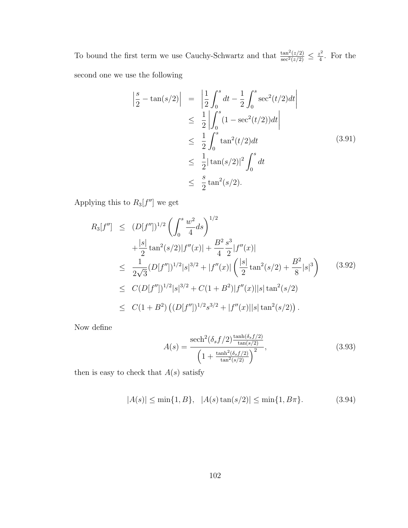To bound the first term we use Cauchy-Schwartz and that  $\frac{\tan^2(z/2)}{\sec^2(z/2)} \leq \frac{z^2}{4}$  $rac{z^2}{4}$ . For the second one we use the following

$$
\begin{aligned}\n\left| \frac{s}{2} - \tan(s/2) \right| &= \left| \frac{1}{2} \int_0^s dt - \frac{1}{2} \int_0^s \sec^2(t/2) dt \right| \\
&\leq \frac{1}{2} \left| \int_0^s (1 - \sec^2(t/2)) dt \right| \\
&\leq \frac{1}{2} \int_0^s \tan^2(t/2) dt \\
&\leq \frac{1}{2} |\tan(s/2)|^2 \int_0^s dt \\
&\leq \frac{s}{2} \tan^2(s/2).\n\end{aligned} \tag{3.91}
$$

Applying this to  $R_3[f'']$  we get

$$
R_{3}[f''] \leq (D[f''])^{1/2} \left( \int_{0}^{s} \frac{w^{2}}{4} ds \right)^{1/2} + \frac{|s|}{2} \tan^{2}(s/2)|f''(x)| + \frac{B^{2}}{4} \frac{s^{3}}{2}|f''(x)| \leq \frac{1}{2\sqrt{3}} (D[f''])^{1/2}|s|^{3/2} + |f''(x)| \left( \frac{|s|}{2} \tan^{2}(s/2) + \frac{B^{2}}{8}|s|^{3} \right) \leq C (D[f''])^{1/2}|s|^{3/2} + C(1 + B^{2})|f''(x)||s| \tan^{2}(s/2) \leq C(1 + B^{2}) \left( (D[f''])^{1/2} s^{3/2} + |f''(x)||s| \tan^{2}(s/2) \right).
$$
\n(3.92)

Now define

$$
A(s) = \frac{\text{sech}^2(\delta_s f/2) \frac{\tanh(\delta_s f/2)}{\tan(s/2)}}{\left(1 + \frac{\tanh^2(\delta_s f/2)}{\tan^2(s/2)}\right)^2},
$$
\n(3.93)

then is easy to check that  $A(s)$  satisfy

$$
|A(s)| \le \min\{1, B\}, \ |A(s)\tan(s/2)| \le \min\{1, B\pi\}.
$$
 (3.94)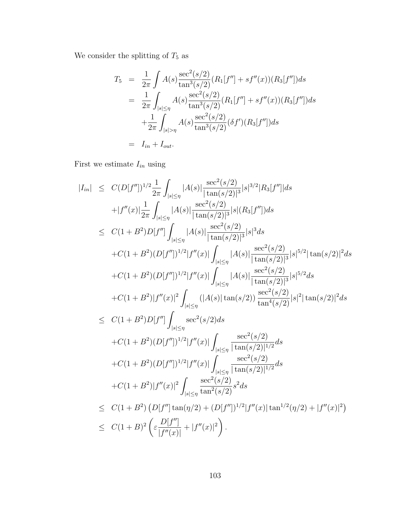We consider the splitting of  $T_5$  as

$$
T_5 = \frac{1}{2\pi} \int A(s) \frac{\sec^2(s/2)}{\tan^3(s/2)} (R_1[f''] + sf''(x))(R_3[f'']) ds
$$
  
\n
$$
= \frac{1}{2\pi} \int_{|s| \le \eta} A(s) \frac{\sec^2(s/2)}{\tan^3(s/2)} (R_1[f''] + sf''(x))(R_3[f'']) ds
$$
  
\n
$$
+ \frac{1}{2\pi} \int_{|s| > \eta} A(s) \frac{\sec^2(s/2)}{\tan^3(s/2)} (\delta f')(R_3[f'']) ds
$$
  
\n
$$
= I_{in} + I_{out}.
$$

First we estimate  $I_{in}$  using

$$
|I_{in}| \leq C(D[f''])^{1/2} \frac{1}{2\pi} \int_{|s| \leq \eta} |A(s)| \frac{\sec^2(s/2)}{|\tan(s/2)|^3} |s|^{3/2} |R_3[f'']| ds +|f''(x)| \frac{1}{2\pi} \int_{|s| \leq \eta} |A(s)| \frac{\sec^2(s/2)}{|\tan(s/2)|^3} |s|(R_3[f'']) ds \leq C(1+B^2)D[f''] \int_{|s| \leq \eta} |A(s)| \frac{\sec^2(s/2)}{|\tan(s/2)|^3} |s|^3 ds +C(1+B^2)(D[f''])^{1/2} |f''(x)| \int_{|s| \leq \eta} |A(s)| \frac{\sec^2(s/2)}{|\tan(s/2)|^3} |s|^{5/2} |\tan(s/2)|^2 ds +C(1+B^2)(D[f''])^{1/2} |f''(x)| \int_{|s| \leq \eta} |A(s)| \frac{\sec^2(s/2)}{|\tan(s/2)|^3} |s|^{5/2} ds +C(1+B^2)|f''(x)|^2 \int_{|s| \leq \eta} (|A(s)| \tan(s/2)) \frac{\sec^2(s/2)}{\tan^4(s/2)} |s|^2 |\tan(s/2)|^2 ds \leq C(1+B^2)D[f''] \int_{|s| \leq \eta} \frac{\sec^2(s/2) ds}{|\tan(s/2)|^{1/2}} \int_{\tan^4(s/2)} \frac{\sec^2(s/2)}{|\tan(s/2)|^{1/2}} |s|^2 |\tan(s/2)|^2 ds +C(1+B^2)(D[f''])^{1/2} |f''(x)| \int_{|s| \leq \eta} \frac{\sec^2(s/2)}{|\tan(s/2)|^{1/2}} ds +C(1+B^2)|f''(x)|^2 \int_{|s| \leq \eta} \frac{\sec^2(s/2)}{|\tan(s/2)|^{1/2}} ds +C(1+B^2)|f''(x)|^2 \int_{|s| \leq \eta} \frac{\sec^2(s/2)}{|\tan(s/2)|^{1/2}} ds +C(1+B^2)|D[f''] \tan(\eta/2) + (D[f''])^{1/2} |f''(x)| \tan^{1/2}(\eta/2) + |f''(x)|^2) \leq C(1+B)^2 \left( \varepsilon
$$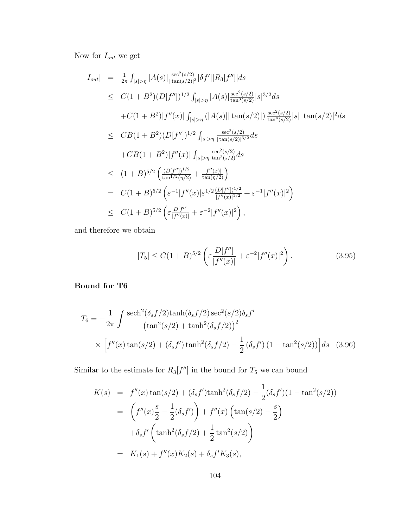Now for  $\mathcal{I}_{out}$  we get

$$
|I_{out}| = \frac{1}{2\pi} \int_{|s|>\eta} |A(s)| \frac{\sec^2(s/2)}{|\tan(s/2)|^3} |\delta f'| |R_3[f']| ds
$$
  
\n
$$
\leq C(1+B^2)(D[f''])^{1/2} \int_{|s|>\eta} |A(s)| \frac{\sec^2(s/2)}{\tan^3(s/2)} |s|^{3/2} ds
$$
  
\n
$$
+ C(1+B^2)|f''(x)| \int_{|s|>\eta} (|A(s)||\tan(s/2)|) \frac{\sec^2(s/2)}{\tan^4(s/2)} |s||\tan(s/2)|^2 ds
$$
  
\n
$$
\leq CB(1+B^2)(D[f''])^{1/2} \int_{|s|>\eta} \frac{\sec^2(s/2)}{|\tan(s/2)|^{3/2}} ds
$$
  
\n
$$
+ CB(1+B^2)|f''(x)| \int_{|s|>\eta} \frac{\sec^2(s/2)}{\tan^2(s/2)} ds
$$
  
\n
$$
\leq (1+B)^{5/2} \left( \frac{(D[f''])^{1/2}}{\tan^{1/2}(\eta/2)} + \frac{|f''(x)|}{\tan(\eta/2)} \right)
$$
  
\n
$$
= C(1+B)^{5/2} \left( \varepsilon^{-1} |f''(x)| \varepsilon^{1/2} \frac{(D[f''])^{1/2}}{|f''(x)|^{1/2}} + \varepsilon^{-1} |f''(x)|^2 \right)
$$
  
\n
$$
\leq C(1+B)^{5/2} \left( \varepsilon \frac{D[f'']}{|f''(x)|} + \varepsilon^{-2} |f''(x)|^2 \right),
$$

and therefore we obtain

$$
|T_5| \le C(1+B)^{5/2} \left( \varepsilon \frac{D[f'']}{|f''(x)|} + \varepsilon^{-2} |f''(x)|^2 \right).
$$
 (3.95)

### Bound for T6

$$
T_6 = -\frac{1}{2\pi} \int \frac{\mathrm{sech}^2(\delta_s f/2) \mathrm{tanh}(\delta_s f/2) \mathrm{sec}^2(s/2) \delta_s f'}{\left(\tan^2(s/2) + \tanh^2(\delta_s f/2)\right)^2} \times \left[f''(x) \tan(s/2) + (\delta_s f') \tanh^2(\delta_s f/2) - \frac{1}{2} (\delta_s f') (1 - \tan^2(s/2))\right] ds \quad (3.96)
$$

Similar to the estimate for  $R_3[f'']$  in the bound for  $T_5$  we can bound

$$
K(s) = f''(x) \tan(s/2) + (\delta_s f') \tanh^2(\delta_s f/2) - \frac{1}{2} (\delta_s f')(1 - \tan^2(s/2))
$$
  
= 
$$
\left(f''(x)\frac{s}{2} - \frac{1}{2} (\delta_s f')\right) + f''(x) \left(\tan(s/2) - \frac{s}{2}\right)
$$
  

$$
+ \delta_s f' \left(\tanh^2(\delta_s f/2) + \frac{1}{2} \tan^2(s/2)\right)
$$
  
= 
$$
K_1(s) + f''(x)K_2(s) + \delta_s f' K_3(s),
$$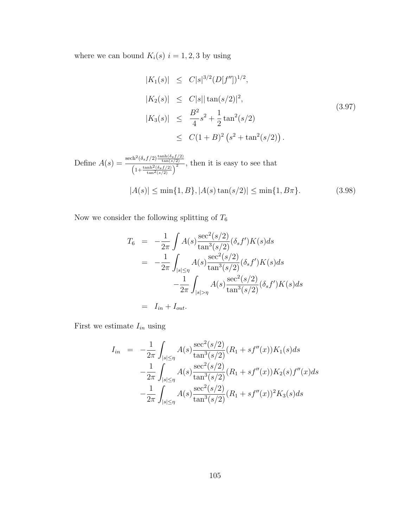where we can bound  $K_i(s)$   $i = 1, 2, 3$  by using

<span id="page-113-0"></span>
$$
|K_1(s)| \leq C|s|^{3/2} (D[f''])^{1/2},
$$
  
\n
$$
|K_2(s)| \leq C|s| |\tan(s/2)|^2,
$$
  
\n
$$
|K_3(s)| \leq \frac{B^2}{4}s^2 + \frac{1}{2}\tan^2(s/2)
$$
  
\n
$$
\leq C(1+B)^2 (s^2 + \tan^2(s/2)).
$$
\n(3.97)

Define 
$$
A(s) = \frac{\text{sech}^2(\delta_s f/2) \frac{\tanh(\delta_s f/2)}{\tan(s/2)}}{\left(1 + \frac{\tanh^2(\delta_s f/2)}{\tan^2(s/2)}\right)^2}
$$
, then it is easy to see that  
\n
$$
|A(s)| \le \min\{1, B\}, |A(s) \tan(s/2)| \le \min\{1, B\pi\}.
$$
 (3.98)

Now we consider the following splitting of  $T_{\rm 6}$ 

$$
T_6 = -\frac{1}{2\pi} \int A(s) \frac{\sec^2(s/2)}{\tan^3(s/2)} (\delta_s f') K(s) ds
$$
  
= 
$$
-\frac{1}{2\pi} \int_{|s| \le \eta} A(s) \frac{\sec^2(s/2)}{\tan^3(s/2)} (\delta_s f') K(s) ds
$$
  

$$
-\frac{1}{2\pi} \int_{|s| > \eta} A(s) \frac{\sec^2(s/2)}{\tan^3(s/2)} (\delta_s f') K(s) ds
$$
  
= 
$$
I_{in} + I_{out}.
$$

First we estimate  $I_{in}$  using

$$
I_{in} = -\frac{1}{2\pi} \int_{|s| \le \eta} A(s) \frac{\sec^2(s/2)}{\tan^3(s/2)} (R_1 + sf''(x)) K_1(s) ds
$$
  

$$
- \frac{1}{2\pi} \int_{|s| \le \eta} A(s) \frac{\sec^2(s/2)}{\tan^3(s/2)} (R_1 + sf''(x)) K_2(s) f''(x) ds
$$
  

$$
- \frac{1}{2\pi} \int_{|s| \le \eta} A(s) \frac{\sec^2(s/2)}{\tan^3(s/2)} (R_1 + sf''(x))^2 K_3(s) ds
$$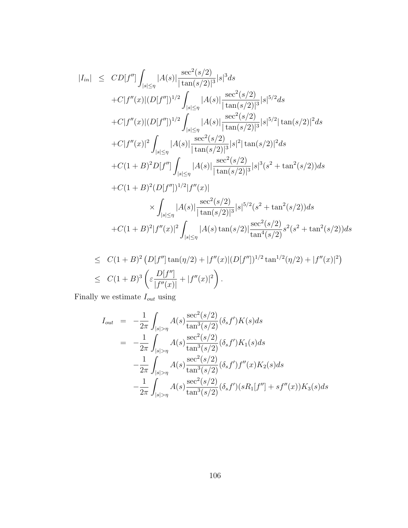$$
|I_{in}| \le CD[f''] \int_{|s| \le \eta} |A(s)| \frac{\sec^2(s/2)}{|\tan(s/2)|^3} |s|^3 ds
$$
  
+ $C|f''(x)|(D[f''])^{1/2} \int_{|s| \le \eta} |A(s)| \frac{\sec^2(s/2)}{|\tan(s/2)|^3} |s|^{5/2} ds$   
+ $C|f''(x)|(D[f''])^{1/2} \int_{|s| \le \eta} |A(s)| \frac{\sec^2(s/2)}{|\tan(s/2)|^3} |s|^{5/2} |\tan(s/2)|^2 ds$   
+ $C|f''(x)|^2 \int_{|s| \le \eta} |A(s)| \frac{\sec^2(s/2)}{|\tan(s/2)|^3} |s|^{2} |\tan(s/2)|^2 ds$   
+ $C(1+B)^2 D[f''] \int_{|s| \le \eta} |A(s)| \frac{\sec^2(s/2)}{|\tan(s/2)|^3} |s|^3 (s^2 + \tan^2(s/2)) ds$   
+ $C(1+B)^2 (D[f''])^{1/2} |f''(x)|$   
 $\times \int_{|s| \le \eta} |A(s)| \frac{\sec^2(s/2)}{|\tan(s/2)|^3} |s|^{5/2} (s^2 + \tan^2(s/2)) ds$   
+ $C(1+B)^2 |f''(x)|^2 \int_{|s| \le \eta} |A(s) \tan(s/2)|^{\frac{1}{3}} e^{c^2} \frac{\sec^2(s/2)}{|\tan^4(s/2)|^3} s^{5/2} (s^2 + \tan^2(s/2)) ds$ 

$$
\leq C(1+B)^2 \left( D[f''] \tan(\eta/2) + |f''(x)|(D[f''])^{1/2} \tan^{1/2}(\eta/2) + |f''(x)|^2 \right)
$$
  

$$
\leq C(1+B)^3 \left( \varepsilon \frac{D[f'']}{|f''(x)|} + |f''(x)|^2 \right).
$$

Finally we estimate  $\mathcal{I}_{out}$  using

$$
I_{out} = -\frac{1}{2\pi} \int_{|s|>\eta} A(s) \frac{\sec^2(s/2)}{\tan^3(s/2)} (\delta_s f') K(s) ds
$$
  
\n
$$
= -\frac{1}{2\pi} \int_{|s|>\eta} A(s) \frac{\sec^2(s/2)}{\tan^3(s/2)} (\delta_s f') K_1(s) ds
$$
  
\n
$$
- \frac{1}{2\pi} \int_{|s|>\eta} A(s) \frac{\sec^2(s/2)}{\tan^3(s/2)} (\delta_s f') f''(x) K_2(s) ds
$$
  
\n
$$
- \frac{1}{2\pi} \int_{|s|>\eta} A(s) \frac{\sec^2(s/2)}{\tan^3(s/2)} (\delta_s f')(s R_1[f''] + sf''(x)) K_3(s) ds
$$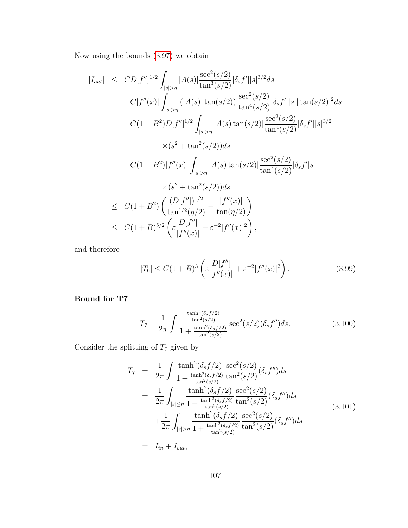Now using the bounds [\(3.97\)](#page-113-0) we obtain

$$
|I_{out}| \le CD[f'']^{1/2} \int_{|s|>\eta} |A(s)| \frac{\sec^2(s/2)}{\tan^3(s/2)} |\delta_s f'| |s|^{3/2} ds
$$
  
+ $C|f''(x)| \int_{|s|>\eta} (|A(s)| \tan(s/2)) \frac{\sec^2(s/2)}{\tan^4(s/2)} |\delta_s f'| |s| |\tan(s/2)|^2 ds$   
+ $C(1 + B^2)D[f'']^{1/2} \int_{|s|>\eta} |A(s) \tan(s/2)| \frac{\sec^2(s/2)}{\tan^4(s/2)} |\delta_s f'| |s|^{3/2}$   
 $\times (s^2 + \tan^2(s/2)) ds$   
+ $C(1 + B^2)|f''(x)| \int_{|s|>\eta} |A(s) \tan(s/2)| \frac{\sec^2(s/2)}{\tan^4(s/2)} |\delta_s f'| |s$   
 $\times (s^2 + \tan^2(s/2)) ds$   
 $\le C(1 + B^2) \left( \frac{(D[f''])^{1/2}}{\tan^{1/2}(\eta/2)} + \frac{|f''(x)|}{\tan(\eta/2)} \right)$   
 $\le C(1 + B)^{5/2} \left( \frac{D[f'']}{[f''(x)]} + \varepsilon^{-2} |f''(x)|^2 \right),$ 

and therefore

$$
|T_6| \le C(1+B)^3 \left(\varepsilon \frac{D[f'']}{|f''(x)|} + \varepsilon^{-2} |f''(x)|^2\right). \tag{3.99}
$$

## Bound for T7

$$
T_7 = \frac{1}{2\pi} \int \frac{\frac{\tanh^2(\delta_s f/2)}{\tan^2(s/2)}}{1 + \frac{\tanh^2(\delta_s f/2)}{\tan^2(s/2)}} \sec^2(s/2) (\delta_s f'') ds.
$$
 (3.100)

Consider the splitting of  $T_7$  given by

$$
T_7 = \frac{1}{2\pi} \int \frac{\tanh^2(\delta_s f/2)}{1 + \frac{\tanh^2(\delta_s f/2)}{\tan^2(s/2)}} \frac{\sec^2(s/2)}{\tan^2(s/2)} (\delta_s f'') ds
$$
  
\n
$$
= \frac{1}{2\pi} \int_{|s| \le \eta} \frac{\tanh^2(\delta_s f/2)}{1 + \frac{\tanh^2(\delta_s f/2)}{\tan^2(s/2)}} \frac{\sec^2(s/2)}{\tan^2(s/2)} (\delta_s f'') ds
$$
  
\n
$$
+ \frac{1}{2\pi} \int_{|s| > \eta} \frac{\tanh^2(\delta_s f/2)}{1 + \frac{\tanh^2(\delta_s f/2)}{\tan^2(s/2)}} \frac{\sec^2(s/2)}{\tan^2(s/2)} (\delta_s f'') ds
$$
  
\n
$$
= I_{in} + I_{out}, \tag{3.101}
$$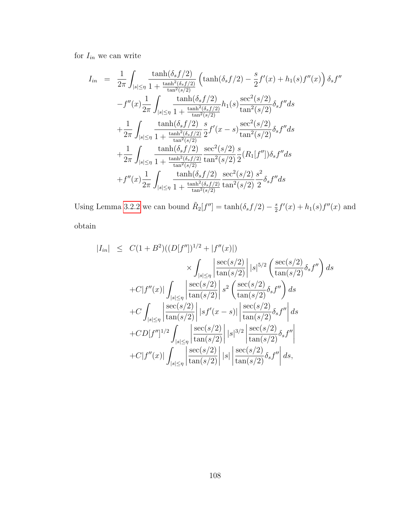for  $I_{in}$  we can write

$$
I_{in} = \frac{1}{2\pi} \int_{|s| \le \eta} \frac{\tanh(\delta_{s} f/2)}{1 + \frac{\tanh^{2}(\delta_{s} f/2)}{\tan^{2}(s/2)}} \left( \tanh(\delta_{s} f/2) - \frac{s}{2} f'(x) + h_{1}(s) f''(x) \right) \delta_{s} f''
$$

$$
-f''(x) \frac{1}{2\pi} \int_{|s| \le \eta} \frac{\tanh(\delta_{s} f/2)}{1 + \frac{\tanh^{2}(\delta_{s} f/2)}{\tan^{2}(s/2)}} h_{1}(s) \frac{\sec^{2}(s/2)}{\tan^{2}(s/2)} \delta_{s} f'' ds
$$

$$
+ \frac{1}{2\pi} \int_{|s| \le \eta} \frac{\tanh(\delta_{s} f/2)}{1 + \frac{\tanh^{2}(\delta_{s} f/2)}{\tan^{2}(s/2)}} \frac{s}{2} f'(x - s) \frac{\sec^{2}(s/2)}{\tan^{2}(s/2)} \delta_{s} f'' ds
$$

$$
+ \frac{1}{2\pi} \int_{|s| \le \eta} \frac{\tanh(\delta_{s} f/2)}{1 + \frac{\tanh^{2}(\delta_{s} f/2)}{\tan^{2}(s/2)}} \frac{\sec^{2}(s/2)}{\tan^{2}(s/2)} \frac{s}{2} (R_{1}[f'']) \delta_{s} f'' ds
$$

$$
+ f''(x) \frac{1}{2\pi} \int_{|s| \le \eta} \frac{\tanh(\delta_{s} f/2)}{1 + \frac{\tanh^{2}(\delta_{s} f/2)}{\tan^{2}(s/2)}} \frac{\sec^{2}(s/2)}{\tan^{2}(s/2)} \frac{s^{2}}{2} \delta_{s} f'' ds
$$

Using Lemma [3.2.2](#page-78-0) we can bound  $\tilde{R}_2[f''] = \tanh(\delta_s f/2) - \frac{s}{2}$  $\frac{s}{2}f'(x) + h_1(s)f''(x)$  and obtain

$$
|I_{in}| \leq C(1+B^2)((D[f''])^{1/2} + |f''(x)|)
$$
  
\n
$$
\times \int_{|s| \leq \eta} \left| \frac{\sec(s/2)}{\tan(s/2)} \right| |s|^{5/2} \left( \frac{\sec(s/2)}{\tan(s/2)} \delta_s f'' \right) ds
$$
  
\n
$$
+ C|f''(x)| \int_{|s| \leq \eta} \left| \frac{\sec(s/2)}{\tan(s/2)} \right| s^2 \left( \frac{\sec(s/2)}{\tan(s/2)} \delta_s f'' \right) ds
$$
  
\n
$$
+ C \int_{|s| \leq \eta} \left| \frac{\sec(s/2)}{\tan(s/2)} \right| |s f'(x - s)| \left| \frac{\sec(s/2)}{\tan(s/2)} \delta_s f'' \right| ds
$$
  
\n
$$
+ CD[f'']^{1/2} \int_{|s| \leq \eta} \left| \frac{\sec(s/2)}{\tan(s/2)} \right| |s|^{3/2} \left| \frac{\sec(s/2)}{\tan(s/2)} \delta_s f'' \right|
$$
  
\n
$$
+ C|f''(x)| \int_{|s| \leq \eta} \left| \frac{\sec(s/2)}{\tan(s/2)} \right| |s| \left| \frac{\sec(s/2)}{\tan(s/2)} \delta_s f'' \right| ds,
$$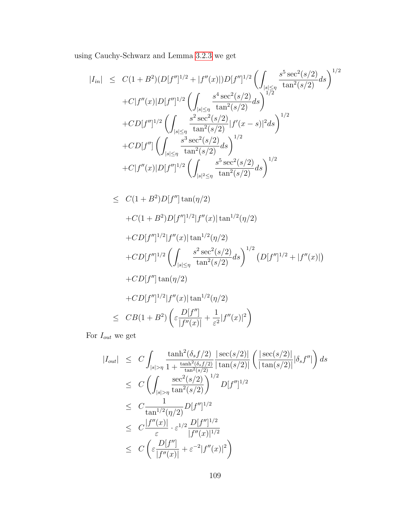using Cauchy-Schwarz and Lemma [3.2.3](#page-82-0) we get

$$
|I_{in}| \leq C(1+B^2)(D[f'']^{1/2}+|f''(x)|)D[f'']^{1/2}\left(\int_{|s|\leq \eta} \frac{s^5 \sec^2(s/2)}{\tan^2(s/2)}ds\right)^{1/2} + C|f''(x)|D[f'']^{1/2}\left(\int_{|s|\leq \eta} \frac{s^4 \sec^2(s/2)}{\tan^2(s/2)}ds\right)^{1/2} + CD[f'']^{1/2}\left(\int_{|s|\leq \eta} \frac{s^2 \sec^2(s/2)}{\tan^2(s/2)}|f'(x-s)|^2ds\right)^{1/2} + CD[f'']\left(\int_{|s|\leq \eta} \frac{s^3 \sec^2(s/2)}{\tan^2(s/2)}ds\right)^{1/2} + C|f''(x)|D[f'']^{1/2}\left(\int_{|s|^2\leq \eta} \frac{s^5 \sec^2(s/2)}{\tan^2(s/2)}ds\right)^{1/2}
$$

$$
\leq C(1+B^2)D[f''] \tan(\eta/2)
$$
  
+ $C(1+B^2)D[f'']^{1/2}|f''(x)| \tan^{1/2}(\eta/2)$   
+ $CD[f'']^{1/2}|f''(x)| \tan^{1/2}(\eta/2)$   
+ $CD[f'']^{1/2}\left(\int_{|s|\leq \eta} \frac{s^2 \sec^2(s/2)}{\tan^2(s/2)} ds\right)^{1/2} (D[f'']^{1/2}+|f''(x)|)$   
+ $CD[f''] \tan(\eta/2)$   
+ $CD[f'']^{1/2}|f''(x)| \tan^{1/2}(\eta/2)$   
 $\leq CB(1+B^2)\left(\varepsilon \frac{D[f'']}{|f''(x)|}+\frac{1}{\varepsilon^2}|f''(x)|^2\right)$ 

For  $\mathcal{I}_{out}$  we get

$$
|I_{out}| \leq C \int_{|s|>\eta} \frac{\tanh^2(\delta_s f/2)}{1 + \frac{\tanh^2(\delta_s f/2)}{\tan^2(s/2)}} \frac{|\sec(s/2)|}{|\tan(s/2)|} \left(\frac{|\sec(s/2)|}{|\tan(s/2)|} |\delta_s f''|\right) ds
$$
  
\n
$$
\leq C \left( \int_{|s|>\eta} \frac{\sec^2(s/2)}{\tan^2(s/2)} \right)^{1/2} D[f'']^{1/2}
$$
  
\n
$$
\leq C \frac{1}{\tan^{1/2}(\eta/2)} D[f'']^{1/2}
$$
  
\n
$$
\leq C \frac{|f''(x)|}{\varepsilon} \cdot \varepsilon^{1/2} \frac{D[f'']^{1/2}}{|f''(x)|^{1/2}}
$$
  
\n
$$
\leq C \left( \varepsilon \frac{D[f'']}{|f''(x)|} + \varepsilon^{-2} |f''(x)|^2 \right)
$$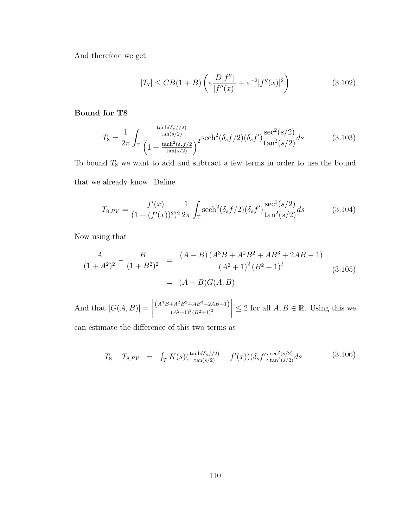And therefore we get

$$
|T_7| \leq CB(1+B)\left(\varepsilon \frac{D[f'']}{|f''(x)|} + \varepsilon^{-2}|f''(x)|^2\right) \tag{3.102}
$$

#### Bound for T8

$$
T_8 = \frac{1}{2\pi} \int_{\mathbb{T}} \frac{\frac{\tanh(\delta_s f/2)}{\tan(s/2)}}{\left(1 + \frac{\tanh^2(\delta_s f/2)}{\tan(s/2)}\right)^2} \mathrm{sech}^2(\delta_s f/2) (\delta_s f') \frac{\sec^2(s/2)}{\tan^2(s/2)} ds \tag{3.103}
$$

To bound  $T_8$  we want to add and subtract a few terms in order to use the bound that we already know. Define

$$
T_{8,PV} = \frac{f'(x)}{(1 + (f'(x))^2)^2} \frac{1}{2\pi} \int_{\mathbb{T}} \mathrm{sech}^2(\delta_s f/2) (\delta_s f') \frac{\mathrm{sec}^2(s/2)}{\tan^2(s/2)} ds \tag{3.104}
$$

Now using that

$$
\frac{A}{(1+A^2)^2} - \frac{B}{(1+B^2)^2} = \frac{(A-B)(A^3B + A^2B^2 + AB^3 + 2AB - 1)}{(A^2+1)^2(B^2+1)^2}
$$
\n
$$
= (A-B)G(A,B)
$$
\n(3.105)

And that  $|G(A, B)| =$   $(A^{3}B+A^{2}B^{2}+AB^{3}+2AB-1)$  $(A^2+1)^2(B^2+1)^2$  $\begin{array}{c} \begin{array}{c} \begin{array}{c} \begin{array}{c} \end{array}\\ \end{array} \end{array} \end{array}$  $\leq 2$  for all  $A, B \in \mathbb{R}$ . Using this we

can estimate the difference of this two terms as

$$
T_8 - T_{8, PV} = \int_T K(s) \left( \frac{\tanh(\delta_s f/2)}{\tan(s/2)} - f'(x) \right) \left( \delta_s f' \right) \frac{\sec^2(s/2)}{\tan^2(s/2)} ds \tag{3.106}
$$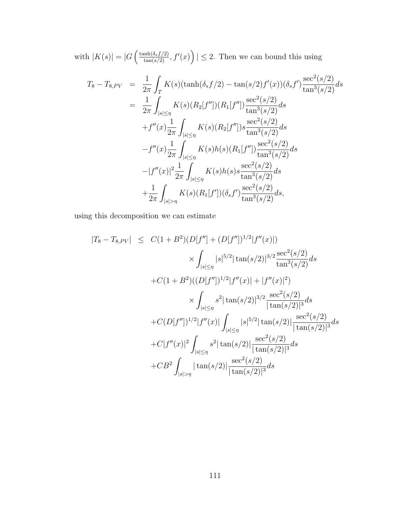with  $|K(s)| = |G\left(\frac{\tanh(\delta_s f/2)}{\tan(s/2)}, f'(x)\right)| \leq 2$ . Then we can bound this using

$$
T_8 - T_{8,PV} = \frac{1}{2\pi} \int_T K(s)(\tanh(\delta_s f/2) - \tan(s/2)f'(x))(\delta_s f') \frac{\sec^2(s/2)}{\tan^3(s/2)} ds
$$
  
\n
$$
= \frac{1}{2\pi} \int_{|s|\leq \eta} K(s)(R_2[f'])(R_1[f'']) \frac{\sec^2(s/2)}{\tan^3(s/2)} ds
$$
  
\n
$$
+ f''(x) \frac{1}{2\pi} \int_{|s|\leq \eta} K(s)(R_2[f'']) s \frac{\sec^2(s/2)}{\tan^3(s/2)} ds
$$
  
\n
$$
-f''(x) \frac{1}{2\pi} \int_{|s|\leq \eta} K(s)h(s)(R_1[f'']) \frac{\sec^2(s/2)}{\tan^3(s/2)} ds
$$
  
\n
$$
-|f''(x)|^2 \frac{1}{2\pi} \int_{|s|\leq \eta} K(s)h(s) s \frac{\sec^2(s/2)}{\tan^3(s/2)} ds
$$
  
\n
$$
+ \frac{1}{2\pi} \int_{|s|>\eta} K(s)(R_1[f'])(\delta_s f') \frac{\sec^2(s/2)}{\tan^3(s/2)} ds,
$$

using this decomposition we can estimate

$$
|T_8 - T_{8,PV}| \leq C(1 + B^2)(D[f''] + (D[f''])^{1/2}|f''(x)|)
$$
  

$$
\times \int_{|s| \leq \eta} |s|^{5/2} |\tan(s/2)|^{3/2} \frac{\sec^2(s/2)}{\tan^3(s/2)} ds
$$
  
+
$$
C(1 + B^2)((D[f''])^{1/2}|f''(x)| + |f''(x)|^2)
$$
  

$$
\times \int_{|s| \leq \eta} s^2 |\tan(s/2)|^{3/2} \frac{\sec^2(s/2)}{|\tan(s/2)|^3} ds
$$
  
+
$$
C(D[f''])^{1/2}|f''(x)| \int_{|s| \leq \eta} |s|^{5/2} |\tan(s/2)| \frac{\sec^2(s/2)}{|\tan(s/2)|^3} ds
$$
  
+
$$
C|f''(x)|^2 \int_{|s| \leq \eta} s^2 |\tan(s/2)| \frac{\sec^2(s/2)}{|\tan(s/2)|^3} ds
$$
  
+
$$
CB^2 \int_{|s| > \eta} |\tan(s/2)| \frac{\sec^2(s/2)}{|\tan(s/2)|^3} ds
$$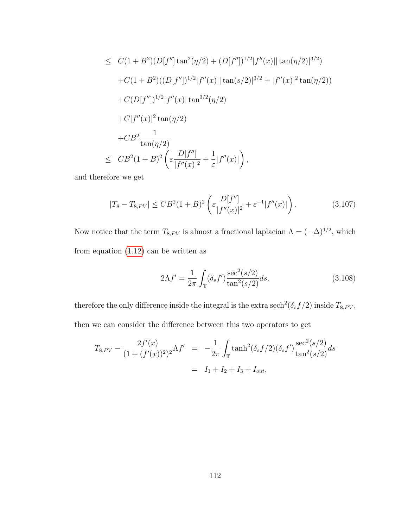$$
\leq C(1+B^2)(D[f''] \tan^2(\eta/2) + (D[f''])^{1/2}|f''(x)||\tan(\eta/2)|^{3/2})
$$
  
+ $C(1+B^2)((D[f''])^{1/2}|f''(x)||\tan(s/2)|^{3/2} + |f''(x)|^2\tan(\eta/2))$   
+ $C(D[f''])^{1/2}|f''(x)|\tan^{3/2}(\eta/2)$   
+ $C|f''(x)|^2\tan(\eta/2)$   
+ $CB^2\frac{1}{\tan(\eta/2)}$   
 $\leq CB^2(1+B)^2\left(\varepsilon\frac{D[f'']}{|f''(x)|^2} + \frac{1}{\varepsilon}|f''(x)|\right),$ 

and therefore we get

<span id="page-120-0"></span>
$$
|T_8 - T_{8,PV}| \leq CB^2 (1+B)^2 \left( \varepsilon \frac{D[f'']}{|f''(x)|^2} + \varepsilon^{-1} |f''(x)| \right). \tag{3.107}
$$

Now notice that the term  $T_{8,PV}$  is almost a fractional laplacian  $\Lambda = (-\Delta)^{1/2}$ , which from equation [\(1.12\)](#page-13-0) can be written as

$$
2\Lambda f' = \frac{1}{2\pi} \int_{\mathbb{T}} (\delta_s f') \frac{\sec^2(s/2)}{\tan^2(s/2)} ds.
$$
 (3.108)

therefore the only difference inside the integral is the extra sech<sup>2</sup>( $\delta_s f/2$ ) inside  $T_{8,PV},$ then we can consider the difference between this two operators to get

$$
T_{8,PV} - \frac{2f'(x)}{(1 + (f'(x))^2)^2} \Lambda f' = -\frac{1}{2\pi} \int_{\mathbb{T}} \tanh^2(\delta_s f/2) (\delta_s f') \frac{\sec^2(s/2)}{\tan^2(s/2)} ds
$$
  
= I<sub>1</sub> + I<sub>2</sub> + I<sub>3</sub> + I<sub>out</sub>,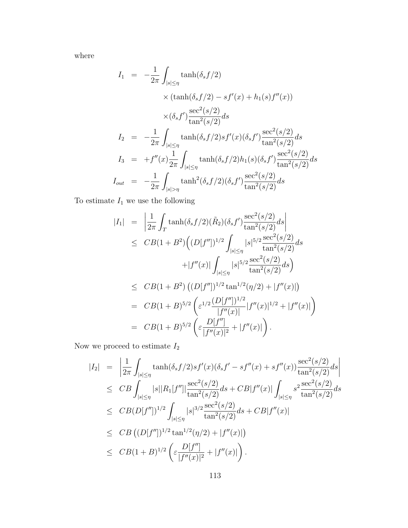where

$$
I_{1} = -\frac{1}{2\pi} \int_{|s| \leq \eta} \tanh(\delta_{s} f/2)
$$
  
\n
$$
\times (\tanh(\delta_{s} f/2) - sf'(x) + h_{1}(s) f''(x))
$$
  
\n
$$
\times (\delta_{s} f') \frac{\sec^{2}(s/2)}{\tan^{2}(s/2)} ds
$$
  
\n
$$
I_{2} = -\frac{1}{2\pi} \int_{|s| \leq \eta} \tanh(\delta_{s} f/2) sf'(x) (\delta_{s} f') \frac{\sec^{2}(s/2)}{\tan^{2}(s/2)} ds
$$
  
\n
$$
I_{3} = +f''(x) \frac{1}{2\pi} \int_{|s| \leq \eta} \tanh(\delta_{s} f/2) h_{1}(s) (\delta_{s} f') \frac{\sec^{2}(s/2)}{\tan^{2}(s/2)} ds
$$
  
\n
$$
I_{out} = -\frac{1}{2\pi} \int_{|s| > \eta} \tanh^{2}(\delta_{s} f/2) (\delta_{s} f') \frac{\sec^{2}(s/2)}{\tan^{2}(s/2)} ds
$$

To estimate  ${\cal I}_1$  we use the following

$$
|I_{1}| = \left| \frac{1}{2\pi} \int_{T} \tanh(\delta_{s} f/2)(\tilde{R}_{2})(\delta_{s} f') \frac{\sec^{2}(s/2)}{\tan^{2}(s/2)} ds \right|
$$
  
\n
$$
\leq C B(1 + B^{2}) \Big( (D[f''])^{1/2} \int_{|s| \leq \eta} |s|^{5/2} \frac{\sec^{2}(s/2)}{\tan^{2}(s/2)} ds
$$
  
\n
$$
+ |f''(x)| \int_{|s| \leq \eta} |s|^{5/2} \frac{\sec^{2}(s/2)}{\tan^{2}(s/2)} ds
$$
  
\n
$$
\leq C B(1 + B^{2}) \left( (D[f''])^{1/2} \tan^{1/2}(\eta/2) + |f''(x)| \right)
$$
  
\n
$$
= C B(1 + B)^{5/2} \left( \varepsilon^{1/2} \frac{(D[f''])^{1/2}}{|f''(x)|} |f''(x)|^{1/2} + |f''(x)| \right)
$$
  
\n
$$
= C B(1 + B)^{5/2} \left( \varepsilon \frac{D[f'']}{|f''(x)|^{2}} + |f''(x)| \right).
$$

Now we proceed to estimate  $\mathcal{I}_2$ 

$$
|I_2| = \left| \frac{1}{2\pi} \int_{|s| \le \eta} \tanh(\delta_s f/2) s f'(x) (\delta_s f' - s f''(x) + s f''(x)) \frac{\sec^2(s/2)}{\tan^2(s/2)} ds \right|
$$
  
\n
$$
\leq C B \int_{|s| \le \eta} |s| |R_1[f'']| \frac{\sec^2(s/2)}{\tan^2(s/2)} ds + C B |f''(x)| \int_{|s| \le \eta} s^2 \frac{\sec^2(s/2)}{\tan^2(s/2)} ds
$$
  
\n
$$
\leq C B (D[f''])^{1/2} \int_{|s| \le \eta} |s|^{3/2} \frac{\sec^2(s/2)}{\tan^2(s/2)} ds + C B |f''(x)|
$$
  
\n
$$
\leq C B ((D[f''])^{1/2} \tan^{1/2}(\eta/2) + |f''(x)|)
$$
  
\n
$$
\leq C B (1 + B)^{1/2} \left( \varepsilon \frac{D[f'']}{|f''(x)|^2} + |f''(x)| \right).
$$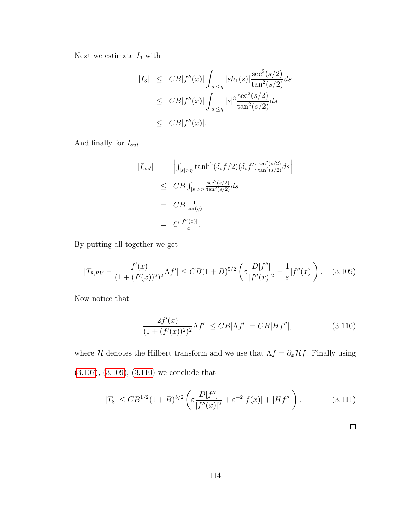Next we estimate  $\mathcal{I}_3$  with

$$
|I_3| \leq C B |f''(x)| \int_{|s| \leq \eta} |sh_1(s)| \frac{\sec^2(s/2)}{\tan^2(s/2)} ds
$$
  
\n
$$
\leq C B |f''(x)| \int_{|s| \leq \eta} |s|^3 \frac{\sec^2(s/2)}{\tan^2(s/2)} ds
$$
  
\n
$$
\leq C B |f''(x)|.
$$

And finally for  $\mathcal{I}_{out}$ 

$$
|I_{out}| = \left| \int_{|s|>\eta} \tanh^2(\delta_s f/2)(\delta_s f') \frac{\sec^2(s/2)}{\tan^2(s/2)} ds \right|
$$
  
\n
$$
\leq C B \int_{|s|>\eta} \frac{\sec^2(s/2)}{\tan^2(s/2)} ds
$$
  
\n
$$
= C B \frac{1}{\tan(\eta)}
$$
  
\n
$$
= C \frac{|f''(x)|}{\varepsilon}.
$$

By putting all together we get

<span id="page-122-0"></span>
$$
|T_{8,PV} - \frac{f'(x)}{(1 + (f'(x))^2)^2} \Lambda f'| \leq CB(1+B)^{5/2} \left( \varepsilon \frac{D[f'']}{|f''(x)|^2} + \frac{1}{\varepsilon} |f''(x)| \right). \tag{3.109}
$$

Now notice that

<span id="page-122-1"></span>
$$
\left| \frac{2f'(x)}{(1 + (f'(x))^2)^2} \Lambda f' \right| \leq C B |\Lambda f'| = C B |Hf''|,
$$
\n(3.110)

where  $H$  denotes the Hilbert transform and we use that  $\Lambda f = \partial_x Hf$ . Finally using [\(3.107\)](#page-120-0), [\(3.109\)](#page-122-0), [\(3.110\)](#page-122-1) we conclude that

$$
|T_8| \leq CB^{1/2} (1+B)^{5/2} \left( \varepsilon \frac{D[f'']}{|f''(x)|^2} + \varepsilon^{-2} |f(x)| + |Hf''| \right). \tag{3.111}
$$

 $\Box$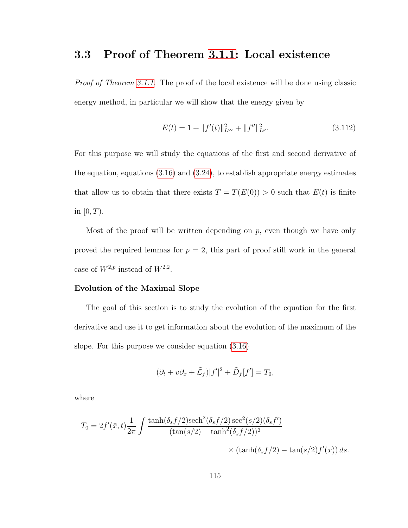# <span id="page-123-0"></span>3.3 Proof of Theorem [3.1.1:](#page-68-0) Local existence

Proof of Theorem [3.1.1.](#page-68-0) The proof of the local existence will be done using classic energy method, in particular we will show that the energy given by

<span id="page-123-1"></span>
$$
E(t) = 1 + ||f'(t)||_{L^{\infty}}^2 + ||f''||_{L^p}^2.
$$
\n(3.112)

For this purpose we will study the equations of the first and second derivative of the equation, equations [\(3.16\)](#page-74-0) and [\(3.24\)](#page-77-0), to establish appropriate energy estimates that allow us to obtain that there exists  $T = T(E(0)) > 0$  such that  $E(t)$  is finite in  $[0, T)$ .

Most of the proof will be written depending on  $p$ , even though we have only proved the required lemmas for  $p = 2$ , this part of proof still work in the general case of  $W^{2,p}$  instead of  $W^{2,2}$ .

#### Evolution of the Maximal Slope

The goal of this section is to study the evolution of the equation for the first derivative and use it to get information about the evolution of the maximum of the slope. For this purpose we consider equation [\(3.16\)](#page-74-0)

$$
(\partial_t + v\partial_x + \tilde{L}_f)|f'|^2 + \tilde{D}_f[f'] = T_0,
$$

where

$$
T_0 = 2f'(\bar{x}, t) \frac{1}{2\pi} \int \frac{\tanh(\delta_s f/2)\mathrm{sech}^2(\delta_s f/2)\mathrm{sec}^2(s/2)(\delta_s f')}{(\tan(s/2) + \tanh^2(\delta_s f/2))^2} \times (\tanh(\delta_s f/2) - \tan(s/2)f'(x)) ds.
$$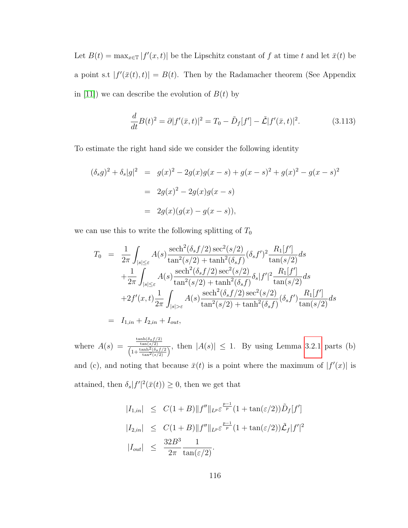Let  $B(t) = \max_{x \in \mathbb{T}} |f'(x,t)|$  be the Lipschitz constant of f at time t and let  $\bar{x}(t)$  be a point s.t  $|f'(\bar{x}(t), t)| = B(t)$ . Then by the Radamacher theorem (See Appendix in [\[11\]](#page-252-0)) we can describe the evolution of  $B(t)$  by

$$
\frac{d}{dt}B(t)^2 = \partial |f'(\bar{x}, t)|^2 = T_0 - \tilde{D}_f[f'] - \tilde{\mathcal{L}}|f'(\bar{x}, t)|^2.
$$
 (3.113)

To estimate the right hand side we consider the following identity

$$
(\delta_s g)^2 + \delta_s |g|^2 = g(x)^2 - 2g(x)g(x - s) + g(x - s)^2 + g(x)^2 - g(x - s)^2
$$
  
=  $2g(x)^2 - 2g(x)g(x - s)$   
=  $2g(x)(g(x) - g(x - s)),$ 

we can use this to write the following splitting of  $T_0$ 

$$
T_0 = \frac{1}{2\pi} \int_{|s| \leq \varepsilon} A(s) \frac{\operatorname{sech}^2(\delta_s f/2) \operatorname{sec}^2(s/2)}{\tan^2(s/2) + \tanh^2(\delta_s f)} (\delta_s f')^2 \frac{R_1[f']}{\tan(s/2)} ds + \frac{1}{2\pi} \int_{|s| \leq \varepsilon} A(s) \frac{\operatorname{sech}^2(\delta_s f/2) \operatorname{sec}^2(s/2)}{\tan^2(s/2) + \tanh^2(\delta_s f)} \delta_s |f'|^2 \frac{R_1[f']}{\tan(s/2)} ds + 2f'(x, t) \frac{1}{2\pi} \int_{|s| > \varepsilon} A(s) \frac{\operatorname{sech}^2(\delta_s f/2) \operatorname{sec}^2(s/2)}{\tan^2(s/2) + \tanh^2(\delta_s f)} (\delta_s f') \frac{R_1[f']}{\tan(s/2)} ds = I_{1,in} + I_{2,in} + I_{out},
$$

where  $A(s) = \frac{\frac{\tanh(\delta_s f/2)}{\tan\delta(s)} }{\left(1 + \frac{\tanh^2(\delta_s f/2)}{\tan^2(s)}\right)}$ , then  $|A(s)| \leq 1$ . By using Lemma [3.2.1](#page-77-1) parts (b)

and (c), and noting that because  $\bar{x}(t)$  is a point where the maximum of  $|f'(x)|$  is attained, then  $\delta_s |f'|^2(\bar{x}(t)) \geq 0$ , then we get that

$$
|I_{1,in}| \leq C(1+B) \|f''\|_{L^{p}} \varepsilon^{\frac{p-1}{p}} (1 + \tan(\varepsilon/2)) \tilde{D}_{f}[f']
$$
  
\n
$$
|I_{2,in}| \leq C(1+B) \|f''\|_{L^{p}} \varepsilon^{\frac{p-1}{p}} (1 + \tan(\varepsilon/2)) \tilde{\mathcal{L}}_{f}[f']^{2}
$$
  
\n
$$
|I_{out}| \leq \frac{32B^3}{2\pi} \frac{1}{\tan(\varepsilon/2)}.
$$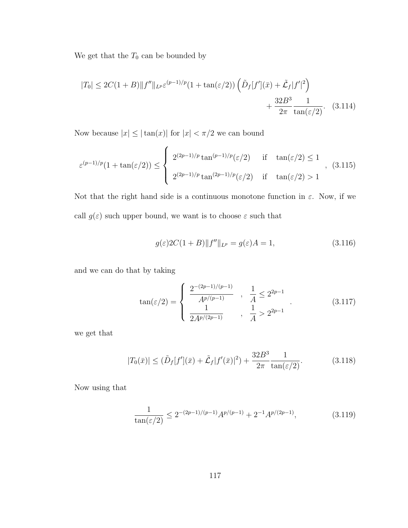We get that the  $\mathcal{T}_0$  can be bounded by

$$
|T_0| \le 2C(1+B) \|f''\|_{L^p} \varepsilon^{(p-1)/p} (1 + \tan(\varepsilon/2)) \left( \tilde{D}_f[f'](\bar{x}) + \tilde{\mathcal{L}}_f |f'|^2 \right) + \frac{32B^3}{2\pi} \frac{1}{\tan(\varepsilon/2)}. \quad (3.114)
$$

Now because  $|x| \leq |\tan(x)|$  for  $|x| < \pi/2$  we can bound

$$
\varepsilon^{(p-1)/p}(1+\tan(\varepsilon/2)) \leq \begin{cases} 2^{(2p-1)/p}\tan^{(p-1)/p}(\varepsilon/2) & \text{if } \tan(\varepsilon/2) \leq 1 \\ 2^{(2p-1)/p}\tan^{(2p-1)/p}(\varepsilon/2) & \text{if } \tan(\varepsilon/2) > 1 \end{cases}, (3.115)
$$

Not that the right hand side is a continuous monotone function in  $\varepsilon$ . Now, if we call  $g(\varepsilon)$  such upper bound, we want is to choose  $\varepsilon$  such that

$$
g(\varepsilon)2C(1+B)\|f''\|_{L^p} = g(\varepsilon)A = 1,
$$
\n(3.116)

and we can do that by taking

$$
\tan(\varepsilon/2) = \begin{cases} \frac{2^{-(2p-1)/(p-1)}}{A^{p/(p-1)}} & , \frac{1}{A} \le 2^{2p-1} \\ \frac{1}{2A^{p/(2p-1)}} & , \frac{1}{A} > 2^{2p-1} \end{cases} (3.117)
$$

we get that

$$
|T_0(\bar{x})| \le (\tilde{D}_f[f'](\bar{x}) + \tilde{L}_f|f'(\bar{x})|^2) + \frac{32B^3}{2\pi} \frac{1}{\tan(\varepsilon/2)}.
$$
 (3.118)

Now using that

$$
\frac{1}{\tan(\varepsilon/2)} \le 2^{-(2p-1)/(p-1)} A^{p/(p-1)} + 2^{-1} A^{p/(2p-1)},\tag{3.119}
$$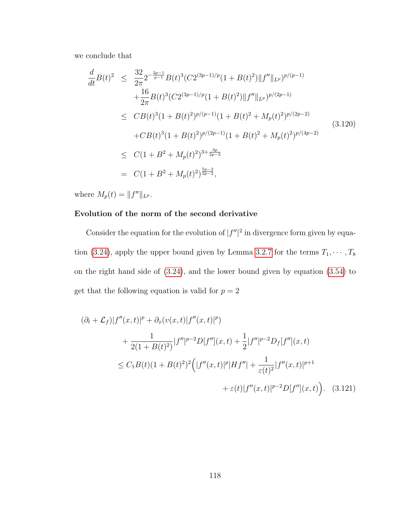we conclude that

<span id="page-126-0"></span>
$$
\frac{d}{dt}B(t)^{2} \leq \frac{32}{2\pi} 2^{-\frac{2p-1}{p-1}} B(t)^{3} (C2^{(3p-1)/p} (1 + B(t)^{2}) \|f''\|_{L^{p}})^{p/(p-1)} \n+ \frac{16}{2\pi} B(t)^{3} (C2^{(3p-1)/p} (1 + B(t)^{2}) \|f''\|_{L^{p}})^{p/(2p-1)} \n\leq C B(t)^{3} (1 + B(t)^{2})^{p/(p-1)} (1 + B(t)^{2} + M_{p}(t)^{2})^{p/(2p-2)} \n+ C B(t)^{3} (1 + B(t)^{2})^{p/(2p-1)} (1 + B(t)^{2} + M_{p}(t)^{2})^{p/(4p-2)} \n\leq C(1 + B^{2} + M_{p}(t)^{2})^{3 + \frac{3p}{2p-2}} \n= C(1 + B^{2} + M_{p}(t)^{2})^{\frac{5p-2}{2p-2}},
$$
\n(3.120)

where  $M_p(t) = ||f''||_{L^p}$ .

#### Evolution of the norm of the second derivative

Consider the equation for the evolution of  $|f''|^2$  in divergence form given by equa-tion [\(3.24\)](#page-77-0), apply the upper bound given by Lemma [3.2.7](#page-96-0) for the terms  $T_1, \dots, T_8$ on the right hand side of [\(3.24\)](#page-77-0), and the lower bound given by equation [\(3.54\)](#page-90-0) to get that the following equation is valid for  $p=2$ 

$$
(\partial_t + \mathcal{L}_f)|f''(x,t)|^p + \partial_x(v(x,t)|f''(x,t)|^p)
$$
  
+ 
$$
\frac{1}{2(1 + B(t)^2)}|f''|^{p-2}D[f''](x,t) + \frac{1}{2}|f''|^{p-2}D_f[f''](x,t)
$$
  

$$
\leq C_1B(t)(1 + B(t)^2)^2\Big(|f''(x,t)|^p|Hf''| + \frac{1}{\varepsilon(t)^2}|f''(x,t)|^{p+1}
$$
  
+ 
$$
\varepsilon(t)|f''(x,t)|^{p-2}D[f'](x,t)\Big).
$$
 (3.121)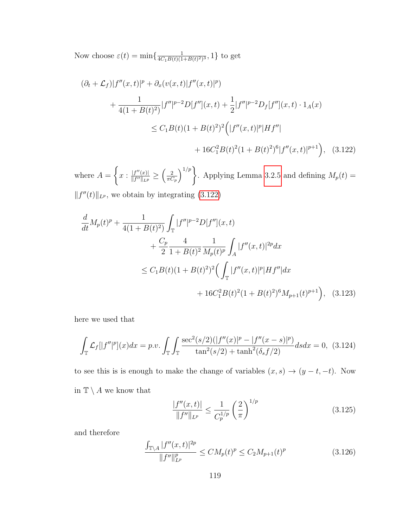Now choose  $\varepsilon(t) = \min\{\frac{1}{4C_1B(t)(1)}\}$  $\frac{1}{4C_1B(t)(1+B(t)^2)^3}, 1 \}$  to get

<span id="page-127-0"></span>
$$
(\partial_t + \mathcal{L}_f)|f''(x,t)|^p + \partial_x(v(x,t)|f''(x,t)|^p)
$$
  
+ 
$$
\frac{1}{4(1+B(t)^2)}|f''|^{p-2}D[f''](x,t) + \frac{1}{2}|f''|^{p-2}D_f[f''](x,t) \cdot 1_A(x)
$$
  

$$
\leq C_1B(t)(1+B(t)^2)^2\Big(|f''(x,t)|^p|Hf''|
$$
  
+ 
$$
16C_1^2B(t)^2(1+B(t)^2)^6|f''(x,t)|^{p+1}\Big), \quad (3.122)
$$

where  $A =$  $\int$  $x: \frac{|f''(x)|}{\|f''\|_{x,y}}$  $\frac{|f''(x)|}{\|f''\|_{L^p}} \geq \left(\frac{2}{\pi C}\right)$  $\pi C_p$  $\binom{1/p}{k}$ . Applying Lemma [3.2.5](#page-89-0) and defining  $M_p(t) =$  $||f''(t)||_{L^p}$ , we obtain by integrating [\(3.122\)](#page-127-0)

$$
\frac{d}{dt}M_p(t)^p + \frac{1}{4(1+B(t)^2)} \int_{\mathbb{T}} |f''|^{p-2} D[f''](x,t) \n+ \frac{C_p}{2} \frac{4}{1+B(t)^2} \frac{1}{M_p(t)^p} \int_A |f''(x,t)|^{2p} dx \n\leq C_1 B(t)(1+B(t)^2)^2 \Big( \int_{\mathbb{T}} |f''(x,t)|^p |Hf''| dx \n+ 16C_1^2 B(t)^2 (1+B(t)^2)^6 M_{p+1}(t)^{p+1} \Big), \quad (3.123)
$$

here we used that

<span id="page-127-3"></span>
$$
\int_{\mathbb{T}} \mathcal{L}_f[|f''|^p](x) dx = p.v. \int_{\mathbb{T}} \int_{\mathbb{T}} \frac{\sec^2(s/2)(|f''(x)|^p - |f''(x-s)|^p)}{\tan^2(s/2) + \tanh^2(\delta_s f/2)} ds dx = 0, \tag{3.124}
$$

to see this is is enough to make the change of variables  $(x, s) \rightarrow (y - t, -t)$ . Now in  $\mathbb{T} \setminus A$  we know that

<span id="page-127-1"></span>
$$
\frac{|f''(x,t)|}{\|f''\|_{L^p}} \le \frac{1}{C_p^{1/p}} \left(\frac{2}{\pi}\right)^{1/p} \tag{3.125}
$$

and therefore

<span id="page-127-2"></span>
$$
\frac{\int_{\mathbb{T}\backslash A}|f''(x,t)|^{2p}}{\|f''\|_{L^p}^p} \le CM_p(t)^p \le C_2M_{p+1}(t)^p \tag{3.126}
$$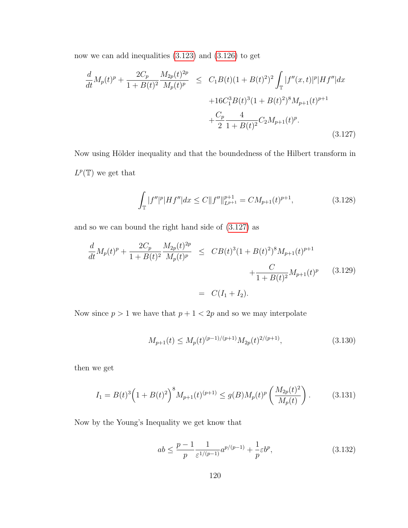now we can add inequalities [\(3.123\)](#page-127-1) and [\(3.126\)](#page-127-2) to get

<span id="page-128-0"></span>
$$
\frac{d}{dt}M_p(t)^p + \frac{2C_p}{1 + B(t)^2} \frac{M_{2p}(t)^{2p}}{M_p(t)^p} \le C_1 B(t)(1 + B(t)^2)^2 \int_{\mathbb{T}} |f''(x,t)|^p |Hf''| dx
$$
  
+ 
$$
16C_1^3 B(t)^3 (1 + B(t)^2)^8 M_{p+1}(t)^{p+1}
$$
  
+ 
$$
\frac{C_p}{2} \frac{4}{1 + B(t)^2} C_2 M_{p+1}(t)^p.
$$
(3.127)

Now using Hölder inequality and that the boundedness of the Hilbert transform in  $L^p(\mathbb{T})$  we get that

$$
\int_{\mathbb{T}} |f''|^{p} |Hf''| dx \le C \|f''\|_{L^{p+1}}^{p+1} = C M_{p+1}(t)^{p+1}, \tag{3.128}
$$

and so we can bound the right hand side of [\(3.127\)](#page-128-0) as

<span id="page-128-1"></span>
$$
\frac{d}{dt}M_p(t)^p + \frac{2C_p}{1 + B(t)^2} \frac{M_{2p}(t)^{2p}}{M_p(t)^p} \leq C B(t)^3 (1 + B(t)^2)^8 M_{p+1}(t)^{p+1} + \frac{C}{1 + B(t)^2} M_{p+1}(t)^p \qquad (3.129)
$$
\n
$$
= C(I_1 + I_2).
$$

Now since  $p > 1$  we have that  $p + 1 < 2p$  and so we may interpolate

$$
M_{p+1}(t) \le M_p(t)^{(p-1)/(p+1)} M_{2p}(t)^{2/(p+1)},
$$
\n(3.130)

then we get

$$
I_1 = B(t)^3 \left( 1 + B(t)^2 \right)^8 M_{p+1}(t)^{(p+1)} \le g(B) M_p(t)^p \left( \frac{M_{2p}(t)^2}{M_p(t)} \right). \tag{3.131}
$$

Now by the Young's Inequality we get know that

$$
ab \le \frac{p-1}{p} \frac{1}{\varepsilon^{1/(p-1)}} a^{p/(p-1)} + \frac{1}{p} \varepsilon b^p,\tag{3.132}
$$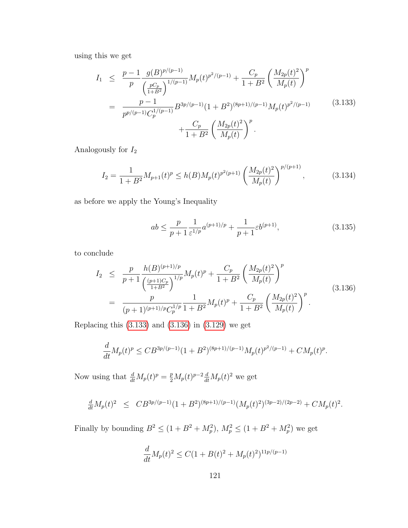using this we get

<span id="page-129-0"></span>
$$
I_{1} \leq \frac{p-1}{p} \frac{g(B)^{p/(p-1)}}{\left(\frac{pC_{p}}{1+B^{2}}\right)^{1/(p-1)}} M_{p}(t)^{p^{2}/(p-1)} + \frac{C_{p}}{1+B^{2}} \left(\frac{M_{2p}(t)^{2}}{M_{p}(t)}\right)^{p}
$$
  

$$
= \frac{p-1}{p^{p/(p-1)}C_{p}^{1/(p-1)}} B^{3p/(p-1)} (1+B^{2})^{(8p+1)/(p-1)} M_{p}(t)^{p^{2}/(p-1)} + \frac{C_{p}}{1+B^{2}} \left(\frac{M_{2p}(t)^{2}}{M_{p}(t)}\right)^{p} . \tag{3.133}
$$

Analogously for  $\mathcal{I}_2$ 

$$
I_2 = \frac{1}{1+B^2} M_{p+1}(t)^p \le h(B) M_p(t)^{p^2(p+1)} \left(\frac{M_{2p}(t)^2}{M_p(t)}\right)^{p/(p+1)},\tag{3.134}
$$

as before we apply the Young's Inequality

$$
ab \le \frac{p}{p+1} \frac{1}{\varepsilon^{1/p}} a^{(p+1)/p} + \frac{1}{p+1} \varepsilon b^{(p+1)},
$$
\n(3.135)

to conclude

<span id="page-129-1"></span>
$$
I_2 \leq \frac{p}{p+1} \frac{h(B)^{(p+1)/p}}{\left(\frac{(p+1)C_p}{1+B^2}\right)^{1/p}} M_p(t)^p + \frac{C_p}{1+B^2} \left(\frac{M_{2p}(t)^2}{M_p(t)}\right)^p
$$
  
= 
$$
\frac{p}{(p+1)^{(p+1)/p} C_p^{1/p}} \frac{1}{1+B^2} M_p(t)^p + \frac{C_p}{1+B^2} \left(\frac{M_{2p}(t)^2}{M_p(t)}\right)^p.
$$
(3.136)

Replacing this [\(3.133\)](#page-129-0) and [\(3.136\)](#page-129-1) in [\(3.129\)](#page-128-1) we get

$$
\frac{d}{dt}M_p(t)^p \leq CB^{3p/(p-1)}(1+B^2)^{(8p+1)/(p-1)}M_p(t)^{p^2/(p-1)} + CM_p(t)^p.
$$

Now using that  $\frac{d}{dt}M_p(t)^p = \frac{p}{2}M_p(t)^{p-2}\frac{d}{dt}M_p(t)^2$  we get

$$
\frac{d}{dt}M_p(t)^2 \leq CB^{3p/(p-1)}(1+B^2)^{(8p+1)/(p-1)}(M_p(t)^2)^{(3p-2)/(2p-2)} + CM_p(t)^2.
$$

Finally by bounding  $B^2 \le (1 + B^2 + M_p^2)$ ,  $M_p^2 \le (1 + B^2 + M_p^2)$  we get

$$
\frac{d}{dt}M_p(t)^2 \le C(1 + B(t)^2 + M_p(t)^2)^{11p/(p-1)}
$$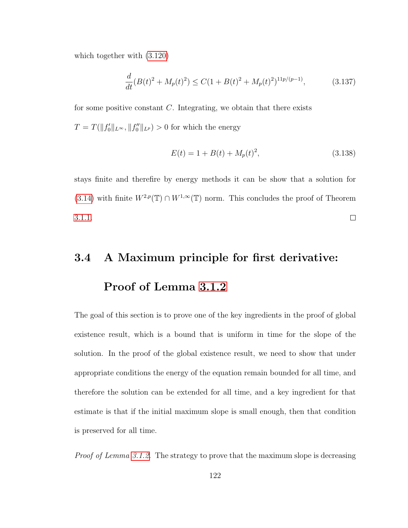which together with [\(3.120\)](#page-126-0)

$$
\frac{d}{dt}(B(t)^2 + M_p(t)^2) \le C(1 + B(t)^2 + M_p(t)^2)^{11p/(p-1)},\tag{3.137}
$$

for some positive constant  $C$ . Integrating, we obtain that there exists  $T = T(||f'_0||_{L^{\infty}}, ||f''_0||_{L^p}) > 0$  for which the energy

$$
E(t) = 1 + B(t) + M_p(t)^2,
$$
\n(3.138)

stays finite and therefire by energy methods it can be show that a solution for [\(3.14\)](#page-73-0) with finite  $W^{2,p}(\mathbb{T}) \cap W^{1,\infty}(\mathbb{T})$  norm. This concludes the proof of Theorem [3.1.1.](#page-68-0)  $\Box$ 

## 3.4 A Maximum principle for first derivative:

## Proof of Lemma [3.1.2](#page-68-1)

The goal of this section is to prove one of the key ingredients in the proof of global existence result, which is a bound that is uniform in time for the slope of the solution. In the proof of the global existence result, we need to show that under appropriate conditions the energy of the equation remain bounded for all time, and therefore the solution can be extended for all time, and a key ingredient for that estimate is that if the initial maximum slope is small enough, then that condition is preserved for all time.

Proof of Lemma [3.1.2.](#page-68-1) The strategy to prove that the maximum slope is decreasing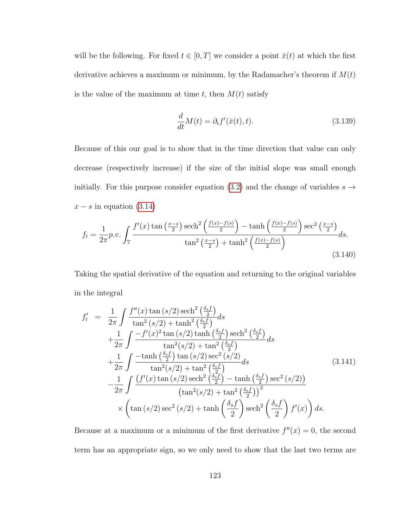will be the following. For fixed  $t \in [0, T]$  we consider a point  $\bar{x}(t)$  at which the first derivative achieves a maximum or minimum, by the Radamacher's theorem if  $M(t)$ is the value of the maximum at time t, then  $M(t)$  satisfy

$$
\frac{d}{dt}M(t) = \partial_t f'(\bar{x}(t), t).
$$
\n(3.139)

Because of this our goal is to show that in the time direction that value can only decrease (respectively increase) if the size of the initial slope was small enough initially. For this purpose consider equation [\(3.2\)](#page-67-0) and the change of variables  $s \rightarrow$  $x - s$  in equation [\(3.14\)](#page-73-0)

$$
f_t = \frac{1}{2\pi} p.v. \int_{\mathbb{T}} \frac{f'(x) \tan\left(\frac{x-s}{2}\right) \operatorname{sech}^2\left(\frac{f(x)-f(s)}{2}\right) - \tanh\left(\frac{f(x)-f(s)}{2}\right) \operatorname{sec}^2\left(\frac{x-s}{2}\right)}{\tan^2\left(\frac{x-s}{2}\right) + \tanh^2\left(\frac{f(x)-f(s)}{2}\right)} ds.
$$
\n
$$
(3.140)
$$

Taking the spatial derivative of the equation and returning to the original variables in the integral

<span id="page-131-0"></span>
$$
f'_{t} = \frac{1}{2\pi} \int \frac{f''(x) \tan(s/2) \operatorname{sech}^{2}(\frac{\delta_{s}f}{2})}{\tan^{2}(s/2) + \tanh^{2}(\frac{\delta_{s}f}{2})} ds
$$
  
+ 
$$
\frac{1}{2\pi} \int \frac{-f'(x)^{2} \tan(s/2) \tanh(\frac{\delta_{s}f}{2}) \operatorname{sech}^{2}(\frac{\delta_{s}f}{2})}{\tan^{2}(s/2) + \tan^{2}(\frac{\delta_{s}f}{2})} ds
$$
  
+ 
$$
\frac{1}{2\pi} \int \frac{-\tanh(\frac{\delta_{s}f}{2}) \tan(s/2) \sec^{2}(s/2)}{\tan^{2}(s/2) + \tan^{2}(\frac{\delta_{s}f}{2})} ds
$$
(3.141)  
- 
$$
\frac{1}{2\pi} \int \frac{(f'(x) \tan(s/2) \operatorname{sech}^{2}(\frac{\delta_{s}f}{2}) - \tanh(\frac{\delta_{s}f}{2}) \sec^{2}(s/2))}{(\tan^{2}(s/2) + \tan^{2}(\frac{\delta_{s}f}{2}))^{2}} \times (\tan(s/2) \sec^{2}(s/2) + \tanh(\frac{\delta_{s}f}{2}) \operatorname{sech}^{2}(\frac{\delta_{s}f}{2}) f'(x)) ds.
$$

Because at a maximum or a minimum of the first derivative  $f''(x) = 0$ , the second term has an appropriate sign, so we only need to show that the last two terms are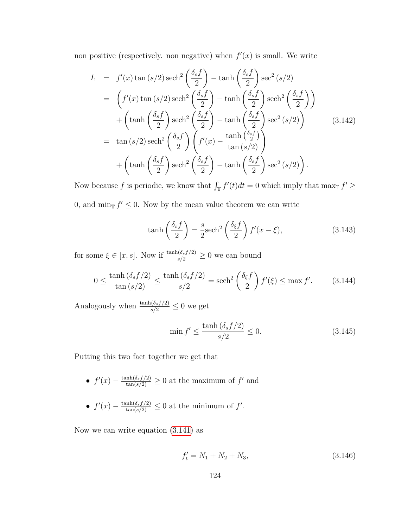non positive (respectively, non negative) when  $f'(x)$  is small. We write

$$
I_1 = f'(x) \tan (s/2) \operatorname{sech}^2\left(\frac{\delta_s f}{2}\right) - \tanh\left(\frac{\delta_s f}{2}\right) \operatorname{sec}^2(s/2)
$$
  
\n
$$
= \left(f'(x) \tan (s/2) \operatorname{sech}^2\left(\frac{\delta_s f}{2}\right) - \tanh\left(\frac{\delta_s f}{2}\right) \operatorname{sech}^2\left(\frac{\delta_s f}{2}\right)\right)
$$
  
\n
$$
+ \left(\tanh\left(\frac{\delta_s f}{2}\right) \operatorname{sech}^2\left(\frac{\delta_s f}{2}\right) - \tanh\left(\frac{\delta_s f}{2}\right) \operatorname{sec}^2(s/2)\right)
$$
  
\n
$$
= \tan (s/2) \operatorname{sech}^2\left(\frac{\delta_s f}{2}\right) \left(f'(x) - \frac{\tanh\left(\frac{\delta_s f}{2}\right)}{\tan(s/2)}\right)
$$
  
\n
$$
+ \left(\tanh\left(\frac{\delta_s f}{2}\right) \operatorname{sech}^2\left(\frac{\delta_s f}{2}\right) - \tanh\left(\frac{\delta_s f}{2}\right) \operatorname{sec}^2(s/2)\right).
$$
  
\n(3.142)

Now because f is periodic, we know that  $\int_{\mathbb{T}} f'(t)dt = 0$  which imply that  $\max_{\mathbb{T}} f' \geq 0$ 0, and  $\min_{\mathbb{T}} f' \leq 0$ . Now by the mean value theorem we can write

$$
\tanh\left(\frac{\delta_s f}{2}\right) = \frac{s}{2} \mathrm{sech}^2\left(\frac{\delta_\xi f}{2}\right) f'(x - \xi),\tag{3.143}
$$

for some  $\xi \in [x, s]$ . Now if  $\frac{\tanh(\delta_s f/2)}{s/2} \geq 0$  we can bound

$$
0 \le \frac{\tanh\left(\delta_s f/2\right)}{\tan\left(s/2\right)} \le \frac{\tanh\left(\delta_s f/2\right)}{s/2} = \mathrm{sech}^2\left(\frac{\delta_\xi f}{2}\right) f'(\xi) \le \max f'.\tag{3.144}
$$

Analogously when  $\frac{\tanh(\delta_s f/2)}{s/2} \leq 0$  we get

$$
\min f' \le \frac{\tanh\left(\delta_s f/2\right)}{s/2} \le 0. \tag{3.145}
$$

Putting this two fact together we get that

- $f'(x) \frac{\tanh(\delta_s f/2)}{\tan(s/2)} \geq 0$  at the maximum of f' and
- $f'(x) \frac{\tanh(\delta_s f/2)}{\tan(s/2)} \leq 0$  at the minimum of f'.

Now we can write equation [\(3.141\)](#page-131-0) as

$$
f_t' = N_1 + N_2 + N_3,\tag{3.146}
$$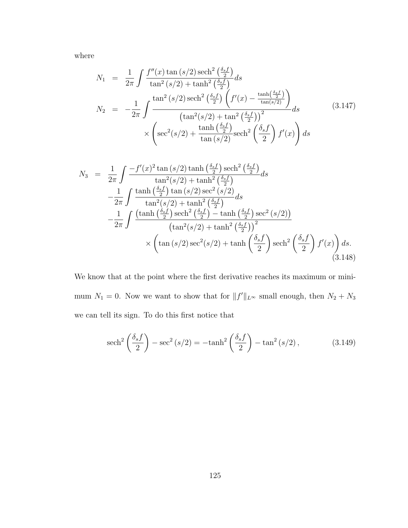where

$$
N_1 = \frac{1}{2\pi} \int \frac{f''(x) \tan(s/2) \operatorname{sech}^2\left(\frac{\delta_s f}{2}\right)}{\tan^2(s/2) + \tanh^2\left(\frac{\delta_s f}{2}\right)} ds
$$
  
\n
$$
N_2 = -\frac{1}{2\pi} \int \frac{\tan^2(s/2) \operatorname{sech}^2\left(\frac{\delta_s f}{2}\right) \left(f'(x) - \frac{\tanh\left(\frac{\delta_s f}{2}\right)}{\tan(s/2)}\right)}{\left(\tan^2(s/2) + \tan^2\left(\frac{\delta_s f}{2}\right)\right)^2} ds
$$
\n
$$
\times \left(\sec^2(s/2) + \frac{\tanh\left(\frac{\delta_s f}{2}\right)}{\tan(s/2)} \operatorname{sech}^2\left(\frac{\delta_s f}{2}\right) f'(x)\right) ds
$$
\n(3.147)

$$
N_3 = \frac{1}{2\pi} \int \frac{-f'(x)^2 \tan(s/2) \tanh\left(\frac{\delta_s f}{2}\right) \mathrm{sech}^2\left(\frac{\delta_s f}{2}\right)}{\tan^2(s/2) + \tanh^2\left(\frac{\delta_s f}{2}\right)} ds
$$
  

$$
-\frac{1}{2\pi} \int \frac{\tanh\left(\frac{\delta_s f}{2}\right) \tan(s/2) \sec^2(s/2)}{\tan^2(s/2) + \tanh^2\left(\frac{\delta_s f}{2}\right)} ds
$$
  

$$
-\frac{1}{2\pi} \int \frac{\tanh\left(\frac{\delta_s f}{2}\right) \mathrm{sech}^2\left(\frac{\delta_s f}{2}\right) - \tanh\left(\frac{\delta_s f}{2}\right) \sec^2(s/2)\t)}{\left(\tan^2(s/2) + \tanh^2\left(\frac{\delta_s f}{2}\right)\right)^2}
$$
  

$$
\times \left(\tan(s/2) \sec^2(s/2) + \tanh\left(\frac{\delta_s f}{2}\right) \mathrm{sech}^2\left(\frac{\delta_s f}{2}\right) f'(x)\right) ds.
$$
(3.148)

We know that at the point where the first derivative reaches its maximum or minimum  $N_1 = 0$ . Now we want to show that for  $||f||_{L^{\infty}}$  small enough, then  $N_2 + N_3$ we can tell its sign. To do this first notice that

$$
\operatorname{sech}^{2}\left(\frac{\delta_{s}f}{2}\right) - \operatorname{sec}^{2}\left(s/2\right) = -\tanh^{2}\left(\frac{\delta_{s}f}{2}\right) - \tan^{2}\left(s/2\right),\tag{3.149}
$$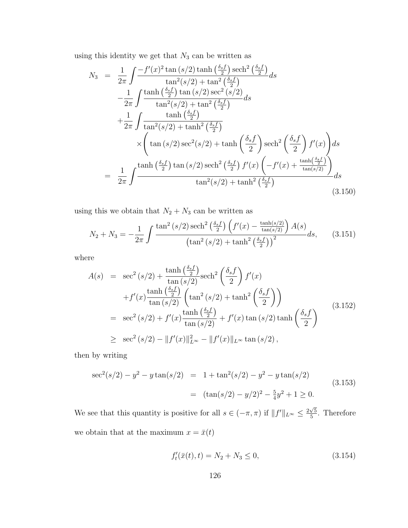using this identity we get that  $N_3$  can be written as

$$
N_3 = \frac{1}{2\pi} \int \frac{-f'(x)^2 \tan(s/2) \tanh\left(\frac{\delta_s f}{2}\right) \operatorname{sech}^2\left(\frac{\delta_s f}{2}\right)}{\tan^2(s/2) + \tan^2\left(\frac{\delta_s f}{2}\right)} ds
$$
  
\n
$$
-\frac{1}{2\pi} \int \frac{\tanh\left(\frac{\delta_s f}{2}\right) \tan(s/2) \sec^2(s/2)}{\tan^2(s/2) + \tan^2\left(\frac{\delta_s f}{2}\right)} ds
$$
  
\n
$$
+\frac{1}{2\pi} \int \frac{\tanh\left(\frac{\delta_s f}{2}\right)}{\tan^2(s/2) + \tanh^2\left(\frac{\delta_s f}{2}\right)} \times \left(\tan(s/2) \sec^2(s/2) + \tanh\left(\frac{\delta_s f}{2}\right) \operatorname{sech}^2\left(\frac{\delta_s f}{2}\right) f'(x)\right) ds
$$
  
\n
$$
= \frac{1}{2\pi} \int \frac{\tanh\left(\frac{\delta_s f}{2}\right) \tan(s/2) \operatorname{sech}^2\left(\frac{\delta_s f}{2}\right) f'(x) \left(-f'(x) + \frac{\tanh\left(\frac{\delta_s f}{2}\right)}{\tan(s/2)}\right)}{\tan^2(s/2) + \tanh^2\left(\frac{\delta_s f}{2}\right)} ds
$$
(3.150)

using this we obtain that  $N_2 + N_3$  can be written as

$$
N_2 + N_3 = -\frac{1}{2\pi} \int \frac{\tan^2\left(s/2\right) \operatorname{sech}^2\left(\frac{\delta_s f}{2}\right) \left(f'(x) - \frac{\tanh(s/2)}{\tan(s/2)}\right) A(s)}{\left(\tan^2\left(s/2\right) + \tanh^2\left(\frac{\delta_s f}{2}\right)\right)^2} ds,\tag{3.151}
$$

where

$$
A(s) = \sec^2(s/2) + \frac{\tanh(\frac{\delta_s f}{2})}{\tan(s/2)} \operatorname{sech}^2\left(\frac{\delta_s f}{2}\right) f'(x)
$$
  
+ 
$$
f'(x) \frac{\tanh(\frac{\delta_s f}{2})}{\tan(s/2)} \left(\tan^2(s/2) + \tanh^2\left(\frac{\delta_s f}{2}\right)\right)
$$
  
= 
$$
\sec^2(s/2) + f'(x) \frac{\tanh(\frac{\delta_s f}{2})}{\tan(s/2)} + f'(x) \tan(s/2) \tanh\left(\frac{\delta_s f}{2}\right)
$$
  

$$
\geq \sec^2(s/2) - ||f'(x)||_{L^{\infty}}^2 - ||f'(x)||_{L^{\infty}} \tan(s/2),
$$
 (3.152)

then by writing

$$
\sec^2(s/2) - y^2 - y \tan(s/2) = 1 + \tan^2(s/2) - y^2 - y \tan(s/2)
$$
  
= 
$$
(\tan(s/2) - y/2)^2 - \frac{5}{4}y^2 + 1 \ge 0.
$$
 (3.153)

We see that this quantity is positive for all  $s \in (-\pi, \pi)$  if  $||f'||_{L^{\infty}} \leq \frac{2\sqrt{5}}{5}$  $\frac{\sqrt{5}}{5}$ . Therefore we obtain that at the maximum  $x = \bar{x}(t)$ 

$$
f'_t(\bar{x}(t), t) = N_2 + N_3 \le 0,
$$
\n(3.154)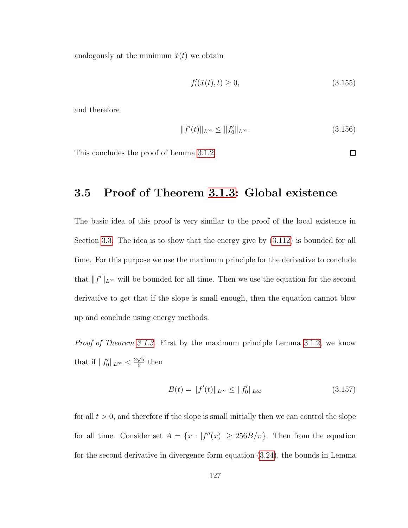analogously at the minimum  $\tilde{x}(t)$  we obtain

$$
f'_t(\tilde{x}(t), t) \ge 0,\tag{3.155}
$$

and therefore

$$
||f'(t)||_{L^{\infty}} \le ||f'_0||_{L^{\infty}}.
$$
\n(3.156)

This concludes the proof of Lemma [3.1.2.](#page-68-1)

 $\Box$ 

# 3.5 Proof of Theorem [3.1.3:](#page-69-0) Global existence

The basic idea of this proof is very similar to the proof of the local existence in Section [3.3.](#page-123-0) The idea is to show that the energy give by [\(3.112\)](#page-123-1) is bounded for all time. For this purpose we use the maximum principle for the derivative to conclude that  $||f'||_{L^{\infty}}$  will be bounded for all time. Then we use the equation for the second derivative to get that if the slope is small enough, then the equation cannot blow up and conclude using energy methods.

Proof of Theorem [3.1.3.](#page-69-0) First by the maximum principle Lemma [3.1.2,](#page-68-1) we know that if  $||f'_0||_{L^{\infty}} < \frac{2\sqrt{5}}{5}$  $\frac{\sqrt{5}}{5}$  then

$$
B(t) = ||f'(t)||_{L^{\infty}} \le ||f'_0||_{L\infty}
$$
\n(3.157)

for all  $t > 0$ , and therefore if the slope is small initially then we can control the slope for all time. Consider set  $A = \{x : |f''(x)| \geq 256B/\pi\}$ . Then from the equation for the second derivative in divergence form equation [\(3.24\)](#page-77-0), the bounds in Lemma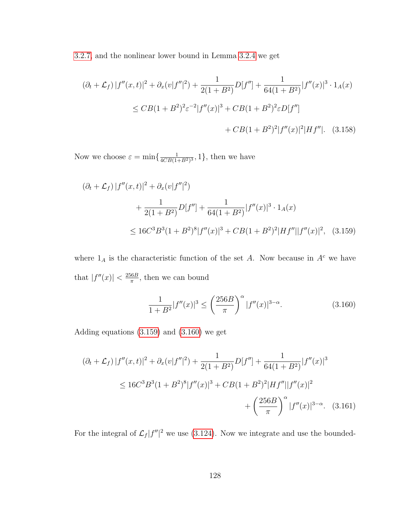[3.2.7,](#page-96-0) and the nonlinear lower bound in Lemma [3.2.4](#page-88-0) we get

$$
(\partial_t + \mathcal{L}_f) |f''(x, t)|^2 + \partial_x (v|f''|^2) + \frac{1}{2(1 + B^2)} D[f''] + \frac{1}{64(1 + B^2)} |f''(x)|^3 \cdot 1_A(x)
$$
  
\n
$$
\leq C B (1 + B^2)^2 \varepsilon^{-2} |f''(x)|^3 + C B (1 + B^2)^2 \varepsilon D[f'']
$$
  
\n
$$
+ C B (1 + B^2)^2 |f''(x)|^2 |Hf''|. \quad (3.158)
$$

Now we choose  $\varepsilon = \min\left\{\frac{1}{ACB(1)}\right\}$  $\frac{1}{4CB(1+B^2)^3}, 1$ , then we have

$$
(\partial_t + \mathcal{L}_f) |f''(x, t)|^2 + \partial_x (v|f''|^2)
$$
  
+ 
$$
\frac{1}{2(1 + B^2)} D[f''] + \frac{1}{64(1 + B^2)} |f''(x)|^3 \cdot 1_A(x)
$$
  

$$
\leq 16C^3 B^3 (1 + B^2)^8 |f''(x)|^3 + CB(1 + B^2)^2 |Hf''||f''(x)|^2, (3.159)
$$

where  $1_A$  is the characteristic function of the set A. Now because in  $A<sup>c</sup>$  we have that  $|f''(x)| < \frac{256B}{\pi}$  $\frac{66B}{\pi}$ , then we can bound

<span id="page-136-1"></span><span id="page-136-0"></span>
$$
\frac{1}{1+B^2}|f''(x)|^3 \le \left(\frac{256B}{\pi}\right)^{\alpha}|f''(x)|^{3-\alpha}.\tag{3.160}
$$

Adding equations [\(3.159\)](#page-136-0) and [\(3.160\)](#page-136-1) we get

$$
(\partial_t + \mathcal{L}_f) |f''(x, t)|^2 + \partial_x (v|f''|^2) + \frac{1}{2(1 + B^2)} D[f''] + \frac{1}{64(1 + B^2)} |f''(x)|^3
$$
  
\n
$$
\leq 16C^3 B^3 (1 + B^2)^8 |f''(x)|^3 + C B (1 + B^2)^2 |Hf''||f''(x)|^2
$$
  
\n
$$
+ \left(\frac{256B}{\pi}\right)^\alpha |f''(x)|^{3-\alpha}.
$$
 (3.161)

For the integral of  $\mathcal{L}_f |f''|^2$  we use [\(3.124\)](#page-127-3). Now we integrate and use the bounded-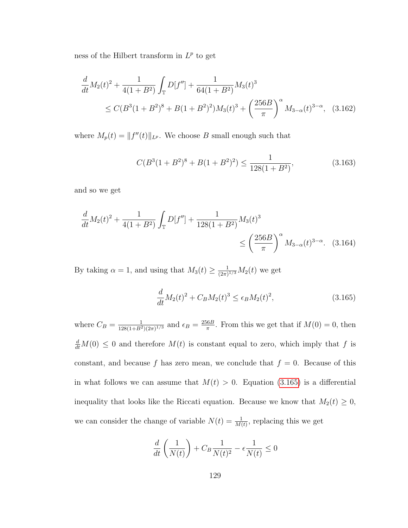ness of the Hilbert transform in  $L^p$  to get

$$
\frac{d}{dt}M_2(t)^2 + \frac{1}{4(1+B^2)}\int_{\mathbb{T}} D[f''] + \frac{1}{64(1+B^2)}M_3(t)^3
$$
\n
$$
\leq C(B^3(1+B^2)^8 + B(1+B^2)^2)M_3(t)^3 + \left(\frac{256B}{\pi}\right)^{\alpha}M_{3-\alpha}(t)^{3-\alpha}, \quad (3.162)
$$

where  $M_p(t) = ||f''(t)||_{L^p}$ . We choose B small enough such that

<span id="page-137-1"></span>
$$
C(B3(1+B2)8 + B(1+B2)2) \le \frac{1}{128(1+B2)},
$$
\n(3.163)

and so we get

$$
\frac{d}{dt}M_2(t)^2 + \frac{1}{4(1+B^2)}\int_{\mathbb{T}} D[f''] + \frac{1}{128(1+B^2)}M_3(t)^3
$$
\n
$$
\leq \left(\frac{256B}{\pi}\right)^{\alpha}M_{3-\alpha}(t)^{3-\alpha}.\quad(3.164)
$$

By taking  $\alpha = 1$ , and using that  $M_3(t) \geq \frac{1}{(2\pi)}$  $\frac{1}{(2\pi)^{1/3}}M_2(t)$  we get

<span id="page-137-0"></span>
$$
\frac{d}{dt}M_2(t)^2 + C_B M_2(t)^3 \le \epsilon_B M_2(t)^2,\tag{3.165}
$$

where  $C_B = \frac{1}{128(1+B^2)}$  $\frac{1}{128(1+B^2)(2\pi)^{1/3}}$  and  $\epsilon_B = \frac{256B}{\pi}$  $\frac{6B}{\pi}$ . From this we get that if  $M(0) = 0$ , then  $\frac{d}{dt}M(0) \leq 0$  and therefore  $M(t)$  is constant equal to zero, which imply that f is constant, and because f has zero mean, we conclude that  $f = 0$ . Because of this in what follows we can assume that  $M(t) > 0$ . Equation [\(3.165\)](#page-137-0) is a differential inequality that looks like the Riccati equation. Because we know that  $M_2(t) \geq 0$ , we can consider the change of variable  $N(t) = \frac{1}{M(t)}$ , replacing this we get

$$
\frac{d}{dt}\left(\frac{1}{N(t)}\right) + C_B \frac{1}{N(t)^2} - \epsilon \frac{1}{N(t)} \le 0
$$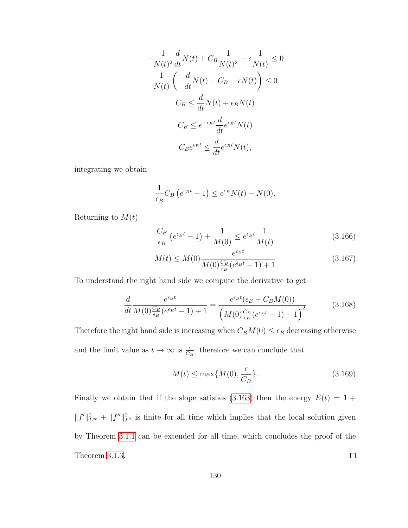$$
-\frac{1}{N(t)^2}\frac{d}{dt}N(t) + C_B\frac{1}{N(t)^2} - \epsilon\frac{1}{N(t)} \le 0
$$

$$
\frac{1}{N(t)}\left(-\frac{d}{dt}N(t) + C_B - \epsilon N(t)\right) \le 0
$$

$$
C_B \le \frac{d}{dt}N(t) + \epsilon_B N(t)
$$

$$
C_B \le e^{-\epsilon_B t}\frac{d}{dt}e^{\epsilon_B t}N(t)
$$

$$
C_B e^{\epsilon_B t} \le \frac{d}{dt}e^{\epsilon_B t}N(t),
$$

integrating we obtain

$$
\frac{1}{\epsilon_B} C_B \left( e^{\epsilon_B t} - 1 \right) \le e^{\epsilon_B} N(t) - N(0).
$$

Returning to  $M(t)$ 

$$
\frac{C_B}{\epsilon_B} \left( e^{\epsilon_B t} - 1 \right) + \frac{1}{M(0)} \le e^{\epsilon_B t} \frac{1}{M(t)} \tag{3.166}
$$

$$
M(t) \le M(0) \frac{e^{\epsilon_B t}}{M(0) \frac{C_B}{\epsilon_B} (e^{\epsilon_B t} - 1) + 1}
$$
\n(3.167)

To understand the right hand side we compute the derivative to get

$$
\frac{d}{dt} \frac{e^{\epsilon_B t}}{M(0) \frac{C_B}{\epsilon_B} (e^{\epsilon_B t} - 1) + 1} = \frac{e^{\epsilon_B t} (\epsilon_B - C_B M(0))}{\left(M(0) \frac{C_B}{\epsilon_B} (e^{\epsilon_B t} - 1) + 1\right)^2}
$$
(3.168)

Therefore the right hand side is increasing when  $C_BM(0) \leq \epsilon_B$  decreasing otherwise and the limit value as  $t \to \infty$  is  $\frac{\epsilon}{C_B}$ , therefore we can conclude that

$$
M(t) \le \max\{M(0), \frac{\epsilon}{C_B}\}.
$$
\n(3.169)

Finally we obtain that if the slope satisfies [\(3.163\)](#page-137-1) then the energy  $E(t) = 1 +$  $||f'||_{L^{\infty}}^2 + ||f''||_{L^2}^2$  is finite for all time which implies that the local solution given by Theorem [3.1.1](#page-68-0) can be extended for all time, which concludes the proof of the Theorem [3.1.3.](#page-69-0)  $\Box$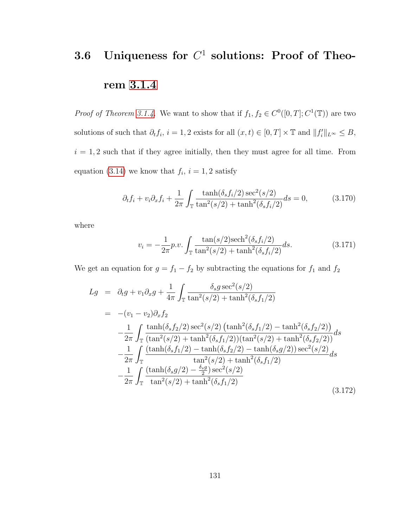# 3.6 Uniqueness for  $C^1$  solutions: Proof of Theorem [3.1.4](#page-69-1)

*Proof of Theorem [3.1.4.](#page-69-1)* We want to show that if  $f_1, f_2 \in C^0([0, T]; C^1(\mathbb{T}))$  are two solutions of such that  $\partial_t f_i$ ,  $i = 1, 2$  exists for all  $(x, t) \in [0, T] \times \mathbb{T}$  and  $||f'_i||_{L^{\infty}} \leq B$ ,  $i = 1, 2$  such that if they agree initially, then they must agree for all time. From equation [\(3.14\)](#page-73-0) we know that  $f_i$ ,  $i = 1, 2$  satisfy

$$
\partial_t f_i + v_i \partial_x f_i + \frac{1}{2\pi} \int_{\mathbb{T}} \frac{\tanh(\delta_s f_i/2) \sec^2(s/2)}{\tan^2(s/2) + \tanh^2(\delta_s f_i/2)} ds = 0,
$$
 (3.170)

where

$$
v_i = -\frac{1}{2\pi} p.v. \int_{\mathbb{T}} \frac{\tan(s/2) \mathrm{sech}^2(\delta_s f_i/2)}{\tan^2(s/2) + \tanh^2(\delta_s f_i/2)} ds.
$$
 (3.171)

We get an equation for  $g = f_1 - f_2$  by subtracting the equations for  $f_1$  and  $f_2$ 

$$
Lg = \partial_t g + v_1 \partial_x g + \frac{1}{4\pi} \int_{\mathbb{T}} \frac{\delta_s g \sec^2(s/2)}{\tan^2(s/2) + \tanh^2(\delta_s f_1/2)}
$$
  
\n
$$
= -(v_1 - v_2) \partial_x f_2
$$
  
\n
$$
- \frac{1}{2\pi} \int_{\mathbb{T}} \frac{\tanh(\delta_s f_2/2) \sec^2(s/2) (\tanh^2(\delta_s f_1/2) - \tanh^2(\delta_s f_2/2))}{(\tan^2(s/2) + \tanh^2(\delta_s f_1/2)) (\tan^2(s/2) + \tanh^2(\delta_s f_2/2))} ds
$$
  
\n
$$
- \frac{1}{2\pi} \int_{\mathbb{T}} \frac{(\tanh(\delta_s f_1/2) - \tanh(\delta_s f_2/2) - \tanh(\delta_s g/2)) \sec^2(s/2)}{\tan^2(s/2) + \tanh^2(\delta_s f_1/2)} ds
$$
  
\n
$$
- \frac{1}{2\pi} \int_{\mathbb{T}} \frac{(\tanh(\delta_s g/2) - \frac{\delta_s g}{2}) \sec^2(s/2)}{\tan^2(s/2) + \tanh^2(\delta_s f_1/2)}
$$
  
\n(3.172)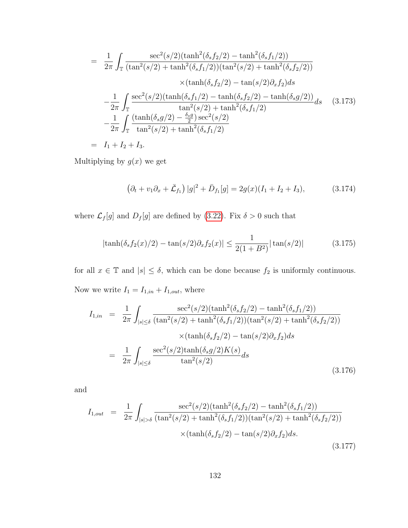$$
= \frac{1}{2\pi} \int_{\mathbb{T}} \frac{\sec^2(s/2)(\tanh^2(\delta_s f_2/2) - \tanh^2(\delta_s f_1/2))}{(\tan^2(s/2) + \tanh^2(\delta_s f_1/2))(\tan^2(s/2) + \tanh^2(\delta_s f_2/2))}
$$

$$
\times (\tanh(\delta_s f_2/2) - \tan(s/2)\partial_x f_2) ds
$$

$$
- \frac{1}{2\pi} \int_{\mathbb{T}} \frac{\sec^2(s/2)(\tanh(\delta_s f_1/2) - \tanh(\delta_s f_2/2) - \tanh(\delta_s g/2))}{\tan^2(s/2) + \tanh^2(\delta_s f_1/2)}
$$

$$
- \frac{1}{2\pi} \int_{\mathbb{T}} \frac{(\tanh(\delta_s g/2) - \frac{\delta_s g}{2}) \sec^2(s/2)}{\tan^2(s/2) + \tanh^2(\delta_s f_1/2)}
$$

$$
= I_1 + I_2 + I_3.
$$
(3.173)

Multiplying by  $g(x)$  we get

<span id="page-140-1"></span>
$$
\left(\partial_t + v_1 \partial_x + \bar{\mathcal{L}}_{f_1}\right)|g|^2 + \bar{D}_{f_1}[g] = 2g(x)(I_1 + I_2 + I_3),\tag{3.174}
$$

where  $\mathcal{L}_f[g]$  and  $D_f[g]$  are defined by [\(3.22\)](#page-76-0). Fix  $\delta > 0$  such that

<span id="page-140-0"></span>
$$
|\tanh(\delta_s f_2(x)/2) - \tan(s/2)\partial_x f_2(x)| \le \frac{1}{2(1+B^2)}|\tan(s/2)| \tag{3.175}
$$

for all  $x \in \mathbb{T}$  and  $|s| \leq \delta$ , which can be done because  $f_2$  is uniformly continuous. Now we write  $I_1 = I_{1,in} + I_{1,out}$ , where

$$
I_{1,in} = \frac{1}{2\pi} \int_{|s| \le \delta} \frac{\sec^2(s/2)(\tanh^2(\delta_s f_2/2) - \tanh^2(\delta_s f_1/2))}{(\tan^2(s/2) + \tanh^2(\delta_s f_1/2))(\tan^2(s/2) + \tanh^2(\delta_s f_2/2))} \times (\tanh(\delta_s f_2/2) - \tan(s/2)\partial_x f_2)ds
$$
  

$$
= \frac{1}{2\pi} \int_{|s| \le \delta} \frac{\sec^2(s/2)\tanh(\delta_s g/2)K(s)}{\tan^2(s/2)}ds
$$
(3.176)

and

$$
I_{1,out} = \frac{1}{2\pi} \int_{|s| > \delta} \frac{\sec^2(s/2)(\tanh^2(\delta_s f_2/2) - \tanh^2(\delta_s f_1/2))}{(\tan^2(s/2) + \tanh^2(\delta_s f_1/2))(\tan^2(s/2) + \tanh^2(\delta_s f_2/2))} \times (\tanh(\delta_s f_2/2) - \tan(s/2)\partial_x f_2)ds.
$$
\n(3.177)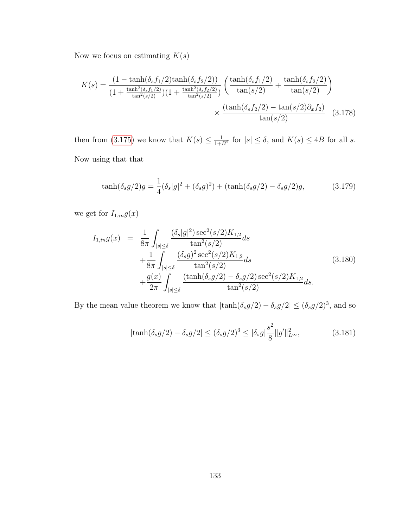Now we focus on estimating  $K(\boldsymbol{s})$ 

$$
K(s) = \frac{(1 - \tanh(\delta_s f_1/2)\tanh(\delta_s f_2/2))}{(1 + \frac{\tanh^2(\delta_s f_1/2)}{\tan^2(s/2)})(1 + \frac{\tanh^2(\delta_s f_2/2)}{\tan^2(s/2)})} \left(\frac{\tanh(\delta_s f_1/2)}{\tan(s/2)} + \frac{\tanh(\delta_s f_2/2)}{\tan(s/2)}\right)
$$

$$
\times \frac{(\tanh(\delta_s f_2/2) - \tan(s/2)\partial_x f_2)}{\tan(s/2)} \quad (3.178)
$$

then from [\(3.175\)](#page-140-0) we know that  $K(s) \leq \frac{1}{1+s}$  $\frac{1}{1+B^2}$  for  $|s| \leq \delta$ , and  $K(s) \leq 4B$  for all s. Now using that that

$$
\tanh(\delta_s g/2)g = \frac{1}{4}(\delta_s|g|^2 + (\delta_s g)^2) + (\tanh(\delta_s g/2) - \delta_s g/2)g,\tag{3.179}
$$

we get for  $I_{1,in}g(\boldsymbol{x})$ 

$$
I_{1,in}g(x) = \frac{1}{8\pi} \int_{|s| \le \delta} \frac{(\delta_s|g|^2) \sec^2(s/2) K_{1,2}}{\tan^2(s/2)} ds + \frac{1}{8\pi} \int_{|s| \le \delta} \frac{(\delta_s g)^2 \sec^2(s/2) K_{1,2}}{\tan^2(s/2)} ds + \frac{g(x)}{2\pi} \int_{|s| \le \delta} \frac{(\tanh(\delta_s g/2) - \delta_s g/2) \sec^2(s/2) K_{1,2}}{\tan^2(s/2)} ds.
$$
 (3.180)

By the mean value theorem we know that  $|\tanh(\delta_s g/2) - \delta_s g/2| \leq (\delta_s g/2)^3$ , and so

$$
|\tanh(\delta_s g/2) - \delta_s g/2| \le (\delta_s g/2)^3 \le |\delta_s g| \frac{s^2}{8} ||g'||_{L^\infty}^2,\tag{3.181}
$$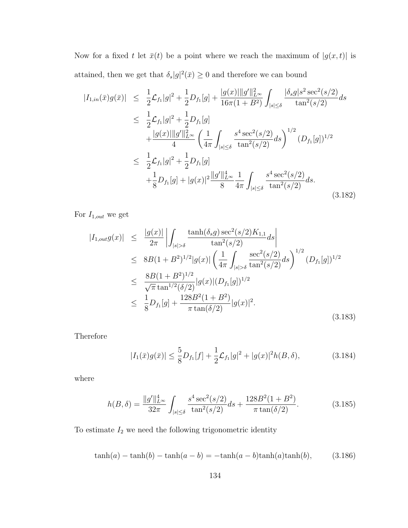Now for a fixed t let  $\bar{x}(t)$  be a point where we reach the maximum of  $|g(x, t)|$  is attained, then we get that  $\delta_s|g|^2(\bar{x}) \geq 0$  and therefore we can bound

$$
|I_{1,in}(\bar{x})g(\bar{x})| \leq \frac{1}{2}\mathcal{L}_{f_1}|g|^2 + \frac{1}{2}D_{f_1}[g] + \frac{|g(x)||g'||_{L^{\infty}}^2}{16\pi(1+B^2)} \int_{|s|\leq \delta} \frac{|\delta_s g|s^2 \sec^2(s/2)}{\tan^2(s/2)} ds
$$
  
\n
$$
\leq \frac{1}{2}\mathcal{L}_{f_1}|g|^2 + \frac{1}{2}D_{f_1}[g]
$$
  
\n
$$
+ \frac{|g(x)||g'||_{L^{\infty}}^2}{4} \left(\frac{1}{4\pi} \int_{|s|\leq \delta} \frac{s^4 \sec^2(s/2)}{\tan^2(s/2)} ds\right)^{1/2} (D_{f_1}[g])^{1/2}
$$
  
\n
$$
\leq \frac{1}{2}\mathcal{L}_{f_1}|g|^2 + \frac{1}{2}D_{f_1}[g]
$$
  
\n
$$
+ \frac{1}{8}D_{f_1}[g] + |g(x)|^2 \frac{||g'||_{L^{\infty}}^4}{8} \frac{1}{4\pi} \int_{|s|\leq \delta} \frac{s^4 \sec^2(s/2)}{\tan^2(s/2)} ds.
$$
\n(3.182)

For  $I_{1,out}$  we get

$$
|I_{1,out}g(x)| \leq \frac{|g(x)|}{2\pi} \left| \int_{|s|>\delta} \frac{\tanh(\delta_s g) \sec^2(s/2) K_{1,1}}{\tan^2(s/2)} ds \right|
$$
  
\n
$$
\leq 8B(1+B^2)^{1/2} |g(x)| \left( \frac{1}{4\pi} \int_{|s|>\delta} \frac{\sec^2(s/2)}{\tan^2(s/2)} ds \right)^{1/2} (D_{f_1}[g])^{1/2}
$$
  
\n
$$
\leq \frac{8B(1+B^2)^{1/2}}{\sqrt{\pi} \tan^{1/2}(\delta/2)} |g(x)| (D_{f_1}[g])^{1/2}
$$
  
\n
$$
\leq \frac{1}{8} D_{f_1}[g] + \frac{128B^2(1+B^2)}{\pi \tan(\delta/2)} |g(x)|^2.
$$
\n(3.183)

Therefore

<span id="page-142-0"></span>
$$
|I_1(\bar{x})g(\bar{x})| \le \frac{5}{8}D_{f_1}[f] + \frac{1}{2}\mathcal{L}_{f_1}|g|^2 + |g(x)|^2 h(B,\delta), \tag{3.184}
$$

where

$$
h(B,\delta) = \frac{\|g'\|_{L^{\infty}}^4}{32\pi} \int_{|s| \le \delta} \frac{s^4 \sec^2(s/2)}{\tan^2(s/2)} ds + \frac{128B^2(1+B^2)}{\pi \tan(\delta/2)}.
$$
 (3.185)

To estimate  $\mathcal{I}_2$  we need the following trigonometric identity

$$
\tanh(a) - \tanh(b) - \tanh(a - b) = -\tanh(a - b)\tanh(a)\tanh(b),\tag{3.186}
$$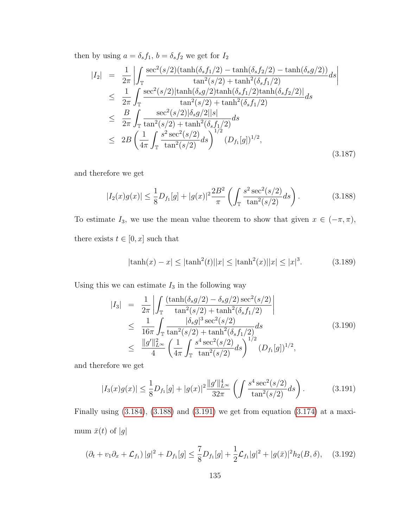then by using  $a = \delta_s f_1$ ,  $b = \delta_s f_2$  we get for  $I_2$ 

$$
|I_{2}| = \frac{1}{2\pi} \left| \int_{\mathbb{T}} \frac{\sec^{2}(s/2)(\tanh(\delta_{s}f_{1}/2) - \tanh(\delta_{s}f_{2}/2) - \tanh(\delta_{s}g/2))}{\tan^{2}(s/2) + \tanh^{2}(\delta_{s}f_{1}/2)} ds \right|
$$
  
\n
$$
\leq \frac{1}{2\pi} \int_{\mathbb{T}} \frac{\sec^{2}(s/2)|\tanh(\delta_{s}g/2)\tanh(\delta_{s}f_{1}/2)\tanh(\delta_{s}f_{2}/2)|}{\tan^{2}(s/2) + \tanh^{2}(\delta_{s}f_{1}/2)} ds
$$
  
\n
$$
\leq \frac{B}{2\pi} \int_{\mathbb{T}} \frac{\sec^{2}(s/2)|\delta_{s}g/2||s|}{\tan^{2}(s/2) + \tanh^{2}(\delta_{s}f_{1}/2)} ds
$$
  
\n
$$
\leq 2B \left( \frac{1}{4\pi} \int_{\mathbb{T}} \frac{s^{2} \sec^{2}(s/2)}{\tan^{2}(s/2)} ds \right)^{1/2} (D_{f_{1}}[g])^{1/2}, \tag{3.187}
$$

and therefore we get

<span id="page-143-0"></span>
$$
|I_2(x)g(x)| \le \frac{1}{8}D_{f_1}[g] + |g(x)|^2 \frac{2B^2}{\pi} \left( \int_{\mathbb{T}} \frac{s^2 \sec^2(s/2)}{\tan^2(s/2)} ds \right).
$$
 (3.188)

To estimate  $I_3$ , we use the mean value theorem to show that given  $x \in (-\pi, \pi)$ , there exists  $t\in [0,x]$  such that

$$
|\tanh(x) - x| \le |\tanh^2(t)| |x| \le |\tanh^2(x)| |x| \le |x|^3. \tag{3.189}
$$

Using this we can estimate  $\mathcal{I}_3$  in the following way

$$
|I_3| = \frac{1}{2\pi} \left| \int_{\mathbb{T}} \frac{(\tanh(\delta_s g/2) - \delta_s g/2) \sec^2(s/2)}{\tan^2(s/2) + \tanh^2(\delta_s f_1/2)} \right|
$$
  
\n
$$
\leq \frac{1}{16\pi} \int_{\mathbb{T}} \frac{|\delta_s g|^3 \sec^2(s/2)}{\tan^2(s/2) + \tanh^2(\delta_s f_1/2)} ds
$$
  
\n
$$
\leq \frac{\|g'\|_{L^\infty}^2}{4} \left( \frac{1}{4\pi} \int_{\mathbb{T}} \frac{s^4 \sec^2(s/2)}{\tan^2(s/2)} ds \right)^{1/2} (D_{f_1}[g])^{1/2},
$$
\n(3.190)

and therefore we get

<span id="page-143-1"></span>
$$
|I_3(x)g(x)| \le \frac{1}{8}D_{f_1}[g] + |g(x)|^2 \frac{\|g'\|_{L^\infty}^4}{32\pi} \left(\int \frac{s^4 \sec^2(s/2)}{\tan^2(s/2)} ds\right). \tag{3.191}
$$

Finally using [\(3.184\)](#page-142-0), [\(3.188\)](#page-143-0) and [\(3.191\)](#page-143-1) we get from equation [\(3.174\)](#page-140-1) at a maximum $\bar{x}(t)$  of  $|g|$ 

$$
\left(\partial_t + v_1 \partial_x + \mathcal{L}_{f_1}\right)|g|^2 + D_{f_1}[g] \le \frac{7}{8}D_{f_1}[g] + \frac{1}{2}\mathcal{L}_{f_1}|g|^2 + |g(\bar{x})|^2 h_2(B,\delta), \quad (3.192)
$$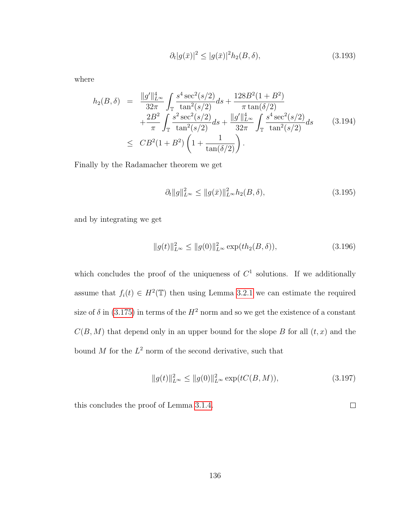$$
\partial_t |g(\bar{x})|^2 \le |g(\bar{x})|^2 h_2(B,\delta),\tag{3.193}
$$

where

$$
h_2(B,\delta) = \frac{\|g'\|_{L^{\infty}}^4}{32\pi} \int_{\mathbb{T}} \frac{s^4 \sec^2(s/2)}{\tan^2(s/2)} ds + \frac{128B^2(1+B^2)}{\pi \tan(\delta/2)} + \frac{2B^2}{\pi} \int_{\mathbb{T}} \frac{s^2 \sec^2(s/2)}{\tan^2(s/2)} ds + \frac{\|g'\|_{L^{\infty}}^4}{32\pi} \int_{\mathbb{T}} \frac{s^4 \sec^2(s/2)}{\tan^2(s/2)} ds \qquad (3.194) \leq CB^2(1+B^2) \left(1 + \frac{1}{\tan(\delta/2)}\right).
$$

Finally by the Radamacher theorem we get

$$
\partial_t \|g\|_{L^\infty}^2 \le \|g(\bar{x})\|_{L^\infty}^2 h_2(B,\delta),\tag{3.195}
$$

and by integrating we get

$$
||g(t)||_{L^{\infty}}^{2} \le ||g(0)||_{L^{\infty}}^{2} \exp(th_{2}(B,\delta)), \tag{3.196}
$$

which concludes the proof of the uniqueness of  $C<sup>1</sup>$  solutions. If we additionally assume that  $f_i(t) \in H^2(\mathbb{T})$  then using Lemma [3.2.1](#page-77-0) we can estimate the required size of  $\delta$  in [\(3.175\)](#page-140-0) in terms of the  $H^2$  norm and so we get the existence of a constant  $C(B, M)$  that depend only in an upper bound for the slope B for all  $(t, x)$  and the bound M for the  $L^2$  norm of the second derivative, such that

$$
||g(t)||_{L^{\infty}}^{2} \le ||g(0)||_{L^{\infty}}^{2} \exp(tC(B, M)), \tag{3.197}
$$

 $\Box$ 

this concludes the proof of Lemma [3.1.4.](#page-69-0)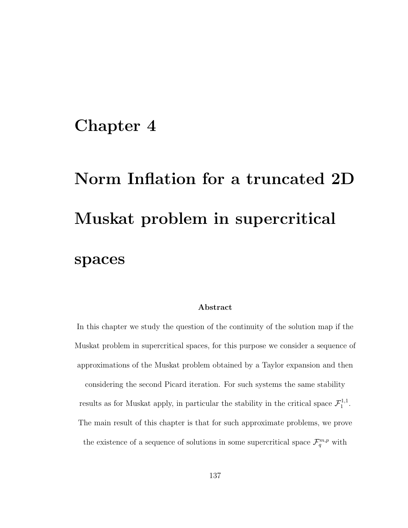# Chapter 4

# Norm Inflation for a truncated 2D Muskat problem in supercritical spaces

#### Abstract

In this chapter we study the question of the continuity of the solution map if the Muskat problem in supercritical spaces, for this purpose we consider a sequence of approximations of the Muskat problem obtained by a Taylor expansion and then considering the second Picard iteration. For such systems the same stability results as for Muskat apply, in particular the stability in the critical space  $\mathcal{F}^{1,1}_1$  $\frac{1}{1}$ . The main result of this chapter is that for such approximate problems, we prove the existence of a sequence of solutions in some supercritical space  $\mathcal{F}_q^{m,p}$  with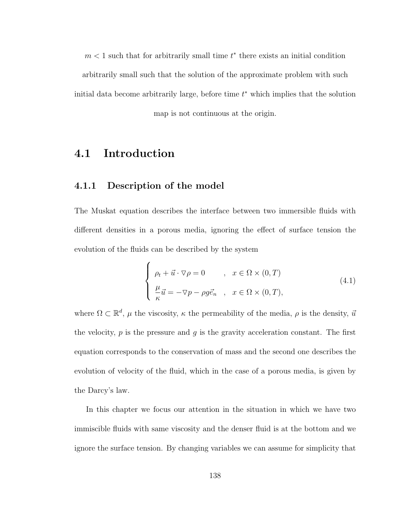$m < 1$  such that for arbitrarily small time  $t^*$  there exists an initial condition arbitrarily small such that the solution of the approximate problem with such initial data become arbitrarily large, before time  $t^*$  which implies that the solution

map is not continuous at the origin.

### 4.1 Introduction

#### 4.1.1 Description of the model

The Muskat equation describes the interface between two immersible fluids with different densities in a porous media, ignoring the effect of surface tension the evolution of the fluids can be described by the system

$$
\begin{cases}\n\rho_t + \vec{u} \cdot \nabla \rho = 0 & , x \in \Omega \times (0, T) \\
\frac{\mu}{\kappa} \vec{u} = -\nabla p - \rho g \vec{e}_n & , x \in \Omega \times (0, T),\n\end{cases}
$$
\n(4.1)

where  $\Omega \subset \mathbb{R}^d$ ,  $\mu$  the viscosity,  $\kappa$  the permeability of the media,  $\rho$  is the density,  $\vec{u}$ the velocity,  $p$  is the pressure and  $g$  is the gravity acceleration constant. The first equation corresponds to the conservation of mass and the second one describes the evolution of velocity of the fluid, which in the case of a porous media, is given by the Darcy's law.

In this chapter we focus our attention in the situation in which we have two immiscible fluids with same viscosity and the denser fluid is at the bottom and we ignore the surface tension. By changing variables we can assume for simplicity that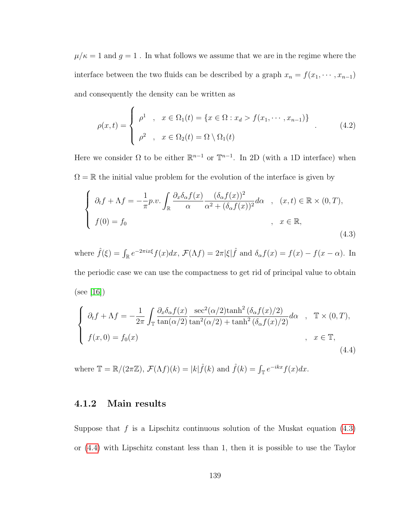$\mu/\kappa=1$  and  $g=1$  . In what follows we assume that we are in the regime where the interface between the two fluids can be described by a graph  $x_n = f(x_1, \dots, x_{n-1})$ and consequently the density can be written as

$$
\rho(x,t) = \begin{cases}\n\rho^1, & x \in \Omega_1(t) = \{x \in \Omega : x_d > f(x_1, \dots, x_{n-1})\} \\
\rho^2, & x \in \Omega_2(t) = \Omega \setminus \Omega_1(t)\n\end{cases} \tag{4.2}
$$

Here we consider  $\Omega$  to be either  $\mathbb{R}^{n-1}$  or  $\mathbb{T}^{n-1}$ . In 2D (with a 1D interface) when  $\Omega = \mathbb{R}$  the initial value problem for the evolution of the interface is given by

<span id="page-147-0"></span>
$$
\begin{cases}\n\partial_t f + \Lambda f = -\frac{1}{\pi} p.v. \int_{\mathbb{R}} \frac{\partial_x \delta_\alpha f(x)}{\alpha} \frac{(\delta_\alpha f(x))^2}{\alpha^2 + (\delta_\alpha f(x))^2} d\alpha, & (x, t) \in \mathbb{R} \times (0, T), \\
f(0) = f_0, & x \in \mathbb{R},\n\end{cases}
$$
\n(4.3)

where  $\hat{f}(\xi) = \int_{\mathbb{R}} e^{-2\pi ix\xi} f(x) dx$ ,  $\mathcal{F}(\Lambda f) = 2\pi |\xi| \hat{f}$  and  $\delta_{\alpha} f(x) = f(x) - f(x - \alpha)$ . In the periodic case we can use the compactness to get rid of principal value to obtain (see [\[16\]](#page-253-0))

<span id="page-147-1"></span>
$$
\begin{cases}\n\partial_t f + \Lambda f = -\frac{1}{2\pi} \int_{\mathbb{T}} \frac{\partial_x \delta_\alpha f(x)}{\tan(\alpha/2)} \frac{\sec^2(\alpha/2) \tanh^2(\delta_\alpha f(x)/2)}{\tan^2(\alpha/2) + \tanh^2(\delta_\alpha f(x)/2)} d\alpha, & \mathbb{T} \times (0, T), \\
f(x, 0) = f_0(x) & , x \in \mathbb{T},\n\end{cases}
$$
\n(4.4)

where  $\mathbb{T} = \mathbb{R}/(2\pi\mathbb{Z})$ ,  $\mathcal{F}(\Lambda f)(k) = |k| \hat{f}(k)$  and  $\hat{f}(k) = \int_{\mathbb{T}} e^{-ikx} f(x) dx$ .

#### 4.1.2 Main results

Suppose that  $f$  is a Lipschitz continuous solution of the Muskat equation  $(4.3)$ or [\(4.4\)](#page-147-1) with Lipschitz constant less than 1, then it is possible to use the Taylor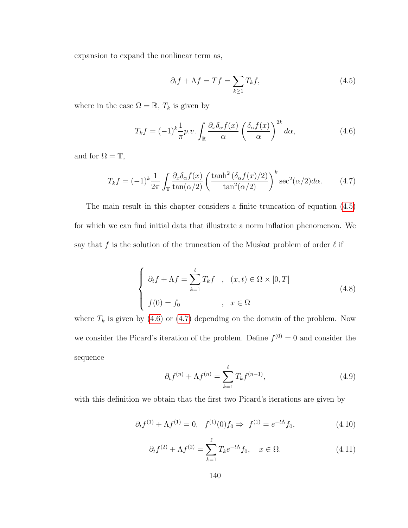expansion to expand the nonlinear term as,

<span id="page-148-0"></span>
$$
\partial_t f + \Lambda f = Tf = \sum_{k \ge 1} T_k f,\tag{4.5}
$$

where in the case  $\Omega = \mathbb{R}, T_k$  is given by

<span id="page-148-1"></span>
$$
T_k f = (-1)^k \frac{1}{\pi} p.v. \int_{\mathbb{R}} \frac{\partial_x \delta_\alpha f(x)}{\alpha} \left( \frac{\delta_\alpha f(x)}{\alpha} \right)^{2k} d\alpha, \tag{4.6}
$$

and for  $\Omega = \mathbb{T}$ ,

<span id="page-148-2"></span>
$$
T_k f = (-1)^k \frac{1}{2\pi} \int_{\mathbb{T}} \frac{\partial_x \delta_\alpha f(x)}{\tan(\alpha/2)} \left( \frac{\tanh^2(\delta_\alpha f(x)/2)}{\tan^2(\alpha/2)} \right)^k \sec^2(\alpha/2) d\alpha. \tag{4.7}
$$

The main result in this chapter considers a finite truncation of equation [\(4.5\)](#page-148-0) for which we can find initial data that illustrate a norm inflation phenomenon. We say that f is the solution of the truncation of the Muskat problem of order  $\ell$  if

<span id="page-148-3"></span>
$$
\begin{cases}\n\partial_t f + \Lambda f = \sum_{k=1}^{\ell} T_k f, & (x, t) \in \Omega \times [0, T] \\
f(0) = f_0, & x \in \Omega\n\end{cases}
$$
\n(4.8)

where  $T_k$  is given by [\(4.6\)](#page-148-1) or [\(4.7\)](#page-148-2) depending on the domain of the problem. Now we consider the Picard's iteration of the problem. Define  $f^{(0)} = 0$  and consider the sequence

$$
\partial_t f^{(n)} + \Lambda f^{(n)} = \sum_{k=1}^{\ell} T_k f^{(n-1)},\tag{4.9}
$$

with this definition we obtain that the first two Picard's iterations are given by

$$
\partial_t f^{(1)} + \Lambda f^{(1)} = 0, \quad f^{(1)}(0) f_0 \Rightarrow f^{(1)} = e^{-t\Lambda} f_0,\tag{4.10}
$$

$$
\partial_t f^{(2)} + \Lambda f^{(2)} = \sum_{k=1}^{\ell} T_k e^{-t\Lambda} f_0, \quad x \in \Omega.
$$
 (4.11)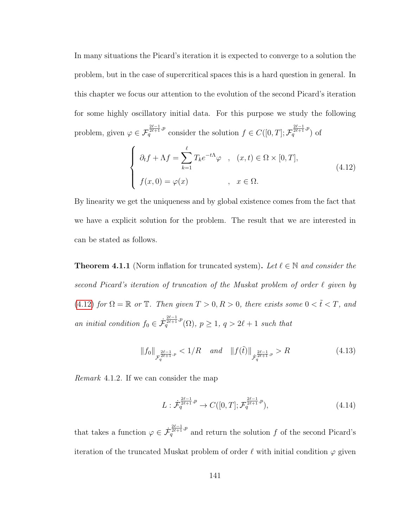In many situations the Picard's iteration it is expected to converge to a solution the problem, but in the case of supercritical spaces this is a hard question in general. In this chapter we focus our attention to the evolution of the second Picard's iteration for some highly oscillatory initial data. For this purpose we study the following problem, given  $\varphi \in \mathcal{F}_q^{\frac{2\ell-1}{2\ell+1},p}$  consider the solution  $f \in C([0,T]; \mathcal{F}_q^{\frac{2\ell-1}{2\ell+1},p})$  of

<span id="page-149-0"></span>
$$
\begin{cases}\n\partial_t f + \Lambda f = \sum_{k=1}^{\ell} T_k e^{-t\Lambda} \varphi, & (x, t) \in \Omega \times [0, T], \\
f(x, 0) = \varphi(x) & , x \in \Omega.\n\end{cases}
$$
\n(4.12)

By linearity we get the uniqueness and by global existence comes from the fact that we have a explicit solution for the problem. The result that we are interested in can be stated as follows.

<span id="page-149-1"></span>**Theorem 4.1.1** (Norm inflation for truncated system). Let  $\ell \in \mathbb{N}$  and consider the second Picard's iteration of truncation of the Muskat problem of order  $\ell$  given by [\(4.12\)](#page-149-0) for  $\Omega = \mathbb{R}$  or  $\mathbb{T}$ . Then given  $T > 0, R > 0$ , there exists some  $0 < \tilde{t} < T$ , and an initial condition  $f_0 \in \dot{\mathcal{F}}_q^{\frac{2\ell-1}{\ell+1},p}(\Omega), p \geq 1, q > 2\ell+1$  such that

$$
||f_0||_{\mathcal{F}_q^{\frac{2\ell-1}{2\ell+1},p}} < 1/R \quad and \quad ||f(\tilde{t})||_{\mathcal{F}_q^{\frac{2\ell-1}{2\ell+1},p}} > R \tag{4.13}
$$

Remark 4.1.2. If we can consider the map

$$
L: \dot{\mathcal{F}}_q^{\frac{2\ell-1}{2\ell+1},p} \to C([0,T]; \mathcal{F}_q^{\frac{2\ell-1}{2\ell+1},p}), \tag{4.14}
$$

that takes a function  $\varphi \in \dot{\mathcal{F}}_q^{\frac{2\ell-1}{2\ell+1},p}$  and return the solution f of the second Picard's iteration of the truncated Muskat problem of order  $\ell$  with initial condition  $\varphi$  given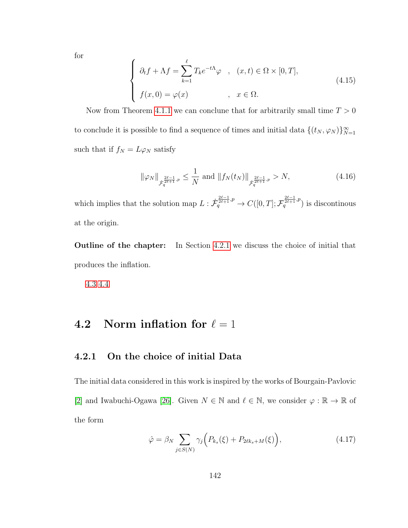for

$$
\begin{cases}\n\partial_t f + \Lambda f = \sum_{k=1}^{\ell} T_k e^{-t\Lambda} \varphi, & (x, t) \in \Omega \times [0, T], \\
f(x, 0) = \varphi(x) & , x \in \Omega.\n\end{cases}
$$
\n(4.15)

Now from Theorem [4.1.1](#page-149-1) we can conclune that for arbitrarily small time  $T > 0$ to conclude it is possible to find a sequence of times and initial data  $\{(t_N, \varphi_N)\}_{N=1}^{\infty}$ such that if  $f_N = L\varphi_N$  satisfy

$$
\|\varphi_N\|_{\dot{\mathcal{F}}_q^{\frac{2\ell-1}{2\ell+1},p}} \le \frac{1}{N} \text{ and } \|f_N(t_N)\|_{\dot{\mathcal{F}}_q^{\frac{2\ell-1}{2\ell+1},p}} > N,
$$
\n(4.16)

which implies that the solution map  $L: \dot{\mathcal{F}}_q^{\frac{2\ell-1}{2\ell+1},p} \to C([0,T]; \mathcal{F}_q^{\frac{2\ell-1}{2\ell+1},p})$  is discontinous at the origin.

Outline of the chapter: In Section [4.2.1](#page-150-0) we discuss the choice of initial that produces the inflation.

[4.3](#page-176-0) [4.4](#page-201-0)

## 4.2 Norm inflation for  $\ell = 1$

#### <span id="page-150-0"></span>4.2.1 On the choice of initial Data

The initial data considered in this work is inspired by the works of Bourgain-Pavlovic [\[2\]](#page-251-0) and Iwabuchi-Ogawa [\[26\]](#page-255-0). Given  $N \in \mathbb{N}$  and  $\ell \in \mathbb{N}$ , we consider  $\varphi : \mathbb{R} \to \mathbb{R}$  of the form

<span id="page-150-1"></span>
$$
\hat{\varphi} = \beta_N \sum_{j \in S(N)} \gamma_j \Big( P_{k_s}(\xi) + P_{2\ell k_s + M}(\xi) \Big), \tag{4.17}
$$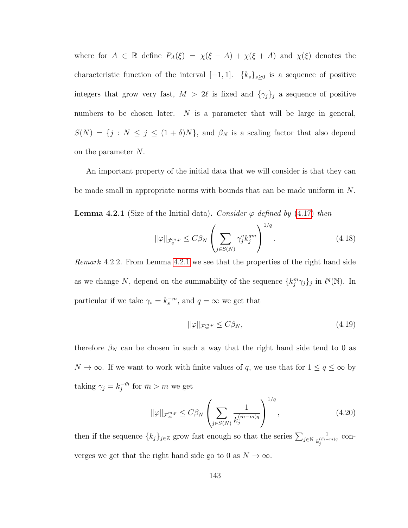where for  $A \in \mathbb{R}$  define  $P_A(\xi) = \chi(\xi - A) + \chi(\xi + A)$  and  $\chi(\xi)$  denotes the characteristic function of the interval  $[-1, 1]$ .  $\{k_s\}_{s\geq 0}$  is a sequence of positive integers that grow very fast,  $M > 2\ell$  is fixed and  ${\gamma_j}_j$  a sequence of positive numbers to be chosen later.  $N$  is a parameter that will be large in general,  $S(N) = \{j : N \leq j \leq (1 + \delta)N\}$ , and  $\beta_N$  is a scaling factor that also depend on the parameter N.

<span id="page-151-0"></span>An important property of the initial data that we will consider is that they can be made small in appropriate norms with bounds that can be made uniform in N. **Lemma 4.2.1** (Size of the Initial data). Consider  $\varphi$  defined by [\(4.17\)](#page-150-1) then

$$
\|\varphi\|_{\dot{\mathcal{F}}_q^{m,p}} \le C\beta_N \left(\sum_{j\in S(N)} \gamma_j^q k_j^{qm}\right)^{1/q}.\tag{4.18}
$$

<span id="page-151-1"></span>Remark 4.2.2. From Lemma [4.2.1](#page-151-0) we see that the properties of the right hand side as we change N, depend on the summability of the sequence  $\{k_j^m \gamma_j\}_j$  in  $\ell^q(\mathbb{N})$ . In particular if we take  $\gamma_s = k_s^{-m}$ , and  $q = \infty$  we get that

$$
\|\varphi\|_{\mathcal{F}_{\infty}^{m,p}} \le C\beta_N,\tag{4.19}
$$

therefore  $\beta_N$  can be chosen in such a way that the right hand side tend to 0 as  $N\to\infty.$  If we want to work with finite values of  $q,$  we use that for  $1\leq q\leq\infty$  by taking  $\gamma_j = k_j^{-\bar{m}}$  $\bar{j}^{\bar{m}}$  for  $\bar{m} > m$  we get

$$
\|\varphi\|_{\mathcal{F}_{\infty}^{m,p}} \le C\beta_N \left(\sum_{j\in S(N)} \frac{1}{k_j^{(\tilde{m}-m)q}}\right)^{1/q},\tag{4.20}
$$

then if the sequence  $\{k_j\}_{j\in\mathbb{Z}}$  grow fast enough so that the series  $\sum_{j\in\mathbb{N}}\frac{1}{k^{(\tilde{m}-1)}}$  $\frac{1}{k_j^{(\tilde{m}-m)q}}$  converges we get that the right hand side go to 0 as  $N \to \infty$ .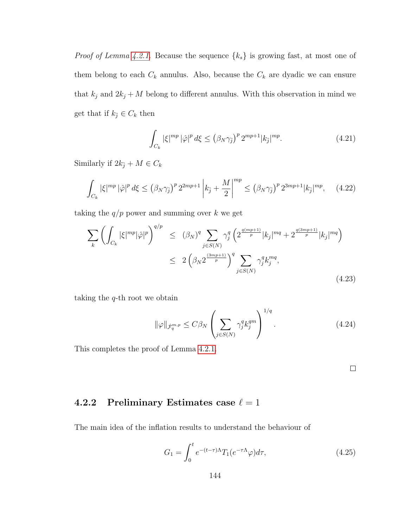*Proof of Lemma [4.2.1.](#page-151-0)* Because the sequence  $\{k_s\}$  is growing fast, at most one of them belong to each  $C_k$  annulus. Also, because the  $C_k$  are dyadic we can ensure that  $k_j$  and  $2k_j + M$  belong to different annulus. With this observation in mind we get that if  $k_{\bar{j}} \in C_k$  then

$$
\int_{C_k} |\xi|^{mp} |\hat{\varphi}|^p d\xi \le \left(\beta_N \gamma_{\bar{j}}\right)^p 2^{mp+1} |k_{\bar{j}}|^{mp}.\tag{4.21}
$$

Similarly if  $2k_{\bar{j}} + M \in C_k$ 

$$
\int_{C_k} |\xi|^{mp} |\hat{\varphi}|^p d\xi \le (\beta_N \gamma_{\bar{j}})^p 2^{2mp+1} \left| k_{\bar{j}} + \frac{M}{2} \right|^{mp} \le (\beta_N \gamma_{\bar{j}})^p 2^{3mp+1} |k_{\bar{j}}|^{mp}, \quad (4.22)
$$

taking the  $q/p$  power and summing over k we get

$$
\sum_{k} \left( \int_{C_{k}} |\xi|^{mp} |\hat{\varphi}|^{p} \right)^{q/p} \leq (\beta_{N})^{q} \sum_{j \in S(N)} \gamma_{j}^{q} \left( 2^{\frac{q(mp+1)}{p}} |k_{j}|^{mq} + 2^{\frac{q(3mp+1)}{p}} |k_{j}|^{mq} \right) \leq 2 \left( \beta_{N} 2^{\frac{(3mp+1)}{p}} \right)^{q} \sum_{j \in S(N)} \gamma_{j}^{q} k_{j}^{mq},
$$
\n(4.23)

taking the q-th root we obtain

$$
\|\varphi\|_{\dot{\mathcal{F}}_q^{m,p}} \le C\beta_N \left(\sum_{j\in S(N)} \gamma_j^q k_j^{qm}\right)^{1/q}.\tag{4.24}
$$

This completes the proof of Lemma [4.2.1.](#page-151-0)

 $\Box$ 

#### 4.2.2 Preliminary Estimates case  $\ell = 1$

The main idea of the inflation results to understand the behaviour of

$$
G_1 = \int_0^t e^{-(t-\tau)\Lambda} T_1(e^{-\tau\Lambda}\varphi) d\tau,
$$
\n(4.25)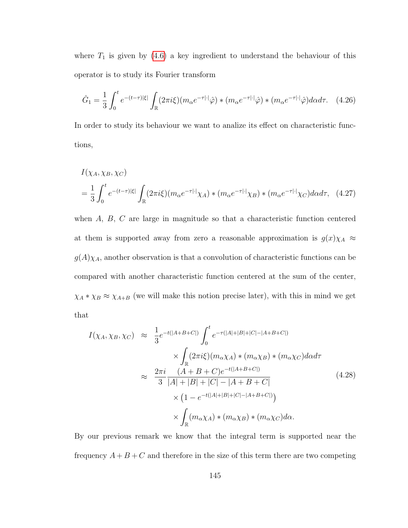where  $T_1$  is given by [\(4.6\)](#page-148-1) a key ingredient to understand the behaviour of this operator is to study its Fourier transform

$$
\hat{G}_1 = \frac{1}{3} \int_0^t e^{-(t-\tau)|\xi|} \int_{\mathbb{R}} (2\pi i \xi) (m_\alpha e^{-\tau |\cdot|} \hat{\varphi}) * (m_\alpha e^{-\tau |\cdot|} \hat{\varphi}) * (m_\alpha e^{-\tau |\cdot|} \hat{\varphi}) d\alpha d\tau.
$$
 (4.26)

In order to study its behaviour we want to analize its effect on characteristic functions,

$$
I(\chi_A, \chi_B, \chi_C)
$$
  
=  $\frac{1}{3} \int_0^t e^{-(t-\tau)|\xi|} \int_{\mathbb{R}} (2\pi i \xi) (m_\alpha e^{-\tau |\cdot|} \chi_A) * (m_\alpha e^{-\tau |\cdot|} \chi_B) * (m_\alpha e^{-\tau |\cdot|} \chi_C) d\alpha d\tau$ , (4.27)

when A, B, C are large in magnitude so that a characteristic function centered at them is supported away from zero a reasonable approximation is  $g(x)\chi_A \approx$  $g(A)\chi_A$ , another observation is that a convolution of characteristic functions can be compared with another characteristic function centered at the sum of the center,  $\chi_A * \chi_B \approx \chi_{A+B}$  (we will make this notion precise later), with this in mind we get that

$$
I(\chi_A, \chi_B, \chi_C) \approx \frac{1}{3} e^{-t(|A+B+C|)} \int_0^t e^{-\tau(|A|+|B|+|C|-|A+B+C|)} \times \int_{\mathbb{R}} (2\pi i\xi)(m_\alpha \chi_A) * (m_\alpha \chi_B) * (m_\alpha \chi_C) d\alpha d\tau
$$
  

$$
\approx \frac{2\pi i}{3} \frac{(A+B+C)e^{-t(|A+B+C|)}}{|A|+|B|+|C|-|A+B+C|} \times (1 - e^{-t(|A|+|B|+|C|-|A+B+C|)}) \times \int_{\mathbb{R}} (m_\alpha \chi_A) * (m_\alpha \chi_B) * (m_\alpha \chi_C) d\alpha.
$$
  
(4.28)

By our previous remark we know that the integral term is supported near the frequency  $A + B + C$  and therefore in the size of this term there are two competing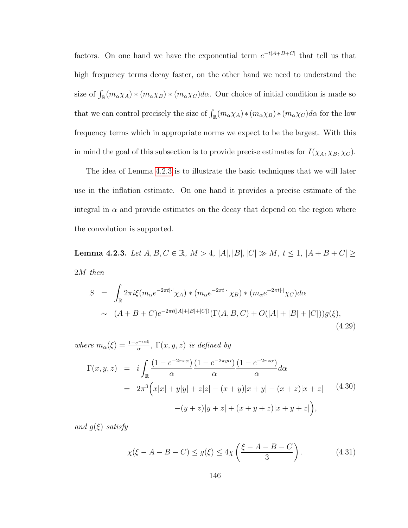factors. On one hand we have the exponential term  $e^{-t|A+B+C|}$  that tell us that high frequency terms decay faster, on the other hand we need to understand the size of  $\int_{\mathbb{R}} (m_{\alpha} \chi_A) * (m_{\alpha} \chi_B) * (m_{\alpha} \chi_C) d\alpha$ . Our choice of initial condition is made so that we can control precisely the size of  $\int_{\mathbb{R}} (m_{\alpha} \chi_A) * (m_{\alpha} \chi_B) * (m_{\alpha} \chi_C) d\alpha$  for the low frequency terms which in appropriate norms we expect to be the largest. With this in mind the goal of this subsection is to provide precise estimates for  $I(\chi_A, \chi_B, \chi_C)$ .

The idea of Lemma [4.2.3](#page-154-0) is to illustrate the basic techniques that we will later use in the inflation estimate. On one hand it provides a precise estimate of the integral in  $\alpha$  and provide estimates on the decay that depend on the region where the convolution is supported.

<span id="page-154-0"></span>Lemma 4.2.3. Let  $A, B, C \in \mathbb{R}$ ,  $M > 4$ ,  $|A|, |B|, |C| \gg M$ ,  $t \le 1$ ,  $|A + B + C| \ge 1$ 2M then

$$
S = \int_{\mathbb{R}} 2\pi i \xi (m_{\alpha}e^{-2\pi t |\cdot|} \chi_{A}) * (m_{\alpha}e^{-2\pi t |\cdot|} \chi_{B}) * (m_{\alpha}e^{-2\pi t |\cdot|} \chi_{C}) d\alpha
$$
  
 
$$
\sim (A + B + C)e^{-2\pi t(|A| + |B| + |C|)} (\Gamma(A, B, C) + O(|A| + |B| + |C|)) g(\xi),
$$
(4.29)

<span id="page-154-2"></span>where 
$$
m_{\alpha}(\xi) = \frac{1 - e^{-i\alpha\xi}}{\alpha}
$$
,  $\Gamma(x, y, z)$  is defined by  
\n
$$
\Gamma(x, y, z) = i \int_{\mathbb{R}} \frac{(1 - e^{-2\pi x \alpha})}{\alpha} \frac{(1 - e^{-2\pi y \alpha})}{\alpha} \frac{(1 - e^{-2\pi z \alpha})}{\alpha} d\alpha
$$
\n
$$
= 2\pi^3 \Big( x|x| + y|y| + z|z| - (x + y)|x + y| - (x + z)|x + z| \qquad (4.30)
$$
\n
$$
-(y + z)|y + z| + (x + y + z)|x + y + z| \Big),
$$

and  $g(\xi)$  satisfy

<span id="page-154-1"></span>
$$
\chi(\xi - A - B - C) \le g(\xi) \le 4\chi\left(\frac{\xi - A - B - C}{3}\right). \tag{4.31}
$$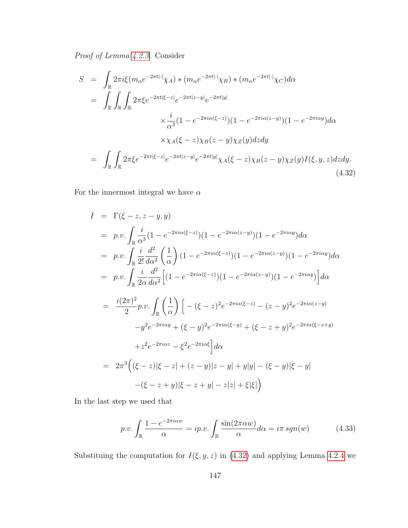Proof of Lemma [4.2.3.](#page-154-0) Consider

<span id="page-155-0"></span>
$$
S = \int_{\mathbb{R}} 2\pi i \xi (m_{\alpha}e^{-2\pi t|\cdot|}\chi_{A}) * (m_{\alpha}e^{-2\pi t|\cdot|}\chi_{B}) * (m_{\alpha}e^{-2\pi t|\cdot|}\chi_{C})d\alpha
$$
  
\n
$$
= \int_{\mathbb{R}} \int_{\mathbb{R}} \int_{\mathbb{R}} 2\pi \xi e^{-2\pi t|\xi - z|} e^{-2\pi t|z - y|} e^{-2\pi t|y|}
$$
  
\n
$$
\times \frac{i}{\alpha^{3}} (1 - e^{-2\pi i\alpha(\xi - z)})(1 - e^{-2\pi i\alpha(z - y)})(1 - e^{-2\pi i\alpha y})d\alpha
$$
  
\n
$$
\times \chi_{A}(\xi - z)\chi_{B}(z - y)\chi_{Z}(y)dzdy
$$
  
\n
$$
= \int_{\mathbb{R}} \int_{\mathbb{R}} 2\pi \xi e^{-2\pi t|\xi - z|} e^{-2\pi t|z - y|} e^{-2\pi t|y|} \chi_{A}(\xi - z)\chi_{B}(z - y)\chi_{Z}(y)I(\xi, y, z)dzdy.
$$
  
\n(4.32)

For the innermost integral we have  $\alpha$ 

$$
I = \Gamma(\xi - z, z - y, y)
$$
  
\n
$$
= p.v. \int_{\mathbb{R}} \frac{i}{\alpha^3} (1 - e^{-2\pi i \alpha(\xi - z)}) (1 - e^{-2\pi i \alpha(z - y)}) (1 - e^{-2\pi i \alpha y}) d\alpha
$$
  
\n
$$
= p.v. \int_{\mathbb{R}} \frac{i}{2!} \frac{d^2}{d\alpha^2} \left(\frac{1}{\alpha}\right) (1 - e^{-2\pi i \alpha(\xi - z)}) (1 - e^{-2\pi i \alpha(z - y)}) (1 - e^{-2\pi i \alpha y}) d\alpha
$$
  
\n
$$
= p.v. \int_{\mathbb{R}} \frac{i}{2\alpha} \frac{d^2}{d\alpha^2} \left[ (1 - e^{-2\pi i \alpha(\xi - z)}) (1 - e^{-2\pi i \alpha(z - y)}) (1 - e^{-2\pi i \alpha y}) \right] d\alpha
$$
  
\n
$$
= \frac{i(2\pi)^2}{2} p.v. \int_{\mathbb{R}} \left(\frac{1}{\alpha}\right) \left[ - (\xi - z)^2 e^{-2\pi i \alpha(\xi - z)} - (z - y)^2 e^{-2\pi i \alpha(z - y)} - y^2 e^{-2\pi i \alpha y} + (\xi - y)^2 e^{-2\pi i \alpha(\xi - z + y)} + z^2 e^{-2\pi i \alpha z} - \xi^2 e^{-2\pi i \alpha \xi} \right] d\alpha
$$
  
\n
$$
= 2\pi^3 \left( (\xi - z) |\xi - z| + (z - y) |z - y| + y |y| - (\xi - y) |\xi - y| - (\xi - z + y) |\xi - z + y| \right) - (\xi - z + y) |\xi - z + y| - z |z| + \xi |\xi| \right)
$$

In the last step we used that

$$
p.v. \int_{\mathbb{R}} \frac{1 - e^{-2\pi i\alpha w}}{\alpha} = ip.v. \int_{\mathbb{R}} \frac{\sin(2\pi \alpha w)}{\alpha} d\alpha = i\pi \, sgn(w) \tag{4.33}
$$

Substituing the computation for  $I(\xi, y, z)$  in [\(4.32\)](#page-155-0) and applying Lemma [4.2.4](#page-156-0) we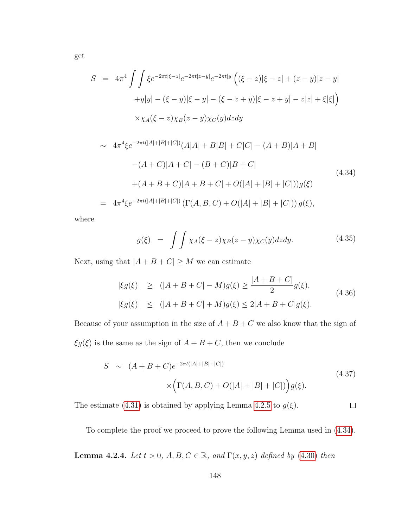$$
S = 4\pi^4 \int \int \xi e^{-2\pi t |\xi - z|} e^{-2\pi t |z - y|} e^{-2\pi t |y|} \Big( (\xi - z)|\xi - z| + (z - y)|z - y|
$$
  
+
$$
y|y| - (\xi - y)|\xi - y| - (\xi - z + y)|\xi - z + y| - z|z| + \xi|\xi| \Big)
$$
  

$$
\times \chi_A(\xi - z) \chi_B(z - y) \chi_C(y) dz dy
$$

<span id="page-156-1"></span>
$$
\sim 4\pi^4 \xi e^{-2\pi t(|A|+|B|+|C|)} (A|A|+|B|B|+|C|C|-(A+B)|A+B|-(A+C)|A+C|-(B+C)|B+C|+(A+B+C)|A+B+C|+O(|A|+|B|+|C|))g(\xi)
$$
\n(4.34)  
=  $4\pi^4 \xi e^{-2\pi t(|A|+|B|+|C|)} (\Gamma(A,B,C)+O(|A|+|B|+|C|)) g(\xi),$ 

where

$$
g(\xi) = \int \int \chi_A(\xi - z) \chi_B(z - y) \chi_C(y) dz dy.
$$
 (4.35)

Next, using that  $|A+B+C| \geq M$  we can estimate

$$
|\xi g(\xi)| \ge (|A + B + C| - M)g(\xi) \ge \frac{|A + B + C|}{2}g(\xi),
$$
  

$$
|\xi g(\xi)| \le (|A + B + C| + M)g(\xi) \le 2|A + B + C|g(\xi).
$$
  
(4.36)

Because of your assumption in the size of  $A+B+C$  we also know that the sign of  $\xi g(\xi)$  is the same as the sign of  $A + B + C$ , then we conclude

$$
S \sim (A + B + C)e^{-2\pi t(|A| + |B| + |C|)}
$$
  
 
$$
\times (\Gamma(A, B, C) + O(|A| + |B| + |C|)) g(\xi).
$$
 (4.37)

 $\Box$ 

The estimate [\(4.31\)](#page-154-1) is obtained by applying Lemma [4.2.5](#page-158-0) to  $g(\xi)$ .

To complete the proof we proceed to prove the following Lemma used in [\(4.34\)](#page-156-1).

<span id="page-156-0"></span>**Lemma 4.2.4.** Let  $t > 0$ ,  $A, B, C \in \mathbb{R}$ , and  $\Gamma(x, y, z)$  defined by [\(4.30\)](#page-154-2) then

get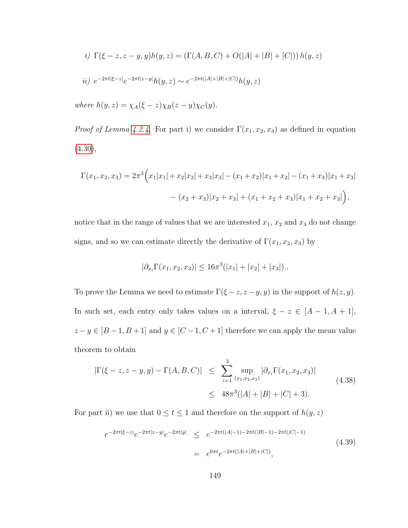*i)* 
$$
\Gamma(\xi - z, z - y, y)h(y, z) = (\Gamma(A, B, C) + O(|A| + |B| + |C|)) h(y, z)
$$
  
*ii)*  $e^{-2\pi t|\xi - z|}e^{-2\pi t|z - y|}h(y, z) \sim e^{-2\pi t(|A| + |B| + |C|)}h(y, z)$ 

where  $h(y, z) = \chi_A(\xi - z)\chi_B(z - y)\chi_C(y)$ .

*Proof of Lemma [4.2.4.](#page-156-0)* For part i) we consider  $\Gamma(x_1, x_2, x_3)$  as defined in equation  $(4.30),$  $(4.30),$ 

$$
\Gamma(x_1, x_2, x_3) = 2\pi^3 \Big( x_1|x_1| + x_2|x_2| + x_3|x_3| - (x_1 + x_2)|x_1 + x_2| - (x_1 + x_3)|x_1 + x_3| - (x_2 + x_3)|x_2 + x_3| + (x_1 + x_2 + x_3)|x_1 + x_2 + x_3| \Big),
$$

notice that in the range of values that we are interested  $x_1, x_2$  and  $x_3$  do not change signs, and so we can estimate directly the derivative of  $\Gamma(x_1, x_2, x_3)$  by

$$
|\partial_{x_i}\Gamma(x_1, x_2, x_3)| \le 16\pi^3(|x_1| + |x_2| + |x_3|).
$$

To prove the Lemma we need to estimate  $\Gamma(\xi - z, z - y, y)$  in the support of  $h(z, y)$ . In such set, each entry only takes values on a interval,  $\xi - z \in [A - 1, A + 1]$ ,  $z-y\in [B-1,B+1]$  and  $y\in [C-1,C+1]$  therefore we can apply the mean value theorem to obtain

$$
|\Gamma(\xi - z, z - y, y) - \Gamma(A, B, C)| \leq \sum_{i=1}^{3} \sup_{(x_1, x_2, x_3)} |\partial_{x_i} \Gamma(x_1, x_2, x_3)|
$$
\n
$$
\leq 48\pi^3 (|A| + |B| + |C| + 3).
$$
\n(4.38)

For part ii) we use that  $0 \le t \le 1$  and therefore on the support of  $h(y, z)$ 

$$
e^{-2\pi t|\xi - z|}e^{-2\pi t|z - y|}e^{-2\pi t|y|} \leq e^{-2\pi t(|A|-1) - 2\pi t(|B|-1) - 2\pi t(|C|-1)}
$$
\n
$$
= e^{6\pi t}e^{-2\pi t(|A| + |B| + |C|)},
$$
\n(4.39)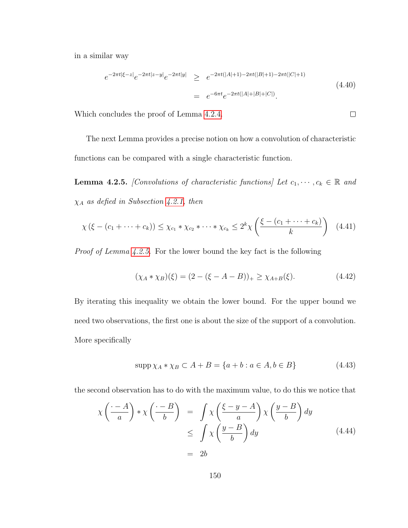in a similar way

$$
e^{-2\pi t|\xi - z|} e^{-2\pi t|z - y|} e^{-2\pi t|y|} \geq e^{-2\pi t(|A|+1) - 2\pi t(|B|+1) - 2\pi t(|C|+1)}
$$
  
=  $e^{-6\pi t} e^{-2\pi t(|A|+|B|+|C|)}$ . (4.40)

 $\Box$ 

Which concludes the proof of Lemma [4.2.4.](#page-156-0)

The next Lemma provides a precise notion on how a convolution of characteristic functions can be compared with a single characteristic function.

<span id="page-158-0"></span>**Lemma 4.2.5.** [Convolutions of characteristic functions] Let  $c_1, \dots, c_k \in \mathbb{R}$  and  $\chi_A$  as defied in Subsection [4.2.1,](#page-150-0) then

$$
\chi\left(\xi - (c_1 + \dots + c_k)\right) \leq \chi_{c_1} * \chi_{c_2} * \dots * \chi_{c_k} \leq 2^k \chi\left(\frac{\xi - (c_1 + \dots + c_k)}{k}\right) \tag{4.41}
$$

Proof of Lemma [4.2.5.](#page-158-0) For the lower bound the key fact is the following

$$
(\chi_A * \chi_B)(\xi) = (2 - (\xi - A - B))_+ \ge \chi_{A+B}(\xi). \tag{4.42}
$$

By iterating this inequality we obtain the lower bound. For the upper bound we need two observations, the first one is about the size of the support of a convolution. More specifically

$$
\operatorname{supp} \chi_A * \chi_B \subset A + B = \{a + b : a \in A, b \in B\}
$$
\n
$$
(4.43)
$$

the second observation has to do with the maximum value, to do this we notice that

$$
\chi\left(\frac{\cdot - A}{a}\right) * \chi\left(\frac{\cdot - B}{b}\right) = \int \chi\left(\frac{\xi - y - A}{a}\right) \chi\left(\frac{y - B}{b}\right) dy
$$
  
\n
$$
\leq \int \chi\left(\frac{y - B}{b}\right) dy
$$
(4.44)  
\n
$$
= 2b
$$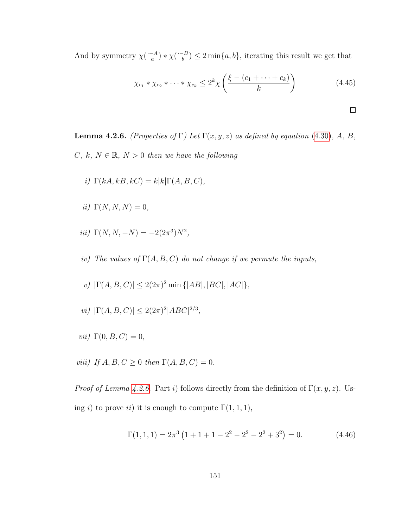And by symmetry  $\chi(\frac{-A}{a})$  $\frac{-A}{a}$ ) \*  $\chi(\frac{B}{b})$  $\left(\frac{b}{b}\right) \leq 2 \min\{a, b\}$ , iterating this result we get that

$$
\chi_{c_1} * \chi_{c_2} * \cdots * \chi_{c_k} \le 2^k \chi \left( \frac{\xi - (c_1 + \cdots + c_k)}{k} \right)
$$
 (4.45)

$$
\Box
$$

<span id="page-159-0"></span>**Lemma 4.2.6.** (Properties of Γ) Let  $\Gamma(x, y, z)$  as defined by equation [\(4.30\)](#page-154-2), A, B, C, k,  $N \in \mathbb{R}$ ,  $N > 0$  then we have the following

- i)  $\Gamma(kA, kB, kC) = k|k| \Gamma(A, B, C),$
- ii)  $\Gamma(N, N, N) = 0$ ,
- iii)  $\Gamma(N, N, -N) = -2(2\pi^3)N^2$ ,
- iv) The values of  $\Gamma(A, B, C)$  do not change if we permute the inputs,
- v)  $|\Gamma(A, B, C)| \leq 2(2\pi)^2 \min\{|AB|, |BC|, |AC|\},$
- vi)  $|\Gamma(A, B, C)| \leq 2(2\pi)^2 |ABC|^{2/3}$ ,
- *vii*)  $\Gamma(0, B, C) = 0$ ,
- viii) If  $A, B, C \geq 0$  then  $\Gamma(A, B, C) = 0$ .

*Proof of Lemma [4.2.6.](#page-159-0)* Part i) follows directly from the definition of  $\Gamma(x, y, z)$ . Using i) to prove ii) it is enough to compute  $\Gamma(1,1,1)$ ,

$$
\Gamma(1,1,1) = 2\pi^3 \left(1 + 1 + 1 - 2^2 - 2^2 - 2^2 + 3^2\right) = 0.
$$
 (4.46)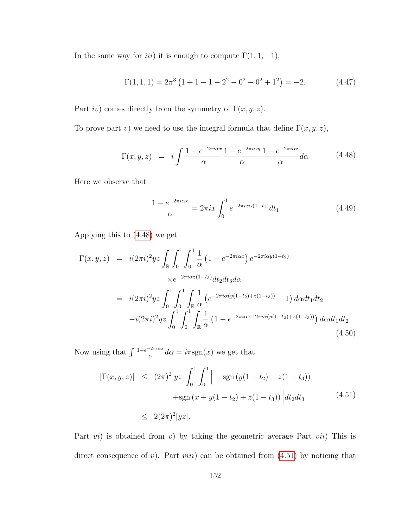In the same way for *iii*) it is enough to compute  $\Gamma(1, 1, -1)$ ,

$$
\Gamma(1,1,1) = 2\pi^3 \left(1 + 1 - 1 - 2^2 - 0^2 - 0^2 + 1^2\right) = -2. \tag{4.47}
$$

Part *iv*) comes directly from the symmetry of  $\Gamma(x, y, z)$ .

To prove part v) we need to use the integral formula that define  $\Gamma(x, y, z)$ ,

<span id="page-160-0"></span>
$$
\Gamma(x, y, z) = i \int \frac{1 - e^{-2\pi i \alpha x}}{\alpha} \frac{1 - e^{-2\pi i \alpha y}}{\alpha} \frac{1 - e^{-2\pi i \alpha z}}{\alpha} d\alpha \qquad (4.48)
$$

Here we observe that

$$
\frac{1 - e^{-2\pi i \alpha x}}{\alpha} = 2\pi i x \int_0^1 e^{-2\pi i x \alpha (1 - t_1)} dt_1 \tag{4.49}
$$

Applying this to [\(4.48\)](#page-160-0) we get

$$
\Gamma(x, y, z) = i(2\pi i)^2 yz \int_{\mathbb{R}} \int_0^1 \int_0^1 \frac{1}{\alpha} \left(1 - e^{-2\pi i \alpha x}\right) e^{-2\pi i \alpha y (1 - t_2)} \times e^{-2\pi i \alpha z (1 - t_3)} dt_2 dt_3 d\alpha \n= i(2\pi i)^2 yz \int_0^1 \int_0^1 \int_{\mathbb{R}} \frac{1}{\alpha} \left(e^{-2\pi i \alpha (y(1 - t_2) + z(1 - t_3))} - 1\right) d\alpha dt_1 dt_2 \n-i(2\pi i)^2 yz \int_0^1 \int_0^1 \int_{\mathbb{R}} \frac{1}{\alpha} \left(1 - e^{-2\pi i \alpha x - 2\pi i \alpha (y(1 - t_2) + z(1 - t_3))}\right) d\alpha dt_1 dt_2.
$$
\n(4.50)

Now using that  $\int \frac{1-e^{-2\pi i \alpha x}}{\alpha}$  $\frac{d^2z}{dx^2}d\alpha = i\pi \text{sgn}(x)$  we get that

<span id="page-160-1"></span>
$$
|\Gamma(x, y, z)| \le (2\pi)^2 |yz| \int_0^1 \int_0^1 \left| -\operatorname{sgn} (y(1 - t_2) + z(1 - t_3)) \right|
$$
  
+sgn(x + y(1 - t\_2) + z(1 - t\_3)) |dt\_2 dt\_3 (4.51)  

$$
\le 2(2\pi)^2 |yz|.
$$

Part  $vi$ ) is obtained from v) by taking the geometric average Part vii) This is direct consequence of v). Part *viii*) can be obtained from  $(4.51)$  by noticing that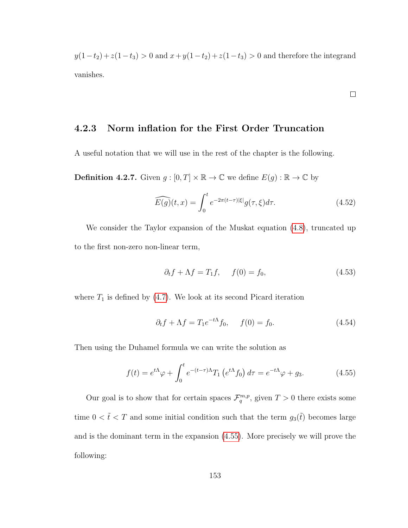$y(1-t_2) + z(1-t_3) > 0$  and  $x+y(1-t_2) + z(1-t_3) > 0$  and therefore the integrand vanishes.

 $\Box$ 

#### 4.2.3 Norm inflation for the First Order Truncation

A useful notation that we will use in the rest of the chapter is the following.

**Definition 4.2.7.** Given  $g : [0, T] \times \mathbb{R} \to \mathbb{C}$  we define  $E(g) : \mathbb{R} \to \mathbb{C}$  by

$$
\widehat{E(g)}(t,x) = \int_0^t e^{-2\pi(t-\tau)|\xi|} g(\tau,\xi)d\tau.
$$
\n(4.52)

We consider the Taylor expansion of the Muskat equation  $(4.8)$ , truncated up to the first non-zero non-linear term,

$$
\partial_t f + \Lambda f = T_1 f, \qquad f(0) = f_0,\tag{4.53}
$$

where  $T_1$  is defined by [\(4.7\)](#page-148-2). We look at its second Picard iteration

$$
\partial_t f + \Lambda f = T_1 e^{-t\Lambda} f_0, \qquad f(0) = f_0. \tag{4.54}
$$

Then using the Duhamel formula we can write the solution as

<span id="page-161-0"></span>
$$
f(t) = e^{t\Lambda}\varphi + \int_0^t e^{-(t-\tau)\Lambda} T_1 \left( e^{t\Lambda} f_0 \right) d\tau = e^{-t\Lambda}\varphi + g_3. \tag{4.55}
$$

Our goal is to show that for certain spaces  $\mathcal{F}_q^{m,p}$ , given  $T > 0$  there exists some time  $0 < \tilde{t} < T$  and some initial condition such that the term  $g_3(\tilde{t})$  becomes large and is the dominant term in the expansion [\(4.55\)](#page-161-0). More precisely we will prove the following: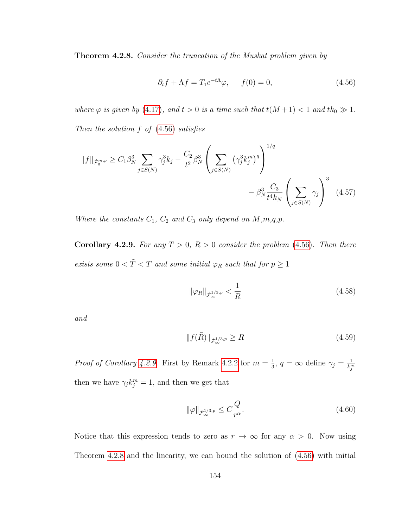<span id="page-162-2"></span>Theorem 4.2.8. Consider the truncation of the Muskat problem given by

<span id="page-162-0"></span>
$$
\partial_t f + \Lambda f = T_1 e^{-t\Lambda} \varphi, \qquad f(0) = 0,\tag{4.56}
$$

where  $\varphi$  is given by [\(4.17\)](#page-150-1), and  $t > 0$  is a time such that  $t(M + 1) < 1$  and  $tk_0 \gg 1$ . Then the solution  $f$  of  $(4.56)$  satisfies

$$
||f||_{\dot{\mathcal{F}}_q^{m,p}} \geq C_1 \beta_N^3 \sum_{j \in S(N)} \gamma_j^3 k_j - \frac{C_2}{t^2} \beta_N^3 \left( \sum_{j \in S(N)} (\gamma_j^3 k_j^m)^q \right)^{1/q} - \beta_N^3 \frac{C_3}{t^4 k_N} \left( \sum_{j \in S(N)} \gamma_j \right)^3 \tag{4.57}
$$

Where the constants  $C_1$ ,  $C_2$  and  $C_3$  only depend on  $M, m, q, p$ .

<span id="page-162-1"></span>Corollary 4.2.9. For any  $T > 0$ ,  $R > 0$  consider the problem [\(4.56\)](#page-162-0). Then there exists some  $0 < \tilde{T} < T$  and some initial  $\varphi_R$  such that for  $p \geq 1$ 

$$
\|\varphi_R\|_{\dot{\mathcal{F}}^{1/3,p}_{\infty}} < \frac{1}{R} \tag{4.58}
$$

and

$$
||f(\tilde{R})||_{\dot{\mathcal{F}}^{1/3,p}} \ge R
$$
\n(4.59)

*Proof of Corollary [4.2.9.](#page-162-1)* First by Remark [4.2.2](#page-151-1) for  $m = \frac{1}{3}$  $\frac{1}{3}$ ,  $q = \infty$  define  $\gamma_j = \frac{1}{k_j^m}$ then we have  $\gamma_j k_j^m = 1$ , and then we get that

$$
\|\varphi\|_{\dot{\mathcal{F}}^{1/3,p}_{\infty}} \leq C \frac{Q}{r^{\alpha}}.\tag{4.60}
$$

Notice that this expression tends to zero as  $r \to \infty$  for any  $\alpha > 0$ . Now using Theorem [4.2.8](#page-162-2) and the linearity, we can bound the solution of [\(4.56\)](#page-162-0) with initial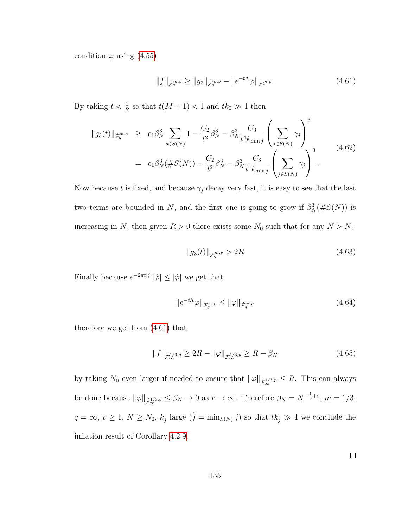condition  $\varphi$  using [\(4.55\)](#page-161-0)

<span id="page-163-0"></span>
$$
||f||_{\dot{\mathcal{F}}_q^{m,p}} \ge ||g_3||_{\dot{\mathcal{F}}_q^{m,p}} - ||e^{-t\Lambda}\varphi||_{\dot{\mathcal{F}}_q^{m,p}}.
$$
\n(4.61)

By taking  $t < \frac{1}{R}$  so that  $t(M + 1) < 1$  and  $tk_0 \gg 1$  then

$$
\|g_3(t)\|_{\dot{\mathcal{F}}_q^{m,p}} \ge c_1 \beta_N^3 \sum_{s \in S(N)} 1 - \frac{C_2}{t^2} \beta_N^3 - \beta_N^3 \frac{C_3}{t^4 k_{\min j}} \left(\sum_{j \in S(N)} \gamma_j\right)^3
$$
  
=  $c_1 \beta_N^3 (\#S(N)) - \frac{C_2}{t^2} \beta_N^3 - \beta_N^3 \frac{C_3}{t^4 k_{\min j}} \left(\sum_{j \in S(N)} \gamma_j\right)^3$ . (4.62)

Now because t is fixed, and because  $\gamma_j$  decay very fast, it is easy to see that the last two terms are bounded in N, and the first one is going to grow if  $\beta_N^3(\#S(N))$  is increasing in N, then given  $R > 0$  there exists some  $N_0$  such that for any  $N > N_0$ 

$$
||g_3(t)||_{\dot{\mathcal{F}}_q^{m,p}} > 2R
$$
\n(4.63)

Finally because  $e^{-2\pi t |\xi|} |\hat{\varphi}| \leq |\hat{\varphi}|$  we get that

$$
||e^{-t\Lambda}\varphi||_{\dot{\mathcal{F}}_q^{m,p}} \le ||\varphi||_{\dot{\mathcal{F}}_q^{m,p}}
$$
\n(4.64)

therefore we get from [\(4.61\)](#page-163-0) that

$$
||f||_{\dot{\mathcal{F}}^{1/3,p}_{\infty}} \ge 2R - ||\varphi||_{\dot{\mathcal{F}}^{1/3,p}_{\infty}} \ge R - \beta_N
$$
\n(4.65)

by taking  $N_0$  even larger if needed to ensure that  $\|\varphi\|_{\dot{\mathcal{F}}^{1/3,p}_{\infty}} \leq R$ . This can always be done because  $\|\varphi\|_{\dot{\mathcal{F}}^{1/3,p}_{\infty}} \leq \beta_N \to 0$  as  $r \to \infty$ . Therefore  $\beta_N = N^{-\frac{1}{3}+\varepsilon}$ ,  $m = 1/3$ ,  $q = \infty, p \ge 1, N \ge N_0, k_{\hat{j}}$  large  $(\hat{j} = \min_{S(N)} j)$  so that  $tk_{\hat{j}} \gg 1$  we conclude the inflation result of Corollary [4.2.9.](#page-162-1)

 $\Box$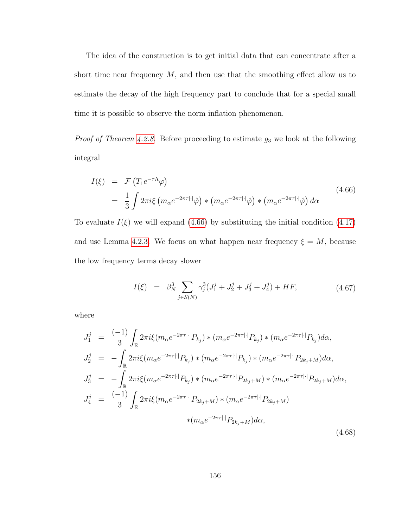The idea of the construction is to get initial data that can concentrate after a short time near frequency  $M$ , and then use that the smoothing effect allow us to estimate the decay of the high frequency part to conclude that for a special small time it is possible to observe the norm inflation phenomenon.

*Proof of Theorem [4.2.8.](#page-162-2)* Before proceeding to estimate  $g_3$  we look at the following integral

<span id="page-164-0"></span>
$$
I(\xi) = \mathcal{F}\left(T_1 e^{-\tau \Lambda} \varphi\right)
$$
  
=  $\frac{1}{3} \int 2\pi i \xi \left(m_\alpha e^{-2\pi \tau |\cdot|} \hat{\varphi}\right) * \left(m_\alpha e^{-2\pi \tau |\cdot|} \hat{\varphi}\right) * \left(m_\alpha e^{-2\pi \tau |\cdot|} \hat{\varphi}\right) d\alpha$  (4.66)

To evaluate  $I(\xi)$  we will expand [\(4.66\)](#page-164-0) by substituting the initial condition [\(4.17\)](#page-150-1) and use Lemma [4.2.3.](#page-154-0) We focus on what happen near frequency  $\xi = M$ , because the low frequency terms decay slower

<span id="page-164-1"></span>
$$
I(\xi) = \beta_N^3 \sum_{j \in S(N)} \gamma_j^3 (J_1^j + J_2^j + J_3^j + J_4^j) + HF,
$$
\n(4.67)

where

$$
J_1^j = \frac{(-1)}{3} \int_{\mathbb{R}} 2\pi i \xi (m_\alpha e^{-2\pi \tau |\cdot|} P_{k_j}) * (m_\alpha e^{-2\pi \tau |\cdot|} P_{k_j}) * (m_\alpha e^{-2\pi \tau |\cdot|} P_{k_j}) d\alpha,
$$
  
\n
$$
J_2^j = - \int_{\mathbb{R}} 2\pi i \xi (m_\alpha e^{-2\pi \tau |\cdot|} P_{k_j}) * (m_\alpha e^{-2\pi \tau |\cdot|} P_{k_j}) * (m_\alpha e^{-2\pi \tau |\cdot|} P_{2k_j + M}) d\alpha,
$$
  
\n
$$
J_3^j = - \int_{\mathbb{R}} 2\pi i \xi (m_\alpha e^{-2\pi \tau |\cdot|} P_{k_j}) * (m_\alpha e^{-2\pi \tau |\cdot|} P_{2k_j + M}) * (m_\alpha e^{-2\pi \tau |\cdot|} P_{2k_j + M}) d\alpha,
$$
  
\n
$$
J_4^j = \frac{(-1)}{3} \int_{\mathbb{R}} 2\pi i \xi (m_\alpha e^{-2\pi \tau |\cdot|} P_{2k_j + M}) * (m_\alpha e^{-2\pi \tau |\cdot|} P_{2k_j + M}) * (m_\alpha e^{-2\pi \tau |\cdot|} P_{2k_j + M})
$$
  
\n
$$
* (m_\alpha e^{-2\pi \tau |\cdot|} P_{2k_j + M}) d\alpha,
$$
  
\n(4.68)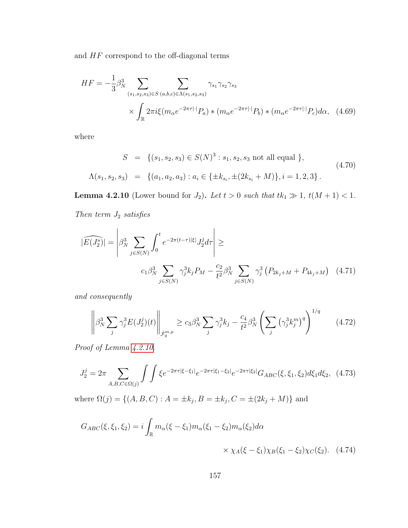and  $\mathcal{H}\mathcal{F}$  correspond to the off-diagonal terms

$$
HF = -\frac{1}{3} \beta_N^3 \sum_{(s_1, s_2, s_3) \in S} \sum_{(a, b, c) \in \Lambda(s_1, s_2, s_3)} \gamma_{s_1} \gamma_{s_2} \gamma_{s_3}
$$

$$
\times \int_{\mathbb{R}} 2\pi i \xi (m_\alpha e^{-2\pi \tau |\cdot|} P_a) * (m_\alpha e^{-2\pi \tau |\cdot|} P_b) * (m_\alpha e^{-2\pi \tau |\cdot|} P_c) d\alpha, \quad (4.69)
$$

where

<span id="page-165-1"></span>
$$
S = \{(s_1, s_2, s_3) \in S(N)^3 : s_1, s_2, s_3 \text{ not all equal }\},\
$$
  

$$
\Lambda(s_1, s_2, s_3) = \{(a_1, a_2, a_3) : a_i \in \{\pm k_{s_i}, \pm (2k_{s_i} + M)\}, i = 1, 2, 3\}.
$$
  
(4.70)

<span id="page-165-0"></span>**Lemma 4.2.10** (Lower bound for  $J_2$ ). Let  $t > 0$  such that  $tk_1 \gg 1$ ,  $t(M + 1) < 1$ .

Then term  $\mathcal{J}_2$  satisfies

$$
|\widehat{E(J_2^s)}| = \left| \beta_N^3 \sum_{j \in S(N)} \int_0^t e^{-2\pi(t-\tau)|\xi|} J_2^j d\tau \right| \ge
$$
  

$$
c_1 \beta_N^3 \sum_{j \in S(N)} \gamma_j^3 k_j P_M - \frac{c_2}{t^2} \beta_N^3 \sum_{j \in S(N)} \gamma_j^3 (P_{2k_j + M} + P_{4k_j + M}) \quad (4.71)
$$

and consequently

$$
\left\| \beta_N^3 \sum_j \gamma_j^3 E(J_2^j)(t) \right\|_{\dot{\mathcal{F}}_q^{m,p}} \ge c_3 \beta_N^3 \sum_j \gamma_j^3 k_j - \frac{c_4}{t^2} \beta_N^3 \left( \sum_j \left( \gamma_j^3 k_j^m \right)^q \right)^{1/q} \tag{4.72}
$$

Proof of Lemma [4.2.10.](#page-165-0)

$$
J_2^j = 2\pi \sum_{A,B,C \in \Omega(j)} \int \int \xi e^{-2\pi\tau|\xi - \xi_1|} e^{-2\pi\tau|\xi_1 - \xi_2|} e^{-2\pi\tau|\xi_2|} G_{ABC}(\xi, \xi_1, \xi_2) d\xi_1 d\xi_2, \tag{4.73}
$$

where  $\Omega(j) = \{(A, B, C) : A = \pm k_j, B = \pm k_j, C = \pm (2k_j + M)\}\$ and

$$
G_{ABC}(\xi, \xi_1, \xi_2) = i \int_{\mathbb{R}} m_{\alpha}(\xi - \xi_1) m_{\alpha}(\xi_1 - \xi_2) m_{\alpha}(\xi_2) d\alpha
$$
  
 
$$
\times \chi_A(\xi - \xi_1) \chi_B(\xi_1 - \xi_2) \chi_C(\xi_2). \quad (4.74)
$$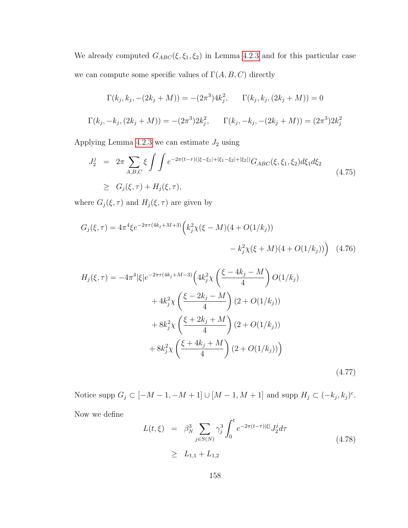We already computed  $G_{ABC}(\xi, \xi_1, \xi_2)$  in Lemma [4.2.3](#page-154-0) and for this particular case we can compute some specific values of  $\Gamma(A, B, C)$  directly

$$
\Gamma(k_j, k_j, -(2k_j + M)) = -(2\pi^3)4k_j^2, \qquad \Gamma(k_j, k_j, (2k_j + M)) = 0
$$
  

$$
\Gamma(k_j, -k_j, (2k_j + M)) = -(2\pi^3)2k_j^2, \qquad \Gamma(k_j, -k_j, -(2k_j + M)) = (2\pi^3)2k_j^2
$$

Applying Lemma [4.2.3](#page-154-0) we can estimate  $J_2$  using

$$
J_2^j = 2\pi \sum_{A,B,C} \xi \int \int e^{-2\pi(t-\tau)(|\xi-\xi_1|+|\xi_1-\xi_2|+|\xi_2|)} G_{ABC}(\xi,\xi_1,\xi_2) d\xi_1 d\xi_2
$$
  
 
$$
\geq G_j(\xi,\tau) + H_j(\xi,\tau),
$$
 (4.75)

where  $G_j(\xi,\tau)$  and  $H_j(\xi,\tau)$  are given by

$$
G_j(\xi, \tau) = 4\pi^4 \xi e^{-2\pi \tau (4k_j + M + 3)} \left( k_j^2 \chi(\xi - M)(4 + O(1/k_j)) - k_j^2 \chi(\xi + M)(4 + O(1/k_j)) \right) \tag{4.76}
$$

$$
H_j(\xi, \tau) = -4\pi^4 |\xi| e^{-2\pi \tau (4k_j + M - 3)} \left( 4k_j^2 \chi \left( \frac{\xi - 4k_j - M}{4} \right) O(1/k_j) \right)
$$
  
+  $4k_j^2 \chi \left( \frac{\xi - 2k_j - M}{4} \right) (2 + O(1/k_j))$   
+  $8k_j^2 \chi \left( \frac{\xi + 2k_j + M}{4} \right) (2 + O(1/k_j))$   
+  $8k_j^2 \chi \left( \frac{\xi + 4k_j + M}{4} \right) (2 + O(1/k_j))$  (4.77)

Notice supp  $G_j \subset [-M-1, -M+1] \cup [M-1, M+1]$  and supp  $H_j \subset (-k_j, k_j)^c$ . Now we define

$$
L(t,\xi) = \beta_N^3 \sum_{j \in S(N)} \gamma_j^3 \int_0^t e^{-2\pi(t-\tau)|\xi|} J_2^j d\tau
$$
  
 
$$
\geq L_{1,1} + L_{1,2}
$$
 (4.78)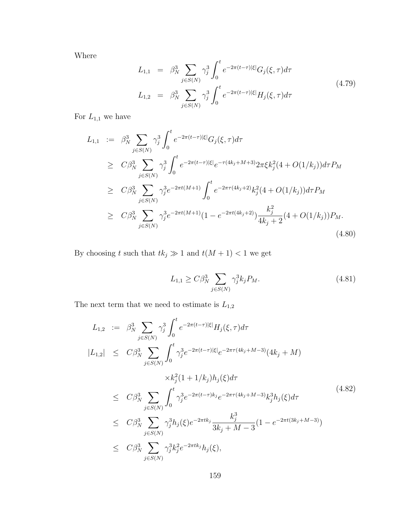Where

$$
L_{1,1} = \beta_N^3 \sum_{j \in S(N)} \gamma_j^3 \int_0^t e^{-2\pi(t-\tau)|\xi|} G_j(\xi, \tau) d\tau
$$
  
\n
$$
L_{1,2} = \beta_N^3 \sum_{j \in S(N)} \gamma_j^3 \int_0^t e^{-2\pi(t-\tau)|\xi|} H_j(\xi, \tau) d\tau
$$
\n(4.79)

For  $\mathcal{L}_{1,1}$  we have

$$
L_{1,1} := \beta_N^3 \sum_{j \in S(N)} \gamma_j^3 \int_0^t e^{-2\pi(t-\tau)|\xi|} G_j(\xi, \tau) d\tau
$$
  
\n
$$
\geq C \beta_N^3 \sum_{j \in S(N)} \gamma_j^3 \int_0^t e^{-2\pi(t-\tau)|\xi|} e^{-\tau(4k_j + M + 3)} 2\pi \xi k_j^2 (4 + O(1/k_j)) d\tau P_M
$$
  
\n
$$
\geq C \beta_N^3 \sum_{j \in S(N)} \gamma_j^3 e^{-2\pi t (M+1)} \int_0^t e^{-2\pi \tau (4k_j + 2)} k_j^2 (4 + O(1/k_j)) d\tau P_M
$$
  
\n
$$
\geq C \beta_N^3 \sum_{j \in S(N)} \gamma_j^3 e^{-2\pi t (M+1)} (1 - e^{-2\pi t (4k_j + 2)}) \frac{k_j^2}{4k_j + 2} (4 + O(1/k_j)) P_M.
$$
  
\n(4.80)

By choosing  $t$  such that  $tk_j\gg 1$  and  $t(M+1)<1$  we get

$$
L_{1,1} \ge C\beta_N^3 \sum_{j \in S(N)} \gamma_j^3 k_j P_M.
$$
\n(4.81)

The next term that we need to estimate is  ${\cal L}_{1,2}$ 

<span id="page-167-0"></span>
$$
L_{1,2} := \beta_N^3 \sum_{j \in S(N)} \gamma_j^3 \int_0^t e^{-2\pi(t-\tau)|\xi|} H_j(\xi, \tau) d\tau
$$
  
\n
$$
|L_{1,2}| \leq C \beta_N^3 \sum_{j \in S(N)} \int_0^t \gamma_j^3 e^{-2\pi(t-\tau)|\xi|} e^{-2\pi\tau(4k_j + M - 3)} (4k_j + M)
$$
  
\n
$$
\times k_j^2 (1 + 1/k_j) h_j(\xi) d\tau
$$
  
\n
$$
\leq C \beta_N^3 \sum_{j \in S(N)} \int_0^t \gamma_j^3 e^{-2\pi(t-\tau)k_j} e^{-2\pi\tau(4k_j + M - 3)} k_j^3 h_j(\xi) d\tau
$$
  
\n
$$
\leq C \beta_N^3 \sum_{j \in S(N)} \gamma_j^3 h_j(\xi) e^{-2\pi tk_j} \frac{k_j^3}{3k_j + M - 3} (1 - e^{-2\pi t(3k_j + M - 3)})
$$
  
\n
$$
\leq C \beta_N^3 \sum_{j \in S(N)} \gamma_j^3 k_j^2 e^{-2\pi tk_j} h_j(\xi),
$$
  
\n(4.82)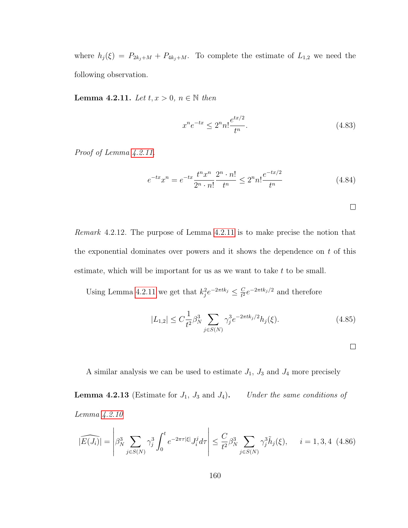where  $h_j(\xi) = P_{2k_j+M} + P_{4k_j+M}$ . To complete the estimate of  $L_{1,2}$  we need the following observation.

<span id="page-168-0"></span>Lemma 4.2.11. Let  $t, x > 0, n \in \mathbb{N}$  then

$$
x^{n}e^{-tx} \le 2^{n}n! \frac{e^{tx/2}}{t^{n}}.
$$
\n(4.83)

Proof of Lemma  $4.2.11$ .

$$
e^{-tx}x^n = e^{-tx}\frac{t^n x^n}{2^n \cdot n!} \frac{2^n \cdot n!}{t^n} \le 2^n n! \frac{e^{-tx/2}}{t^n}
$$
 (4.84)

 $\Box$ 

Remark 4.2.12. The purpose of Lemma [4.2.11](#page-168-0) is to make precise the notion that the exponential dominates over powers and it shows the dependence on  $t$  of this estimate, which will be important for us as we want to take  $t$  to be small.

Using Lemma [4.2.11](#page-168-0) we get that  $k_j^2 e^{-2\pi tk_j} \leq \frac{C}{t^2}$  $\frac{C}{t^2}e^{-2\pi tk_j/2}$  and therefore

$$
|L_{1,2}| \le C \frac{1}{t^2} \beta_N^3 \sum_{j \in S(N)} \gamma_j^3 e^{-2\pi t k_j/2} h_j(\xi). \tag{4.85}
$$

<span id="page-168-1"></span>A similar analysis we can be used to estimate  $J_1$ ,  $J_3$  and  $J_4$  more precisely **Lemma 4.2.13** (Estimate for  $J_1$ ,  $J_3$  and  $J_4$ ). Under the same conditions of

Lemma [4.2.10](#page-165-0)

$$
|\widehat{E(J_i)}| = \left| \beta_N^3 \sum_{j \in S(N)} \gamma_j^3 \int_0^t e^{-2\pi \tau |\xi|} J_i^j d\tau \right| \le \frac{C}{t^2} \beta_N^3 \sum_{j \in S(N)} \gamma_j^3 \tilde{h}_j(\xi), \quad i = 1, 3, 4 \tag{4.86}
$$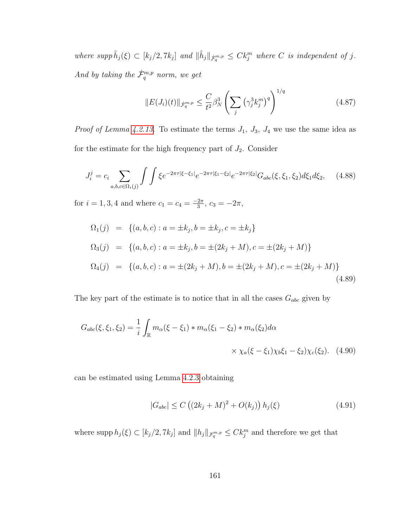where supp  $\tilde{h}_j(\xi) \subset [k_j/2, 7k_j]$  and  $\|\tilde{h}_j\|_{\dot{\mathcal{F}}_q^{m,p}} \leq C k_j^m$  where C is independent of j. And by taking the  $\dot{\mathcal{F}}_q^{m,p}$  norm, we get

$$
||E(J_i)(t)||_{\dot{\mathcal{F}}_q^{m,p}} \le \frac{C}{t^2} \beta_N^3 \left( \sum_j \left( \gamma_j^3 k_j^m \right)^q \right)^{1/q} \tag{4.87}
$$

*Proof of Lemma [4.2.13.](#page-168-1)* To estimate the terms  $J_1$ ,  $J_3$ ,  $J_4$  we use the same idea as for the estimate for the high frequency part of  $J_2$ . Consider

$$
J_i^j = c_i \sum_{a,b,c \in \Omega_i(j)} \int \int \xi e^{-2\pi\tau |\xi - \xi_1|} e^{-2\pi\tau |\xi_1 - \xi_2|} e^{-2\pi\tau |\xi_2|} G_{abc}(\xi, \xi_1, \xi_2) d\xi_1 d\xi_2, \quad (4.88)
$$

for  $i = 1, 3, 4$  and where  $c_1 = c_4 = \frac{-2\pi}{3}$  $\frac{2\pi}{3}, c_3 = -2\pi,$ 

$$
\Omega_1(j) = \{(a, b, c) : a = \pm k_j, b = \pm k_j, c = \pm k_j\}
$$
  
\n
$$
\Omega_3(j) = \{(a, b, c) : a = \pm k_j, b = \pm (2k_j + M), c = \pm (2k_j + M)\}
$$
  
\n
$$
\Omega_4(j) = \{(a, b, c) : a = \pm (2k_j + M), b = \pm (2k_j + M), c = \pm (2k_j + M)\}
$$
  
\n(4.89)

The key part of the estimate is to notice that in all the cases  $G_{abc}$  given by

$$
G_{abc}(\xi, \xi_1, \xi_2) = \frac{1}{i} \int_{\mathbb{R}} m_{\alpha}(\xi - \xi_1) * m_{\alpha}(\xi_1 - \xi_2) * m_{\alpha}(\xi_2) d\alpha
$$
  
 
$$
\times \chi_a(\xi - \xi_1) \chi_b \xi_1 - \xi_2) \chi_c(\xi_2). \quad (4.90)
$$

can be estimated using Lemma [4.2.3](#page-154-0) obtaining

$$
|G_{abc}| \le C ((2k_j + M)^2 + O(k_j)) h_j(\xi)
$$
 (4.91)

where supp  $h_j(\xi) \subset [k_j/2, 7k_j]$  and  $||h_j||_{\mathcal{F}_q^{m,p}} \leq C k_j^m$  and therefore we get that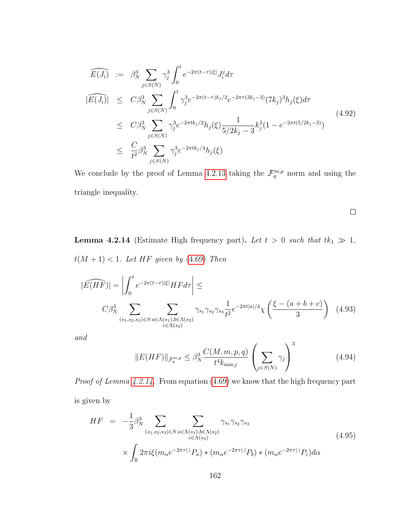$$
\widehat{E(J_i)} := \beta_N^3 \sum_{j \in S(N)} \gamma_j^3 \int_0^t e^{-2\pi(t-\tau)|\xi|} J_i^j d\tau
$$
\n
$$
|\widehat{E(J_i)}| \leq C\beta_N^3 \sum_{j \in S(N)} \int_0^t \gamma_j^3 e^{-2\pi(t-\tau)k_j/2} e^{-2\pi\tau(3k_j-3)} (7k_j)^3 h_j(\xi) d\tau
$$
\n
$$
\leq C\beta_N^3 \sum_{j \in S(N)} \gamma_j^3 e^{-2\pi t k_j/2} h_j(\xi) \frac{1}{5/2k_j - 3} k_j^3 (1 - e^{-2\pi t(5/2k_j - 3)})
$$
\n
$$
\leq \frac{C}{t^2} \beta_N^3 \sum_{j \in S(N)} \gamma_j^3 e^{-2\pi t k_j/4} h_j(\xi)
$$
\n(4.92)

We conclude by the proof of Lemma [4.2.13](#page-168-1) taking the  $\mathcal{F}_q^{m,p}$  norm and using the triangle inequality.

<span id="page-170-0"></span>**Lemma 4.2.14** (Estimate High frequency part). Let  $t > 0$  such that  $tk_1 \gg 1$ ,  $t(M + 1) < 1$ . Let HF given by [\(4.69\)](#page-165-1) Then

$$
|\widehat{E(HF)}| = \left| \int_0^t e^{-2\pi(t-\tau)|\xi|} HF d\tau \right| \le
$$
  

$$
C\beta_N^3 \sum_{(s_1, s_2, s_3) \in S} \sum_{a \in \Lambda(s_1), b \in \Lambda(s_2)} \gamma_{s_1} \gamma_{s_2} \gamma_{s_3} \frac{1}{t^2} e^{-2\pi t |a|/4} \chi \left( \frac{\xi - (a+b+c)}{3} \right) \tag{4.93}
$$

and

$$
||E(HF)||_{\dot{\mathcal{F}}_q^{m,p}} \leq \beta_N^3 \frac{C(M,m,p,q)}{t^4 k_{\min j}} \left(\sum_{j \in S(N)} \gamma_j\right)^3 \tag{4.94}
$$

 $\Box$ 

Proof of Lemma [4.2.14.](#page-170-0) From equation [\(4.69\)](#page-165-1) we know that the high frequency part is given by

$$
HF = -\frac{1}{3} \beta_N^3 \sum_{\substack{(s_1, s_2, s_3) \in S}} \sum_{\substack{a \in \Lambda(s_1), b \in \Lambda(s_2) \\ c \in \Lambda(s_3)}} \gamma_{s_1} \gamma_{s_2} \gamma_{s_3}
$$
  
 
$$
\times \int_{\mathbb{R}} 2\pi i \xi (m_\alpha e^{-2\pi \tau |\cdot|} P_a) * (m_\alpha e^{-2\pi \tau |\cdot|} P_b) * (m_\alpha e^{-2\pi \tau |\cdot|} P_c) d\alpha
$$
 (4.95)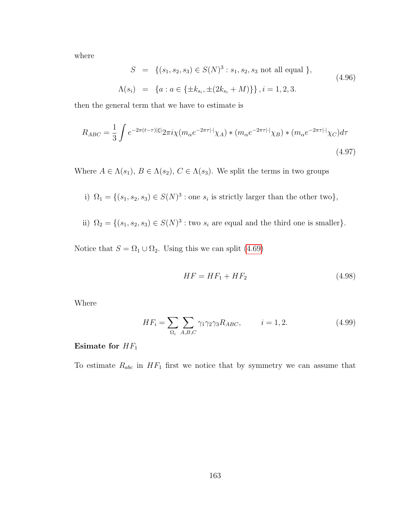where

$$
S = \{(s_1, s_2, s_3) \in S(N)^3 : s_1, s_2, s_3 \text{ not all equal }\},\
$$
  

$$
\Lambda(s_i) = \{a : a \in \{\pm k_{s_i}, \pm (2k_{s_i} + M)\}\}, i = 1, 2, 3.
$$
  
(4.96)

then the general term that we have to estimate is

<span id="page-171-0"></span>
$$
R_{ABC} = \frac{1}{3} \int e^{-2\pi(t-\tau)|\xi|} 2\pi i \chi(m_{\alpha}e^{-2\pi\tau|\cdot|}\chi_A) * (m_{\alpha}e^{-2\pi\tau|\cdot|}\chi_B) * (m_{\alpha}e^{-2\pi\tau|\cdot|}\chi_C)d\tau
$$
\n
$$
(4.97)
$$

Where  $A \in \Lambda(s_1)$ ,  $B \in \Lambda(s_2)$ ,  $C \in \Lambda(s_3)$ . We split the terms in two groups

- i)  $\Omega_1 = \{ (s_1, s_2, s_3) \in S(N)^3 : \text{one } s_i \text{ is strictly larger than the other two} \},\$
- ii)  $\Omega_2 = \{(s_1, s_2, s_3) \in S(N)^3 : \text{two } s_i \text{ are equal and the third one is smaller}\}.$

Notice that  $S = \Omega_1 \cup \Omega_2$ . Using this we can split [\(4.69\)](#page-165-1)

$$
HF = HF_1 + HF_2 \tag{4.98}
$$

Where

$$
HF_i = \sum_{\Omega_i} \sum_{A,B,C} \gamma_1 \gamma_2 \gamma_3 R_{ABC}, \qquad i = 1, 2. \tag{4.99}
$$

#### Esimate for  $\mathcal{HF}_1$

To estimate  $R_{abc}$  in  $HF_1$  first we notice that by symmetry we can assume that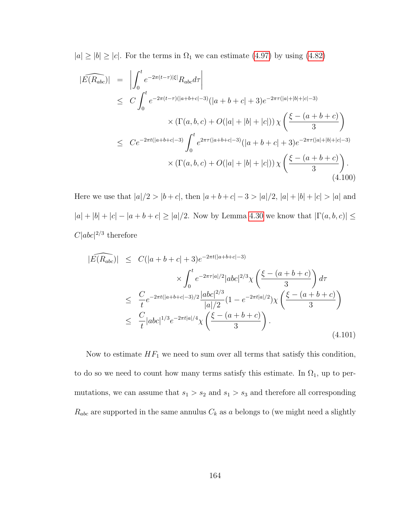$|a| \ge |b| \ge |c|$ . For the terms in  $\Omega_1$  we can estimate [\(4.97\)](#page-171-0) by using [\(4.82\)](#page-167-0)

<span id="page-172-0"></span>
$$
|\widehat{E(R_{abc})}| = \left| \int_0^t e^{-2\pi(t-\tau)|\xi|} R_{abc} d\tau \right|
$$
  
\n
$$
\leq C \int_0^t e^{-2\pi(t-\tau)(|a+b+c|-3)} (|a+b+c|+3)e^{-2\pi\tau(|a|+|b|+|c|-3)}
$$
  
\n
$$
\times (\Gamma(a,b,c) + O(|a|+|b|+|c|)) \chi \left( \frac{\xi - (a+b+c)}{3} \right)
$$
  
\n
$$
\leq C e^{-2\pi t(|a+b+c|-3)} \int_0^t e^{2\pi\tau(|a+b+c|-3)} (|a+b+c|+3)e^{-2\pi\tau(|a|+|b|+|c|-3)}
$$
  
\n
$$
\times (\Gamma(a,b,c) + O(|a|+|b|+|c|)) \chi \left( \frac{\xi - (a+b+c)}{3} \right).
$$
  
\n(4.100)

Here we use that  $|a|/2 > |b+c|$ , then  $|a+b+c|-3 > |a|/2$ ,  $|a|+|b|+|c| > |a|$  and  $|a| + |b| + |c| - |a + b + c| \ge |a|/2$  . Now by Lemma [4.30](#page-154-2) we know that  $|\Gamma(a, b, c)| \le$  $C|abc|^{2/3}$  therefore

$$
|\widehat{E(R_{abc})}| \leq C(|a+b+c|+3)e^{-2\pi t(|a+b+c|-3)} \times \int_0^t e^{-2\pi \tau |a|/2} |abc|^{2/3} \chi\left(\frac{\xi - (a+b+c)}{3}\right) d\tau
$$
  

$$
\leq \frac{C}{t} e^{-2\pi t(|a+b+c|-3)/2} \frac{|abc|^{2/3}}{|a|/2} (1 - e^{-2\pi t |a|/2}) \chi\left(\frac{\xi - (a+b+c)}{3}\right)
$$
  

$$
\leq \frac{C}{t} |abc|^{1/3} e^{-2\pi t |a|/4} \chi\left(\frac{\xi - (a+b+c)}{3}\right).
$$
(4.101)

Now to estimate  $HF_1$  we need to sum over all terms that satisfy this condition, to do so we need to count how many terms satisfy this estimate. In  $\Omega_1$ , up to permutations, we can assume that  $s_1 > s_2$  and  $s_1 > s_3$  and therefore all corresponding  $R_{abc}$  are supported in the same annulus  $C_k$  as a belongs to (we might need a slightly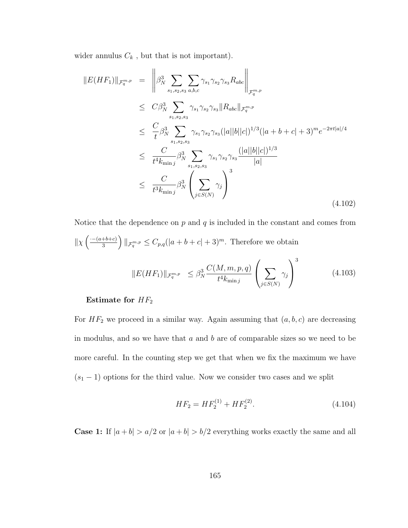wider annulus  $\mathcal{C}_k$  , but that is not important).

$$
||E(HF_1)||_{\mathcal{F}_q^{m,p}} = \left\| \beta_N^3 \sum_{s_1, s_2, s_3} \sum_{a, b, c} \gamma_{s_1} \gamma_{s_2} \gamma_{s_3} R_{abc} \right\|_{\mathcal{F}_q^{m,p}}
$$
  
\n
$$
\leq C \beta_N^3 \sum_{s_1, s_2, s_3} \gamma_{s_1} \gamma_{s_2} \gamma_{s_3} ||R_{abc}||_{\mathcal{F}_q^{m,p}}
$$
  
\n
$$
\leq \frac{C}{t} \beta_N^3 \sum_{s_1, s_2, s_3} \gamma_{s_1} \gamma_{s_2} \gamma_{s_3} (|a||b||c|)^{1/3} (|a+b+c|+3)^m e^{-2\pi t |a|/4}
$$
  
\n
$$
\leq \frac{C}{t^4 k_{\min j}} \beta_N^3 \sum_{s_1, s_2, s_3} \gamma_{s_1} \gamma_{s_2} \gamma_{s_3} \frac{(|a||b||c|)^{1/3}}{|a|}
$$
  
\n
$$
\leq \frac{C}{t^3 k_{\min j}} \beta_N^3 \left( \sum_{j \in S(N)} \gamma_j \right)^3
$$
  
\n(4.102)

Notice that the dependence on *p* and *q* is included in the constant and comes from  
\n
$$
\|\chi\left(\frac{-(a+b+c)}{3}\right)\|_{\mathcal{F}_q^{m,p}} \leq C_{p,q}(|a+b+c|+3)^m.
$$
 Therefore we obtain  
\n
$$
\|E(HF_1)\|_{\mathcal{F}_q^{m,p}} \leq \beta_N^3 \frac{C(M,m,p,q)}{t^4 k_{\min j}} \left(\sum_{j \in S(N)} \gamma_j\right)^3
$$
\n(4.103)

#### Estimate for  $HF_2$

For  $HF_2$  we proceed in a similar way. Again assuming that  $(a, b, c)$  are decreasing in modulus, and so we have that  $a$  and  $b$  are of comparable sizes so we need to be more careful. In the counting step we get that when we fix the maximum we have  $(s<sub>1</sub> - 1)$  options for the third value. Now we consider two cases and we split

$$
HF_2 = HF_2^{(1)} + HF_2^{(2)}.
$$
\n(4.104)

**Case 1:** If  $|a + b| > a/2$  or  $|a + b| > b/2$  everything works exactly the same and all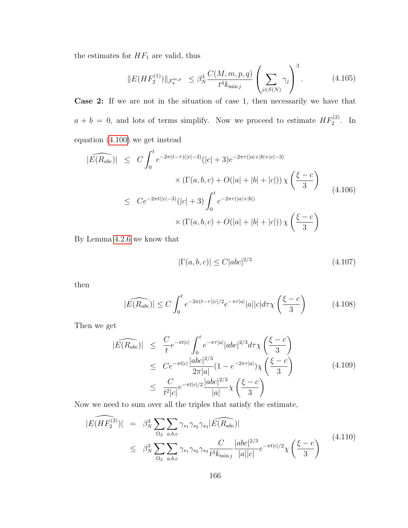the estimates for  $\mathcal{H} F_1$  are valid, thus

$$
||E(HF_2^{(1)})||_{\mathcal{F}_q^{m,p}} \leq \beta_N^3 \frac{C(M,m,p,q)}{t^4 k_{\min j}} \left(\sum_{j \in S(N)} \gamma_j\right)^3. \tag{4.105}
$$

Case 2: If we are not in the situation of case 1, then necessarily we have that  $a + b = 0$ , and lots of terms simplify. Now we proceed to estimate  $HF_2^{(2)}$ . In equation [\(4.100\)](#page-172-0) we get instead

$$
|\widehat{E(R_{abc})}| \leq C \int_0^t e^{-2\pi(t-\tau)(|c|-3)} (|c|+3)e^{-2\pi\tau(|a|+|b|+|c|-3)} \times (\Gamma(a,b,c) + O(|a|+|b|+|c|)) \chi\left(\frac{\xi-c}{3}\right)
$$
  

$$
\leq C e^{-2\pi t(|c|-3)} (|c|+3) \int_0^t e^{-2\pi\tau(|a|+|b|)} \times (\Gamma(a,b,c) + O(|a|+|b|+|c|)) \chi\left(\frac{\xi-c}{3}\right)
$$
(4.106)

By Lemma [4.2.6](#page-159-0) we know that

$$
|\Gamma(a,b,c)| \le C|abc|^{2/3} \tag{4.107}
$$

then

$$
|\widehat{E(R_{abc})}| \le C \int_0^t e^{-2\pi(t-\tau)|c|/2} e^{-\pi\tau|a|} |a||c| d\tau \chi\left(\frac{\xi-c}{3}\right) \tag{4.108}
$$

Then we get

$$
|\widehat{E(R_{abc})}| \leq \frac{C}{t} e^{-\pi t|c|} \int_0^t e^{-\pi \tau |a|} |abc|^{2/3} d\tau \chi\left(\frac{\xi - c}{3}\right)
$$
  
\n
$$
\leq C e^{-\pi t|c|} \frac{|abc|^{2/3}}{2\pi |a|} (1 - e^{-2\pi \tau |a|}) \chi\left(\frac{\xi - c}{3}\right)
$$
  
\n
$$
\leq \frac{C}{t^2|c|} e^{-\pi t|c|/2} \frac{|abc|^{2/3}}{|a|} \chi\left(\frac{\xi - c}{3}\right)
$$
\n(4.109)

Now we need to sum over all the triples that satisfy the estimate,

$$
|E(\widehat{HF_2^{(2)}})| = \beta_N^3 \sum_{\Omega_2} \sum_{a,b,c} \gamma_{s_1} \gamma_{s_2} \gamma_{s_3} |E(\widehat{R_{abc}})|
$$
  
 
$$
\leq \beta_N^3 \sum_{\Omega_2} \sum_{a,b,c} \gamma_{s_1} \gamma_{s_2} \gamma_{s_3} \frac{C}{t^3 k_{\min j}} \frac{|abc|^{2/3}}{|a||c|} e^{-\pi t |c|/2} \chi\left(\frac{\xi - c}{3}\right)
$$
 (4.110)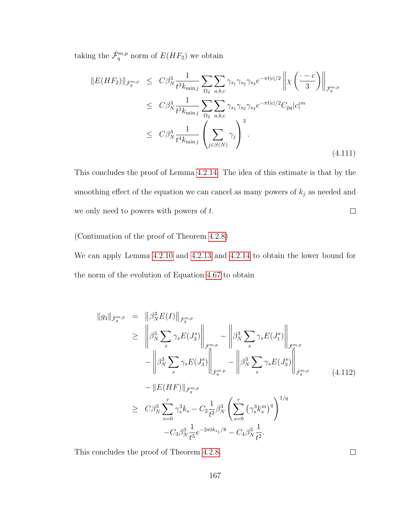taking the  $\dot{\mathcal{F}}_q^{m,p}$  norm of  $E(HF_2)$  we obtain

$$
||E(HF_2)||_{\dot{\mathcal{F}}_q^{m,p}} \leq C\beta_N^3 \frac{1}{t^3 k_{\min j}} \sum_{\Omega_2} \sum_{a,b,c} \gamma_{s_1} \gamma_{s_2} \gamma_{s_3} e^{-\pi t |c|/2} ||\chi\left(\frac{\cdot - c}{3}\right)||_{\dot{\mathcal{F}}_q^{m,p}}
$$
  

$$
\leq C\beta_N^3 \frac{1}{t^3 k_{\min j}} \sum_{\Omega_2} \sum_{a,b,c} \gamma_{s_1} \gamma_{s_2} \gamma_{s_3} e^{-\pi t |c|/2} C_{pq} |c|^m
$$
  

$$
\leq C\beta_N^3 \frac{1}{t^4 k_{\min j}} \left(\sum_{j \in S(N)} \gamma_j\right)^3.
$$
 (4.111)

This concludes the proof of Lemma [4.2.14.](#page-170-0) The idea of this estimate is that by the smoothing effect of the equation we can cancel as many powers of  $k_j$  as needed and we only need to powers with powers of  $t$ .  $\Box$ 

(Continuation of the proof of Theorem [4.2.8\)](#page-162-2)

We can apply Lemma [4.2.10](#page-165-0) and [4.2.13](#page-168-1) and [4.2.14](#page-170-0) to obtain the lower bound for the norm of the evolution of Equation [4.67](#page-164-1) to obtain

$$
\|g_{3}\|_{\dot{\mathcal{F}}_{q}^{m,p}} = \| \beta_{N}^{3} E(I) \|_{\dot{\mathcal{F}}_{q}^{m,p}} \n\geq \left\| \beta_{N}^{3} \sum_{s} \gamma_{s} E(J_{2}^{s}) \right\|_{\dot{\mathcal{F}}_{q}^{m,p}} - \left\| \beta_{N}^{3} \sum_{s} \gamma_{s} E(J_{1}^{s}) \right\|_{\dot{\mathcal{F}}_{q}^{m,p}} \n- \left\| \beta_{N}^{3} \sum_{s} \gamma_{s} E(J_{3}^{s}) \right\|_{\dot{\mathcal{F}}_{q}^{m,p}} - \left\| \beta_{N}^{3} \sum_{s} \gamma_{s} E(J_{3}^{s}) \right\|_{\dot{\mathcal{F}}_{q}^{m,p}} \n- \|E(HF)\|_{\dot{\mathcal{F}}_{q}^{m,p}} \n\geq C \beta_{N}^{3} \sum_{s=0}^{r} \gamma_{s}^{3} k_{s} - C_{2} \frac{1}{t^{2}} \beta_{N}^{3} \left( \sum_{s=0}^{r} (\gamma_{s}^{3} k_{s}^{m})^{q} \right)^{1/q} \n- C_{3} \beta_{N}^{3} \frac{1}{t^{5}} e^{-2\pi t k_{s_{1}}/8} - C_{4} \beta_{N}^{3} \frac{1}{t^{2}}.
$$
\n(4.112)

This concludes the proof of Theorem [4.2.8.](#page-162-2)

 $\Box$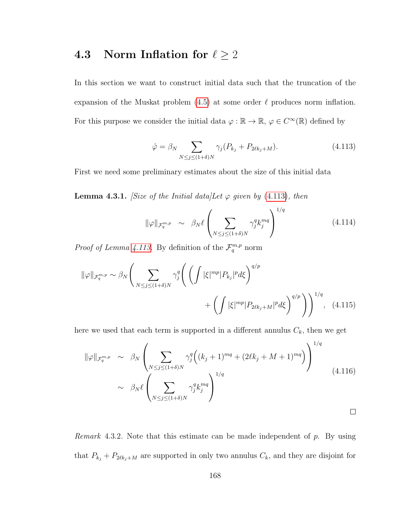# <span id="page-176-0"></span>4.3 Norm Inflation for  $\ell \geq 2$

In this section we want to construct initial data such that the truncation of the expansion of the Muskat problem  $(4.5)$  at some order  $\ell$  produces norm inflation. For this purpose we consider the initial data  $\varphi : \mathbb{R} \to \mathbb{R}, \varphi \in C^{\infty}(\mathbb{R})$  defined by

<span id="page-176-1"></span>
$$
\hat{\varphi} = \beta_N \sum_{N \le j \le (1+\delta)N} \gamma_j (P_{k_j} + P_{2\ell k_j + M}). \tag{4.113}
$$

First we need some preliminary estimates about the size of this initial data

**Lemma 4.3.1.** [Size of the Initial data]Let  $\varphi$  given by [\(4.113\)](#page-176-1), then

$$
\|\varphi\|_{\mathcal{F}_q^{m,p}} \sim \beta_N \ell \left( \sum_{N \le j \le (1+\delta)N} \gamma_j^q k_j^{mq} \right)^{1/q} \tag{4.114}
$$

*Proof of Lemma [4.113.](#page-176-1)* By definition of the  $\mathcal{F}_q^{m,p}$  norm

$$
\|\varphi\|_{\mathcal{F}_q^{m,p}} \sim \beta_N \Bigg(\sum_{N \le j \le (1+\delta)N} \gamma_j^q \Bigg(\Bigg(\int |\xi|^{mp} |P_{k_j}|^p d\xi\Bigg)^{q/p} + \Bigg(\int |\xi|^{mp} |P_{2\ell k_j + M}|^p d\xi\Bigg)^{q/p}\Bigg)\Bigg)^{1/q}, \quad (4.115)
$$

here we used that each term is supported in a different annulus  $C_k$ , then we get

$$
\|\varphi\|_{\mathcal{F}_q^{m,p}} \sim \beta_N \left( \sum_{N \le j \le (1+\delta)N} \gamma_j^q \left( (k_j + 1)^{mq} + (2\ell k_j + M + 1)^{mq} \right) \right)^{1/q}
$$
  
 
$$
\sim \beta_N \ell \left( \sum_{N \le j \le (1+\delta)N} \gamma_j^q k_j^{mq} \right)^{1/q}
$$
 (4.116)

*Remark* 4.3.2. Note that this estimate can be made independent of  $p$ . By using that  $P_{k_j} + P_{2\ell k_j+M}$  are supported in only two annulus  $C_k$ , and they are disjoint for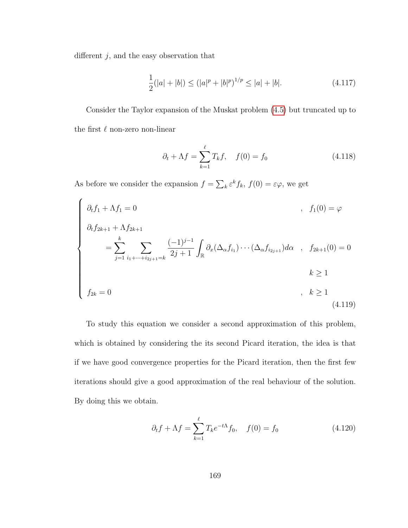different  $j,$  and the easy observation that

$$
\frac{1}{2}(|a|+|b|) \le (|a|^p + |b|^p)^{1/p} \le |a| + |b|.
$$
\n(4.117)

Consider the Taylor expansion of the Muskat problem [\(4.5\)](#page-148-0) but truncated up to the first  $\ell$  non-zero non-linear

<span id="page-177-1"></span>
$$
\partial_t + \Lambda f = \sum_{k=1}^{\ell} T_k f, \quad f(0) = f_0 \tag{4.118}
$$

As before we consider the expansion  $f = \sum_k \varepsilon^k f_k$ ,  $f(0) = \varepsilon \varphi$ , we get

<span id="page-177-0"></span>
$$
\begin{cases}\n\partial_t f_1 + \Lambda f_1 = 0 & , f_1(0) = \varphi \\
\partial_t f_{2k+1} + \Lambda f_{2k+1} & = \sum_{j=1}^k \sum_{i_1 + \dots + i_{2j+1} = k} \frac{(-1)^{j-1}}{2j+1} \int_{\mathbb{R}} \partial_x (\Delta_\alpha f_{i_1}) \cdots (\Delta_\alpha f_{i_{2j+1}}) d\alpha & , f_{2k+1}(0) = 0 \\
& k \ge 1 \\
f_{2k} = 0 & , k \ge 1\n\end{cases}
$$
\n(4.119)

To study this equation we consider a second approximation of this problem, which is obtained by considering the its second Picard iteration, the idea is that if we have good convergence properties for the Picard iteration, then the first few iterations should give a good approximation of the real behaviour of the solution. By doing this we obtain.

$$
\partial_t f + \Lambda f = \sum_{k=1}^{\ell} T_k e^{-t\Lambda} f_0, \quad f(0) = f_0 \tag{4.120}
$$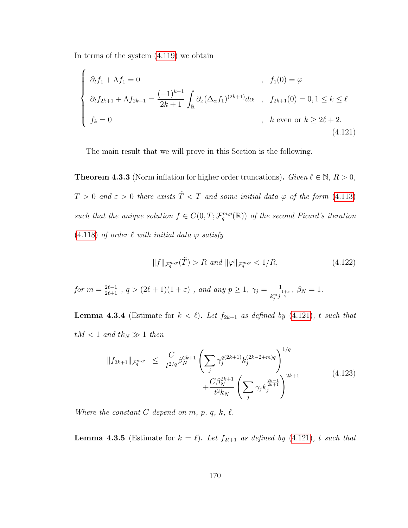In terms of the system [\(4.119\)](#page-177-0) we obtain

<span id="page-178-0"></span>
$$
\begin{cases}\n\partial_t f_1 + \Lambda f_1 = 0 & , f_1(0) = \varphi \\
\partial_t f_{2k+1} + \Lambda f_{2k+1} = \frac{(-1)^{k-1}}{2k+1} \int_{\mathbb{R}} \partial_x (\Delta_\alpha f_1)^{(2k+1)} d\alpha & , f_{2k+1}(0) = 0, 1 \le k \le \ell \\
f_k = 0 & , k \text{ even or } k \ge 2\ell + 2.\n\end{cases}
$$
\n(4.121)

The main result that we will prove in this Section is the following.

<span id="page-178-1"></span>**Theorem 4.3.3** (Norm inflation for higher order truncations). Given  $\ell \in \mathbb{N}$ ,  $R > 0$ ,  $T > 0$  and  $\varepsilon > 0$  there exists  $\tilde{T} < T$  and some initial data  $\varphi$  of the form [\(4.113\)](#page-176-1) such that the unique solution  $f \in C(0,T; \mathcal{F}_q^{m,p}(\mathbb{R}))$  of the second Picard's iteration [\(4.118\)](#page-177-1) of order  $\ell$  with initial data  $\varphi$  satisfy

$$
||f||_{\mathcal{F}_q^{m,p}}(\tilde{T}) > R \text{ and } ||\varphi||_{\mathcal{F}_q^{m,p}} < 1/R,\tag{4.122}
$$

for 
$$
m = \frac{2\ell-1}{2\ell+1}
$$
,  $q > (2\ell+1)(1+\varepsilon)$ , and any  $p \ge 1$ ,  $\gamma_j = \frac{1}{k_j^m j^{\frac{1+\varepsilon}{q}}}$ ,  $\beta_N = 1$ .

<span id="page-178-2"></span>**Lemma 4.3.4** (Estimate for  $k < \ell$ ). Let  $f_{2k+1}$  as defined by [\(4.121\)](#page-178-0), t such that  $tM < 1$  and  $tk_N \gg 1$  then

$$
||f_{2k+1}||_{\mathcal{F}_q^{m,p}} \leq \frac{C}{t^{2/q}} \beta_N^{2k+1} \left( \sum_j \gamma_j^{q(2k+1)} k_j^{(2k-2+m)q} \right)^{1/q} + \frac{C \beta_N^{2k+1}}{t^2 k_N} \left( \sum_j \gamma_j k_j^{\frac{2k-1}{2k+1}} \right)^{2k+1} \tag{4.123}
$$

Where the constant  $C$  depend on  $m$ ,  $p$ ,  $q$ ,  $k$ ,  $\ell$ .

<span id="page-178-3"></span>**Lemma 4.3.5** (Estimate for  $k = \ell$ ). Let  $f_{2\ell+1}$  as defined by [\(4.121\)](#page-178-0), t such that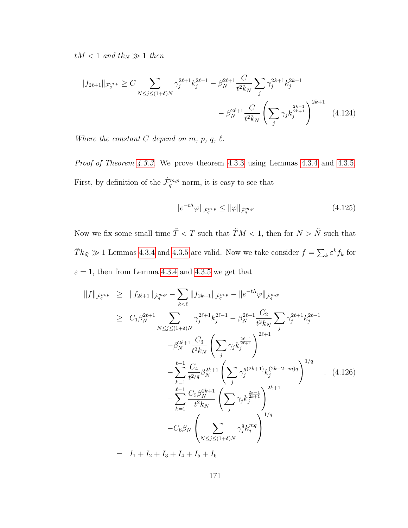$tM < 1$  and  $tk_N \gg 1$  then

$$
||f_{2\ell+1}||_{\mathcal{F}_q^{m,p}} \ge C \sum_{N \le j \le (1+\delta)N} \gamma_j^{2\ell+1} k_j^{2\ell-1} - \beta_N^{2\ell+1} \frac{C}{t^2 k_N} \sum_j \gamma_j^{2k+1} k_j^{2k-1} - \beta_N^{2\ell+1} \frac{C}{t^2 k_N} \left( \sum_j \gamma_j k_j^{\frac{2k-1}{2k+1}} \right)^{2k+1} \tag{4.124}
$$

Where the constant  $C$  depend on  $m$ ,  $p$ ,  $q$ ,  $\ell$ .

Proof of Theorem [4.3.3.](#page-178-1) We prove theorem [4.3.3](#page-178-1) using Lemmas [4.3.4](#page-178-2) and [4.3.5.](#page-178-3) First, by definition of the  $\dot{\mathcal{F}}_q^{m,p}$  norm, it is easy to see that

$$
||e^{-t\Lambda}\varphi||_{\dot{\mathcal{F}}_q^{m,p}} \le ||\varphi||_{\dot{\mathcal{F}}_q^{m,p}} \tag{4.125}
$$

Now we fix some small time  $\tilde T < T$  such that  $\tilde T M < 1,$  then for  $N > \tilde N$  such that  $\tilde{T}k_{\tilde{N}} \gg 1$  Lemmas [4.3.4](#page-178-2) and [4.3.5](#page-178-3) are valid. Now we take consider  $f = \sum_{k} \varepsilon^{k} f_k$  for  $\varepsilon = 1$ , then from Lemma [4.3.4](#page-178-2) and [4.3.5](#page-178-3) we get that

$$
||f||_{\dot{\mathcal{F}}_q^{m,p}} \ge ||f_{2\ell+1}||_{\dot{\mathcal{F}}_q^{m,p}} - \sum_{k < \ell} ||f_{2k+1}||_{\dot{\mathcal{F}}_q^{m,p}} - ||e^{-t\Lambda}\varphi||_{\dot{\mathcal{F}}_q^{m,p}}
$$
\n
$$
\ge C_1 \beta_N^{2\ell+1} \sum_{N \le j \le (1+\delta)N} \gamma_j^{2\ell+1} k_j^{2\ell-1} - \beta_N^{2\ell+1} \frac{C_2}{t^2 k_N} \sum_j \gamma_j^{2\ell+1} k_j^{2\ell-1}
$$
\n
$$
- \beta_N^{2\ell+1} \frac{C_3}{t^2 k_N} \left( \sum_j \gamma_j k_j^{\frac{2\ell-1}{2\ell+1}} \right)^{2\ell+1}
$$
\n
$$
- \sum_{k=1}^{\ell-1} \frac{C_4}{t^{2/q}} \beta_N^{2k+1} \left( \sum_j \gamma_j^{q(2k+1)} k_j^{(2k-2+m)q} \right)^{1/q}
$$
\n
$$
- \sum_{k=1}^{\ell-1} \frac{C_5 \beta_N^{2k+1}}{t^2 k_N} \left( \sum_j \gamma_j k_j^{\frac{2k-1}{2k+1}} \right)^{2k+1}
$$
\n
$$
- C_6 \beta_N \left( \sum_{N \le j \le (1+\delta)N} \gamma_j^q k_j^{mq} \right)^{1/q}
$$
\n(4.126)

 $= I_1 + I_2 + I_3 + I_4 + I_5 + I_6$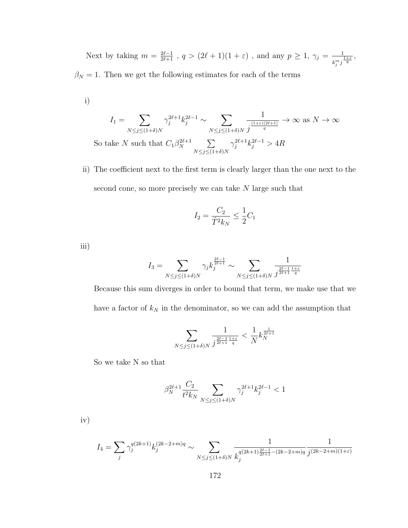Next by taking  $m = \frac{2\ell-1}{2\ell+1}$ ,  $q > (2\ell+1)(1+\varepsilon)$ , and any  $p \ge 1$ ,  $\gamma_j = \frac{1}{\ell m_j}$  $\frac{1}{k_j^m j^{\frac{1+\varepsilon}{q}}},$  $\beta_N = 1$ . Then we get the following estimates for each of the terms

i)

$$
I_1 = \sum_{N \le j \le (1+\delta)N} \gamma_j^{2\ell+1} k_j^{2\ell-1} \sim \sum_{N \le j \le (1+\delta)N} \frac{1}{j^{\frac{(1+\epsilon)(2\ell+1)}{q}}} \to \infty \text{ as } N \to \infty
$$
  
So take N such that  $C_1 \beta_N^{2\ell+1} \sum_{N \le j \le (1+\delta)N} \gamma_j^{2\ell+1} k_j^{2\ell-1} > 4R$ 

ii) The coefficient next to the first term is clearly larger than the one next to the second cone, so more precisely we can take N large such that

$$
I_2 = \frac{C_2}{\tilde{T}^2 k_N} \le \frac{1}{2} C_1
$$

iii)

$$
I_3 = \sum_{N \le j \le (1+\delta)N} \gamma_j k_j^{\frac{2\ell-1}{2\ell+1}} \sim \sum_{N \le j \le (1+\delta)N} \frac{1}{j^{\frac{2\ell-1}{2\ell+1}} \frac{1+\varepsilon}{q}}
$$

Because this sum diverges in order to bound that term, we make use that we have a factor of  $k_N$  in the denominator, so we can add the assumption that

$$
\sum_{N \le j \le (1+\delta)N} \frac{1}{j^{\frac{2\ell-1}{2\ell+1}\frac{1+\varepsilon}{q}}} < \frac{1}{N} k_N^{\frac{1}{2\ell+1}}
$$

So we take N so that

$$
\beta_N^{2\ell+1}\frac{C_2}{t^2k_N}\sum_{N\leq j\leq (1+\delta)N}\gamma_j^{2\ell+1}k_j^{2\ell-1}<1
$$

iv)

$$
I_4 = \sum_j \gamma_j^{q(2k+1)} k_j^{(2k-2+m)q} \sim \sum_{N \le j \le (1+\delta)N} \frac{1}{k_j^{q(2k+1)\frac{2\ell-1}{2\ell+1}-(2k-2+m)q}} \frac{1}{j^{(2k-2+m)(1+\varepsilon)}}
$$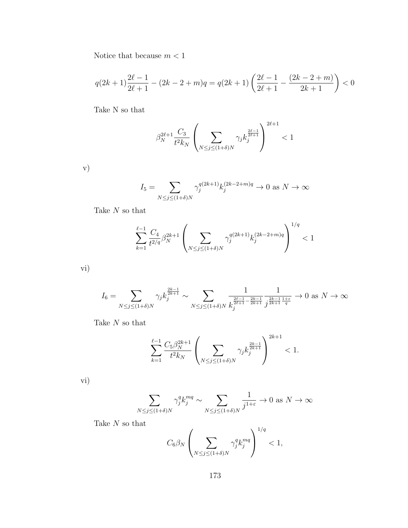Notice that because  $m < 1$ 

$$
q(2k+1)\frac{2\ell-1}{2\ell+1} - (2k-2+m)q = q(2k+1)\left(\frac{2\ell-1}{2\ell+1} - \frac{(2k-2+m)}{2k+1}\right) < 0
$$

Take N so that

$$
\beta_N^{2\ell+1}\frac{C_3}{t^2k_N}\left(\sum_{N\leq j\leq (1+\delta)N}\gamma_jk_j^{\frac{2\ell-1}{2\ell+1}}\right)^{2\ell+1}<1
$$

v)

$$
I_5 = \sum_{N \le j \le (1+\delta)N} \gamma_j^{q(2k+1)} k_j^{(2k-2+m)q} \to 0 \text{ as } N \to \infty
$$

Take  $N$  so that

$$
\sum_{k=1}^{\ell-1} \frac{C_4}{t^{2/q}} \beta_N^{2k+1} \left( \sum_{N \le j \le (1+\delta)N} \gamma_j^{q(2k+1)} k_j^{(2k-2+m)q} \right)^{1/q} < 1
$$

vi)

$$
I_6 = \sum_{N \le j \le (1+\delta)N} \gamma_j k_j^{\frac{2k-1}{2k+1}} \sim \sum_{N \le j \le (1+\delta)N} \frac{1}{k_j^{\frac{2\ell-1}{2k+1} - \frac{2k-1}{2k+1}} j^{\frac{2k-1}{2k+1} \frac{1+\epsilon}{q}}} \to 0 \text{ as } N \to \infty
$$

Take  $N$  so that

$$
\sum_{k=1}^{\ell-1} \frac{C_5 \beta_N^{2k+1}}{t^2 k_N} \left( \sum_{N \le j \le (1+\delta)N} \gamma_j k_j^{\frac{2k-1}{2k+1}} \right)^{2k+1} < 1.
$$

vi)

$$
\sum_{N \le j \le (1+\delta)N} \gamma_j^q k_j^{mq} \sim \sum_{N \le j \le (1+\delta)N} \frac{1}{j^{1+\varepsilon}} \to 0 \text{ as } N \to \infty
$$

Take  $\cal N$  so that

$$
C_6\beta_N\left(\sum_{N\leq j\leq (1+\delta)N}\gamma_j^q k_j^{mq}\right)^{1/q}<1,
$$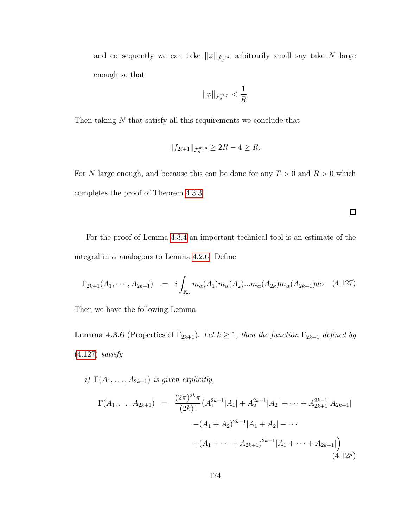and consequently we can take  $\|\varphi\|_{\dot{\mathcal{F}}_q^{m,p}}$  arbitrarily small say take N large enough so that

$$
\|\varphi\|_{\dot{\mathcal{F}}_q^{m,p}}<\frac{1}{R}
$$

Then taking  $N$  that satisfy all this requirements we conclude that

$$
||f_{2\ell+1}||_{\dot{\mathcal{F}}_q^{m,p}} \ge 2R - 4 \ge R.
$$

For N large enough, and because this can be done for any  $T > 0$  and  $R > 0$  which completes the proof of Theorem [4.3.3](#page-178-0)

 $\Box$ 

For the proof of Lemma [4.3.4](#page-178-1) an important technical tool is an estimate of the integral in  $\alpha$  analogous to Lemma [4.2.6.](#page-159-0) Define

<span id="page-182-0"></span>
$$
\Gamma_{2k+1}(A_1, \cdots, A_{2k+1}) := i \int_{\mathbb{R}_{\alpha}} m_{\alpha}(A_1) m_{\alpha}(A_2) \dots m_{\alpha}(A_{2k}) m_{\alpha}(A_{2k+1}) d\alpha \quad (4.127)
$$

<span id="page-182-1"></span>Then we have the following Lemma

**Lemma 4.3.6** (Properties of  $\Gamma_{2k+1}$ ). Let  $k \geq 1$ , then the function  $\Gamma_{2k+1}$  defined by  $(4.127)$  satisfy

i)  $\Gamma(A_1, \ldots, A_{2k+1})$  is given explicitly,

$$
\Gamma(A_1, \ldots, A_{2k+1}) = \frac{(2\pi)^{2k}\pi}{(2k)!} \left( A_1^{2k-1} |A_1| + A_2^{2k-1} |A_2| + \cdots + A_{2k+1}^{2k-1} |A_{2k+1}| \right. \\
 \left. - (A_1 + A_2)^{2k-1} |A_1 + A_2| - \cdots \\
 \left. + (A_1 + \cdots + A_{2k+1})^{2k-1} |A_1 + \cdots + A_{2k+1}| \right) \right)
$$
\n(4.128)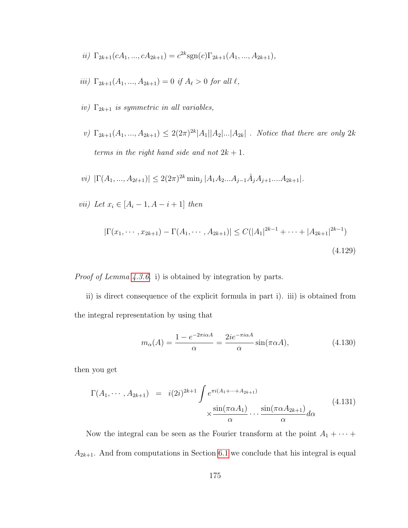- ii)  $\Gamma_{2k+1}(cA_1, ..., cA_{2k+1}) = c^{2k} \text{sgn}(c) \Gamma_{2k+1}(A_1, ..., A_{2k+1}),$
- iii)  $\Gamma_{2k+1}(A_1, ..., A_{2k+1}) = 0$  if  $A_\ell > 0$  for all  $\ell$ ,
- iv)  $\Gamma_{2k+1}$  is symmetric in all variables,
- v)  $\Gamma_{2k+1}(A_1, ..., A_{2k+1}) \leq 2(2\pi)^{2k} |A_1||A_2|...|A_{2k}|$ . Notice that there are only  $2k$ terms in the right hand side and not  $2k + 1$ .

$$
vi) \ |\Gamma(A_1, ..., A_{2\ell+1})| \le 2(2\pi)^{2k} \min_j |A_1 A_2 ... A_{j-1} \check{A}_j A_{j+1} ... A_{2k+1}|.
$$

vii) Let  $x_i \in [A_i - 1, A - i + 1]$  then

$$
|\Gamma(x_1, \cdots, x_{2k+1}) - \Gamma(A_1, \cdots, A_{2k+1})| \le C(|A_1|^{2k-1} + \cdots + |A_{2k+1}|^{2k-1})
$$
\n(4.129)

Proof of Lemma [4.3.6.](#page-182-1) i) is obtained by integration by parts.

ii) is direct consequence of the explicit formula in part i). iii) is obtained from the integral representation by using that

$$
m_{\alpha}(A) = \frac{1 - e^{-2\pi i \alpha A}}{\alpha} = \frac{2ie^{-\pi i \alpha A}}{\alpha} \sin(\pi \alpha A), \tag{4.130}
$$

then you get

$$
\Gamma(A_1, \cdots, A_{2k+1}) = i(2i)^{2k+1} \int e^{\pi i (A_1 + \cdots + A_{2k+1})} \times \frac{\sin(\pi \alpha A_1)}{\alpha} \cdots \frac{\sin(\pi \alpha A_{2k+1})}{\alpha} d\alpha
$$
\n(4.131)

Now the integral can be seen as the Fourier transform at the point  $A_1 + \cdots +$  $A_{2k+1}$ . And from computations in Section [6.1](#page-243-0) we conclude that his integral is equal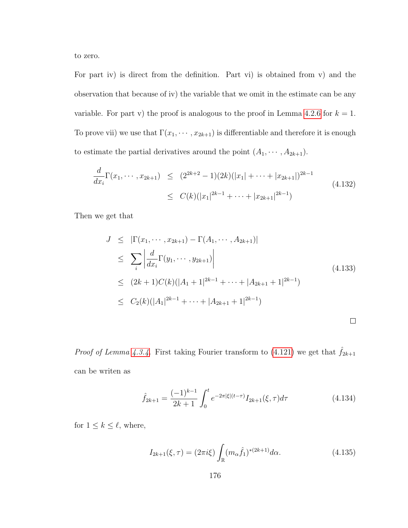to zero.

For part iv) is direct from the definition. Part vi) is obtained from v) and the observation that because of iv) the variable that we omit in the estimate can be any variable. For part v) the proof is analogous to the proof in Lemma [4.2.6](#page-159-0) for  $k = 1$ . To prove vii) we use that  $\Gamma(x_1, \dots, x_{2k+1})$  is differentiable and therefore it is enough to estimate the partial derivatives around the point  $(A_1, \dots, A_{2k+1})$ .

$$
\frac{d}{dx_i} \Gamma(x_1, \dots, x_{2k+1}) \le (2^{2k+2} - 1)(2k)(|x_1| + \dots + |x_{2k+1}|)^{2k-1}
$$
\n
$$
\le C(k)(|x_1|^{2k-1} + \dots + |x_{2k+1}|^{2k-1})
$$
\n(4.132)

Then we get that

$$
J \leq |\Gamma(x_1, \dots, x_{2k+1}) - \Gamma(A_1, \dots, A_{2k+1})|
$$
  
\n
$$
\leq \sum_{i} \left| \frac{d}{dx_i} \Gamma(y_1, \dots, y_{2k+1}) \right|
$$
  
\n
$$
\leq (2k+1)C(k)(|A_1 + 1|^{2k-1} + \dots + |A_{2k+1} + 1|^{2k-1})
$$
  
\n
$$
\leq C_2(k)(|A_1|^{2k-1} + \dots + |A_{2k+1} + 1|^{2k-1})
$$
\n
$$
\square
$$

*Proof of Lemma [4.3.4.](#page-178-1)* First taking Fourier transform to [\(4.121\)](#page-178-2) we get that  $\hat{f}_{2k+1}$ can be writen as

$$
\hat{f}_{2k+1} = \frac{(-1)^{k-1}}{2k+1} \int_0^t e^{-2\pi|\xi|(t-\tau)} I_{2k+1}(\xi, \tau) d\tau
$$
\n(4.134)

for  $1 \leq k \leq \ell$ , where,

$$
I_{2k+1}(\xi,\tau) = (2\pi i\xi) \int_{\mathbb{R}} (m_{\alpha}\hat{f}_1)^{*(2k+1)} d\alpha.
$$
 (4.135)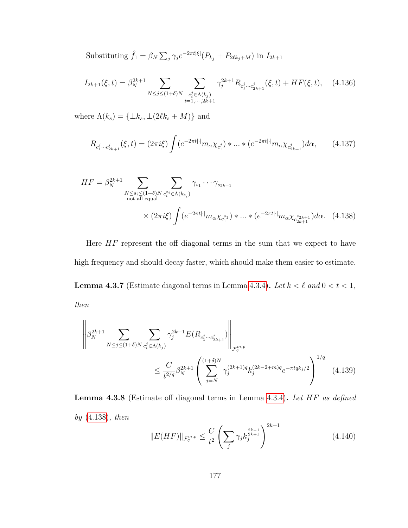Substituting  $\hat{f}_1 = \beta_N \sum_j \gamma_j e^{-2\pi t |\xi|} (P_{k_j} + P_{2\ell k_j + M})$  in  $I_{2k+1}$ 

$$
I_{2k+1}(\xi,t) = \beta_N^{2k+1} \sum_{N \le j \le (1+\delta)N} \sum_{\substack{c_i^j \in \Lambda(k_j) \\ i=1,\cdots,2k+1}} \gamma_j^{2k+1} R_{c_1^j \cdots c_{2k+1}^j}(\xi,t) + HF(\xi,t), \quad (4.136)
$$

where  $\Lambda(k_s) = {\pm k_s, \pm (2\ell k_s + M)}$  and

<span id="page-185-0"></span>
$$
R_{c_1^j \cdots c_{2k+1}^j}(\xi, t) = (2\pi i \xi) \int (e^{-2\pi t |\cdot|} m_\alpha \chi_{c_1^j}) \ast \dots \ast (e^{-2\pi t |\cdot|} m_\alpha \chi_{c_{2k+1}^j}) d\alpha, \qquad (4.137)
$$

$$
HF = \beta_N^{2k+1} \sum_{\substack{N \le s_i \le (1+\delta)N \\ \text{not all equal}}} \sum_{c_i^s \in \Lambda(k_{s_i})} \gamma_{s_1} \cdots \gamma_{s_{2k+1}} \times (2\pi i \xi) \int (e^{-2\pi t |\cdot|} m_\alpha \chi_{c_1^{s_1}}) * ... * (e^{-2\pi t |\cdot|} m_\alpha \chi_{c_{2k+1}^{s_{2k+1}}}) d\alpha. \tag{4.138}
$$

<span id="page-185-1"></span>Here  $HF$  represent the off diagonal terms in the sum that we expect to have high frequency and should decay faster, which should make them easier to estimate. **Lemma 4.3.7** (Estimate diagonal terms in Lemma [4.3.4\)](#page-178-1). Let  $k < \ell$  and  $0 < t < 1$ , then

$$
\left\| \beta_N^{2k+1} \sum_{N \le j \le (1+\delta)N} \sum_{c_i^j \in \Lambda(k_j)} \gamma_j^{2k+1} E(R_{c_1^j \cdots c_{2k+1}^j}) \right\|_{\dot{\mathcal{F}}_q^{m,p}} \le \frac{C}{t^{2/q}} \beta_N^{2k+1} \left( \sum_{j=N}^{(1+\delta)N} \gamma_j^{(2k+1)q} k_j^{(2k-2+m)q} e^{-\pi t q k_j/2} \right)^{1/q} (4.139)
$$

<span id="page-185-2"></span>Lemma 4.3.8 (Estimate off diagonal terms in Lemma [4.3.4\)](#page-178-1). Let HF as defined by [\(4.138\)](#page-185-0), then

$$
||E(HF)||_{\mathcal{F}_q^{m,p}} \le \frac{C}{t^2} \left( \sum_j \gamma_j k_j^{\frac{2k-1}{2k+1}} \right)^{2k+1}
$$
\n(4.140)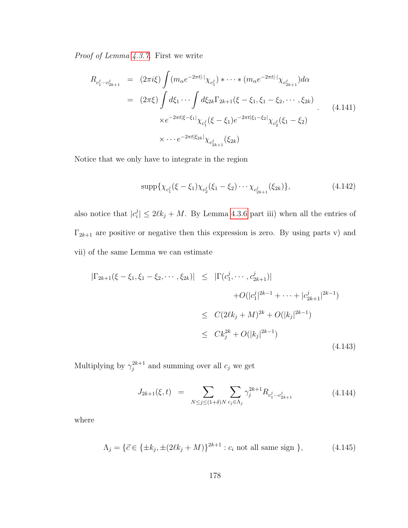Proof of Lemma [4.3.7.](#page-185-1) First we write

$$
R_{c_1^j \cdots c_{2k+1}^j} = (2\pi i \xi) \int (m_\alpha e^{-2\pi t |\cdot|} \chi_{c_1^j}) * \cdots * (m_\alpha e^{-2\pi t |\cdot|} \chi_{c_{2k+1}^j}) d\alpha
$$
  

$$
= (2\pi \xi) \int d\xi_1 \cdots \int d\xi_{2k} \Gamma_{2k+1}(\xi - \xi_1, \xi_1 - \xi_2, \cdots, \xi_{2k})
$$
  

$$
\times e^{-2\pi t |\xi - \xi_1|} \chi_{c_1^j}(\xi - \xi_1) e^{-2\pi t |\xi_1 - \xi_2|} \chi_{c_2^j}(\xi_1 - \xi_2)
$$
  

$$
\times \cdots e^{-2\pi t |\xi_{2k}|} \chi_{c_{2k+1}^j}(\xi_{2k})
$$
  
(4.141)

Notice that we only have to integrate in the region

$$
\sup p\{\chi_{c_1^j}(\xi-\xi_1)\chi_{c_2^j}(\xi_1-\xi_2)\cdots\chi_{c_{2k+1}^j}(\xi_{2k})\},\tag{4.142}
$$

also notice that  $|c_i^j|$  $\ell_i^j$   $\leq 2\ell k_j + M$ . By Lemma [4.3.6](#page-182-1) part iii) when all the entries of  $\Gamma_{2k+1}$  are positive or negative then this expression is zero. By using parts v) and vii) of the same Lemma we can estimate

<span id="page-186-0"></span>
$$
|\Gamma_{2k+1}(\xi - \xi_1, \xi_1 - \xi_2, \cdots, \xi_{2k})| \leq |\Gamma(c_1^j, \cdots, c_{2k+1}^j)|
$$
  
+  $O(|c_1^j|^{2k-1} + \cdots + |c_{2k+1}^j|^{2k-1})$   

$$
\leq C(2\ell k_j + M)^{2k} + O(|k_j|^{2k-1})
$$
  

$$
\leq Ck_j^{2k} + O(|k_j|^{2k-1})
$$
(4.143)

Multiplying by  $\gamma_i^{2k+1}$  $j^{2k+1}$  and summing over all  $c_j$  we get

$$
J_{2k+1}(\xi, t) = \sum_{N \le j \le (1+\delta)N} \sum_{c_j \in \Lambda_j} \gamma_j^{2k+1} R_{c_1^j \cdots c_{2k+1}^j}
$$
(4.144)

where

$$
\Lambda_j = \{ \vec{c} \in \{ \pm k_j, \pm (2\ell k_j + M) \}^{2k+1} : c_i \text{ not all same sign } \},\tag{4.145}
$$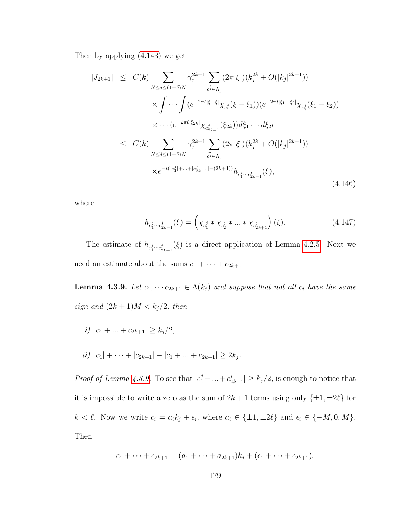Then by applying [\(4.143\)](#page-186-0) we get

$$
|J_{2k+1}| \leq C(k) \sum_{N \leq j \leq (1+\delta)N} \gamma_j^{2k+1} \sum_{\vec{c}^j \in \Lambda_j} (2\pi |\xi|) (k_j^{2k} + O(|k_j|^{2k-1}))
$$
  

$$
\times \int \cdots \int (e^{-2\pi t |\xi - \xi|} \chi_{c_1^j}(\xi - \xi_1)) (e^{-2\pi t |\xi_1 - \xi_2|} \chi_{c_2^j}(\xi_1 - \xi_2))
$$
  

$$
\times \cdots (e^{-2\pi t |\xi_{2k}|} \chi_{c_{2k+1}^j}(\xi_{2k})) d\xi_1 \cdots d\xi_{2k}
$$
  

$$
\leq C(k) \sum_{N \leq j \leq (1+\delta)N} \gamma_j^{2k+1} \sum_{\vec{c}^j \in \Lambda_j} (2\pi |\xi|) (k_j^{2k} + O(|k_j|^{2k-1}))
$$
  

$$
\times e^{-t(|c_1^j| + \ldots + |c_{2k+1}^j| - (2k+1))} h_{c_1^j \cdots c_{2k+1}^j}(\xi),
$$
  
(4.146)

where

$$
h_{c_1^j \cdots c_{2k+1}^j}(\xi) = \left(\chi_{c_1^j} * \chi_{c_2^j} * \dots * \chi_{c_{2k+1}^j}\right)(\xi).
$$
 (4.147)

The estimate of  $h_{c_1^j \cdots c_{2k+1}^j}(\xi)$  is a direct application of Lemma [4.2.5.](#page-158-0) Next we need an estimate about the sums  $c_1 + \cdots + c_{2k+1}$ 

<span id="page-187-0"></span>**Lemma 4.3.9.** Let  $c_1, \dots, c_{2k+1} \in \Lambda(k_j)$  and suppose that not all  $c_i$  have the same sign and  $(2k + 1)M < k_j/2$ , then

- i)  $|c_1 + ... + c_{2k+1}| \geq k_i/2$ ,
- $ii) |c_1| + \cdots + |c_{2k+1}| |c_1 + \ldots + c_{2k+1}| \geq 2k_j.$

*Proof of Lemma [4.3.9.](#page-187-0)* To see that  $|c_1^j + ... + c_{2k+1}^j| \ge k_j/2$ , is enough to notice that it is impossible to write a zero as the sum of  $2k + 1$  terms using only  $\{\pm 1, \pm 2\ell\}$  for  $k < \ell$ . Now we write  $c_i = a_i k_j + \epsilon_i$ , where  $a_i \in \{\pm 1, \pm 2\ell\}$  and  $\epsilon_i \in \{-M, 0, M\}$ . Then

$$
c_1 + \cdots + c_{2k+1} = (a_1 + \cdots + a_{2k+1})k_j + (\epsilon_1 + \cdots + \epsilon_{2k+1}).
$$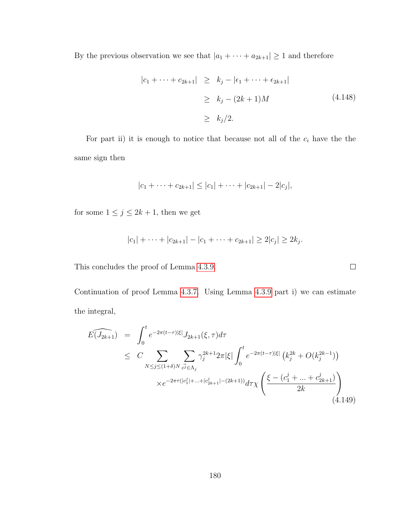By the previous observation we see that  $|a_1 + \cdots + a_{2k+1}| \ge 1$  and therefore

$$
|c_1 + \dots + c_{2k+1}| \ge k_j - |\epsilon_1 + \dots + \epsilon_{2k+1}|
$$
  
\n
$$
\ge k_j - (2k+1)M
$$
 (4.148)  
\n
$$
\ge k_j/2.
$$

For part ii) it is enough to notice that because not all of the  $c_i$  have the the same sign then

$$
|c_1 + \cdots + c_{2k+1}| \leq |c_1| + \cdots + |c_{2k+1}| - 2|c_j|,
$$

for some  $1 \leq j \leq 2k + 1$ , then we get

$$
|c_1| + \cdots + |c_{2k+1}| - |c_1 + \cdots + c_{2k+1}| \ge 2|c_j| \ge 2k_j.
$$

This concludes the proof of Lemma [4.3.9.](#page-187-0)

Continuation of proof Lemma [4.3.7.](#page-185-1) Using Lemma [4.3.9](#page-187-0) part i) we can estimate the integral,

$$
\widehat{E(J_{2k+1})} = \int_0^t e^{-2\pi(t-\tau)|\xi|} J_{2k+1}(\xi, \tau) d\tau
$$
\n
$$
\leq C \sum_{N \leq j \leq (1+\delta)N} \sum_{\vec{\omega} \in \Lambda_j} \gamma_j^{2k+1} 2\pi |\xi| \int_0^t e^{-2\pi(t-\tau)|\xi|} \left(k_j^{2k} + O(k_j^{2k-1})\right)
$$
\n
$$
\times e^{-2\pi\tau(|c_1^j| + \ldots + |c_{2k+1}^j| - (2k+1))} d\tau \chi \left(\frac{\xi - (c_1^j + \ldots + c_{2k+1}^j)}{2k}\right)
$$
\n(4.149)

 $\Box$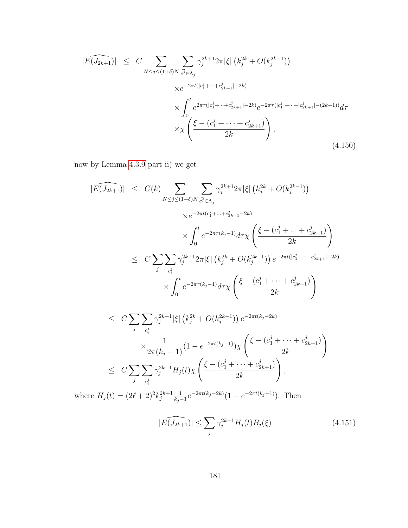$$
|\widehat{E(J_{2k+1})}| \leq C \sum_{N \leq j \leq (1+\delta)N} \sum_{\vec{c^j} \in \Lambda_j} \gamma_j^{2k+1} 2\pi |\xi| \left( k_j^{2k} + O(k_j^{2k-1}) \right)
$$
  

$$
\times e^{-2\pi t(|c_1^j + \dots + c_{2k+1}^j| - 2k)}
$$
  

$$
\times \int_0^t e^{2\pi \tau (|c_1^j + \dots + c_{2k+1}^j| - 2k)} e^{-2\pi \tau (|c_1^j| + \dots + |c_{2k+1}^j| - (2k+1))} d\tau
$$
  

$$
\times \chi \left( \frac{\xi - (c_1^j + \dots + c_{2k+1}^j)}{2k} \right),
$$
  
(4.150)

now by Lemma [4.3.9](#page-187-0) part ii) we get

$$
|E(\widehat{J_{2k+1}})| \leq C(k) \sum_{N \leq j \leq (1+\delta)N} \sum_{c^j \in \Lambda_j} \gamma_j^{2k+1} 2\pi |\xi| (k_j^{2k} + O(k_j^{2k-1}))
$$
  

$$
\times e^{-2\pi t (c_1^j + \dots + c_{2k+1}^j - 2k)}
$$
  

$$
\times \int_0^t e^{-2\pi \tau (k_j - 1)} d\tau \chi \left( \frac{\xi - (c_1^j + \dots + c_{2k+1}^j)}{2k} \right)
$$
  

$$
\leq C \sum_j \sum_{c_i^j} \gamma_j^{2k+1} 2\pi |\xi| (k_j^{2k} + O(k_j^{2k-1})) e^{-2\pi t (|c_1^j + \dots + c_{2k+1}^j - 2k)}
$$
  

$$
\times \int_0^t e^{-2\pi \tau (k_j - 1)} d\tau \chi \left( \frac{\xi - (c_1^j + \dots + c_{2k+1}^j)}{2k} \right)
$$

$$
\leq C \sum_{j} \sum_{c_i^j} \gamma_j^{2k+1} |\xi| \left( k_j^{2k} + O(k_j^{2k-1}) \right) e^{-2\pi t (k_j - 2k)} \times \frac{1}{2\pi (k_j - 1)} (1 - e^{-2\pi t (k_j - 1)}) \chi \left( \frac{\xi - (c_1^j + \dots + c_{2k+1}^j)}{2k} \right) \leq C \sum_{j} \sum_{c_i^j} \gamma_j^{2k+1} H_j(t) \chi \left( \frac{\xi - (c_1^j + \dots + c_{2k+1}^j)}{2k} \right),
$$

where  $H_j(t) = (2\ell + 2)^2 k_i^{2k+1}$  $\frac{2k+1}{j}\frac{1}{k_i}$  $\frac{1}{k_j-1}e^{-2\pi t(k_j-2k)}(1-e^{-2\pi t(k_j-1)})$ . Then

$$
|\widehat{E(J_{2k+1})}| \le \sum_{j} \gamma_j^{2k+1} H_j(t) B_j(\xi)
$$
\n(4.151)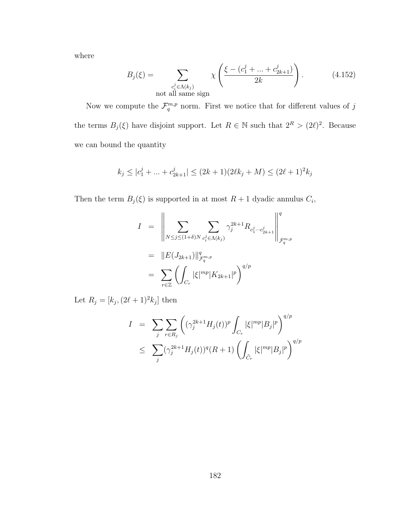where

$$
B_j(\xi) = \sum_{\substack{c_i^j \in \Lambda(k_j) \\ \text{not all same sign}}} \chi\left(\frac{\xi - (c_1^j + \dots + c_{2k+1}^j)}{2k}\right).
$$
 (4.152)

Now we compute the  $\mathcal{F}_q^{m,p}$  norm. First we notice that for different values of j the terms  $B_j(\xi)$  have disjoint support. Let  $R \in \mathbb{N}$  such that  $2^R > (2\ell)^2$ . Because we can bound the quantity

$$
k_j \le |c_1^j + ... + c_{2k+1}^j| \le (2k+1)(2\ell k_j + M) \le (2\ell+1)^2 k_j
$$

Then the term  $B_j(\xi)$  is supported in at most  $R+1$  dyadic annulus  $C_i$ ,

$$
I = \left\| \sum_{N \le j \le (1+\delta)N} \sum_{c_i^j \in \Lambda(k_j)} \gamma_j^{2k+1} R_{c_1^j \cdots c_{2k+1}^j} \right\|_{\dot{\mathcal{F}}_q^{m,p}}^q
$$
  
= 
$$
\|E(J_{2k+1})\|_{\mathcal{F}_q^{m,p}}^q
$$
  
= 
$$
\sum_{r \in \mathbb{Z}} \left( \int_{C_r} |\xi|^{mp} |K_{2k+1}|^p \right)^{q/p}
$$

Let  $R_j = [k_j, (2\ell + 1)^2 k_j]$  then

$$
I = \sum_{j} \sum_{r \in R_j} \left( (\gamma_j^{2k+1} H_j(t))^p \int_{C_r} |\xi|^{mp} |B_j|^p \right)^{q/p}
$$
  

$$
\leq \sum_{j} (\gamma_j^{2k+1} H_j(t))^q (R+1) \left( \int_{\tilde{C}_r} |\xi|^{mp} |B_j|^p \right)^{q/p}
$$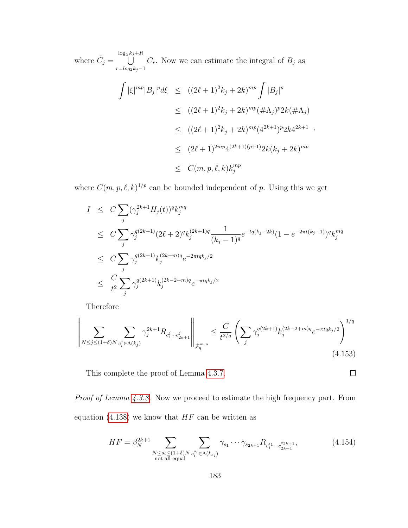where  $\tilde{C}_j = \bigcup^{\log_2 k_j + R}$  $r = log_2 k_j - 1$  $C_r$ . Now we can estimate the integral of  $B_j$  as

$$
\int |\xi|^{mp} |B_j|^p d\xi \le ((2\ell + 1)^2 k_j + 2k)^{mp} \int |B_j|^p
$$
  
\n
$$
\le ((2\ell + 1)^2 k_j + 2k)^{mp} (\# \Lambda_j)^p 2k (\# \Lambda_j)
$$
  
\n
$$
\le ((2\ell + 1)^2 k_j + 2k)^{mp} (4^{2k+1})^p 2k 4^{2k+1} ,
$$
  
\n
$$
\le (2\ell + 1)^{2mp} 4^{(2k+1)(p+1)} 2k (k_j + 2k)^{mp}
$$
  
\n
$$
\le C(m, p, \ell, k) k_j^{mp}
$$

where  $C(m, p, \ell, k)^{1/p}$  can be bounded independent of p. Using this we get

$$
I \leq C \sum_{j} (\gamma_j^{2k+1} H_j(t))^q k_j^{mq}
$$
  
\n
$$
\leq C \sum_{j} \gamma_j^{q(2k+1)} (2\ell+2)^q k_j^{(2k+1)q} \frac{1}{(k_j-1)^q} e^{-tq(k_j-2k)} (1 - e^{-2\pi t(k_j-1)})^q k_j^{mq}
$$
  
\n
$$
\leq C \sum_{j} \gamma_j^{q(2k+1)} k_j^{(2k+m)q} e^{-2\pi tqk_j/2}
$$
  
\n
$$
\leq \frac{C}{t^2} \sum_{j} \gamma_j^{q(2k+1)} k_j^{(2k-2+m)q} e^{-\pi tqk_j/2}
$$

Therefore

$$
\left\| \sum_{N \le j \le (1+\delta)N} \sum_{c_i^j \in \Lambda(k_j)} \gamma_j^{2k+1} R_{c_1^j \cdots c_{2k+1}^j} \right\|_{\dot{\mathcal{F}}_q^{m,p}} \le \frac{C}{t^{2/q}} \left( \sum_j \gamma_j^{q(2k+1)} k_j^{(2k-2+m)q} e^{-\pi t q k_j/2} \right)^{1/q} \tag{4.153}
$$

This complete the proof of Lemma [4.3.7.](#page-185-1)

Proof of Lemma [4.3.8.](#page-185-2) Now we proceed to estimate the high frequency part. From equation [\(4.138\)](#page-185-0) we know that  $HF$  can be written as

$$
HF = \beta_N^{2k+1} \sum_{\substack{N \le s_i \le (1+\delta)N \\ \text{not all equal}}} \sum_{c_i^{s_i} \in \Lambda(k_{s_i})} \gamma_{s_1} \cdots \gamma_{s_{2k+1}} R_{c_1^{s_1} \cdots c_{2k+1}^{s_{2k+1}}},\tag{4.154}
$$

 $\Box$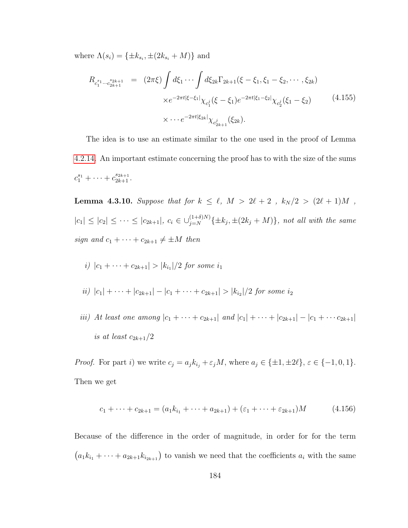where  $\Lambda(s_i) = {\pm k_{s_i}, \pm (2k_{s_i} + M)}$  and

<span id="page-192-0"></span>
$$
R_{c_1^{s_1}\cdots c_{2k+1}^{s_{2k+1}}} = (2\pi\xi) \int d\xi_1 \cdots \int d\xi_{2k} \Gamma_{2k+1}(\xi - \xi_1, \xi_1 - \xi_2, \cdots, \xi_{2k})
$$
  
 
$$
\times e^{-2\pi t |\xi - \xi_1|} \chi_{c_1^j}(\xi - \xi_1) e^{-2\pi t |\xi_1 - \xi_2|} \chi_{c_2^j}(\xi_1 - \xi_2)
$$
(4.155)  
 
$$
\times \cdots e^{-2\pi t |\xi_{2k}|} \chi_{c_{2k+1}^j}(\xi_{2k}).
$$

The idea is to use an estimate similar to the one used in the proof of Lemma [4.2.14.](#page-170-0) An important estimate concerning the proof has to with the size of the sums  $c_1^{s_1} + \cdots + c_{2k+1}^{s_{2k+1}}.$ 

<span id="page-192-1"></span>**Lemma 4.3.10.** Suppose that for  $k \leq \ell$ ,  $M > 2\ell + 2$ ,  $k_N / 2 > (2\ell + 1)M$ ,  $|c_1| \leq |c_2| \leq \cdots \leq |c_{2k+1}|$ ,  $c_i \in \bigcup_{j=N}^{(1+\delta)N} {\{\pm k_j, \pm (2k_j + M)\}}$ , not all with the same sign and  $c_1 + \cdots + c_{2k+1} \neq \pm M$  then

*i)* 
$$
|c_1 + \cdots + c_{2k+1}| > |k_{i_1}|/2
$$
 for some  $i_1$ 

- $ii) |c_1| + \cdots + |c_{2k+1}| |c_1 + \cdots + c_{2k+1}| > |k_{i_2}|/2$  for some  $i_2$
- iii) At least one among  $|c_1 + \cdots + c_{2k+1}|$  and  $|c_1| + \cdots + |c_{2k+1}| |c_1 + \cdots + c_{2k+1}|$ is at least  $c_{2k+1}/2$

*Proof.* For part i) we write  $c_j = a_j k_{i_j} + \varepsilon_j M$ , where  $a_j \in {\pm 1, \pm 2\ell}$ ,  $\varepsilon \in {\{-1, 0, 1\}}$ . Then we get

$$
c_1 + \dots + c_{2k+1} = (a_1k_{i_1} + \dots + a_{2k+1}) + (\varepsilon_1 + \dots + \varepsilon_{2k+1})M \tag{4.156}
$$

Because of the difference in the order of magnitude, in order for for the term  $(a_1k_{i_1} + \cdots + a_{2k+1}k_{i_{2k+1}})$  to vanish we need that the coefficients  $a_i$  with the same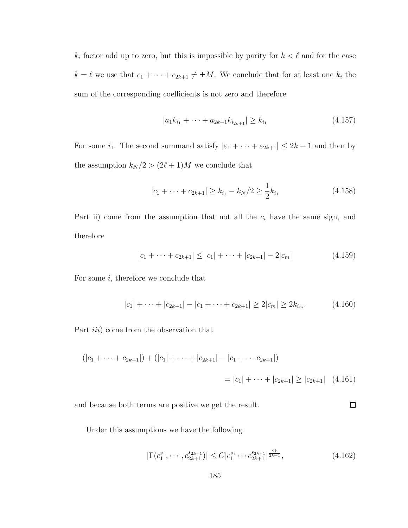$k_i$  factor add up to zero, but this is impossible by parity for  $k < \ell$  and for the case  $k = \ell$  we use that  $c_1 + \cdots + c_{2k+1} \neq \pm M$ . We conclude that for at least one  $k_i$  the sum of the corresponding coefficients is not zero and therefore

$$
|a_1k_{i_1} + \dots + a_{2k+1}k_{i_{2k+1}}| \ge k_{i_1}
$$
\n
$$
(4.157)
$$

For some  $i_1$ . The second summand satisfy  $|\varepsilon_1 + \cdots + \varepsilon_{2k+1}| \leq 2k+1$  and then by the assumption  $k_N / 2 > (2\ell + 1)M$  we conclude that

$$
|c_1 + \dots + c_{2k+1}| \ge k_{i_1} - k_N/2 \ge \frac{1}{2}k_{i_1}
$$
 (4.158)

Part ii) come from the assumption that not all the  $c_i$  have the same sign, and therefore

$$
|c_1 + \dots + c_{2k+1}| \le |c_1| + \dots + |c_{2k+1}| - 2|c_m|
$$
 (4.159)

For some  $i$ , therefore we conclude that

$$
|c_1| + \dots + |c_{2k+1}| - |c_1 + \dots + c_{2k+1}| \ge 2|c_m| \ge 2k_{i_m}.\tag{4.160}
$$

Part *iii*) come from the observation that

$$
(|c_1 + \dots + c_{2k+1}|) + (|c_1| + \dots + |c_{2k+1}| - |c_1 + \dots + c_{2k+1}|)
$$
  
=  $|c_1| + \dots + |c_{2k+1}| \ge |c_{2k+1}|$  (4.161)

 $\Box$ and because both terms are positive we get the result.

Under this assumptions we have the following

$$
|\Gamma(c_1^{s_1}, \cdots, c_{2k+1}^{s_{2k+1}})| \le C|c_1^{s_1} \cdots c_{2k+1}^{s_{2k+1}}|^{\frac{2k}{2k+1}},\tag{4.162}
$$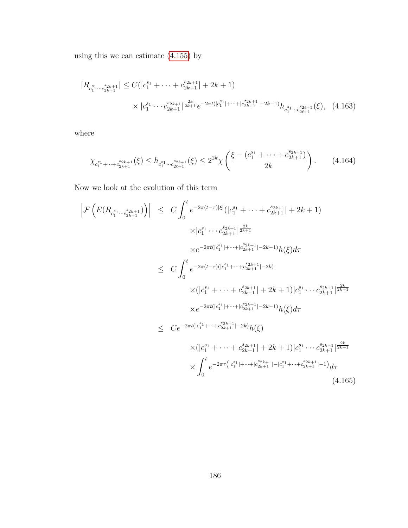using this we can estimate [\(4.155\)](#page-192-0) by

$$
|R_{c_1^{s_1}\cdots c_{2k+1}^{s_{2k+1}}}| \leq C(|c_1^{s_1} + \cdots + c_{2k+1}^{s_{2k+1}}| + 2k + 1)
$$
  
 
$$
\times |c_1^{s_1} \cdots c_{2k+1}^{s_{2k+1}}|^{\frac{2k}{2k+1}} e^{-2\pi t(|c_1^{s_1}| + \cdots + |c_{2k+1}^{s_{2k+1}}| - 2k - 1)} h_{c_1^{s_1}\cdots c_{2\ell+1}^{s_{2\ell+1}}}(\xi), \quad (4.163)
$$

where

$$
\chi_{c_1^{s_1} + \dots + c_{2k+1}^{s_{2k+1}}}(\xi) \le h_{c_1^{s_1} \dots c_{2\ell+1}^{s_{2\ell+1}}}(\xi) \le 2^{2k} \chi\left(\frac{\xi - (c_1^{s_1} + \dots + c_{2k+1}^{s_{2k+1}})}{2k}\right). \tag{4.164}
$$

Now we look at the evolution of this term

$$
\left| \mathcal{F} \left( E(R_{c_1^{s_1} \cdots c_{2k+1}^{s_{2k+1}}}) \right) \right| \leq C \int_0^t e^{-2\pi (t-\tau)|\xi|} (|c_1^{s_1} + \cdots + c_{2k+1}^{s_{2k+1}}| + 2k + 1) \times |c_1^{s_1} \cdots c_{2k+1}^{s_{2k+1}}|^{\frac{2k}{2k+1}} \times e^{-2\pi t(|c_1^{s_1}| + \cdots + |c_{2k+1}^{s_{2k+1}}| - 2k - 1)} h(\xi) d\tau \leq C \int_0^t e^{-2\pi (t-\tau)(|c_1^{s_1} + \cdots + c_{2k+1}^{s_{2k+1}}| - 2k)} \times (|c_1^{s_1} + \cdots + c_{2k+1}^{s_{2k+1}}| + 2k + 1)|c_1^{s_1} \cdots c_{2k+1}^{s_{2k+1}}|^{\frac{2k}{2k+1}} \times e^{-2\pi t(|c_1^{s_1}| + \cdots + |c_{2k+1}^{s_{2k+1}}| - 2k - 1)} h(\xi) d\tau \leq C e^{-2\pi t(|c_1^{s_1}| + \cdots + c_{2k+1}^{s_{2k+1}}| - 2k)} h(\xi) \times (|c_1^{s_1} + \cdots + c_{2k+1}^{s_{2k+1}}| + 2k + 1)|c_1^{s_1} \cdots c_{2k+1}^{s_{2k+1}}|^{\frac{2k}{2k+1}} \times \int_0^t e^{-2\pi \tau (|c_1^{s_1}| + \cdots + |c_{2k+1}^{s_{2k+1}}| - |c_1^{s_1}| + \cdots + c_{2k+1}^{s_{2k+1}}| - 1)} d\tau
$$
\n(4.165)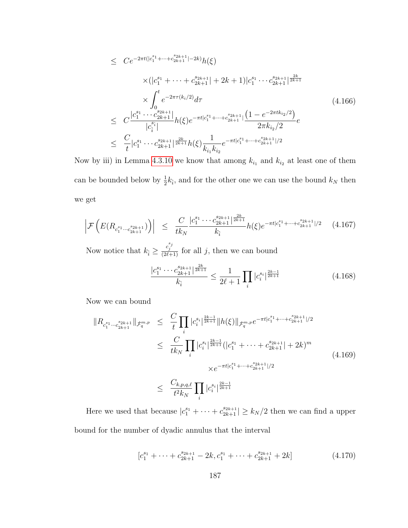$$
\leq C e^{-2\pi t(|c_1^{s_1} + \dots + c_{2k+1}^{s_{2k+1}}| - 2k)} h(\xi)
$$
\n
$$
\times (|c_1^{s_1} + \dots + c_{2k+1}^{s_{2k+1}}| + 2k + 1)|c_1^{s_1} \dots c_{2k+1}^{s_{2k+1}}|^{\frac{2k}{2k+1}}
$$
\n
$$
\times \int_0^t e^{-2\pi \tau(k_i/2)} d\tau
$$
\n
$$
\leq C \frac{|c_1^{s_1} \dots c_{2k+1}^{s_{2k+1}}|}{|c_i^{s_i}|} h(\xi) e^{-\pi t |c_1^{s_1} + \dots + c_{2k+1}^{s_{2k+1}}|} \frac{(1 - e^{-2\pi t k_{i_2}/2})}{2\pi k_{i_2}/2} e
$$
\n
$$
\leq \frac{C}{t} |c_1^{s_1} \dots c_{2k+1}^{s_{2k+1}}|^{\frac{2k}{2k+1}} h(\xi) \frac{1}{k_{i_1} k_{i_2}} e^{-\pi t |c_1^{s_1} + \dots + c_{2k+1}^{s_{2k+1}}|/2}
$$
\n
$$
(4.166)
$$

Now by iii) in Lemma [4.3.10](#page-192-1) we know that among  $k_{i_1}$  and  $k_{i_2}$  at least one of them can be bounded below by  $\frac{1}{2}k_i$ , and for the other one we can use the bound  $k_N$  then we get

$$
\left| \mathcal{F}\left(E(R_{c_1^{s_1}\cdots c_{2k+1}^{s_{2k+1}}})\right) \right| \leq \frac{C}{tk_N} \frac{|c_1^{s_1}\cdots c_{2k+1}^{s_{2k+1}}|^{\frac{2k}{2k+1}}}{k_{\hat{i}}} h(\xi) e^{-\pi t |c_1^{s_1} + \cdots + c_{2k+1}^{s_{2k+1}}|/2} \tag{4.167}
$$

Now notice that  $k_{\hat{i}} \geq \frac{c_j^{s_j}}{(2\ell+1)}$  for all j, then we can bound

$$
\frac{|c_1^{s_1} \cdots c_{2k+1}^{s_{2k+1}}|^{\frac{2k}{2k+1}}}{k_{\hat{i}}} \le \frac{1}{2\ell+1} \prod_i |c_i^{s_i}|^{\frac{2k-1}{2k+1}} \tag{4.168}
$$

Now we can bound

<span id="page-195-0"></span>
$$
\|R_{c_1^{s_1}\cdots c_{2k+1}^{s_{2k+1}}}\|_{\dot{\mathcal{F}}_q^{m,p}} \leq \frac{C}{t} \prod_i |c_i^{s_i}|^{\frac{2k-1}{2k+1}} \|h(\xi)\|_{\dot{\mathcal{F}}_q^{m,p}} e^{-\pi t |c_1^{s_1} + \cdots + c_{2k+1}^{s_{2k+1}}|/2}
$$
  

$$
\leq \frac{C}{tk_N} \prod_i |c_i^{s_i}|^{\frac{2k-1}{2k+1}} (|c_1^{s_1} + \cdots + c_{2k+1}^{s_{2k+1}}| + 2k)^m
$$
  

$$
\times e^{-\pi t |c_1^{s_1} + \cdots + c_{2k+1}^{s_{2k+1}}|/2}
$$
  

$$
\leq \frac{C_{k,p,q,\ell}}{t^2 k_N} \prod_i |c_i^{s_i}|^{\frac{2k-1}{2k+1}}
$$
 (4.169)

Here we used that because  $|c_1^{s_1} + \cdots + c_{2k+1}^{s_{2k+1}}| \ge k_N/2$  then we can find a upper bound for the number of dyadic annulus that the interval

$$
[c_1^{s_1} + \dots + c_{2k+1}^{s_{2k+1}} - 2k, c_1^{s_1} + \dots + c_{2k+1}^{s_{2k+1}} + 2k]
$$
 (4.170)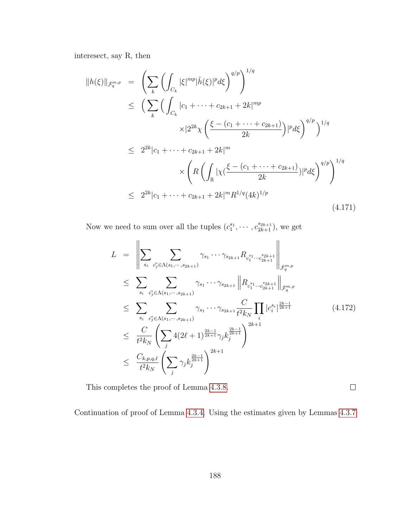interesect, say R, then

$$
||h(\xi)||_{\dot{\mathcal{F}}_{q}^{m,p}} = \left(\sum_{k} \left(\int_{C_{k}} |\xi|^{mp} |\hat{h}(\xi)|^{p} d\xi\right)^{q/p}\right)^{1/q}
$$
  
\n
$$
\leq \left(\sum_{k} \left(\int_{C_{k}} |c_{1} + \dots + c_{2k+1} + 2k|^{mp}\right)^{1/q}
$$
  
\n
$$
\times |2^{2k}\chi\left(\frac{\xi - (c_{1} + \dots + c_{2k+1})}{2k}\right)|^{p} d\xi\right)^{q/p}\right)^{1/q}
$$
  
\n
$$
\leq 2^{2k}|c_{1} + \dots + c_{2k+1} + 2k|^{m}
$$
  
\n
$$
\times \left(R\left(\int_{\mathbb{R}} |\chi(\frac{\xi - (c_{1} + \dots + c_{2k+1})}{2k})|^{p} d\xi\right)^{q/p}\right)^{1/q}
$$
  
\n
$$
\leq 2^{2k}|c_{1} + \dots + c_{2k+1} + 2k|^{m} R^{1/q} (4k)^{1/p}
$$
  
\n(4.171)

Now we need to sum over all the tuples  $(c_1^{s_1}, \cdots, c_{2k+1}^{s_{2k+1}})$ , we get

$$
L = \left\| \sum_{s_i} \sum_{\vec{c_j} \in \Lambda(s_1, \dots, s_{2k+1})} \gamma_{s_1} \dots \gamma_{s_{2k+1}} R_{c_1^{s_1} \dots c_{2k+1}^{s_{2k+1}}} \right\|_{\dot{\mathcal{F}}_q^{m,p}}
$$
  
\n
$$
\leq \sum_{s_i} \sum_{\vec{c_j} \in \Lambda(s_1, \dots, s_{2k+1})} \gamma_{s_1} \dots \gamma_{s_{2k+1}} \| R_{c_1^{s_1} \dots c_{2k+1}^{s_{2k+1}}} \|_{\dot{\mathcal{F}}_q^{m,p}}
$$
  
\n
$$
\leq \sum_{s_i} \sum_{\vec{c_j} \in \Lambda(s_1, \dots, s_{2k+1})} \gamma_{s_1} \dots \gamma_{s_{2k+1}} \frac{C}{t^2 k_N} \prod_i |c_i^{s_i}|^{\frac{2k-1}{2k+1}}
$$
  
\n
$$
\leq \frac{C}{t^2 k_N} \left( \sum_j 4(2\ell+1)^{\frac{2k-1}{2k+1}} \gamma_j k_j^{\frac{2k-1}{2k+1}} \right)^{2k+1}
$$
  
\n
$$
\leq \frac{C_{k,p,q,\ell}}{t^2 k_N} \left( \sum_j \gamma_j k_j^{\frac{2k-1}{2k+1}} \right)^{2k+1}
$$
  
\n(4.172)

This completes the proof of Lemma [4.3.8.](#page-185-2)

Continuation of proof of Lemma [4.3.4.](#page-178-1) Using the estimates given by Lemmas [4.3.7](#page-185-1)

 $\Box$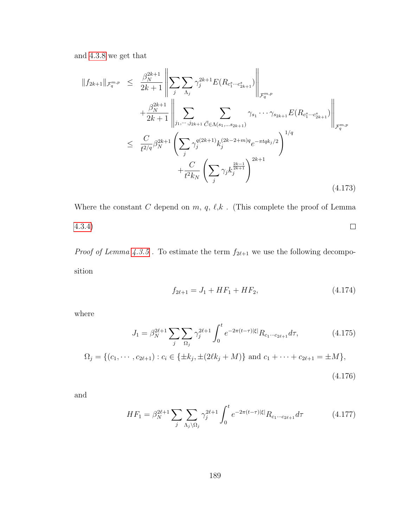and [4.3.8](#page-185-2) we get that

$$
||f_{2k+1}||_{\mathcal{F}_q^{m,p}} \leq \frac{\beta_N^{2k+1}}{2k+1} \left\| \sum_j \sum_{\Lambda_j} \gamma_j^{2k+1} E(R_{c_1^s \cdots c_{2k+1}^s}) \right\|_{\mathcal{F}_q^{m,p}} + \frac{\beta_N^{2k+1}}{2k+1} \left\| \sum_{j_1, \cdots, j_{2k+1}} \sum_{\vec{C} \in \Lambda(s_1, \ldots s_{2k+1})} \gamma_{s_1} \cdots \gamma_{s_{2k+1}} E(R_{c_1^s \cdots c_{2k+1}^s}) \right\|_{\mathcal{F}_q^{m,p}} \\
\leq \frac{C}{t^{2/q}} \beta_N^{2k+1} \left( \sum_j \gamma_j^{q(2k+1)} k_j^{(2k-2+m)q} e^{-\pi t q k_j/2} \right)^{1/q} + \frac{C}{t^{2} k_N} \left( \sum_j \gamma_j k_j^{\frac{2k-1}{2k+1}} \right)^{2k+1} \tag{4.173}
$$

Where the constant  $C$  depend on  $m,$   $q,$   $\ell,$   $\!k$  . (This complete the proof of Lemma [4.3.4\)](#page-178-1)  $\Box$ 

 $Proof$  of  $Lemma \ 4.3.5$  $Lemma \ 4.3.5$  . To estimate the term  $f_{2\ell+1}$  we use the following decomposition

<span id="page-197-0"></span>
$$
f_{2\ell+1} = J_1 + HF_1 + HF_2,\tag{4.174}
$$

where

$$
J_1 = \beta_N^{2\ell+1} \sum_j \sum_{\Omega_j} \gamma_j^{2\ell+1} \int_0^t e^{-2\pi(t-\tau)|\xi|} R_{c_1 \cdots c_{2\ell+1}} d\tau,
$$
 (4.175)

$$
\Omega_j = \{ (c_1, \cdots, c_{2\ell+1}) : c_i \in \{\pm k_j, \pm (2\ell k_j + M) \} \text{ and } c_1 + \cdots + c_{2\ell+1} = \pm M \},\
$$

$$
(4.176)
$$

and

$$
HF_1 = \beta_N^{2\ell+1} \sum_j \sum_{\Lambda_j \backslash \Omega_j} \gamma_j^{2\ell+1} \int_0^t e^{-2\pi(t-\tau)|\xi|} R_{c_1 \cdots c_{2\ell+1}} d\tau \tag{4.177}
$$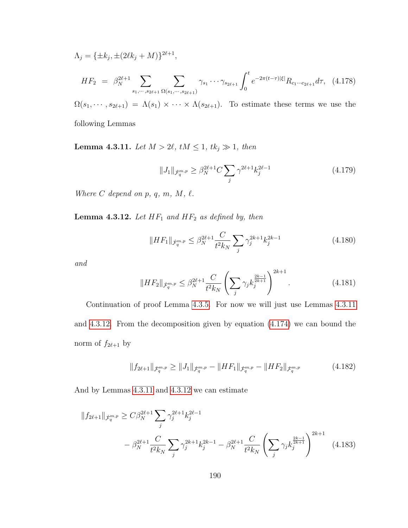$$
\Lambda_j = \{ \pm k_j, \pm (2\ell k_j + M) \}^{2\ell+1},
$$
\n
$$
HF_2 = \beta_N^{2\ell+1} \sum_{s_1, \dots, s_{2\ell+1}} \sum_{\Omega(s_1, \dots, s_{2\ell+1})} \gamma_{s_1} \dots \gamma_{s_{2\ell+1}} \int_0^t e^{-2\pi(t-\tau)|\xi|} R_{c_1 \dots c_{2\ell+1}} d\tau, \quad (4.178)
$$

 $\Omega(s_1, \dots, s_{2\ell+1}) = \Lambda(s_1) \times \dots \times \Lambda(s_{2\ell+1})$ . To estimate these terms we use the following Lemmas

<span id="page-198-0"></span>**Lemma 4.3.11.** Let  $M > 2\ell$ ,  $tM \leq 1$ ,  $tk_j \gg 1$ , then

$$
||J_1||_{\dot{\mathcal{F}}_q^{m,p}} \ge \beta_N^{2\ell+1} C \sum_j \gamma^{2\ell+1} k_j^{2\ell-1}
$$
\n(4.179)

<span id="page-198-1"></span>Where  $C$  depend on  $p, q, m, M, \ell$ .

**Lemma 4.3.12.** Let  $HF_1$  and  $HF_2$  as defined by, then

$$
||HF_1||_{\dot{\mathcal{F}}_q^{m,p}} \le \beta_N^{2\ell+1} \frac{C}{t^2 k_N} \sum_j \gamma_j^{2k+1} k_j^{2k-1}
$$
 (4.180)

and

$$
||HF_2||_{\dot{\mathcal{F}}_q^{m,p}} \leq \beta_N^{2\ell+1} \frac{C}{t^2 k_N} \left( \sum_j \gamma_j k_j^{\frac{2k-1}{2k+1}} \right)^{2k+1} . \tag{4.181}
$$

Continuation of proof Lemma [4.3.5.](#page-178-3) For now we will just use Lemmas [4.3.11](#page-198-0) and [4.3.12.](#page-198-1) From the decomposition given by equation [\(4.174\)](#page-197-0) we can bound the norm of  $f_{2\ell+1}$  by

$$
||f_{2\ell+1}||_{\dot{\mathcal{F}}_q^{m,p}} \ge ||J_1||_{\dot{\mathcal{F}}_q^{m,p}} - ||HF_1||_{\dot{\mathcal{F}}_q^{m,p}} - ||HF_2||_{\dot{\mathcal{F}}_q^{m,p}}
$$
(4.182)

And by Lemmas [4.3.11](#page-198-0) and [4.3.12](#page-198-1) we can estimate

$$
||f_{2\ell+1}||_{\dot{\mathcal{F}}_q^{m,p}} \ge C\beta_N^{2\ell+1} \sum_j \gamma_j^{2\ell+1} k_j^{2\ell-1} - \beta_N^{2\ell+1} \frac{C}{t^2 k_N} \sum_j \gamma_j^{2k+1} k_j^{2k-1} - \beta_N^{2\ell+1} \frac{C}{t^2 k_N} \left( \sum_j \gamma_j k_j^{\frac{2k-1}{2k+1}} \right)^{2k+1}
$$
(4.183)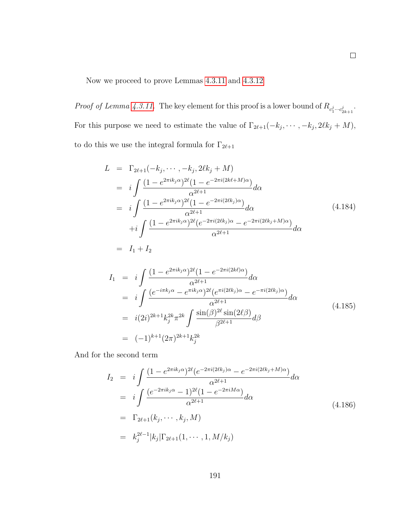Now we proceed to prove Lemmas [4.3.11](#page-198-0) and [4.3.12](#page-198-1)

*Proof of Lemma [4.3.11.](#page-198-0)* The key element for this proof is a lower bound of  $R_{c_1^j \cdots c_{2k+1}^j}$ . For this purpose we need to estimate the value of  $\Gamma_{2\ell+1}(-k_j, \dots, -k_j, 2\ell k_j + M)$ , to do this we use the integral formula for  $\Gamma_{2\ell+1}$ 

$$
L = \Gamma_{2\ell+1}(-k_j, \dots, -k_j, 2\ell k_j + M)
$$
  
\n
$$
= i \int \frac{(1 - e^{2\pi i k_j \alpha})^{2\ell} (1 - e^{-2\pi i (2k\ell + M)\alpha})}{\alpha^{2\ell+1}} d\alpha
$$
  
\n
$$
= i \int \frac{(1 - e^{2\pi i k_j \alpha})^{2\ell} (1 - e^{-2\pi i (2\ell k_j)\alpha})}{\alpha^{2\ell+1}} d\alpha
$$
  
\n
$$
+ i \int \frac{(1 - e^{2\pi i k_j \alpha})^{2\ell} (e^{-2\pi i (2\ell k_j)\alpha} - e^{-2\pi i (2\ell k_j + M)\alpha})}{\alpha^{2\ell+1}} d\alpha
$$
  
\n
$$
= I_1 + I_2
$$
 (4.184)

$$
I_{1} = i \int \frac{(1 - e^{2\pi i k_j \alpha})^{2\ell} (1 - e^{-2\pi i (2k\ell)\alpha})}{\alpha^{2\ell+1}} d\alpha
$$
  
\n
$$
= i \int \frac{(e^{-i\pi k_j \alpha} - e^{\pi i k_j \alpha})^{2\ell} (e^{\pi i (2\ell k_j)\alpha} - e^{-\pi i (2\ell k_j)\alpha})}{\alpha^{2\ell+1}} d\alpha
$$
  
\n
$$
= i(2i)^{2k+1} k_j^{2k} \pi^{2k} \int \frac{\sin(\beta)^{2\ell} \sin(2\ell\beta)}{\beta^{2\ell+1}} d\beta
$$
  
\n
$$
= (-1)^{k+1} (2\pi)^{2k+1} k_j^{2k}
$$
  
\n(4.185)

And for the second term

$$
I_2 = i \int \frac{(1 - e^{2\pi i k_j \alpha})^{2\ell} (e^{-2\pi i (2\ell k_j)\alpha} - e^{-2\pi i (2\ell k_j + M)\alpha})}{\alpha^{2\ell+1}} d\alpha
$$
  
\n
$$
= i \int \frac{(e^{-2\pi i k_j \alpha} - 1)^{2\ell} (1 - e^{-2\pi i M\alpha})}{\alpha^{2\ell+1}} d\alpha
$$
  
\n
$$
= \Gamma_{2\ell+1}(k_j, \dots, k_j, M)
$$
  
\n
$$
= k_j^{2\ell-1} |k_j| \Gamma_{2\ell+1}(1, \dots, 1, M/k_j)
$$
  
\n(4.186)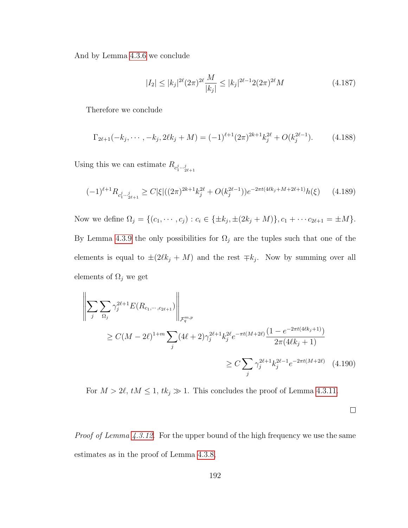And by Lemma [4.3.6](#page-182-1) we conclude

$$
|I_2| \le |k_j|^{2\ell} (2\pi)^{2\ell} \frac{M}{|k_j|} \le |k_j|^{2\ell - 1} 2(2\pi)^{2\ell} M \tag{4.187}
$$

Therefore we conclude

$$
\Gamma_{2\ell+1}(-k_j, \cdots, -k_j, 2\ell k_j + M) = (-1)^{\ell+1} (2\pi)^{2k+1} k_j^{2\ell} + O(k_j^{2\ell-1}). \tag{4.188}
$$

Using this we can estimate  $R_{c_1^j \cdots c_{2\ell+1}^j}$ 

$$
(-1)^{\ell+1} R_{c_1^j \cdots c_{2\ell+1}^j} \ge C |\xi| ((2\pi)^{2k+1} k_j^{2\ell} + O(k_j^{2\ell-1})) e^{-2\pi t (4\ell k_j + M + 2\ell + 1)} h(\xi) \tag{4.189}
$$

Now we define  $\Omega_j = \{(c_1, \dots, c_j) : c_i \in \{\pm k_j, \pm (2k_j + M)\}, c_1 + \dots + c_{2\ell+1} = \pm M\}.$ By Lemma [4.3.9](#page-187-0) the only possibilities for  $\Omega_j$  are the tuples such that one of the elements is equal to  $\pm(2\ell k_j + M)$  and the rest  $\mp k_j$ . Now by summing over all elements of  $\Omega_j$  we get

$$
\left\| \sum_{j} \sum_{\Omega_{j}} \gamma_{j}^{2\ell+1} E(R_{c_{1}, \dots, c_{2\ell+1}}) \right\|_{\mathcal{F}_{q}^{m, p}} \leq C(M - 2\ell)^{1+m} \sum_{j} (4\ell+2) \gamma_{j}^{2\ell+1} k_{j}^{2\ell} e^{-\pi t (M + 2\ell)} \frac{(1 - e^{-2\pi t (4\ell k_{j}+1)})}{2\pi (4\ell k_{j}+1)} \leq C \sum_{j} \gamma_{j}^{2\ell+1} k_{j}^{2\ell-1} e^{-2\pi t (M + 2\ell)} \tag{4.190}
$$

For  $M > 2\ell$ ,  $tM \leq 1$ ,  $tk_j \gg 1$ . This concludes the proof of Lemma [4.3.11.](#page-198-0)

 $\Box$ 

*Proof of Lemma [4.3.12.](#page-198-1)* For the upper bound of the high frequency we use the same estimates as in the proof of Lemma [4.3.8,](#page-185-2)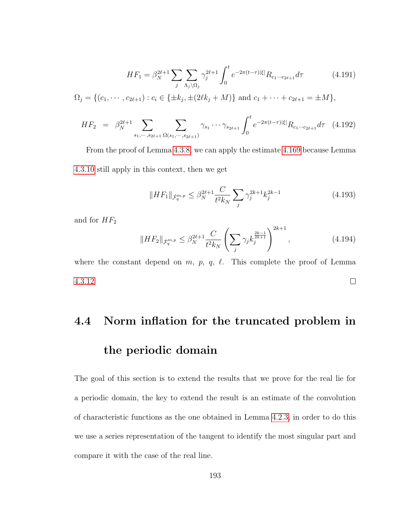$$
HF_1 = \beta_N^{2\ell+1} \sum_j \sum_{\Lambda_j \backslash \Omega_j} \gamma_j^{2\ell+1} \int_0^t e^{-2\pi(t-\tau)|\xi|} R_{c_1 \cdots c_{2\ell+1}} d\tau \tag{4.191}
$$

$$
\Omega_j = \{ (c_1, \cdots, c_{2\ell+1}) : c_i \in \{\pm k_j, \pm (2\ell k_j + M) \} \text{ and } c_1 + \cdots + c_{2\ell+1} = \pm M \},\
$$

$$
HF_2 = \beta_N^{2\ell+1} \sum_{s_1, \dots, s_{2\ell+1}} \sum_{\Omega(s_1, \dots, s_{2\ell+1})} \gamma_{s_1} \cdots \gamma_{s_{2\ell+1}} \int_0^t e^{-2\pi(t-\tau)|\xi|} R_{c_1 \cdots c_{2\ell+1}} d\tau \quad (4.192)
$$

From the proof of Lemma [4.3.8,](#page-185-2) we can apply the estimate [4.169](#page-195-0) because Lemma [4.3.10](#page-192-1) still apply in this context, then we get

$$
||HF_1||_{\dot{\mathcal{F}}_q^{m,p}} \le \beta_N^{2\ell+1} \frac{C}{t^2 k_N} \sum_j \gamma_j^{2k+1} k_j^{2k-1}
$$
\n(4.193)

and for  $HF_2$ 

$$
||HF_2||_{\dot{\mathcal{F}}_q^{m,p}} \le \beta_N^{2\ell+1} \frac{C}{t^2 k_N} \left( \sum_j \gamma_j k_j^{\frac{2k-1}{2k+1}} \right)^{2k+1}, \tag{4.194}
$$

where the constant depend on  $m$ ,  $p$ ,  $q$ ,  $\ell$ . This complete the proof of Lemma  $\Box$ [4.3.12](#page-198-1)

## 4.4 Norm inflation for the truncated problem in the periodic domain

The goal of this section is to extend the results that we prove for the real lie for a periodic domain, the key to extend the result is an estimate of the convolution of characteristic functions as the one obtained in Lemma [4.2.3,](#page-154-0) in order to do this we use a series representation of the tangent to identify the most singular part and compare it with the case of the real line.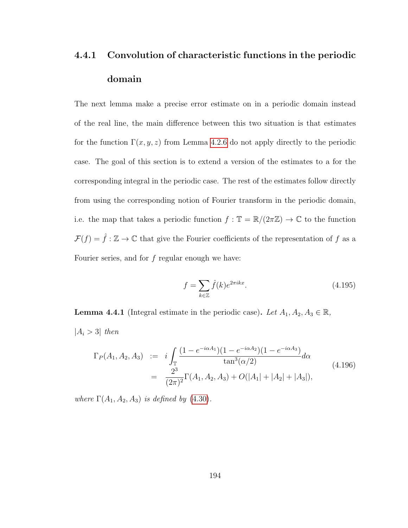## 4.4.1 Convolution of characteristic functions in the periodic domain

The next lemma make a precise error estimate on in a periodic domain instead of the real line, the main difference between this two situation is that estimates for the function  $\Gamma(x, y, z)$  from Lemma [4.2.6](#page-159-0) do not apply directly to the periodic case. The goal of this section is to extend a version of the estimates to a for the corresponding integral in the periodic case. The rest of the estimates follow directly from using the corresponding notion of Fourier transform in the periodic domain, i.e. the map that takes a periodic function  $f : \mathbb{T} = \mathbb{R}/(2\pi\mathbb{Z}) \to \mathbb{C}$  to the function  $\mathcal{F}(f) = \hat{f} : \mathbb{Z} \to \mathbb{C}$  that give the Fourier coefficients of the representation of f as a Fourier series, and for  $f$  regular enough we have:

$$
f = \sum_{k \in \mathbb{Z}} \hat{f}(k)e^{2\pi ikx}.
$$
\n(4.195)

<span id="page-202-0"></span>**Lemma 4.4.1** (Integral estimate in the periodic case). Let  $A_1, A_2, A_3 \in \mathbb{R}$ ,  $|A_i > 3|$  then

<span id="page-202-1"></span>
$$
\Gamma_P(A_1, A_2, A_3) := i \int_{\mathbb{T}} \frac{(1 - e^{-i\alpha A_1})(1 - e^{-i\alpha A_2})(1 - e^{-i\alpha A_3})}{\tan^3(\alpha/2)} d\alpha
$$
\n
$$
= \frac{2^3}{(2\pi)^2} \Gamma(A_1, A_2, A_3) + O(|A_1| + |A_2| + |A_3|), \tag{4.196}
$$

where  $\Gamma(A_1, A_2, A_3)$  is defined by [\(4.30\)](#page-154-1).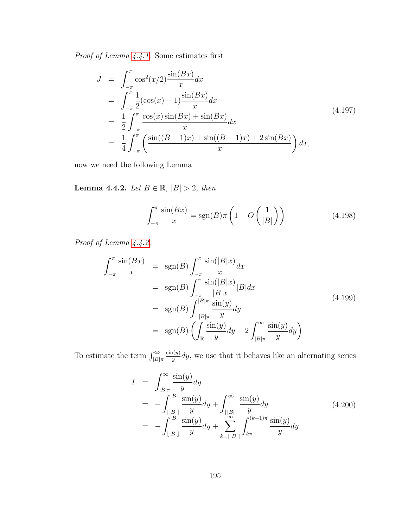$Proof\ of\ Lemma\ 4.4.1.$  $Proof\ of\ Lemma\ 4.4.1.$  Some estimates first

$$
J = \int_{-\pi}^{\pi} \cos^2(x/2) \frac{\sin(Bx)}{x} dx
$$
  
\n
$$
= \int_{-\pi}^{\pi} \frac{1}{2} (\cos(x) + 1) \frac{\sin(Bx)}{x} dx
$$
  
\n
$$
= \frac{1}{2} \int_{-\pi}^{\pi} \frac{\cos(x) \sin(Bx) + \sin(Bx)}{x} dx
$$
  
\n
$$
= \frac{1}{4} \int_{-\pi}^{\pi} \left( \frac{\sin((B+1)x) + \sin((B-1)x) + 2\sin(Bx)}{x} \right) dx,
$$
\n(4.197)

<span id="page-203-0"></span>now we need the following Lemma

Lemma 4.4.2. Let  $B \in \mathbb{R}$ ,  $|B| > 2$ , then

$$
\int_{-\pi}^{\pi} \frac{\sin(Bx)}{x} = \text{sgn}(B)\pi \left(1 + O\left(\frac{1}{|B|}\right)\right) \tag{4.198}
$$

Proof of Lemma  $4.4.2$ .

$$
\int_{-\pi}^{\pi} \frac{\sin(Bx)}{x} = \text{sgn}(B) \int_{-\pi}^{\pi} \frac{\sin(|B|x)}{x} dx
$$
  
\n
$$
= \text{sgn}(B) \int_{-\pi}^{\pi} \frac{\sin(|B|x)}{|B|x|} |B| dx
$$
  
\n
$$
= \text{sgn}(B) \int_{-|B|\pi}^{|B|\pi} \frac{\sin(y)}{y} dy
$$
  
\n
$$
= \text{sgn}(B) \left( \int_{\mathbb{R}} \frac{\sin(y)}{y} dy - 2 \int_{|B|\pi}^{\infty} \frac{\sin(y)}{y} dy \right)
$$
\n(4.199)

To estimate the term  $\int_{|B|\pi}^{\infty}$  $sin(y)$  $\frac{\partial u(y)}{\partial y}$  dy, we use that it behaves like an alternating series

$$
I = \int_{|B|\pi}^{\infty} \frac{\sin(y)}{y} dy
$$
  
= 
$$
- \int_{\lfloor |B| \rfloor}^{|B|} \frac{\sin(y)}{y} dy + \int_{\lfloor |B| \rfloor}^{\infty} \frac{\sin(y)}{y} dy
$$
  
= 
$$
- \int_{\lfloor |B| \rfloor}^{|B|} \frac{\sin(y)}{y} dy + \sum_{k=|\lfloor |B| \rfloor}^{\infty} \int_{k\pi}^{(k+1)\pi} \frac{\sin(y)}{y} dy
$$
(4.200)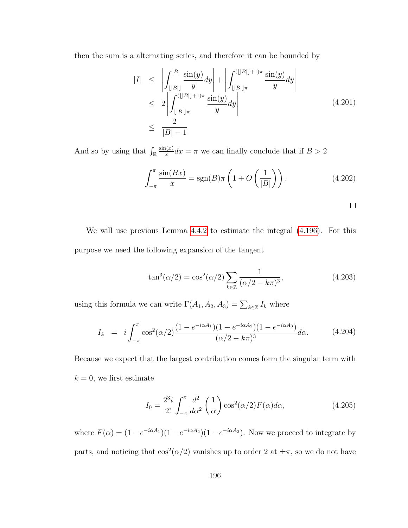then the sum is a alternating series, and therefore it can be bounded by

$$
|I| \leq \left| \int_{\lfloor |B| \rfloor}^{|B|} \frac{\sin(y)}{y} dy \right| + \left| \int_{\lfloor |B| \rfloor \pi}^{(\lfloor |B| + 1) \pi} \frac{\sin(y)}{y} dy \right|
$$
  
\n
$$
\leq 2 \left| \int_{\lfloor |B| \rfloor \pi}^{(\lfloor |B| + 1) \pi} \frac{\sin(y)}{y} dy \right|
$$
  
\n
$$
\leq \frac{2}{|B| - 1}
$$
 (4.201)

And so by using that  $\int_{\mathbb{R}}$  $sin(x)$  $\frac{\ln(x)}{x}dx = \pi$  we can finally conclude that if  $B > 2$ 

$$
\int_{-\pi}^{\pi} \frac{\sin(Bx)}{x} = \text{sgn}(B)\pi \left(1 + O\left(\frac{1}{|B|}\right)\right). \tag{4.202}
$$

$$
\Box
$$

We will use previous Lemma [4.4.2](#page-203-0) to estimate the integral [\(4.196\)](#page-202-1). For this purpose we need the following expansion of the tangent

$$
\tan^3(\alpha/2) = \cos^2(\alpha/2) \sum_{k \in \mathbb{Z}} \frac{1}{(\alpha/2 - k\pi)^3},
$$
\n(4.203)

using this formula we can write  $\Gamma(A_1, A_2, A_3) = \sum_{k \in \mathbb{Z}} I_k$  where

$$
I_k = i \int_{-\pi}^{\pi} \cos^2(\alpha/2) \frac{(1 - e^{-i\alpha A_1})(1 - e^{-i\alpha A_2})(1 - e^{-i\alpha A_3})}{(\alpha/2 - k\pi)^3} d\alpha.
$$
 (4.204)

Because we expect that the largest contribution comes form the singular term with  $k = 0$ , we first estimate

$$
I_0 = \frac{2^3 i}{2!} \int_{-\pi}^{\pi} \frac{d^2}{d\alpha^2} \left(\frac{1}{\alpha}\right) \cos^2(\alpha/2) F(\alpha) d\alpha, \qquad (4.205)
$$

where  $F(\alpha) = (1 - e^{-i\alpha A_1})(1 - e^{-i\alpha A_2})(1 - e^{-i\alpha A_3})$ . Now we proceed to integrate by parts, and noticing that  $\cos^2(\alpha/2)$  vanishes up to order 2 at  $\pm \pi$ , so we do not have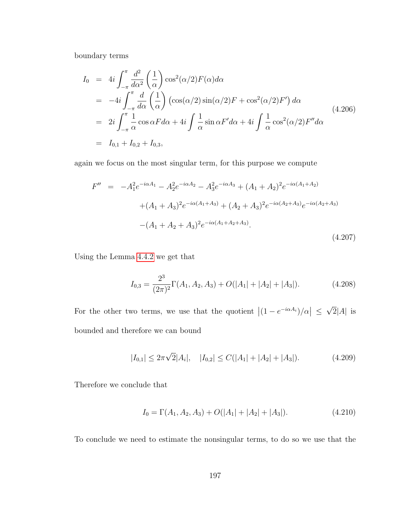boundary terms

<span id="page-205-0"></span>
$$
I_0 = 4i \int_{-\pi}^{\pi} \frac{d^2}{d\alpha^2} \left(\frac{1}{\alpha}\right) \cos^2(\alpha/2) F(\alpha) d\alpha
$$
  
\n
$$
= -4i \int_{-\pi}^{\pi} \frac{d}{d\alpha} \left(\frac{1}{\alpha}\right) \left(\cos(\alpha/2) \sin(\alpha/2) F + \cos^2(\alpha/2) F'\right) d\alpha
$$
  
\n
$$
= 2i \int_{-\pi}^{\pi} \frac{1}{\alpha} \cos \alpha F d\alpha + 4i \int \frac{1}{\alpha} \sin \alpha F' d\alpha + 4i \int \frac{1}{\alpha} \cos^2(\alpha/2) F'' d\alpha
$$
  
\n
$$
= I_{0,1} + I_{0,2} + I_{0,3},
$$
\n(4.206)

again we focus on the most singular term, for this purpose we compute

$$
F'' = -A_1^2 e^{-i\alpha A_1} - A_2^2 e^{-i\alpha A_2} - A_3^2 e^{-i\alpha A_3} + (A_1 + A_2)^2 e^{-i\alpha(A_1 + A_2)}
$$
  
 
$$
+ (A_1 + A_3)^2 e^{-i\alpha(A_1 + A_3)} + (A_2 + A_3)^2 e^{-i\alpha(A_2 + A_3)} e^{-i\alpha(A_2 + A_3)}
$$
  
 
$$
- (A_1 + A_2 + A_3)^2 e^{-i\alpha(A_1 + A_2 + A_3)}.
$$
  
(4.207)

Using the Lemma [4.4.2](#page-203-0) we get that

$$
I_{0,3} = \frac{2^3}{(2\pi)^2} \Gamma(A_1, A_2, A_3) + O(|A_1| + |A_2| + |A_3|). \tag{4.208}
$$

For the other two terms, we use that the quotient  $|(1 - e^{-i\alpha A_i})/\alpha| \leq$ √  $2|A|$  is bounded and therefore we can bound

<span id="page-205-1"></span>
$$
|I_{0,1}| \le 2\pi\sqrt{2}|A_i|, \quad |I_{0,2}| \le C(|A_1| + |A_2| + |A_3|). \tag{4.209}
$$

Therefore we conclude that

$$
I_0 = \Gamma(A_1, A_2, A_3) + O(|A_1| + |A_2| + |A_3|). \tag{4.210}
$$

To conclude we need to estimate the nonsingular terms, to do so we use that the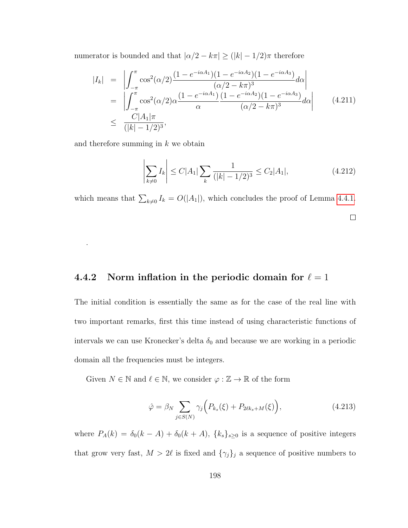numerator is bounded and that  $|\alpha/2 - k\pi| \geq (|k| - 1/2)\pi$  therefore

<span id="page-206-1"></span>
$$
|I_{k}| = \left| \int_{-\pi}^{\pi} \cos^{2}(\alpha/2) \frac{(1 - e^{-i\alpha A_{1}})(1 - e^{-i\alpha A_{2}})(1 - e^{-i\alpha A_{3}})}{(\alpha/2 - k\pi)^{3}} d\alpha \right|
$$
  
\n
$$
= \left| \int_{-\pi}^{\pi} \cos^{2}(\alpha/2) \alpha \frac{(1 - e^{-i\alpha A_{1}})(1 - e^{-i\alpha A_{2}})(1 - e^{-i\alpha A_{3}})}{(\alpha/2 - k\pi)^{3}} d\alpha \right|
$$
(4.211)  
\n
$$
\leq \frac{C|A_{1}|\pi}{(|k| - 1/2)^{3}},
$$

and therefore summing in  $k$  we obtain

.

$$
\left| \sum_{k \neq 0} I_k \right| \le C|A_1| \sum_k \frac{1}{(|k| - 1/2)^3} \le C_2|A_1|,\tag{4.212}
$$

which means that  $\sum_{k\neq 0} I_k = O(|A_1|)$ , which concludes the proof of Lemma [4.4.1.](#page-202-0)

 $\Box$ 

## 4.4.2 Norm inflation in the periodic domain for  $\ell = 1$

The initial condition is essentially the same as for the case of the real line with two important remarks, first this time instead of using characteristic functions of intervals we can use Kronecker's delta  $\delta_0$  and because we are working in a periodic domain all the frequencies must be integers.

Given  $N \in \mathbb{N}$  and  $\ell \in \mathbb{N},$  we consider  $\varphi : \mathbb{Z} \to \mathbb{R}$  of the form

<span id="page-206-0"></span>
$$
\hat{\varphi} = \beta_N \sum_{j \in S(N)} \gamma_j \Big( P_{k_s}(\xi) + P_{2\ell k_s + M}(\xi) \Big), \tag{4.213}
$$

where  $P_A(k) = \delta_0(k - A) + \delta_0(k + A)$ ,  $\{k_s\}_{s \geq 0}$  is a sequence of positive integers that grow very fast,  $M > 2\ell$  is fixed and  ${\gamma_j}_j$  a sequence of positive numbers to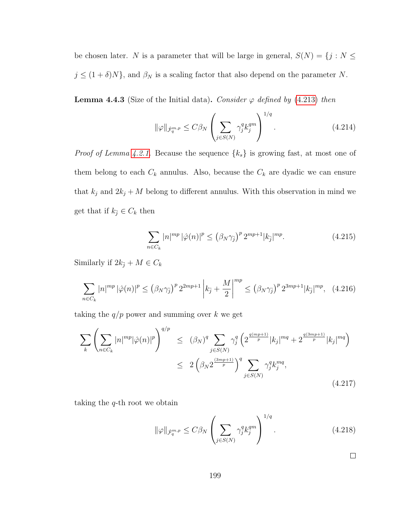be chosen later. N is a parameter that will be large in general,  $S(N) = \{j: N \leq N\}$  $j \leq (1 + \delta)N$ , and  $\beta_N$  is a scaling factor that also depend on the parameter N.

**Lemma 4.4.3** (Size of the Initial data). Consider  $\varphi$  defined by [\(4.213\)](#page-206-0) then

$$
\|\varphi\|_{\dot{\mathcal{F}}_q^{m,p}} \le C\beta_N \left(\sum_{j\in S(N)} \gamma_j^q k_j^{qm}\right)^{1/q}.\tag{4.214}
$$

*Proof of Lemma [4.2.1.](#page-151-0)* Because the sequence  $\{k_s\}$  is growing fast, at most one of them belong to each  $C_k$  annulus. Also, because the  $C_k$  are dyadic we can ensure that  $k_j$  and  $2k_j + M$  belong to different annulus. With this observation in mind we get that if  $k_{\bar{j}} \in C_k$  then

$$
\sum_{n \in C_k} |n|^{mp} |\hat{\varphi}(n)|^p \le (\beta_N \gamma_{\bar{j}})^p 2^{mp+1} |k_{\bar{j}}|^{mp}.
$$
\n(4.215)

Similarly if  $2k_{\bar{j}}+M\in C_k$ 

$$
\sum_{n \in C_k} |n|^{mp} |\hat{\varphi}(n)|^p \le (\beta_N \gamma_{\tilde{j}})^p 2^{2mp+1} \left| k_{\tilde{j}} + \frac{M}{2} \right|^{mp} \le (\beta_N \gamma_{\tilde{j}})^p 2^{3mp+1} |k_{\tilde{j}}|^{mp}, \quad (4.216)
$$

taking the  $q/p$  power and summing over k we get

$$
\sum_{k} \left( \sum_{n \in C_k} |n|^{mp} |\hat{\varphi}(n)|^p \right)^{q/p} \leq (\beta_N)^q \sum_{j \in S(N)} \gamma_j^q \left( 2^{\frac{q(mp+1)}{p}} |k_j|^{mq} + 2^{\frac{q(3mp+1)}{p}} |k_j|^{mq} \right)
$$
  

$$
\leq 2 \left( \beta_N 2^{\frac{(3mp+1)}{p}} \right)^q \sum_{j \in S(N)} \gamma_j^q k_j^{mq},
$$
(4.217)

taking the  $q$ -th root we obtain

$$
\|\varphi\|_{\dot{\mathcal{F}}_q^{m,p}} \le C\beta_N \left(\sum_{j\in S(N)} \gamma_j^q k_j^{qm}\right)^{1/q}.\tag{4.218}
$$

 $\Box$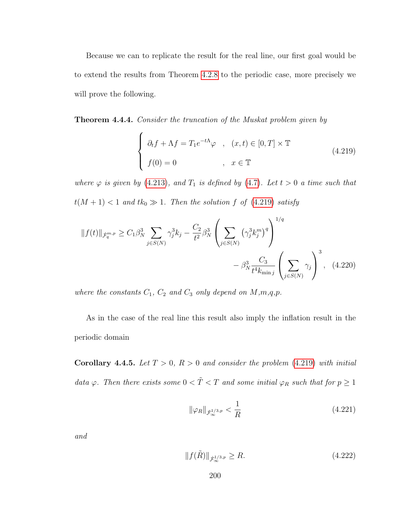Because we can to replicate the result for the real line, our first goal would be to extend the results from Theorem [4.2.8](#page-162-0) to the periodic case, more precisely we will prove the following.

<span id="page-208-2"></span>**Theorem 4.4.4.** Consider the truncation of the Muskat problem given by

<span id="page-208-0"></span>
$$
\begin{cases}\n\partial_t f + \Lambda f = T_1 e^{-t\Lambda} \varphi, & (x, t) \in [0, T] \times \mathbb{T} \\
f(0) = 0, & x \in \mathbb{T}\n\end{cases}
$$
\n(4.219)

where  $\varphi$  is given by [\(4.213\)](#page-206-0), and  $T_1$  is defined by [\(4.7\)](#page-148-0). Let  $t > 0$  a time such that  $t(M + 1) < 1$  and  $tk_0 \gg 1$ . Then the solution f of [\(4.219\)](#page-208-0) satisfy

$$
||f(t)||_{\dot{\mathcal{F}}_q^{m,p}} \geq C_1 \beta_N^3 \sum_{j \in S(N)} \gamma_j^3 k_j - \frac{C_2}{t^2} \beta_N^3 \left( \sum_{j \in S(N)} (\gamma_j^3 k_j^m)^q \right)^{1/q} - \beta_N^3 \frac{C_3}{t^4 k_{\min j}} \left( \sum_{j \in S(N)} \gamma_j \right)^3, \quad (4.220)
$$

where the constants  $C_1$ ,  $C_2$  and  $C_3$  only depend on  $M,m,q,p$ .

As in the case of the real line this result also imply the inflation result in the periodic domain

<span id="page-208-1"></span>**Corollary 4.4.5.** Let  $T > 0$ ,  $R > 0$  and consider the problem [\(4.219\)](#page-208-0) with initial data  $\varphi$ . Then there exists some  $0 < \tilde{T} < T$  and some initial  $\varphi_R$  such that for  $p \geq 1$ 

$$
\|\varphi_R\|_{\dot{\mathcal{F}}^{1/3,p}_{\infty}} < \frac{1}{R} \tag{4.221}
$$

and

$$
||f(\tilde{R})||_{\dot{\mathcal{F}}^{1/3,p}} \ge R. \tag{4.222}
$$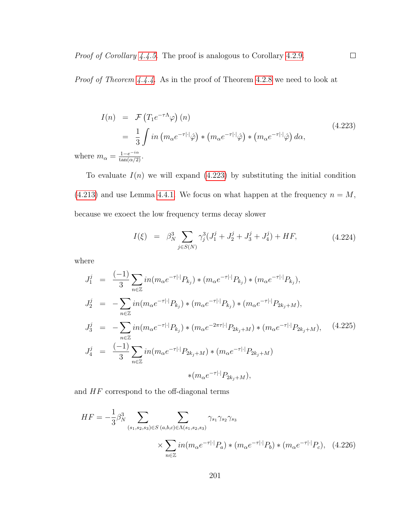Proof of Theorem [4.4.4.](#page-208-2) As in the proof of Theorem [4.2.8](#page-162-0) we need to look at

<span id="page-209-0"></span>
$$
I(n) = \mathcal{F}\left(T_1 e^{-\tau \Lambda} \varphi\right)(n)
$$
  
=  $\frac{1}{3} \int in \left(m_\alpha e^{-\tau |\cdot|} \hat{\varphi}\right) * \left(m_\alpha e^{-\tau |\cdot|} \hat{\varphi}\right) * \left(m_\alpha e^{-\tau |\cdot|} \hat{\varphi}\right) d\alpha,$   

$$
: m_\alpha = \frac{1 - e^{-i\alpha}}{\tan(\alpha/2)}.
$$
 (4.223)

 $\Box$ 

where

To evaluate  $I(n)$  we will expand [\(4.223\)](#page-209-0) by substituting the initial condition [\(4.213\)](#page-206-0) and use Lemma [4.4.1.](#page-202-0) We focus on what happen at the frequency  $n = M$ , because we exoect the low frequency terms decay slower

$$
I(\xi) = \beta_N^3 \sum_{j \in S(N)} \gamma_j^3 (J_1^j + J_2^j + J_3^j + J_4^j) + HF,
$$
\n(4.224)

where

$$
J_1^j = \frac{(-1)}{3} \sum_{n \in \mathbb{Z}} i n (m_\alpha e^{-\tau |\cdot|} P_{k_j}) * (m_\alpha e^{-\tau |\cdot|} P_{k_j}) * (m_\alpha e^{-\tau |\cdot|} P_{k_j}),
$$
  
\n
$$
J_2^j = -\sum_{n \in \mathbb{Z}} i n (m_\alpha e^{-\tau |\cdot|} P_{k_j}) * (m_\alpha e^{-\tau |\cdot|} P_{k_j}) * (m_\alpha e^{-\tau |\cdot|} P_{2k_j + M}),
$$
  
\n
$$
J_3^j = -\sum_{n \in \mathbb{Z}} i n (m_\alpha e^{-\tau |\cdot|} P_{k_j}) * (m_\alpha e^{-2\pi \tau |\cdot|} P_{2k_j + M}) * (m_\alpha e^{-\tau |\cdot|} P_{2k_j + M}),
$$
  
\n
$$
J_4^j = \frac{(-1)}{3} \sum_{n \in \mathbb{Z}} i n (m_\alpha e^{-\tau |\cdot|} P_{2k_j + M}) * (m_\alpha e^{-\tau |\cdot|} P_{2k_j + M}) * (m_\alpha e^{-\tau |\cdot|} P_{2k_j + M}) * (m_\alpha e^{-\tau |\cdot|} P_{2k_j + M}),
$$
  
\n
$$
*(m_\alpha e^{-\tau |\cdot|} P_{2k_j + M}),
$$
  
\n(4.225)

and  $HF$  correspond to the off-diagonal terms

$$
HF = -\frac{1}{3} \beta_N^3 \sum_{(s_1, s_2, s_3) \in S} \sum_{(a, b, c) \in \Lambda(s_1, s_2, s_3)} \gamma_{s_1} \gamma_{s_2} \gamma_{s_3}
$$

$$
\times \sum_{n \in \mathbb{Z}} i n (m_\alpha e^{-\tau |\cdot|} P_a) * (m_\alpha e^{-\tau |\cdot|} P_b) * (m_\alpha e^{-\tau |\cdot|} P_c), \quad (4.226)
$$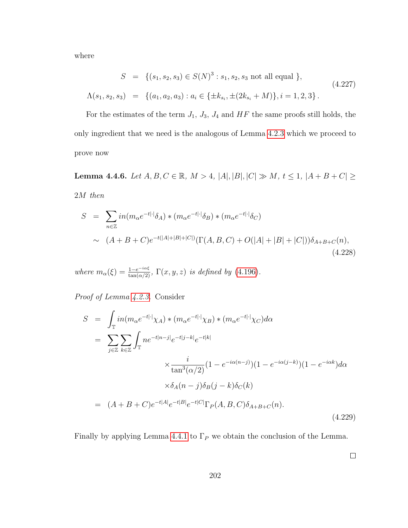where

$$
S = \{(s_1, s_2, s_3) \in S(N)^3 : s_1, s_2, s_3 \text{ not all equal }\},\
$$
  

$$
\Lambda(s_1, s_2, s_3) = \{(a_1, a_2, a_3) : a_i \in \{\pm k_{s_i}, \pm (2k_{s_i} + M)\}, i = 1, 2, 3\}.
$$
  
(4.227)

For the estimates of the term  $J_1$ ,  $J_3$ ,  $J_4$  and  $HF$  the same proofs still holds, the only ingredient that we need is the analogous of Lemma [4.2.3](#page-154-0) which we proceed to prove now

<span id="page-210-0"></span>Lemma 4.4.6. Let  $A, B, C \in \mathbb{R}$ ,  $M > 4$ ,  $|A|, |B|, |C| \gg M$ ,  $t \le 1$ ,  $|A + B + C| \ge 1$ 2M then

$$
S = \sum_{n \in \mathbb{Z}} i n (m_{\alpha} e^{-t|\cdot|} \delta_A) * (m_{\alpha} e^{-t|\cdot|} \delta_B) * (m_{\alpha} e^{-t|\cdot|} \delta_C)
$$
  
 
$$
\sim (A + B + C) e^{-t(|A| + |B| + |C|)} (\Gamma(A, B, C) + O(|A| + |B| + |C|)) \delta_{A + B + C}(n),
$$
  
(4.228)

where  $m_{\alpha}(\xi) = \frac{1-e^{-i\alpha\xi}}{\tan(\alpha/2)}$ ,  $\Gamma(x, y, z)$  is defined by [\(4.196\)](#page-202-1).

Proof of Lemma [4.2.3.](#page-154-0) Consider

$$
S = \int_{\mathbb{T}} in(m_{\alpha}e^{-t|\cdot|}\chi_{A}) * (m_{\alpha}e^{-t|\cdot|}\chi_{B}) * (m_{\alpha}e^{-t|\cdot|}\chi_{C})d\alpha
$$
  
\n
$$
= \sum_{j\in\mathbb{Z}} \sum_{k\in\mathbb{Z}} \int_{\mathbb{T}} ne^{-t|n-j|}e^{-t|j-k|}e^{-t|k|}
$$
  
\n
$$
\times \frac{i}{\tan^{3}(\alpha/2)}(1 - e^{-i\alpha(n-j)})(1 - e^{-i\alpha(j-k)})(1 - e^{-i\alpha k})d\alpha
$$
  
\n
$$
\times \delta_{A}(n-j)\delta_{B}(j-k)\delta_{C}(k)
$$
  
\n
$$
= (A + B + C)e^{-t|A|}e^{-t|B|}e^{-t|C|}\Gamma_{P}(A, B, C)\delta_{A+B+C}(n).
$$
  
\n(4.229)

Finally by applying Lemma [4.4.1](#page-202-0) to  $\Gamma_P$  we obtain the conclusion of the Lemma.

 $\Box$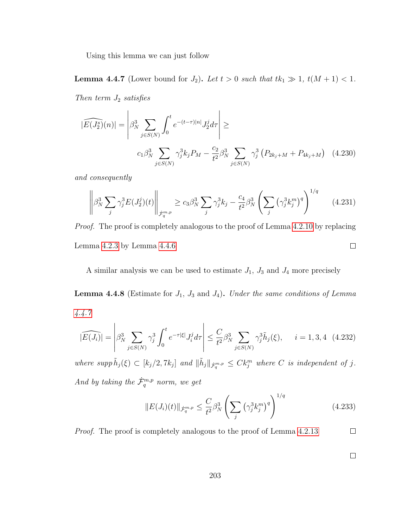Using this lemma we can just follow

<span id="page-211-0"></span>**Lemma 4.4.7** (Lower bound for  $J_2$ ). Let  $t > 0$  such that  $tk_1 \gg 1$ ,  $t(M + 1) < 1$ .

Then term  $J_2$  satisfies

$$
|\widehat{E(J_2^s)}(n)| = \left| \beta_N^3 \sum_{j \in S(N)} \int_0^t e^{-(t-\tau)|n|} J_2^j d\tau \right| \ge
$$
  

$$
c_1 \beta_N^3 \sum_{j \in S(N)} \gamma_j^3 k_j P_M - \frac{c_2}{t^2} \beta_N^3 \sum_{j \in S(N)} \gamma_j^3 (P_{2k_j + M} + P_{4k_j + M}) \quad (4.230)
$$

and consequently

$$
\left\| \beta_N^3 \sum_j \gamma_j^3 E(J_2^j)(t) \right\|_{\dot{\mathcal{F}}_q^{m,p}} \ge c_3 \beta_N^3 \sum_j \gamma_j^3 k_j - \frac{c_4}{t^2} \beta_N^3 \left( \sum_j \left( \gamma_j^3 k_j^m \right)^q \right)^{1/q} \tag{4.231}
$$

Proof. The proof is completely analogous to the proof of Lemma [4.2.10](#page-165-0) by replacing Lemma [4.2.3](#page-154-0) by Lemma [4.4.6](#page-210-0)  $\Box$ 

A similar analysis we can be used to estimate  $J_1$ ,  $J_3$  and  $J_4$  more precisely

**Lemma 4.4.8** (Estimate for  $J_1$ ,  $J_3$  and  $J_4$ ). Under the same conditions of Lemma [4.4.7](#page-211-0)

$$
|\widehat{E(J_i)}| = \left| \beta_N^3 \sum_{j \in S(N)} \gamma_j^3 \int_0^t e^{-\tau |\xi|} J_i^j d\tau \right| \le \frac{C}{t^2} \beta_N^3 \sum_{j \in S(N)} \gamma_j^3 \tilde{h}_j(\xi), \quad i = 1, 3, 4 \quad (4.232)
$$

where supp  $\tilde{h}_j(\xi) \subset [k_j/2, 7k_j]$  and  $\|\tilde{h}_j\|_{\dot{\mathcal{F}}_q^{m,p}} \leq C k_j^m$  where C is independent of j. And by taking the  $\dot{\mathcal{F}}_q^{m,p}$  norm, we get

$$
||E(J_i)(t)||_{\dot{\mathcal{F}}_q^{m,p}} \le \frac{C}{t^2} \beta_N^3 \left( \sum_j \left( \gamma_j^3 k_j^m \right)^q \right)^{1/q} \tag{4.233}
$$

Proof. The proof is completely analogous to the proof of Lemma [4.2.13](#page-168-0)  $\Box$ 

 $\Box$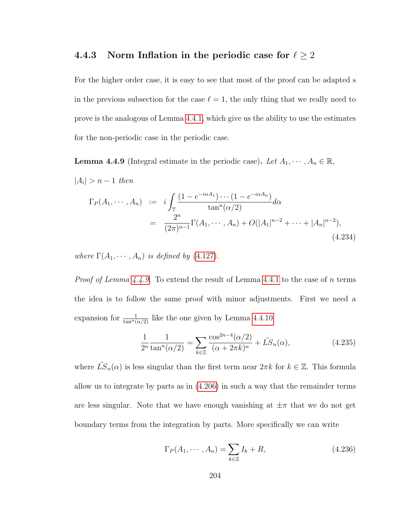## 4.4.3 Norm Inflation in the periodic case for  $\ell \geq 2$

For the higher order case, it is easy to see that most of the proof can be adapted s in the previous subsection for the case  $\ell = 1$ , the only thing that we really need to prove is the analogous of Lemma [4.4.1,](#page-202-0) which give us the ability to use the estimates for the non-periodic case in the periodic case.

<span id="page-212-0"></span>**Lemma 4.4.9** (Integral estimate in the periodic case). Let  $A_1, \dots, A_n \in \mathbb{R}$ ,

 $|A_i| > n - 1$  then

$$
\Gamma_P(A_1, \cdots, A_n) := i \int_{\mathbb{T}} \frac{(1 - e^{-i\alpha A_1}) \cdots (1 - e^{-i\alpha A_n})}{\tan^n(\alpha/2)} d\alpha
$$
  
= 
$$
\frac{2^n}{(2\pi)^{n-1}} \Gamma(A_1, \cdots, A_n) + O(|A_1|^{n-2} + \cdots + |A_n|^{n-2}),
$$
(4.234)

where  $\Gamma(A_1, \dots, A_n)$  is defined by [\(4.127\)](#page-182-0).

*Proof of Lemma [4.4.9.](#page-212-0)* To extend the result of Lemma [4.4.1](#page-202-0) to the case of n terms the idea is to follow the same proof with minor adjustments. First we need a expansion for  $\frac{1}{\tan^n(\alpha/2)}$  like the one given by Lemma [4.4.10](#page-214-0)

$$
\frac{1}{2^n} \frac{1}{\tan^n(\alpha/2)} = \sum_{k \in \mathbb{Z}} \frac{\cos^{2n-4}(\alpha/2)}{(\alpha + 2\pi k)^n} + \tilde{LS}_n(\alpha),\tag{4.235}
$$

where  $\tilde{LS}_n(\alpha)$  is less singular than the first term near  $2\pi k$  for  $k \in \mathbb{Z}$ . This formula allow us to integrate by parts as in [\(4.206\)](#page-205-0) in such a way that the remainder terms are less singular. Note that we have enough vanishing at  $\pm\pi$  that we do not get boundary terms from the integration by parts. More specifically we can write

$$
\Gamma_P(A_1, \cdots, A_n) = \sum_{k \in \mathbb{Z}} I_k + R,\tag{4.236}
$$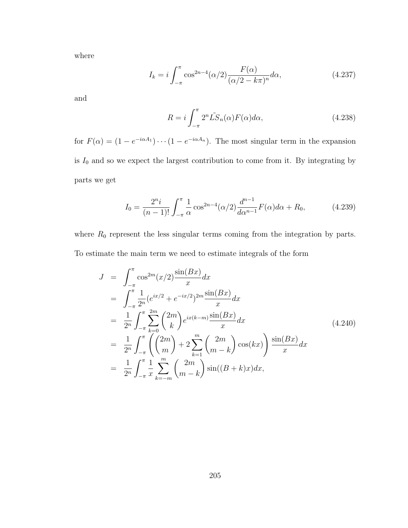where

$$
I_k = i \int_{-\pi}^{\pi} \cos^{2n-4}(\alpha/2) \frac{F(\alpha)}{(\alpha/2 - k\pi)^n} d\alpha,
$$
 (4.237)

and

$$
R = i \int_{-\pi}^{\pi} 2^n \tilde{LS}_n(\alpha) F(\alpha) d\alpha,
$$
 (4.238)

for  $F(\alpha) = (1 - e^{-i\alpha A_1}) \cdots (1 - e^{-i\alpha A_n})$ . The most singular term in the expansion is  $I_0$  and so we expect the largest contribution to come from it. By integrating by parts we get

$$
I_0 = \frac{2^n i}{(n-1)!} \int_{-\pi}^{\pi} \frac{1}{\alpha} \cos^{2n-4}(\alpha/2) \frac{d^{n-1}}{d\alpha^{n-1}} F(\alpha) d\alpha + R_0,
$$
 (4.239)

where  $R_0$  represent the less singular terms coming from the integration by parts. To estimate the main term we need to estimate integrals of the form

$$
J = \int_{-\pi}^{\pi} \cos^{2m}(x/2) \frac{\sin(Bx)}{x} dx
$$
  
\n
$$
= \int_{-\pi}^{\pi} \frac{1}{2^n} (e^{ix/2} + e^{-ix/2})^{2m} \frac{\sin(Bx)}{x} dx
$$
  
\n
$$
= \frac{1}{2^n} \int_{-\pi}^{\pi} \sum_{k=0}^{2m} {2m \choose k} e^{ix(k-m)} \frac{\sin(Bx)}{x} dx
$$
  
\n
$$
= \frac{1}{2^n} \int_{-\pi}^{\pi} \left( {2m \choose m} + 2 \sum_{k=1}^{m} {2m \choose m-k} \cos(kx) \right) \frac{\sin(Bx)}{x} dx
$$
  
\n
$$
= \frac{1}{2^n} \int_{-\pi}^{\pi} \frac{1}{x} \sum_{k=-m}^{m} {2m \choose m-k} \sin((B+k)x) dx,
$$
  
\n(4.240)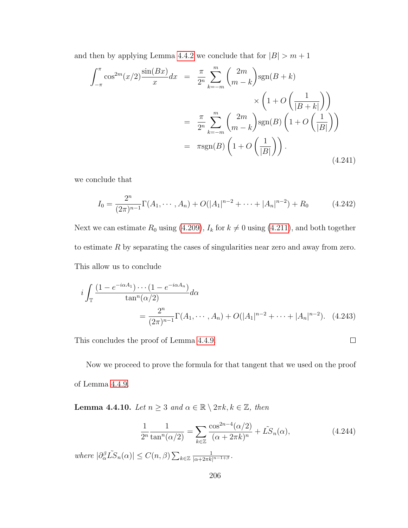and then by applying Lemma [4.4.2](#page-203-0) we conclude that for  $|B| > m + 1$ 

$$
\int_{-\pi}^{\pi} \cos^{2m}(x/2) \frac{\sin(Bx)}{x} dx = \frac{\pi}{2^n} \sum_{k=-m}^{m} {2m \choose m-k} \text{sgn}(B+k)
$$

$$
\times \left(1 + O\left(\frac{1}{|B+k|}\right)\right)
$$

$$
= \frac{\pi}{2^n} \sum_{k=-m}^{m} {2m \choose m-k} \text{sgn}(B) \left(1 + O\left(\frac{1}{|B|}\right)\right)
$$

$$
= \pi \text{sgn}(B) \left(1 + O\left(\frac{1}{|B|}\right)\right).
$$
(4.241)

we conclude that

$$
I_0 = \frac{2^n}{(2\pi)^{n-1}} \Gamma(A_1, \cdots, A_n) + O(|A_1|^{n-2} + \cdots + |A_n|^{n-2}) + R_0 \tag{4.242}
$$

Next we can estimate  $R_0$  using [\(4.209\)](#page-205-1),  $I_k$  for  $k \neq 0$  using [\(4.211\)](#page-206-1), and both together to estimate R by separating the cases of singularities near zero and away from zero. This allow us to conclude

$$
i \int_{\mathbb{T}} \frac{(1 - e^{-i\alpha A_1}) \cdots (1 - e^{-i\alpha A_n})}{\tan^n(\alpha/2)} d\alpha
$$
  
= 
$$
\frac{2^n}{(2\pi)^{n-1}} \Gamma(A_1, \cdots, A_n) + O(|A_1|^{n-2} + \cdots + |A_n|^{n-2}).
$$
 (4.243)

This concludes the proof of Lemma [4.4.9.](#page-212-0)

Now we proceed to prove the formula for that tangent that we used on the proof of Lemma [4.4.9.](#page-212-0)

<span id="page-214-0"></span>**Lemma 4.4.10.** Let  $n \geq 3$  and  $\alpha \in \mathbb{R} \setminus 2\pi k, k \in \mathbb{Z}$ , then

$$
\frac{1}{2^n} \frac{1}{\tan^n(\alpha/2)} = \sum_{k \in \mathbb{Z}} \frac{\cos^{2n-4}(\alpha/2)}{(\alpha + 2\pi k)^n} + \tilde{LS}_n(\alpha),\tag{4.244}
$$

 $\Box$ 

where  $|\partial_{\alpha}^{\beta}\tilde{LS}_n(\alpha)| \leq C(n,\beta) \sum_{k \in \mathbb{Z}} \frac{1}{|\alpha + 2\pi k|^{n-1+\beta}}$ .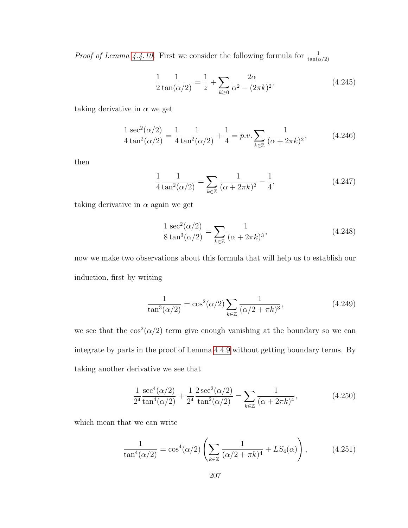*Proof of Lemma [4.4.10.](#page-214-0)* First we consider the following formula for  $\frac{1}{\tan(\alpha/2)}$ 

$$
\frac{1}{2}\frac{1}{\tan(\alpha/2)} = \frac{1}{z} + \sum_{k\geq 0} \frac{2\alpha}{\alpha^2 - (2\pi k)^2},
$$
\n(4.245)

taking derivative in  $\alpha$  we get

$$
\frac{1}{4}\frac{\sec^2(\alpha/2)}{\tan^2(\alpha/2)} = \frac{1}{4}\frac{1}{\tan^2(\alpha/2)} + \frac{1}{4} = p.v. \sum_{k \in \mathbb{Z}} \frac{1}{(\alpha + 2\pi k)^2},
$$
(4.246)

then

$$
\frac{1}{4}\frac{1}{\tan^2(\alpha/2)} = \sum_{k \in \mathbb{Z}} \frac{1}{(\alpha + 2\pi k)^2} - \frac{1}{4},\tag{4.247}
$$

taking derivative in  $\alpha$  again we get

$$
\frac{1}{8} \frac{\sec^2(\alpha/2)}{\tan^3(\alpha/2)} = \sum_{k \in \mathbb{Z}} \frac{1}{(\alpha + 2\pi k)^3},
$$
\n(4.248)

now we make two observations about this formula that will help us to establish our induction, first by writing

$$
\frac{1}{\tan^3(\alpha/2)} = \cos^2(\alpha/2) \sum_{k \in \mathbb{Z}} \frac{1}{(\alpha/2 + \pi k)^3},
$$
(4.249)

we see that the  $\cos^2(\alpha/2)$  term give enough vanishing at the boundary so we can integrate by parts in the proof of Lemma [4.4.9](#page-212-0) without getting boundary terms. By taking another derivative we see that

$$
\frac{1}{2^4} \frac{\sec^4(\alpha/2)}{\tan^4(\alpha/2)} + \frac{1}{2^4} \frac{2\sec^2(\alpha/2)}{\tan^2(\alpha/2)} = \sum_{k \in \mathbb{Z}} \frac{1}{(\alpha + 2\pi k)^4},
$$
(4.250)

which mean that we can write

$$
\frac{1}{\tan^4(\alpha/2)} = \cos^4(\alpha/2) \left( \sum_{k \in \mathbb{Z}} \frac{1}{(\alpha/2 + \pi k)^4} + LS_4(\alpha) \right), \tag{4.251}
$$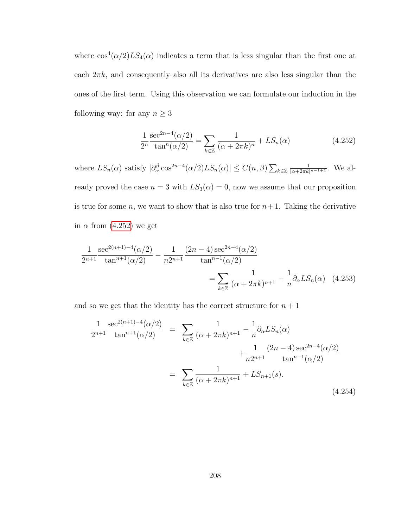where  $\cos^4(\alpha/2)LS_4(\alpha)$  indicates a term that is less singular than the first one at each  $2\pi k$ , and consequently also all its derivatives are also less singular than the ones of the first term. Using this observation we can formulate our induction in the following way: for any  $n \geq 3$ 

<span id="page-216-0"></span>
$$
\frac{1}{2^n} \frac{\sec^{2n-4}(\alpha/2)}{\tan^n(\alpha/2)} = \sum_{k \in \mathbb{Z}} \frac{1}{(\alpha + 2\pi k)^n} + LS_n(\alpha)
$$
 (4.252)

where  $LS_n(\alpha)$  satisfy  $|\partial_{\alpha}^{\beta} \cos^{2n-4}(\alpha/2)LS_n(\alpha)| \leq C(n,\beta) \sum_{k \in \mathbb{Z}} \frac{1}{|\alpha + 2\pi k|^{n-1+\beta}}$ . We already proved the case  $n = 3$  with  $LS_3(\alpha) = 0$ , now we assume that our proposition is true for some n, we want to show that is also true for  $n+1$ . Taking the derivative in  $\alpha$  from [\(4.252\)](#page-216-0) we get

$$
\frac{1}{2^{n+1}} \frac{\sec^{2(n+1)-4}(\alpha/2)}{\tan^{n+1}(\alpha/2)} - \frac{1}{n2^{n+1}} \frac{(2n-4)\sec^{2n-4}(\alpha/2)}{\tan^{n-1}(\alpha/2)}
$$

$$
= \sum_{k \in \mathbb{Z}} \frac{1}{(\alpha + 2\pi k)^{n+1}} - \frac{1}{n} \partial_{\alpha} LS_n(\alpha) \quad (4.253)
$$

and so we get that the identity has the correct structure for  $n + 1$ 

$$
\frac{1}{2^{n+1}} \frac{\sec^{2(n+1)-4}(\alpha/2)}{\tan^{n+1}(\alpha/2)} = \sum_{k \in \mathbb{Z}} \frac{1}{(\alpha + 2\pi k)^{n+1}} - \frac{1}{n} \partial_{\alpha} LS_n(\alpha) + \frac{1}{n2^{n+1}} \frac{(2n-4)\sec^{2n-4}(\alpha/2)}{\tan^{n-1}(\alpha/2)}
$$

$$
= \sum_{k \in \mathbb{Z}} \frac{1}{(\alpha + 2\pi k)^{n+1}} + LS_{n+1}(s).
$$
(4.254)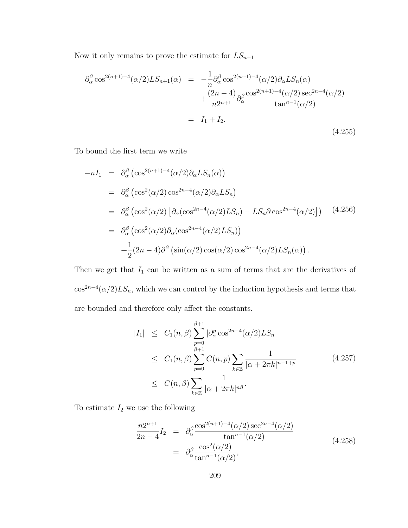Now it only remains to prove the estimate for  $\mathcal{LS}_{n+1}$ 

$$
\partial_{\alpha}^{\beta} \cos^{2(n+1)-4}(\alpha/2)LS_{n+1}(\alpha) = -\frac{1}{n} \partial_{\alpha}^{\beta} \cos^{2(n+1)-4}(\alpha/2) \partial_{\alpha} LS_n(\alpha) \n+ \frac{(2n-4)}{n2^{n+1}} \partial_{\alpha}^{\beta} \frac{\cos^{2(n+1)-4}(\alpha/2) \sec^{2n-4}(\alpha/2)}{\tan^{n-1}(\alpha/2)} \n= I_1 + I_2.
$$
\n(4.255)

To bound the first term we write

$$
-nI_1 = \partial_{\alpha}^{\beta} (\cos^{2(n+1)-4}(\alpha/2)\partial_{\alpha} LS_n(\alpha))
$$
  
\n
$$
= \partial_{\alpha}^{\beta} (\cos^2(\alpha/2) \cos^{2n-4}(\alpha/2)\partial_{\alpha} LS_n)
$$
  
\n
$$
= \partial_{\alpha}^{\beta} (\cos^2(\alpha/2) [\partial_{\alpha} (\cos^{2n-4}(\alpha/2) LS_n) - LS_n \partial \cos^{2n-4}(\alpha/2)])
$$
(4.256)  
\n
$$
= \partial_{\alpha}^{\beta} (\cos^2(\alpha/2) \partial_{\alpha} (\cos^{2n-4}(\alpha/2) LS_n))
$$
  
\n
$$
+ \frac{1}{2} (2n - 4) \partial^{\beta} (\sin(\alpha/2) \cos(\alpha/2) \cos^{2n-4}(\alpha/2) LS_n(\alpha)).
$$

Then we get that  $I_1$  can be written as a sum of terms that are the derivatives of  $\cos^{2n-4}(\alpha/2)LS_n$ , which we can control by the induction hypothesis and terms that are bounded and therefore only affect the constants.

$$
|I_1| \leq C_1(n,\beta) \sum_{p=0}^{\beta+1} |\partial_{\alpha}^p \cos^{2n-4}(\alpha/2) L S_n|
$$
  
\n
$$
\leq C_1(n,\beta) \sum_{p=0}^{\beta+1} C(n,p) \sum_{k \in \mathbb{Z}} \frac{1}{|\alpha + 2\pi k|^{n-1+p}}
$$
(4.257)  
\n
$$
\leq C(n,\beta) \sum_{k \in \mathbb{Z}} \frac{1}{|\alpha + 2\pi k|^{n\beta}}.
$$

To estimate  $I_2$  we use the following

$$
\frac{n2^{n+1}}{2n-4}I_2 = \partial_{\alpha}^{\beta} \frac{\cos^{2(n+1)-4}(\alpha/2)\sec^{2n-4}(\alpha/2)}{\tan^{n-1}(\alpha/2)}
$$
\n
$$
= \partial_{\alpha}^{\beta} \frac{\cos^2(\alpha/2)}{\tan^{n-1}(\alpha/2)},
$$
\n(4.258)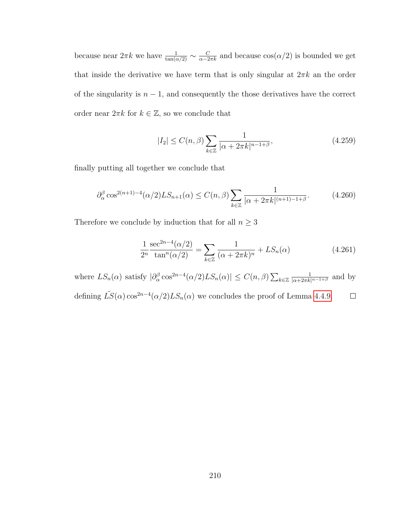because near  $2\pi k$  we have  $\frac{1}{\tan(\alpha/2)} \sim \frac{C}{\alpha - 2\pi k}$  and because  $\cos(\alpha/2)$  is bounded we get that inside the derivative we have term that is only singular at  $2\pi k$  an the order of the singularity is  $n - 1$ , and consequently the those derivatives have the correct order near  $2\pi k$  for  $k \in \mathbb{Z}$ , so we conclude that

$$
|I_2| \le C(n,\beta) \sum_{k \in \mathbb{Z}} \frac{1}{|\alpha + 2\pi k|^{n-1+\beta}},\tag{4.259}
$$

finally putting all together we conclude that

$$
\partial_{\alpha}^{\beta} \cos^{2(n+1)-4}(\alpha/2) LS_{n+1}(\alpha) \le C(n,\beta) \sum_{k \in \mathbb{Z}} \frac{1}{|\alpha + 2\pi k|^{(n+1)-1+\beta}}.
$$
 (4.260)

Therefore we conclude by induction that for all  $n\geq 3$ 

$$
\frac{1}{2^n} \frac{\sec^{2n-4}(\alpha/2)}{\tan^n(\alpha/2)} = \sum_{k \in \mathbb{Z}} \frac{1}{(\alpha + 2\pi k)^n} + LS_n(\alpha)
$$
(4.261)

where  $LS_n(\alpha)$  satisfy  $|\partial_{\alpha}^{\beta} \cos^{2n-4}(\alpha/2)LS_n(\alpha)| \leq C(n,\beta) \sum_{k \in \mathbb{Z}} \frac{1}{|\alpha+2\pi k|^{n-1+\beta}}$  and by defining  $\tilde{LS}(\alpha) \cos^{2n-4}(\alpha/2) LS_n(\alpha)$  we concludes the proof of Lemma [4.4.9.](#page-212-0)  $\Box$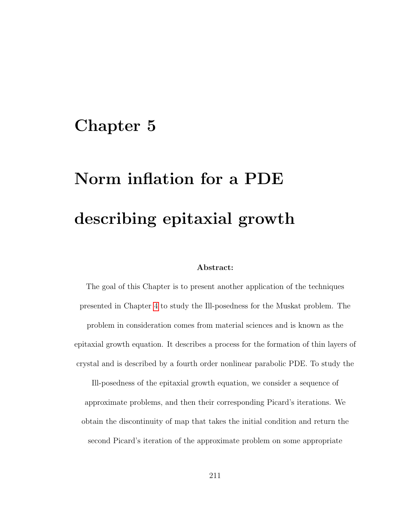### Chapter 5

# Norm inflation for a PDE describing epitaxial growth

#### Abstract:

The goal of this Chapter is to present another application of the techniques presented in Chapter [4](#page-145-0) to study the Ill-posedness for the Muskat problem. The problem in consideration comes from material sciences and is known as the epitaxial growth equation. It describes a process for the formation of thin layers of crystal and is described by a fourth order nonlinear parabolic PDE. To study the

Ill-posedness of the epitaxial growth equation, we consider a sequence of approximate problems, and then their corresponding Picard's iterations. We obtain the discontinuity of map that takes the initial condition and return the second Picard's iteration of the approximate problem on some appropriate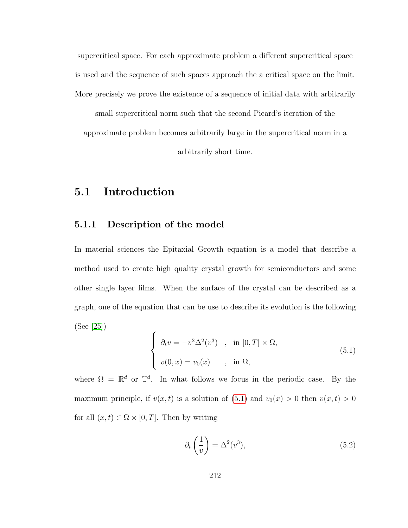supercritical space. For each approximate problem a different supercritical space is used and the sequence of such spaces approach the a critical space on the limit. More precisely we prove the existence of a sequence of initial data with arbitrarily

small supercritical norm such that the second Picard's iteration of the approximate problem becomes arbitrarily large in the supercritical norm in a arbitrarily short time.

#### 5.1 Introduction

#### 5.1.1 Description of the model

In material sciences the Epitaxial Growth equation is a model that describe a method used to create high quality crystal growth for semiconductors and some other single layer films. When the surface of the crystal can be described as a graph, one of the equation that can be use to describe its evolution is the following (See [\[25\]](#page-254-0))

<span id="page-220-0"></span>
$$
\begin{cases}\n\partial_t v = -v^2 \Delta^2(v^3) , & \text{in } [0, T] \times \Omega, \\
v(0, x) = v_0(x) , & \text{in } \Omega,\n\end{cases}
$$
\n(5.1)

where  $\Omega = \mathbb{R}^d$  or  $\mathbb{T}^d$ . In what follows we focus in the periodic case. By the maximum principle, if  $v(x, t)$  is a solution of [\(5.1\)](#page-220-0) and  $v_0(x) > 0$  then  $v(x, t) > 0$ for all  $(x, t) \in \Omega \times [0, T]$ . Then by writing

$$
\partial_t \left( \frac{1}{v} \right) = \Delta^2(v^3),\tag{5.2}
$$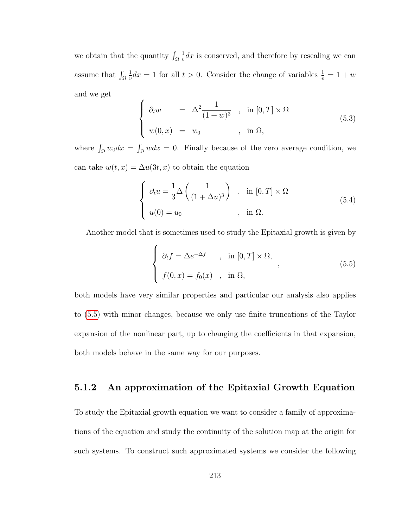we obtain that the quantity  $\int_{\Omega}$ 1  $\frac{1}{v}dx$  is conserved, and therefore by rescaling we can assume that  $\int_{\Omega}$ 1  $\frac{1}{v}dx = 1$  for all  $t > 0$ . Consider the change of variables  $\frac{1}{v} = 1 + w$ and we get

$$
\begin{cases}\n\partial_t w = \Delta^2 \frac{1}{(1+w)^3} , & \text{in } [0, T] \times \Omega \\
w(0, x) = w_0 , & \text{in } \Omega,\n\end{cases}
$$
\n(5.3)

where  $\int_{\Omega} w_0 dx = \int_{\Omega} w dx = 0$ . Finally because of the zero average condition, we can take  $w(t, x) = \Delta u(3t, x)$  to obtain the equation

<span id="page-221-1"></span>
$$
\begin{cases}\n\partial_t u = \frac{1}{3} \Delta \left( \frac{1}{(1 + \Delta u)^3} \right) , & \text{in } [0, T] \times \Omega \\
u(0) = u_0 , & \text{in } \Omega.\n\end{cases}
$$
\n(5.4)

Another model that is sometimes used to study the Epitaxial growth is given by

<span id="page-221-0"></span>
$$
\begin{cases}\n\partial_t f = \Delta e^{-\Delta f} & , \text{ in } [0, T] \times \Omega, \\
f(0, x) = f_0(x) & , \text{ in } \Omega,\n\end{cases}
$$
\n(5.5)

both models have very similar properties and particular our analysis also applies to [\(5.5\)](#page-221-0) with minor changes, because we only use finite truncations of the Taylor expansion of the nonlinear part, up to changing the coefficients in that expansion, both models behave in the same way for our purposes.

#### 5.1.2 An approximation of the Epitaxial Growth Equation

To study the Epitaxial growth equation we want to consider a family of approximations of the equation and study the continuity of the solution map at the origin for such systems. To construct such approximated systems we consider the following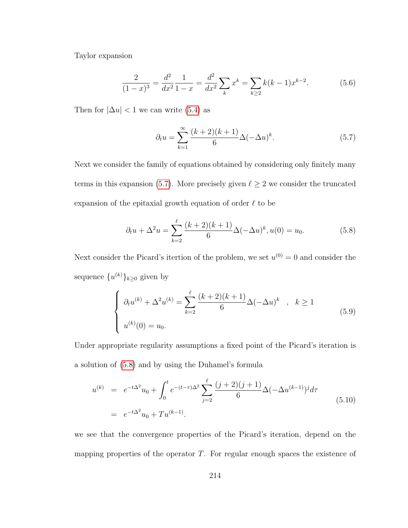Taylor expansion

$$
\frac{2}{(1-x)^3} = \frac{d^2}{dx^2} \frac{1}{1-x} = \frac{d^2}{dx^2} \sum_{k} x^k = \sum_{k \ge 2} k(k-1)x^{k-2}.
$$
 (5.6)

Then for  $|\Delta u| < 1$  we can write [\(5.4\)](#page-221-1) as

<span id="page-222-0"></span>
$$
\partial_t u = \sum_{k=1}^{\infty} \frac{(k+2)(k+1)}{6} \Delta(-\Delta u)^k.
$$
 (5.7)

Next we consider the family of equations obtained by considering only finitely many terms in this expansion [\(5.7\)](#page-222-0). More precisely given  $\ell \geq 2$  we consider the truncated expansion of the epitaxial growth equation of order  $\ell$  to be

<span id="page-222-1"></span>
$$
\partial_t u + \Delta^2 u = \sum_{k=2}^{\ell} \frac{(k+2)(k+1)}{6} \Delta(-\Delta u)^k, u(0) = u_0.
$$
 (5.8)

Next consider the Picard's itertion of the problem, we set  $u^{(0)} = 0$  and consider the sequence  $\{u^{(k)}\}_{k\geq 0}$  given by

<span id="page-222-3"></span>
$$
\begin{cases}\n\partial_t u^{(k)} + \Delta^2 u^{(k)} = \sum_{k=2}^{\ell} \frac{(k+2)(k+1)}{6} \Delta(-\Delta u)^k, & k \ge 1 \\
u^{(k)}(0) = u_0.\n\end{cases} (5.9)
$$

Under appropriate regularity assumptions a fixed point of the Picard's iteration is a solution of [\(5.8\)](#page-222-1) and by using the Duhamel's formula

<span id="page-222-2"></span>
$$
u^{(k)} = e^{-t\Delta^2}u_0 + \int_0^t e^{-(t-\tau)\Delta^2} \sum_{j=2}^\ell \frac{(j+2)(j+1)}{6} \Delta(-\Delta u^{(k-1)})^j d\tau
$$
  
=  $e^{-t\Delta^2}u_0 + Tu^{(k-1)}$ . (5.10)

we see that the convergence properties of the Picard's iteration, depend on the mapping properties of the operator  $T$ . For regular enough spaces the existence of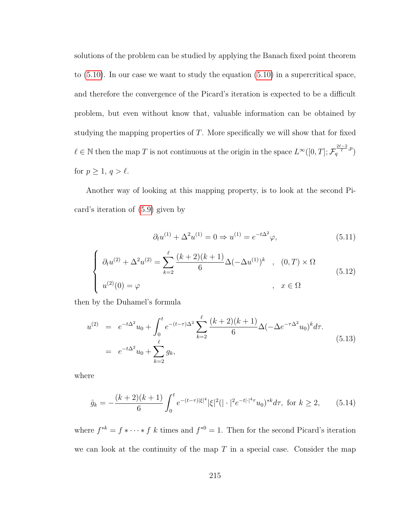solutions of the problem can be studied by applying the Banach fixed point theorem to [\(5.10\)](#page-222-2). In our case we want to study the equation [\(5.10\)](#page-222-2) in a supercritical space, and therefore the convergence of the Picard's iteration is expected to be a difficult problem, but even without know that, valuable information can be obtained by studying the mapping properties of  $T$ . More specifically we will show that for fixed  $\ell \in \mathbb{N}$  then the map T is not continuous at the origin in the space  $L^{\infty}([0,T]; \mathcal{F}_q^{\frac{2\ell-2}{\ell},p})$ for  $p \geq 1, q > \ell$ .

Another way of looking at this mapping property, is to look at the second Picard's iteration of [\(5.9\)](#page-222-3) given by

$$
\partial_t u^{(1)} + \Delta^2 u^{(1)} = 0 \Rightarrow u^{(1)} = e^{-t\Delta^2} \varphi,
$$
\n(5.11)

<span id="page-223-0"></span>
$$
\begin{cases}\n\partial_t u^{(2)} + \Delta^2 u^{(2)} = \sum_{k=2}^{\ell} \frac{(k+2)(k+1)}{6} \Delta(-\Delta u^{(1)})^k , & (0, T) \times \Omega \\
u^{(2)}(0) = \varphi , & x \in \Omega\n\end{cases}
$$
\n(5.12)

then by the Duhamel's formula

<span id="page-223-2"></span>
$$
u^{(2)} = e^{-t\Delta^2}u_0 + \int_0^t e^{-(t-\tau)\Delta^2} \sum_{k=2}^\ell \frac{(k+2)(k+1)}{6} \Delta(-\Delta e^{-\tau\Delta^2}u_0)^k d\tau.
$$
  
=  $e^{-t\Delta^2}u_0 + \sum_{k=2}^\ell g_k,$  (5.13)

where

<span id="page-223-1"></span>
$$
\hat{g}_k = -\frac{(k+2)(k+1)}{6} \int_0^t e^{-(t-\tau)|\xi|^4} |\xi|^2 (|\cdot|^2 e^{-t|\cdot|^4 \tau} u_0)^{*k} d\tau, \text{ for } k \ge 2,
$$
 (5.14)

where  $f^{*k} = f * \cdots * f k$  times and  $f^{*0} = 1$ . Then for the second Picard's iteration we can look at the continuity of the map  $T$  in a special case. Consider the map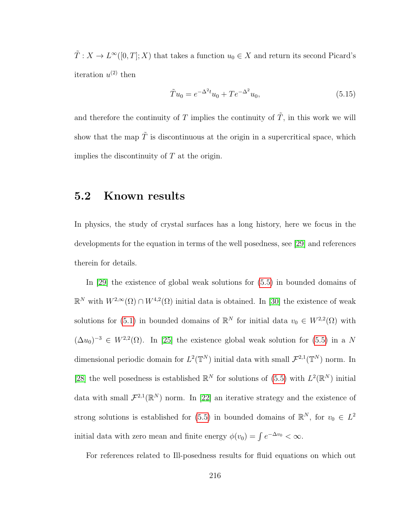$\tilde{T}: X \to L^{\infty}([0,T]; X)$  that takes a function  $u_0 \in X$  and return its second Picard's iteration  $u^{(2)}$  then

$$
\tilde{T}u_0 = e^{-\Delta^2 t}u_0 + Te^{-\Delta^2}u_0,\tag{5.15}
$$

and therefore the continuity of  $T$  implies the continuity of  $\tilde{T}$ , in this work we will show that the map  $\tilde{T}$  is discontinuous at the origin in a supercritical space, which implies the discontinuity of  $T$  at the origin.

#### 5.2 Known results

In physics, the study of crystal surfaces has a long history, here we focus in the developments for the equation in terms of the well posedness, see [\[29\]](#page-255-0) and references therein for details.

In [\[29\]](#page-255-0) the existence of global weak solutions for [\(5.5\)](#page-221-0) in bounded domains of  $\mathbb{R}^N$  with  $W^{2,\infty}(\Omega) \cap W^{4,2}(\Omega)$  initial data is obtained. In [\[30\]](#page-255-1) the existence of weak solutions for [\(5.1\)](#page-220-0) in bounded domains of  $\mathbb{R}^N$  for initial data  $v_0 \in W^{2,2}(\Omega)$  with  $(\Delta u_0)^{-3} \in W^{2,2}(\Omega)$ . In [\[25\]](#page-254-0) the existence global weak solution for [\(5.5\)](#page-221-0) in a N dimensional periodic domain for  $L^2(\mathbb{T}^N)$  initial data with small  $\mathcal{F}^{2,1}(\mathbb{T}^N)$  norm. In [\[28\]](#page-255-2) the well posedness is established  $\mathbb{R}^N$  for solutions of [\(5.5\)](#page-221-0) with  $L^2(\mathbb{R}^N)$  initial data with small  $\mathcal{F}^{2,1}(\mathbb{R}^N)$  norm. In [\[22\]](#page-254-1) an iterative strategy and the existence of strong solutions is established for [\(5.5\)](#page-221-0) in bounded domains of  $\mathbb{R}^N$ , for  $v_0 \in L^2$ initial data with zero mean and finite energy  $\phi(v_0) = \int e^{-\Delta v_0} < \infty$ .

For references related to Ill-posedness results for fluid equations on which out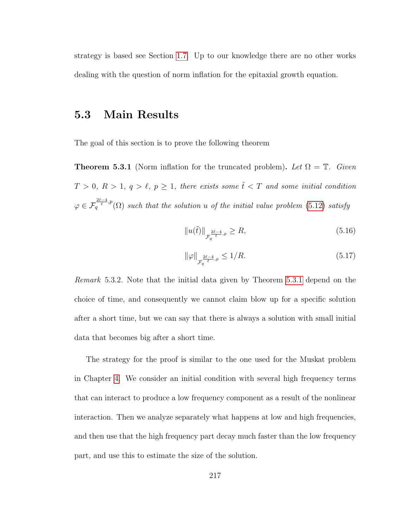strategy is based see Section [1.7.](#page-44-0) Up to our knowledge there are no other works dealing with the question of norm inflation for the epitaxial growth equation.

#### 5.3 Main Results

<span id="page-225-0"></span>The goal of this section is to prove the following theorem

**Theorem 5.3.1** (Norm inflation for the truncated problem). Let  $\Omega = \mathbb{T}$ . Given  $T > 0, R > 1, q > \ell, p \ge 1$ , there exists some  $\tilde{t} < T$  and some initial condition  $\varphi \in \mathcal{F}_q^{\frac{2\ell-4}{\ell},p}(\Omega)$  such that the solution u of the initial value problem [\(5.12\)](#page-223-0) satisfy

$$
||u(\tilde{t})||_{\mathcal{F}_q^{\frac{2\ell-4}{\ell}, p}} \ge R,\tag{5.16}
$$

$$
\|\varphi\|_{\mathcal{F}_q^{\frac{2\ell-4}{\ell},p}} \le 1/R. \tag{5.17}
$$

Remark 5.3.2. Note that the initial data given by Theorem [5.3.1](#page-225-0) depend on the choice of time, and consequently we cannot claim blow up for a specific solution after a short time, but we can say that there is always a solution with small initial data that becomes big after a short time.

The strategy for the proof is similar to the one used for the Muskat problem in Chapter [4.](#page-145-0) We consider an initial condition with several high frequency terms that can interact to produce a low frequency component as a result of the nonlinear interaction. Then we analyze separately what happens at low and high frequencies, and then use that the high frequency part decay much faster than the low frequency part, and use this to estimate the size of the solution.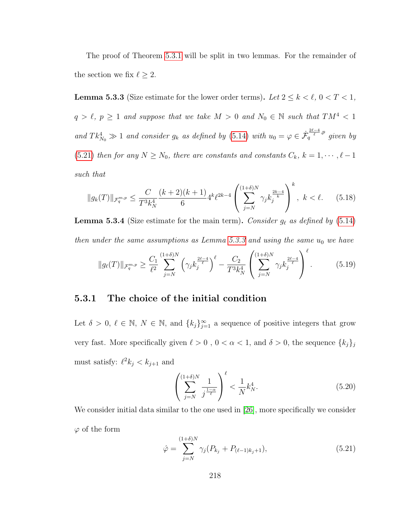The proof of Theorem [5.3.1](#page-225-0) will be split in two lemmas. For the remainder of the section we fix  $\ell \geq 2$ .

<span id="page-226-1"></span>**Lemma 5.3.3** (Size estimate for the lower order terms). Let  $2 \le k < \ell$ ,  $0 < T < 1$ ,  $q > \ell, p \ge 1$  and suppose that we take  $M > 0$  and  $N_0 \in \mathbb{N}$  such that  $TM^4 < 1$ and  $Tk_{N_0}^4 \gg 1$  and consider  $g_k$  as defined by [\(5.14\)](#page-223-1) with  $u_0 = \varphi \in \dot{\mathcal{F}}_q^{\frac{2\ell-4}{\ell},p}$  given by [\(5.21\)](#page-226-0) then for any  $N \ge N_0$ , there are constants and constants  $C_k$ ,  $k = 1, \dots, \ell - 1$ such that

$$
||g_k(T)||_{\mathcal{F}_q^{m,p}} \le \frac{C}{T^3 k_N^4} \frac{(k+2)(k+1)}{6} 4^k \ell^{2k-4} \left( \sum_{j=N}^{(1+\delta)N} \gamma_j k_j^{\frac{2k-4}{k}} \right)^k, \ k < \ell. \tag{5.18}
$$

<span id="page-226-2"></span>**Lemma 5.3.4** (Size estimate for the main term). Consider  $g_\ell$  as defined by [\(5.14\)](#page-223-1) then under the same assumptions as Lemma [5.3.3](#page-226-1) and using the same  $u_0$  we have

$$
||g_{\ell}(T)||_{\mathcal{F}_q^{m,p}} \ge \frac{C_1}{\ell^2} \sum_{j=N}^{(1+\delta)N} \left(\gamma_j k_j^{\frac{2\ell-4}{\ell}}\right)^{\ell} - \frac{C_2}{T^3 k_N^4} \left(\sum_{j=N}^{(1+\delta)N} \gamma_j k_j^{\frac{2\ell-4}{\ell}}\right)^{\ell}.
$$
 (5.19)

#### 5.3.1 The choice of the initial condition

Let  $\delta > 0, \ell \in \mathbb{N}, N \in \mathbb{N}$ , and  $\{k_j\}_{j=1}^{\infty}$  a sequence of positive integers that grow very fast. More specifically given  $\ell > 0$  ,  $0 < \alpha < 1,$  and  $\delta > 0,$  the sequence  $\{k_j\}_j$ must satisfy:  $\ell^2 k_j < k_{j+1}$  and

<span id="page-226-3"></span>
$$
\left(\sum_{j=N}^{(1+\delta)N} \frac{1}{j^{\frac{1-\alpha}{\ell}}}\right)^{\ell} < \frac{1}{N} k_N^4. \tag{5.20}
$$

We consider initial data similar to the one used in [\[26\]](#page-255-3), more specifically we consider  $\varphi$  of the form

<span id="page-226-0"></span>
$$
\hat{\varphi} = \sum_{j=N}^{(1+\delta)N} \gamma_j (P_{k_j} + P_{(\ell-1)k_j+1}), \tag{5.21}
$$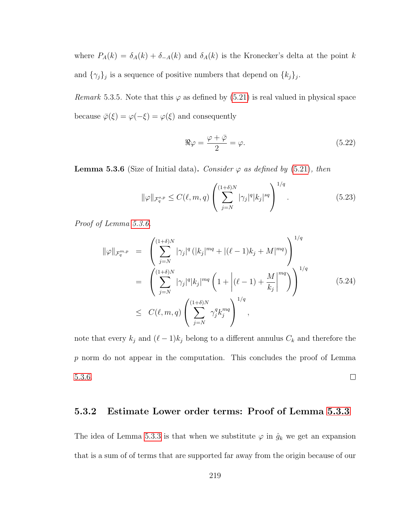where  $P_A(k) = \delta_A(k) + \delta_{-A}(k)$  and  $\delta_A(k)$  is the Kronecker's delta at the point k and  $\{\gamma_j\}_j$  is a sequence of positive numbers that depend on  $\{k_j\}_j$ .

Remark 5.3.5. Note that this  $\varphi$  as defined by [\(5.21\)](#page-226-0) is real valued in physical space because  $\bar{\varphi}(\xi) = \varphi(-\xi) = \varphi(\xi)$  and consequently

$$
\Re \varphi = \frac{\varphi + \bar{\varphi}}{2} = \varphi. \tag{5.22}
$$

<span id="page-227-0"></span>**Lemma 5.3.6** (Size of Initial data). Consider  $\varphi$  as defined by [\(5.21\)](#page-226-0), then

$$
\|\varphi\|_{\mathcal{F}_q^{s,p}} \le C(\ell,m,q) \left( \sum_{j=N}^{(1+\delta)N} |\gamma_j|^q |k_j|^{sq} \right)^{1/q}.
$$
 (5.23)

Proof of Lemma [5.3.6.](#page-227-0)

$$
\|\varphi\|_{\mathcal{F}_q^{m,p}} = \left( \sum_{j=N}^{(1+\delta)N} |\gamma_j|^q (|k_j|^{mq} + |(\ell-1)k_j + M|^{mq}) \right)^{1/q}
$$
  
\n
$$
= \left( \sum_{j=N}^{(1+\delta)N} |\gamma_j|^q |k_j|^{mq} \left( 1 + |(\ell-1) + \frac{M}{k_j}|^{mq} \right) \right)^{1/q}
$$
  
\n
$$
\leq C(\ell, m, q) \left( \sum_{j=N}^{(1+\delta)N} \gamma_j^q k_j^{mq} \right)^{1/q},
$$
\n(5.24)

note that every  $k_j$  and  $(\ell - 1)k_j$  belong to a different annulus  $C_k$  and therefore the p norm do not appear in the computation. This concludes the proof of Lemma [5.3.6.](#page-227-0)  $\Box$ 

#### 5.3.2 Estimate Lower order terms: Proof of Lemma [5.3.3](#page-226-1)

The idea of Lemma [5.3.3](#page-226-1) is that when we substitute  $\varphi$  in  $\hat{g}_k$  we get an expansion that is a sum of of terms that are supported far away from the origin because of our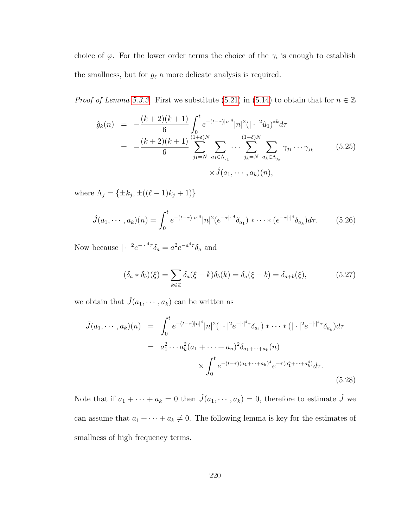choice of  $\varphi$ . For the lower order terms the choice of the  $\gamma_i$  is enough to establish the smallness, but for  $g_{\ell}$  a more delicate analysis is required.

*Proof of Lemma [5.3.3.](#page-226-1)* First we substitute [\(5.21\)](#page-226-0) in [\(5.14\)](#page-223-1) to obtain that for  $n \in \mathbb{Z}$ 

$$
\hat{g}_k(n) = -\frac{(k+2)(k+1)}{6} \int_0^t e^{-(t-\tau)|n|^4} |n|^2 (|\cdot|^2 \hat{u}_1)^{*k} d\tau \n= -\frac{(k+2)(k+1)}{6} \sum_{j_1=N}^{(1+\delta)N} \sum_{a_1 \in \Lambda_{j_1}} \cdots \sum_{j_k=N}^{(1+\delta)N} \sum_{a_k \in \Lambda_{j_k}} \gamma_{j_1} \cdots \gamma_{j_k} \qquad (5.25) \n\times \hat{J}(a_1, \cdots, a_k)(n),
$$

where  $\Lambda_j = \{\pm k_j, \pm((\ell-1)k_j + 1)\}\$ 

$$
\hat{J}(a_1, \cdots, a_k)(n) = \int_0^t e^{-(t-\tau)|n|^4} |n|^2 (e^{-\tau |\cdot|^4} \delta_{a_1}) * \cdots * (e^{-\tau |\cdot|^4} \delta_{a_k}) d\tau.
$$
 (5.26)

Now because  $|\cdot|^2 e^{-|\cdot|^4 \tau} \delta_a = a^2 e^{-a^4 \tau} \delta_a$  and

$$
(\delta_a * \delta_b)(\xi) = \sum_{k \in \mathbb{Z}} \delta_a(\xi - k) \delta_b(k) = \delta_a(\xi - b) = \delta_{a+b}(\xi), \tag{5.27}
$$

we obtain that  $\hat{J}(a_1, \dots, a_k)$  can be written as

<span id="page-228-0"></span>
$$
\hat{J}(a_1, \dots, a_k)(n) = \int_0^t e^{-(t-\tau)|n|^4} |n|^2 (|\cdot|^2 e^{-|\cdot|^4 \tau} \delta_{a_1}) * \dots * (|\cdot|^2 e^{-|\cdot|^4 \tau} \delta_{a_k}) d\tau
$$

$$
= a_1^2 \dots a_k^2 (a_1 + \dots + a_n)^2 \delta_{a_1 + \dots + a_k}(n)
$$

$$
\times \int_0^t e^{-(t-\tau)(a_1 + \dots + a_k)^4} e^{-\tau(a_1^4 + \dots + a_k^4)} d\tau.
$$
(5.28)

Note that if  $a_1 + \cdots + a_k = 0$  then  $\hat{J}(a_1, \dots, a_k) = 0$ , therefore to estimate  $\hat{J}$  we can assume that  $a_1 + \cdots + a_k \neq 0$ . The following lemma is key for the estimates of smallness of high frequency terms.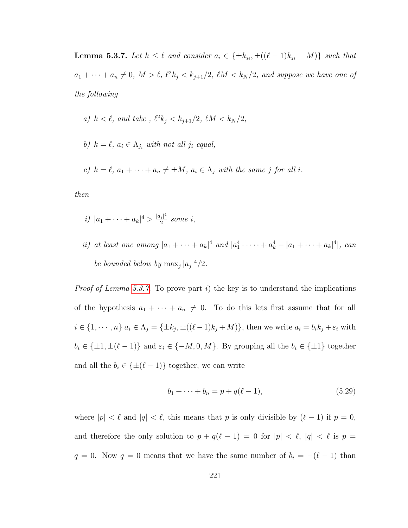<span id="page-229-0"></span>**Lemma 5.3.7.** Let  $k \leq \ell$  and consider  $a_i \in {\pm k_{j_i}, \pm((\ell-1)k_{j_i}+M)}$  such that  $a_1 + \cdots + a_n \neq 0, M > \ell, \, \ell^2 k_j < k_{j+1}/2, \, \ell M < k_N/2, \, \text{and suppose we have one of}$ the following

a) 
$$
k < \ell
$$
, and take,  $\ell^2 k_j < k_{j+1}/2$ ,  $\ell M < k_N/2$ ,

- b)  $k = \ell, a_i \in \Lambda_{j_i}$  with not all  $j_i$  equal,
- c)  $k = \ell, a_1 + \cdots + a_n \neq \pm M, a_i \in \Lambda_j$  with the same j for all i.

then

- i)  $|a_1 + \cdots + a_k|^4 > \frac{|a_i|^4}{2}$  $\frac{i}{2}$  some i,
- ii) at least one among  $|a_1 + \cdots + a_k|^4$  and  $|a_1^4 + \cdots + a_k^4 |a_1 + \cdots + a_k|^4$ , can be bounded below by  $\max_j |a_j|^4/2$ .

*Proof of Lemma [5.3.7.](#page-229-0)* To prove part i) the key is to understand the implications of the hypothesis  $a_1 + \cdots + a_n \neq 0$ . To do this lets first assume that for all  $i \in \{1, \dots, n\}$   $a_i \in \Lambda_j = \{\pm k_j, \pm((\ell-1)k_j + M)\}\)$ , then we write  $a_i = b_i k_j + \varepsilon_i$  with  $b_i \in {\pm 1, \pm (\ell - 1)}$  and  $\varepsilon_i \in {\{-M, 0, M\}}$ . By grouping all the  $b_i \in {\pm 1}$  together and all the  $b_i \in {\pm (\ell - 1)}$  together, we can write

$$
b_1 + \dots + b_n = p + q(\ell - 1), \tag{5.29}
$$

where  $|p| < \ell$  and  $|q| < \ell$ , this means that p is only divisible by  $(\ell - 1)$  if  $p = 0$ , and therefore the only solution to  $p + q(\ell - 1) = 0$  for  $|p| < \ell$ ,  $|q| < \ell$  is  $p =$  $q = 0$ . Now  $q = 0$  means that we have the same number of  $b_i = -(\ell - 1)$  than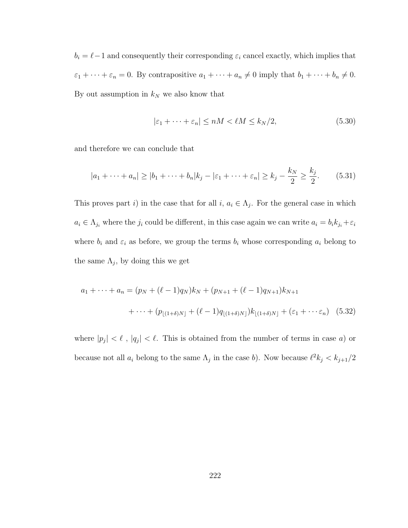$b_i = \ell - 1$  and consequently their corresponding  $\varepsilon_i$  cancel exactly, which implies that  $\varepsilon_1 + \cdots + \varepsilon_n = 0$ . By contrapositive  $a_1 + \cdots + a_n \neq 0$  imply that  $b_1 + \cdots + b_n \neq 0$ . By out assumption in  $k_N$  we also know that

<span id="page-230-0"></span>
$$
|\varepsilon_1 + \dots + \varepsilon_n| \le nM < \ell M \le k_N/2,\tag{5.30}
$$

and therefore we can conclude that

$$
|a_1 + \dots + a_n| \ge |b_1 + \dots + b_n| k_j - |\varepsilon_1 + \dots + \varepsilon_n| \ge k_j - \frac{k_N}{2} \ge \frac{k_j}{2}.
$$
 (5.31)

This proves part i) in the case that for all  $i, a_i \in \Lambda_j$ . For the general case in which  $a_i \in \Lambda_{j_i}$  where the  $j_i$  could be different, in this case again we can write  $a_i = b_i k_{j_i} + \varepsilon_i$ where  $b_i$  and  $\varepsilon_i$  as before, we group the terms  $b_i$  whose corresponding  $a_i$  belong to the same  $\Lambda_j$ , by doing this we get

$$
a_1 + \dots + a_n = (p_N + (\ell - 1)q_N)k_N + (p_{N+1} + (\ell - 1)q_{N+1})k_{N+1}
$$
  
+ 
$$
\dots + (p_{\lfloor (1+\delta)N \rfloor} + (\ell - 1)q_{\lfloor (1+\delta)N \rfloor})k_{\lfloor (1+\delta)N \rfloor} + (\varepsilon_1 + \dots + \varepsilon_n) \quad (5.32)
$$

where  $|p_j| < \ell$ ,  $|q_j| < \ell$ . This is obtained from the number of terms in case a) or because not all  $a_i$  belong to the same  $\Lambda_j$  in the case b). Now because  $\ell^2 k_j < k_{j+1}/2$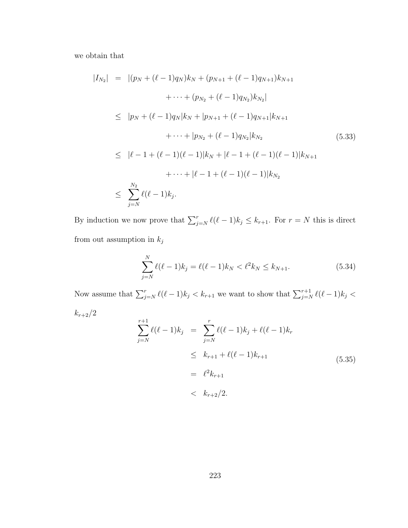we obtain that

$$
|I_{N_2}| = |(p_N + (\ell - 1)q_N)k_N + (p_{N+1} + (\ell - 1)q_{N+1})k_{N+1} + \cdots + (p_{N_2} + (\ell - 1)q_{N_2})k_{N_2}|
$$
  
\n
$$
\le |p_N + (\ell - 1)q_N|k_N + |p_{N+1} + (\ell - 1)q_{N+1}|k_{N+1} + \cdots + |p_{N_2} + (\ell - 1)q_{N_2}|k_{N_2} \n\le |\ell - 1 + (\ell - 1)(\ell - 1)|k_N + |\ell - 1 + (\ell - 1)(\ell - 1)|k_{N+1} + \cdots + |\ell - 1 + (\ell - 1)(\ell - 1)|k_{N_2} \n\le \sum_{j=N}^{N_2} \ell(\ell - 1)k_j.
$$
 (5.33)

By induction we now prove that  $\sum_{j=N}^{r} \ell(\ell-1)k_j \leq k_{r+1}$ . For  $r = N$  this is direct from out assumption in  $k_j$ 

$$
\sum_{j=N}^{N} \ell(\ell-1)k_j = \ell(\ell-1)k_N < \ell^2 k_N \le k_{N+1}.\tag{5.34}
$$

Now assume that  $\sum_{j=N}^{r} \ell(\ell-1)k_j < k_{r+1}$  we want to show that  $\sum_{j=N}^{r+1} \ell(\ell-1)k_j <$ 

 $k_{r+2}/2$ 

$$
\sum_{j=N}^{r+1} \ell(\ell-1)k_j = \sum_{j=N}^{r} \ell(\ell-1)k_j + \ell(\ell-1)k_r
$$
  
\n
$$
\leq k_{r+1} + \ell(\ell-1)k_{r+1}
$$
  
\n
$$
= \ell^2 k_{r+1}
$$
  
\n
$$
< k_{r+2}/2.
$$
\n(5.35)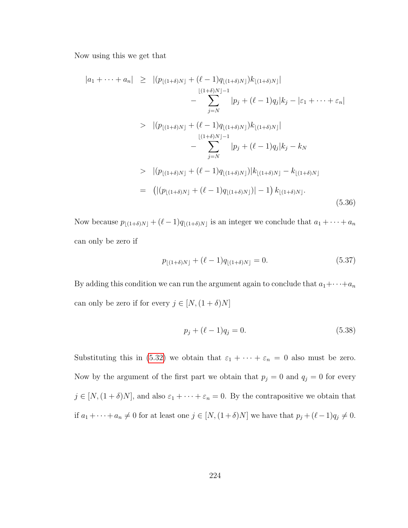Now using this we get that

$$
|a_1 + \dots + a_n| \ge |(p_{\lfloor(1+\delta)N\rfloor} + (\ell - 1)q_{\lfloor(1+\delta)N\rfloor})k_{\lfloor(1+\delta)N\rfloor}| - \sum_{j=N}^{\lfloor(1+\delta)N\rfloor - 1} |p_j + (\ell - 1)q_j|k_j - |\varepsilon_1 + \dots + \varepsilon_n| \n> |(p_{\lfloor(1+\delta)N\rfloor} + (\ell - 1)q_{\lfloor(1+\delta)N\rfloor})k_{\lfloor(1+\delta)N\rfloor}| - \sum_{j=N}^{\lfloor(1+\delta)N\rfloor - 1} |p_j + (\ell - 1)q_j|k_j - k_N \n> |(p_{\lfloor(1+\delta)N\rfloor} + (\ell - 1)q_{\lfloor(1+\delta)N\rfloor})|k_{\lfloor(1+\delta)N\rfloor} - k_{\lfloor(1+\delta)N\rfloor} = (|(p_{\lfloor(1+\delta)N\rfloor} + (\ell - 1)q_{\lfloor(1+\delta)N\rfloor})| - 1) k_{\lfloor(1+\delta)N\rfloor}.
$$
\n(5.36)

Now because  $p_{\lfloor (1+\delta)N \rfloor} + (\ell - 1)q_{\lfloor (1+\delta)N \rfloor}$  is an integer we conclude that  $a_1 + \cdots + a_n$ can only be zero if

$$
p_{\lfloor(1+\delta)N\rfloor} + (\ell-1)q_{\lfloor(1+\delta)N\rfloor} = 0.
$$
\n(5.37)

By adding this condition we can run the argument again to conclude that  $a_1 + \cdots + a_n$ can only be zero if for every  $j \in [N,(1+\delta)N]$ 

$$
p_j + (\ell - 1)q_j = 0.
$$
\n(5.38)

Substituting this in [\(5.32\)](#page-230-0) we obtain that  $\varepsilon_1 + \cdots + \varepsilon_n = 0$  also must be zero. Now by the argument of the first part we obtain that  $p_j = 0$  and  $q_j = 0$  for every  $j \in [N,(1+\delta)N]$ , and also  $\varepsilon_1 + \cdots + \varepsilon_n = 0$ . By the contrapositive we obtain that if  $a_1 + \cdots + a_n \neq 0$  for at least one  $j \in [N, (1 + \delta)N]$  we have that  $p_j + (\ell - 1)q_j \neq 0$ .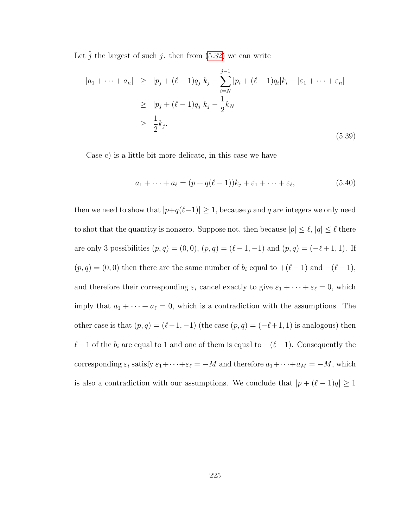Let  $\hat{j}$  the largest of such j. then from [\(5.32\)](#page-230-0) we can write

$$
|a_1 + \dots + a_n| \ge |p_j + (\ell - 1)q_j|k_j - \sum_{i=N}^{j-1} |p_i + (\ell - 1)q_i|k_i - |\varepsilon_1 + \dots + \varepsilon_n|
$$
  
\n
$$
\ge |p_j + (\ell - 1)q_j|k_j - \frac{1}{2}k_N
$$
  
\n
$$
\ge \frac{1}{2}k_j.
$$
\n(5.39)

Case c) is a little bit more delicate, in this case we have

$$
a_1 + \dots + a_\ell = (p + q(\ell - 1))k_j + \varepsilon_1 + \dots + \varepsilon_\ell,
$$
\n
$$
(5.40)
$$

then we need to show that  $|p+q(\ell-1)| \geq 1$ , because p and q are integers we only need to shot that the quantity is nonzero. Suppose not, then because  $|p| \leq \ell$ ,  $|q| \leq \ell$  there are only 3 possibilities  $(p, q) = (0, 0), (p, q) = (\ell - 1, -1)$  and  $(p, q) = (-\ell + 1, 1)$ . If  $(p, q) = (0, 0)$  then there are the same number of  $b_i$  equal to  $+(\ell - 1)$  and  $-(\ell - 1)$ , and therefore their corresponding  $\varepsilon_i$  cancel exactly to give  $\varepsilon_1 + \cdots + \varepsilon_\ell = 0$ , which imply that  $a_1 + \cdots + a_\ell = 0$ , which is a contradiction with the assumptions. The other case is that  $(p, q) = (\ell - 1, -1)$  (the case  $(p, q) = (-\ell + 1, 1)$ ) is analogous) then  $\ell-1$  of the  $b_i$  are equal to 1 and one of them is equal to  $-(\ell-1)$ . Consequently the corresponding  $\varepsilon_i$  satisfy  $\varepsilon_1 + \cdots + \varepsilon_\ell = -M$  and therefore  $a_1 + \cdots + a_M = -M$ , which is also a contradiction with our assumptions. We conclude that  $|p + (\ell - 1)q| \ge 1$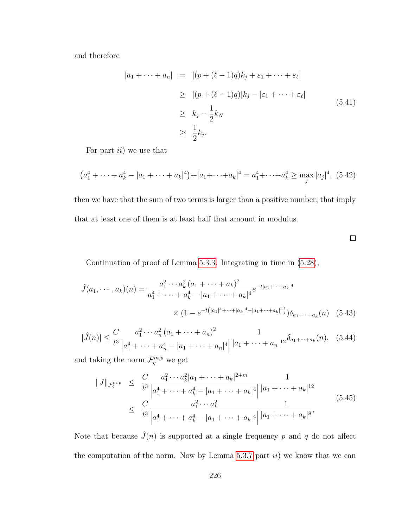and therefore

$$
|a_1 + \dots + a_n| = |(p + (\ell - 1)q)k_j + \varepsilon_1 + \dots + \varepsilon_\ell|
$$
  
\n
$$
\geq |(p + (\ell - 1)q)|k_j - |\varepsilon_1 + \dots + \varepsilon_\ell|
$$
  
\n
$$
\geq k_j - \frac{1}{2}k_N
$$
  
\n
$$
\geq \frac{1}{2}k_j.
$$
\n(5.41)

For part  $ii)$  we use that

$$
(a_1^4 + \dots + a_k^4 - |a_1 + \dots + a_k|^4) + |a_1 + \dots + a_k|^4 = a_1^4 + \dots + a_k^4 \ge \max_j |a_j|^4, (5.42)
$$

then we have that the sum of two terms is larger than a positive number, that imply that at least one of them is at least half that amount in modulus.

 $\Box$ 

Continuation of proof of Lemma [5.3.3.](#page-226-1) Integrating in time in [\(5.28\)](#page-228-0),

$$
\hat{J}(a_1, \dots, a_k)(n) = \frac{a_1^2 \cdots a_k^2 (a_1 + \dots + a_k)^2}{a_1^4 + \cdots + a_k^4 - |a_1 + \cdots + a_k|^4} e^{-t|a_1 + \cdots + a_k|^4}
$$

$$
\times (1 - e^{-t(|a_1|^4 + \cdots + |a_k|^4 - |a_1 + \cdots + a_k|^4)}) \delta_{a_1 + \cdots + a_k}(n) \quad (5.43)
$$

$$
|\hat{J}(n)| \leq \frac{C}{t^3} \frac{a_1^2 \cdots a_n^2 (a_1 + \cdots + a_n)^2}{|a_1^4 + \cdots + a_n^4 - |a_1 + \cdots + a_n|^4} \frac{1}{|a_1 + \cdots + a_n|^{12}} \delta_{a_1 + \cdots + a_k}(n), \quad (5.44)
$$

and taking the norm  $\mathcal{F}_q^{m,p}$  we get

$$
||J||_{\mathcal{F}_q^{m,p}} \leq \frac{C}{t^3} \frac{a_1^2 \cdots a_k^2 |a_1 + \cdots + a_k|^{2+m}}{|a_1^4 + \cdots + a_k^4 - |a_1 + \cdots + a_k|^4|} \frac{1}{|a_1 + \cdots + a_k|^{12}}
$$
  
 
$$
\leq \frac{C}{t^3} \frac{a_1^2 \cdots a_k^2}{|a_1^4 + \cdots + a_k^4 - |a_1 + \cdots + a_k|^4} \frac{1}{|a_1 + \cdots + a_k|^8},
$$
(5.45)

Note that because  $\hat{J}(n)$  is supported at a single frequency p and q do not affect the computation of the norm. Now by Lemma [5.3.7](#page-229-0) part  $ii)$  we know that we can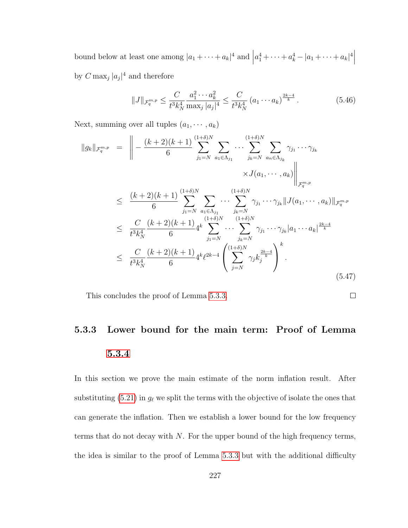bound below at least one among  $|a_1 + \cdots + a_k|^4$  and  $|$  $a_1^4 + \cdots + a_k^4 - |a_1 + \cdots + a_k|^4$ by  $C \max_j |a_j|^4$  and therefore

$$
||J||_{\mathcal{F}_q^{m,p}} \le \frac{C}{t^3 k_N^4} \frac{a_1^2 \cdots a_k^2}{\max_j |a_j|^4} \le \frac{C}{t^3 k_N^4} (a_1 \cdots a_k)^{\frac{2k-4}{k}}.
$$
 (5.46)

Next, summing over all tuples  $(a_1, \cdots, a_k)$ 

$$
||g_k||_{\mathcal{F}_q^{m,p}} = \left\| -\frac{(k+2)(k+1)}{6} \sum_{j_1=N}^{(1+\delta)N} \sum_{a_1 \in \Lambda_{j_1}} \cdots \sum_{j_k=N}^{(1+\delta)N} \sum_{a_n \in \Lambda_{j_k}} \gamma_{j_1} \cdots \gamma_{j_k} \times J(a_1, \cdots, a_k) \right\|_{\mathcal{F}_q^{m,p}} \times J(a_1, \cdots, a_k) \Big\|_{\mathcal{F}_q^{m,p}} \n\leq \frac{(k+2)(k+1)}{6} \sum_{j_1=N}^{(1+\delta)N} \sum_{\substack{a_1 \in \Lambda_{j_1} \\ a_1 \in \Lambda_{j_1}}} \cdots \sum_{j_k=N}^{(1+\delta)N} \gamma_{j_1} \cdots \gamma_{j_k} || J(a_1, \cdots, a_k) ||_{\mathcal{F}_q^{m,p}} \n\leq \frac{C}{t^3 k_N^4} \frac{(k+2)(k+1)}{6} 4^k \sum_{j_1=N}^{(1+\delta)N} \cdots \sum_{j_k=N}^{(1+\delta)N} \gamma_{j_1} \cdots \gamma_{j_k} |a_1 \cdots a_k|^{\frac{2k-4}{k}} \n\leq \frac{C}{t^3 k_N^4} \frac{(k+2)(k+1)}{6} 4^k \ell^{2k-4} \left( \sum_{j=N}^{(1+\delta)N} \gamma_j k_j^{\frac{2k-4}{k}} \right)^k.
$$
\n(5.47)

This concludes the proof of Lemma [5.3.3.](#page-226-1)

### 5.3.3 Lower bound for the main term: Proof of Lemma [5.3.4](#page-226-2)

 $\Box$ 

In this section we prove the main estimate of the norm inflation result. After substituting [\(5.21\)](#page-226-0) in  $g_{\ell}$  we split the terms with the objective of isolate the ones that can generate the inflation. Then we establish a lower bound for the low frequency terms that do not decay with  $N$ . For the upper bound of the high frequency terms, the idea is similar to the proof of Lemma [5.3.3](#page-226-1) but with the additional difficulty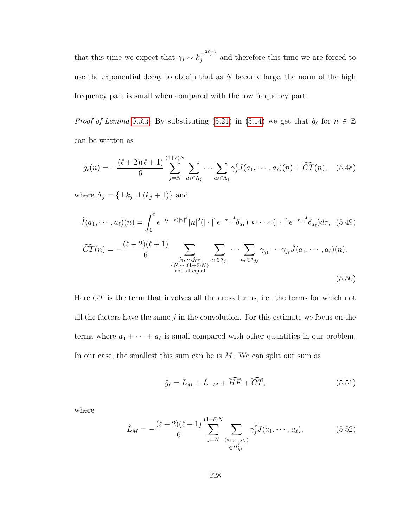that this time we expect that  $\gamma_j \sim k_j^{-\frac{2\ell-4}{\ell}}$  and therefore this time we are forced to use the exponential decay to obtain that as  $N$  become large, the norm of the high frequency part is small when compared with the low frequency part.

*Proof of Lemma [5.3.4.](#page-226-2)* By substituting [\(5.21\)](#page-226-0) in [\(5.14\)](#page-223-1) we get that  $\hat{g}_{\ell}$  for  $n \in \mathbb{Z}$ can be written as

$$
\hat{g}_{\ell}(n) = -\frac{(\ell+2)(\ell+1)}{6} \sum_{j=N}^{(1+\delta)N} \sum_{a_1 \in \Lambda_j} \cdots \sum_{a_\ell \in \Lambda_j} \gamma_j^{\ell} \hat{J}(a_1, \cdots, a_\ell)(n) + \widehat{CT}(n), \quad (5.48)
$$

where  $\Lambda_j = {\pm k_j, \pm (k_j + 1)}$  and

<span id="page-236-1"></span>
$$
\hat{J}(a_1, \dots, a_\ell)(n) = \int_0^t e^{-(t-\tau)|n|^4} |n|^2 (|\cdot|^2 e^{-\tau |\cdot|^4} \delta_{a_1}) * \dots * (|\cdot|^2 e^{-\tau |\cdot|^4} \delta_{a_\ell}) d\tau, (5.49)
$$

$$
\widehat{CT}(n) = -\frac{(\ell+2)(\ell+1)}{6} \sum_{\substack{j_1, \dots, j_\ell \in \\ N, \dots, (1+\delta)N\} \\ \text{not all equal}} \sum_{a_1 \in \Lambda_{j_1}} \dots \sum_{a_\ell \in \Lambda_{j_\ell}} \gamma_{j_1} \dots \gamma_{j_\ell} \hat{J}(a_1, \dots, a_\ell)(n).
$$
\n(5.50)

Here CT is the term that involves all the cross terms, i.e. the terms for which not all the factors have the same  $j$  in the convolution. For this estimate we focus on the terms where  $a_1 + \cdots + a_\ell$  is small compared with other quantities in our problem. In our case, the smallest this sum can be is  $M$ . We can split our sum as

$$
\hat{g}_{\ell} = \hat{L}_M + \hat{L}_{-M} + \widehat{HF} + \widehat{CT},\tag{5.51}
$$

where

<span id="page-236-0"></span>
$$
\hat{L}_M = -\frac{(\ell+2)(\ell+1)}{6} \sum_{j=N}^{(1+\delta)N} \sum_{\substack{(a_1,\cdots,a_\ell) \\ \in H_M^{(j)}}} \gamma_j^{\ell} \hat{J}(a_1,\cdots,a_\ell),\tag{5.52}
$$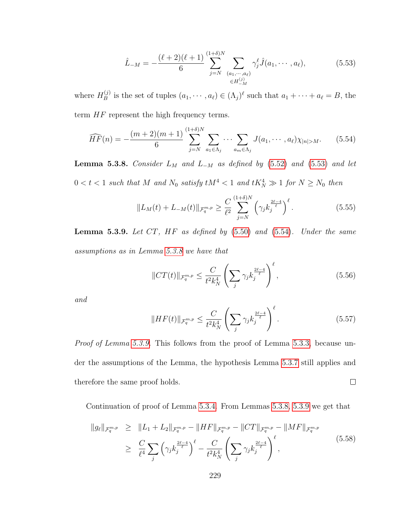<span id="page-237-0"></span>
$$
\hat{L}_{-M} = -\frac{(\ell+2)(\ell+1)}{6} \sum_{j=N}^{(1+\delta)N} \sum_{\substack{(a_1,\cdots,a_\ell) \\ \in H_{-M}^{(j)}}} \gamma_j^{\ell} \hat{J}(a_1,\cdots,a_\ell),\tag{5.53}
$$

where  $H_B^{(j)}$  $B_B^{(j)}$  is the set of tuples  $(a_1, \dots, a_\ell) \in (\Lambda_j)^\ell$  such that  $a_1 + \dots + a_\ell = B$ , the term  $HF$  represent the high frequency terms.

<span id="page-237-1"></span>
$$
\widehat{HF}(n) = -\frac{(m+2)(m+1)}{6} \sum_{j=N}^{(1+\delta)N} \sum_{a_1 \in \Lambda_j} \cdots \sum_{a_m \in \Lambda_j} J(a_1, \cdots, a_\ell) \chi_{|n|>M}.
$$
 (5.54)

<span id="page-237-2"></span>**Lemma 5.3.8.** Consider  $L_M$  and  $L_{-M}$  as defined by [\(5.52\)](#page-236-0) and [\(5.53\)](#page-237-0) and let  $0 < t < 1$  such that M and  $N_0$  satisfy  $tM^4 < 1$  and  $tK_N^4 \gg 1$  for  $N \ge N_0$  then

$$
||L_M(t) + L_{-M}(t)||_{\mathcal{F}_q^{m,p}} \ge \frac{C}{\ell^2} \sum_{j=N}^{(1+\delta)N} \left(\gamma_j k_j^{\frac{2\ell-4}{\ell}}\right)^{\ell}.
$$
 (5.55)

<span id="page-237-3"></span>**Lemma 5.3.9.** Let  $CT$ ,  $HF$  as defined by  $(5.50)$  and  $(5.54)$ . Under the same assumptions as in Lemma [5.3.8](#page-237-2) we have that

$$
||CT(t)||_{\mathcal{F}_q^{m,p}} \le \frac{C}{t^2 k_N^4} \left(\sum_j \gamma_j k_j^{\frac{2\ell-4}{\ell}}\right)^{\ell},\tag{5.56}
$$

and

$$
||HF(t)||_{\mathcal{F}_q^{m,p}} \le \frac{C}{t^2 k_N^4} \left( \sum_j \gamma_j k_j^{\frac{2\ell-4}{\ell}} \right)^{\ell}.
$$
 (5.57)

Proof of Lemma [5.3.9.](#page-237-3) This follows from the proof of Lemma [5.3.3,](#page-226-1) because under the assumptions of the Lemma, the hypothesis Lemma [5.3.7](#page-229-0) still applies and therefore the same proof holds.  $\Box$ 

Continuation of proof of Lemma [5.3.4.](#page-226-2) From Lemmas [5.3.8,](#page-237-2) [5.3.9](#page-237-3) we get that

$$
||g_{\ell}||_{\mathcal{F}_{q}^{m,p}} \geq ||L_1 + L_2||_{\mathcal{F}_{q}^{m,p}} - ||HF||_{\mathcal{F}_{q}^{m,p}} - ||CT||_{\mathcal{F}_{q}^{m,p}} - ||MF||_{\mathcal{F}_{q}^{m,p}}
$$
  
\n
$$
\geq \frac{C}{\ell^4} \sum_{j} \left(\gamma_j k_j^{\frac{2\ell-4}{\ell}}\right)^{\ell} - \frac{C}{t^2 k_N^4} \left(\sum_{j} \gamma_j k_j^{\frac{2\ell-4}{\ell}}\right)^{\ell}, \tag{5.58}
$$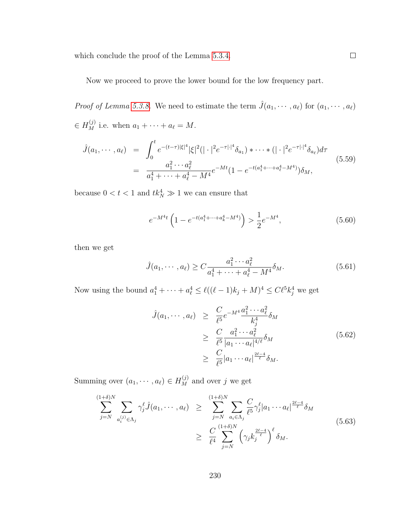which conclude the proof of the Lemma [5.3.4.](#page-226-2)

Now we proceed to prove the lower bound for the low frequency part.

*Proof of Lemma [5.3.8.](#page-237-2)* We need to estimate the term  $\hat{J}(a_1, \dots, a_\ell)$  for  $(a_1, \dots, a_\ell)$  $\in H_M^{(j)}$  i.e. when  $a_1 + \cdots + a_\ell = M$ .

$$
\hat{J}(a_1, \cdots, a_\ell) = \int_0^t e^{-(t-\tau)|\xi|^4} |\xi|^2 (|\cdot|^2 e^{-\tau |\cdot|^4} \delta_{a_1}) * \cdots * (|\cdot|^2 e^{-\tau |\cdot|^4} \delta_{a_\ell}) d\tau
$$
\n
$$
= \frac{a_1^2 \cdots a_\ell^2}{a_1^4 + \cdots + a_\ell^4 - M^4} e^{-Mt} (1 - e^{-t(a_1^4 + \cdots + a_\ell^4 - M^4)}) \delta_M,
$$
\n(5.59)

because  $0 < t < 1$  and  $tk_N^4 \gg 1$  we can ensure that

$$
e^{-M^4t} \left( 1 - e^{-t(a_1^4 + \dots + a_k^4 - M^4)} \right) > \frac{1}{2} e^{-M^4},\tag{5.60}
$$

then we get

$$
\hat{J}(a_1, \cdots, a_\ell) \ge C \frac{a_1^2 \cdots a_\ell^2}{a_1^4 + \cdots + a_\ell^4 - M^4} \delta_M.
$$
\n(5.61)

Now using the bound  $a_1^4 + \cdots + a_\ell^4 \leq \ell((\ell-1)k_j + M)^4 \leq C\ell^5 k_j^4$  we get

$$
\hat{J}(a_1, \dots, a_\ell) \geq \frac{C}{\ell^5} e^{-M^4} \frac{a_1^2 \cdots a_\ell^2}{k_j^4} \delta_M
$$
\n
$$
\geq \frac{C}{\ell^5} \frac{a_1^2 \cdots a_\ell^2}{|a_1 \cdots a_\ell|^{4/\ell}} \delta_M
$$
\n
$$
\geq \frac{C}{\ell^5} |a_1 \cdots a_\ell|^{\frac{2\ell - 4}{\ell}} \delta_M.
$$
\n(5.62)

Summing over  $(a_1, \dots, a_\ell) \in H_M^{(j)}$  and over j we get

$$
\sum_{j=N}^{(1+\delta)N} \sum_{a_i^{(j)} \in \Lambda_j} \gamma_j^{\ell} \hat{J}(a_1, \dots, a_{\ell}) \geq \sum_{j=N}^{(1+\delta)N} \sum_{a_i \in \Lambda_j} \frac{C}{\ell^5} \gamma_j^{\ell} |a_1 \cdots a_{\ell}|^{\frac{2\ell-4}{\ell}} \delta_M
$$
\n
$$
\geq \frac{C}{\ell^4} \sum_{j=N}^{(1+\delta)N} \left(\gamma_j k_j^{\frac{2\ell-4}{\ell}}\right)^{\ell} \delta_M.
$$
\n(5.63)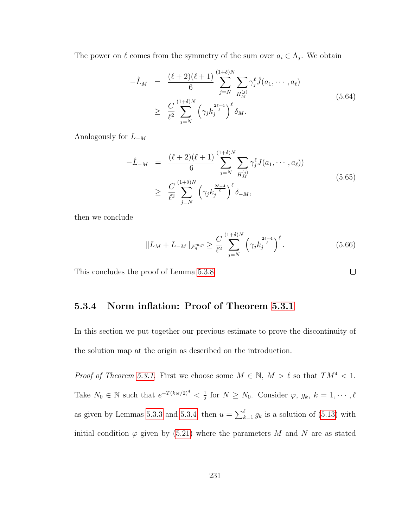The power on  $\ell$  comes from the symmetry of the sum over  $a_i \in \Lambda_j$ . We obtain

$$
-\hat{L}_M = \frac{(\ell+2)(\ell+1)}{6} \sum_{j=N}^{(1+\delta)N} \sum_{H_M^{(j)}} \gamma_j^{\ell} \hat{J}(a_1, \dots, a_{\ell})
$$
  
 
$$
\geq \frac{C}{\ell^2} \sum_{j=N}^{(1+\delta)N} \left(\gamma_j k_j^{\frac{2\ell-4}{\ell}}\right)^{\ell} \delta_M.
$$
 (5.64)

Analogously for  $L_{-M}$ 

$$
-\hat{L}_{-M} = \frac{(\ell+2)(\ell+1)}{6} \sum_{j=N}^{(1+\delta)N} \sum_{H_M^{(j)}} \gamma_j^{\ell} J(a_1, \dots, a_{\ell}))
$$
  
 
$$
\geq \frac{C}{\ell^2} \sum_{j=N}^{(1+\delta)N} \left(\gamma_j k_j^{\frac{2\ell-4}{\ell}}\right)^{\ell} \delta_{-M},
$$
 (5.65)

then we conclude

$$
||L_M + L_{-M}||_{\mathcal{F}_q^{m,p}} \ge \frac{C}{\ell^2} \sum_{j=N}^{(1+\delta)N} \left(\gamma_j k_j^{\frac{2\ell-4}{\ell}}\right)^{\ell}.
$$
 (5.66)

This concludes the proof of Lemma [5.3.8.](#page-237-2)

#### 5.3.4 Norm inflation: Proof of Theorem [5.3.1](#page-225-0)

In this section we put together our previous estimate to prove the discontinuity of the solution map at the origin as described on the introduction.

*Proof of Theorem [5.3.1.](#page-225-0)* First we choose some  $M \in \mathbb{N}$ ,  $M > \ell$  so that  $TM^4 < 1$ . Take  $N_0 \in \mathbb{N}$  such that  $e^{-T(k_N/2)^4} < \frac{1}{2}$  $\frac{1}{2}$  for  $N \geq N_0$ . Consider  $\varphi, g_k, k = 1, \cdots, \ell$ as given by Lemmas [5.3.3](#page-226-1) and [5.3.4,](#page-226-2) then  $u = \sum_{k=1}^{\ell} g_k$  is a solution of [\(5.13\)](#page-223-2) with initial condition  $\varphi$  given by [\(5.21\)](#page-226-0) where the parameters M and N are as stated

 $\Box$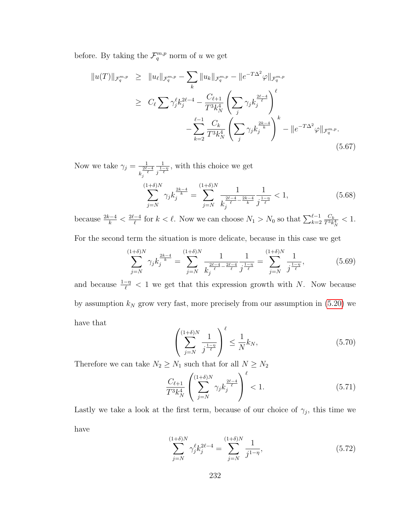before. By taking the  $\mathcal{F}_q^{m,p}$  norm of u we get

$$
||u(T)||_{\mathcal{F}_q^{m,p}} \ge ||u_{\ell}||_{\mathcal{F}_q^{m,p}} - \sum_{k} ||u_{k}||_{\mathcal{F}_q^{m,p}} - ||e^{-T\Delta^2} \varphi||_{\mathcal{F}_q^{m,p}}
$$
  
\n
$$
\ge C_{\ell} \sum \gamma_j^{\ell} k_j^{2\ell-4} - \frac{C_{\ell+1}}{T^3 k_N^4} \left( \sum_{j} \gamma_j k_j^{\frac{2\ell-4}{\ell}} \right)^{\ell}
$$
  
\n
$$
- \sum_{k=2}^{\ell-1} \frac{C_k}{T^3 k_N^4} \left( \sum_{j} \gamma_j k_j^{\frac{2k-4}{k}} \right)^k - ||e^{-T\Delta^2} \varphi||_{\mathcal{F}_q^{m,p}}.
$$
\n(5.67)

Now we take  $\gamma_j = \frac{1}{2\ell}$  $k_j^{\frac{2\ell-4}{\ell}}$ 1  $\frac{1}{j^{\frac{1-\eta}{\ell}}}$ , with this choice we get

$$
\sum_{j=N}^{(1+\delta)N} \gamma_j k_j^{\frac{2k-4}{k}} = \sum_{j=N}^{(1+\delta)N} \frac{1}{k_j^{\frac{2\ell-4}{\ell} - \frac{2k-4}{k}}} \frac{1}{j^{\frac{1-\eta}{\ell}}} < 1,\tag{5.68}
$$

because  $\frac{2k-4}{k} < \frac{2\ell-4}{\ell}$  $\frac{-4}{\ell}$  for  $k < \ell$ . Now we can choose  $N_1 > N_0$  so that  $\sum_{k=2}^{\ell-1} \frac{C_k}{T^3 k}$  $\frac{C_k}{T^3 k_N^4} < 1.$ 

For the second term the situation is more delicate, because in this case we get

$$
\sum_{j=N}^{(1+\delta)N} \gamma_j k_j^{\frac{2k-4}{k}} = \sum_{j=N}^{(1+\delta)N} \frac{1}{k_j^{\frac{2\ell-4}{\ell} - \frac{2\ell-4}{\ell}}} \frac{1}{j^{\frac{1-\eta}{\ell}}} = \sum_{j=N}^{(1+\delta)N} \frac{1}{j^{\frac{1-\eta}{\ell}}},\tag{5.69}
$$

and because  $\frac{1-\eta}{\ell} < 1$  we get that this expression growth with N. Now because by assumption  $k_N$  grow very fast, more precisely from our assumption in [\(5.20\)](#page-226-3) we have that

$$
\left(\sum_{j=N}^{(1+\delta)N} \frac{1}{j^{\frac{1-\eta}{\ell}}}\right)^{\ell} \le \frac{1}{N} k_N,
$$
\n(5.70)

Therefore we can take  $N_2 \geq N_1$  such that for all  $N \geq N_2$ 

$$
\frac{C_{\ell+1}}{T^3 k_N^4} \left( \sum_{j=N}^{(1+\delta)N} \gamma_j k_j^{\frac{2\ell-4}{\ell}} \right)^{\ell} < 1.
$$
\n(5.71)

Lastly we take a look at the first term, because of our choice of  $\gamma_j$ , this time we have

$$
\sum_{j=N}^{(1+\delta)N} \gamma_j^{\ell} k_j^{2\ell-4} = \sum_{j=N}^{(1+\delta)N} \frac{1}{j^{1-\eta}},\tag{5.72}
$$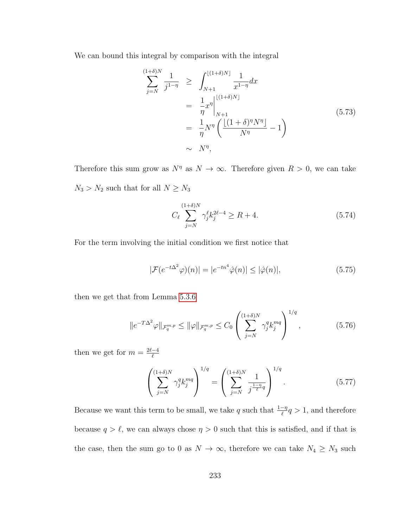We can bound this integral by comparison with the integral

$$
\sum_{j=N}^{(1+\delta)N} \frac{1}{j^{1-\eta}} \ge \int_{N+1}^{\lfloor (1+\delta)N \rfloor} \frac{1}{x^{1-\eta}} dx \n= \frac{1}{\eta} x^{\eta} \Big|_{N+1}^{\lfloor (1+\delta)N \rfloor} \n= \frac{1}{\eta} N^{\eta} \left( \frac{\lfloor (1+\delta)^{\eta} N^{\eta} \rfloor}{N^{\eta}} - 1 \right) \n\sim N^{\eta},
$$
\n(5.73)

Therefore this sum grow as  $N^{\eta}$  as  $N \to \infty$ . Therefore given  $R > 0$ , we can take  $N_3 > N_2$  such that for all  $N \geq N_3$ 

$$
C_{\ell} \sum_{j=N}^{(1+\delta)N} \gamma_j^{\ell} k_j^{2\ell-4} \ge R+4.
$$
 (5.74)

For the term involving the initial condition we first notice that

$$
|\mathcal{F}(e^{-t\Delta^2}\varphi)(n)| = |e^{-tn^4}\hat{\varphi}(n)| \le |\hat{\varphi}(n)|,\tag{5.75}
$$

then we get that from Lemma [5.3.6](#page-227-0)

$$
\|e^{-T\Delta^2}\varphi\|_{\mathcal{F}_q^{m,p}} \le \|\varphi\|_{\mathcal{F}_q^{m,p}} \le C_0 \left(\sum_{j=N}^{(1+\delta)N} \gamma_j^q k_j^{mq}\right)^{1/q},\tag{5.76}
$$

then we get for  $m = \frac{2\ell - 4}{\ell}$  $\ell$ 

$$
\left(\sum_{j=N}^{(1+\delta)N} \gamma_j^q k_j^{mq}\right)^{1/q} = \left(\sum_{j=N}^{(1+\delta)N} \frac{1}{j^{\frac{1-\eta}{\ell}q}}\right)^{1/q}.
$$
 (5.77)

Because we want this term to be small, we take q such that  $\frac{1-\eta}{\ell}q > 1$ , and therefore because  $q > \ell$ , we can always chose  $\eta > 0$  such that this is satisfied, and if that is the case, then the sum go to 0 as  $N \to \infty$ , therefore we can take  $N_4 \ge N_3$  such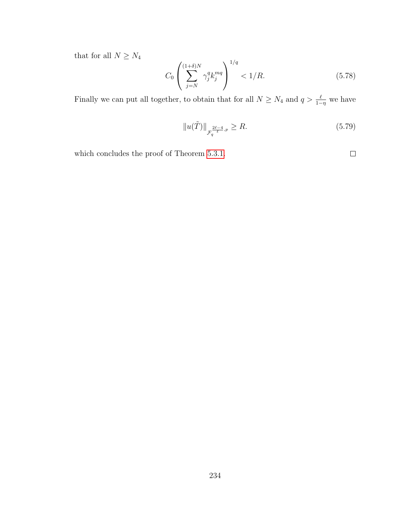that for all  $N\geq N_4$ 

$$
C_0 \left( \sum_{j=N}^{(1+\delta)N} \gamma_j^q k_j^{mq} \right)^{1/q} < 1/R. \tag{5.78}
$$

Finally we can put all together, to obtain that for all  $N \ge N_4$  and  $q > \frac{\ell}{1-\eta}$  we have

$$
||u(\tilde{T})||_{\mathcal{F}_q^{\frac{2\ell-4}{\ell},p}} \ge R. \tag{5.79}
$$

which concludes the proof of Theorem [5.3.1.](#page-225-0)

 $\Box$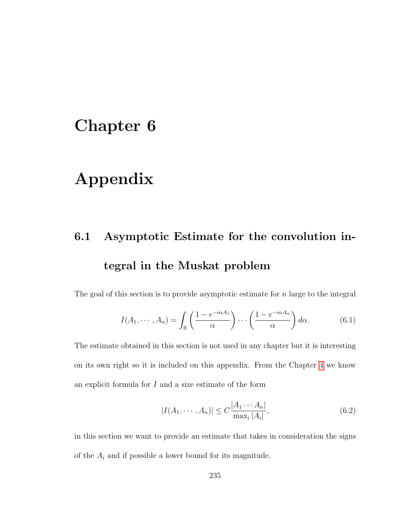### Chapter 6

### Appendix

## 6.1 Asymptotic Estimate for the convolution integral in the Muskat problem

The goal of this section is to provide asymptotic estimate for  $n$  large to the integral

$$
I(A_1, \cdots, A_n) = \int_{\mathbb{R}} \left( \frac{1 - e^{-i\alpha A_1}}{\alpha} \right) \cdots \left( \frac{1 - e^{-i\alpha A_n}}{\alpha} \right) d\alpha.
$$
 (6.1)

The estimate obtained in this section is not used in any chapter but it is interesting on its own right so it is included on this appendix. From the Chapter [4](#page-145-0) we know an explicit formula for  $I$  and a size estimate of the form

$$
|I(A_1, \cdots, A_n)| \le C \frac{|A_1 \cdots A_n|}{\max_i |A_i|},\tag{6.2}
$$

in this section we want to provide an estimate that takes in consideration the signs of the  $\mathcal{A}_i$  and if possible a lower bound for its magnitude.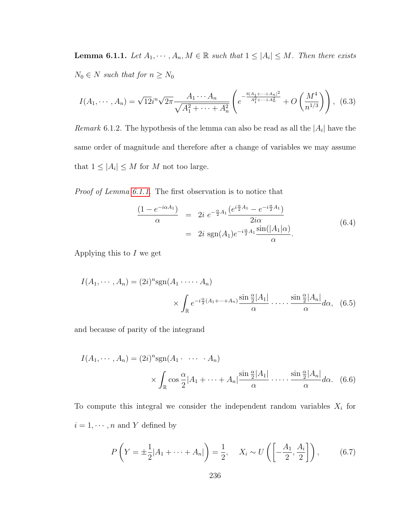<span id="page-244-0"></span>**Lemma 6.1.1.** Let  $A_1, \dots, A_n, M \in \mathbb{R}$  such that  $1 \leq |A_i| \leq M$ . Then there exists  $N_0 \in N$  such that for  $n \geq N_0$ 

$$
I(A_1, \cdots, A_n) = \sqrt{12}i^n \sqrt{2\pi} \frac{A_1 \cdots A_n}{\sqrt{A_1^2 + \cdots + A_n^2}} \left( e^{-\frac{6|A_1 + \cdots + A_n|^2}{A_1^2 + \cdots + A_n^2}} + O\left(\frac{M^4}{n^{1/3}}\right) \right), \tag{6.3}
$$

*Remark* 6.1.2. The hypothesis of the lemma can also be read as all the  $|A_i|$  have the same order of magnitude and therefore after a change of variables we may assume that  $1 \leq |A_i| \leq M$  for M not too large.

Proof of Lemma [6.1.1.](#page-244-0) The first observation is to notice that

$$
\frac{(1 - e^{-i\alpha A_1})}{\alpha} = 2i \ e^{-\frac{\alpha}{2}A_1} \frac{(e^{i\frac{\alpha}{2}A_1} - e^{-i\frac{\alpha}{2}A_1})}{2i\alpha} \n= 2i \ \text{sgn}(A_1) e^{-i\frac{\alpha}{2}A_1} \frac{\sin(|A_1|\alpha)}{\alpha}.
$$
\n(6.4)

Applying this to  $I$  we get

$$
I(A_1, \cdots, A_n) = (2i)^n \operatorname{sgn}(A_1 \cdots A_n)
$$

$$
\times \int_{\mathbb{R}} e^{-i\frac{\alpha}{2}(A_1 + \cdots + A_n)} \frac{\sin \frac{\alpha}{2} |A_1|}{\alpha} \cdots \frac{\sin \frac{\alpha}{2} |A_n|}{\alpha} d\alpha, \quad (6.5)
$$

and because of parity of the integrand

$$
I(A_1, \cdots, A_n) = (2i)^n \operatorname{sgn}(A_1 \cdots A_n)
$$

$$
\times \int_{\mathbb{R}} \cos \frac{\alpha}{2} |A_1 + \cdots + A_n| \frac{\sin \frac{\alpha}{2} |A_1|}{\alpha} \cdots \frac{\sin \frac{\alpha}{2} |A_n|}{\alpha} d\alpha. \quad (6.6)
$$

To compute this integral we consider the independent random variables  $X_i$  for  $i=1,\cdots,n$  and  $Y$  defined by

$$
P\left(Y = \pm \frac{1}{2}|A_1 + \dots + A_n|\right) = \frac{1}{2}, \quad X_i \sim U\left(\left[-\frac{A_1}{2}, \frac{A_i}{2}\right]\right),\tag{6.7}
$$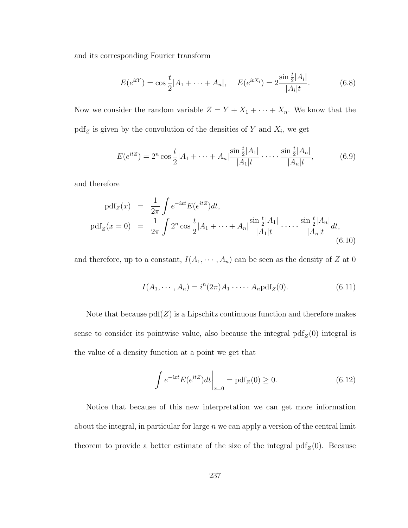and its corresponding Fourier transform

$$
E(e^{itY}) = \cos\frac{t}{2}|A_1 + \dots + A_n|, \quad E(e^{itX_i}) = 2\frac{\sin\frac{t}{2}|A_i|}{|A_i|t}.
$$
 (6.8)

Now we consider the random variable  $Z = Y + X_1 + \cdots + X_n$ . We know that the  $pdf_Z$  is given by the convolution of the densities of Y and  $X_i$ , we get

$$
E(e^{itZ}) = 2^n \cos \frac{t}{2}|A_1 + \dots + A_n| \frac{\sin \frac{t}{2}|A_1|}{|A_1|t} \cdot \dots \cdot \frac{\sin \frac{t}{2}|A_n|}{|A_n|t},\tag{6.9}
$$

and therefore

$$
pdf_Z(x) = \frac{1}{2\pi} \int e^{-ixt} E(e^{itZ}) dt,
$$
  
\n
$$
pdf_Z(x = 0) = \frac{1}{2\pi} \int 2^n \cos \frac{t}{2} |A_1 + \dots + A_n| \frac{\sin \frac{t}{2} |A_1|}{|A_1| t} \dots \frac{\sin \frac{t}{2} |A_n|}{|A_n| t} dt,
$$
\n(6.10)

and therefore, up to a constant,  $I(A_1, \dots, A_n)$  can be seen as the density of Z at 0

$$
I(A_1, \cdots, A_n) = i^n (2\pi) A_1 \cdots A_n \text{pdf}_Z(0).
$$
 (6.11)

Note that because  $pdf(Z)$  is a Lipschitz continuous function and therefore makes sense to consider its pointwise value, also because the integral  $pdf_Z(0)$  integral is the value of a density function at a point we get that

$$
\int e^{-ixt} E(e^{itZ}) dt \Big|_{x=0} = \text{pdf}_Z(0) \ge 0.
$$
\n(6.12)

Notice that because of this new interpretation we can get more information about the integral, in particular for large  $n$  we can apply a version of the central limit theorem to provide a better estimate of the size of the integral  $pdf_Z(0)$ . Because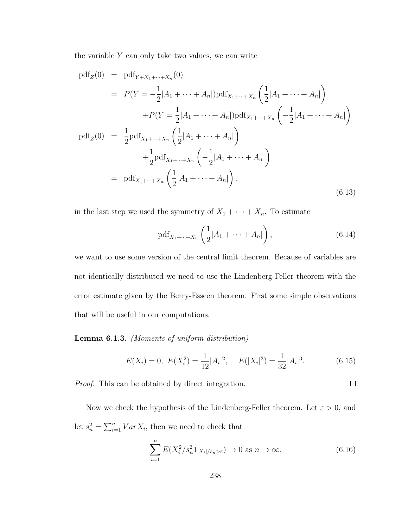the variable  $Y$  can only take two values, we can write

$$
pdf_Z(0) = pdf_{Y+X_1+\dots+X_n}(0)
$$
  
\n
$$
= P(Y = -\frac{1}{2}|A_1 + \dots + A_n|)pdf_{X_1+\dots+X_n}\left(\frac{1}{2}|A_1 + \dots + A_n|\right)
$$
  
\n
$$
+ P(Y = \frac{1}{2}|A_1 + \dots + A_n|)pdf_{X_1+\dots+X_n}\left(-\frac{1}{2}|A_1 + \dots + A_n|\right)
$$
  
\n
$$
pdf_Z(0) = \frac{1}{2}pdf_{X_1+\dots+X_n}\left(\frac{1}{2}|A_1 + \dots + A_n|\right)
$$
  
\n
$$
+ \frac{1}{2}pdf_{X_1+\dots+X_n}\left(-\frac{1}{2}|A_1 + \dots + A_n|\right),
$$
  
\n
$$
pdf_{X_1+\dots+X_n}\left(\frac{1}{2}|A_1 + \dots + A_n|\right),
$$
  
\n(6.13)

in the last step we used the symmetry of  $X_1 + \cdots + X_n$ . To estimate

$$
\text{pdf}_{X_1 + \dots + X_n} \left( \frac{1}{2} |A_1 + \dots + A_n| \right),\tag{6.14}
$$

we want to use some version of the central limit theorem. Because of variables are not identically distributed we need to use the Lindenberg-Feller theorem with the error estimate given by the Berry-Esseen theorem. First some simple observations that will be useful in our computations.

Lemma 6.1.3. (Moments of uniform distribution)

$$
E(X_i) = 0, \ E(X_i^2) = \frac{1}{12}|A_i|^2, \quad E(|X_i|^3) = \frac{1}{32}|A_i|^3. \tag{6.15}
$$

Proof. This can be obtained by direct integration.

Now we check the hypothesis of the Lindenberg-Feller theorem. Let  $\varepsilon > 0$ , and let  $s_n^2 = \sum_{i=1}^n Var X_i$ , then we need to check that

$$
\sum_{i=1}^{n} E(X_i^2/s_n^2 1_{|X_i|/s_n > \varepsilon}) \to 0 \text{ as } n \to \infty.
$$
 (6.16)

 $\Box$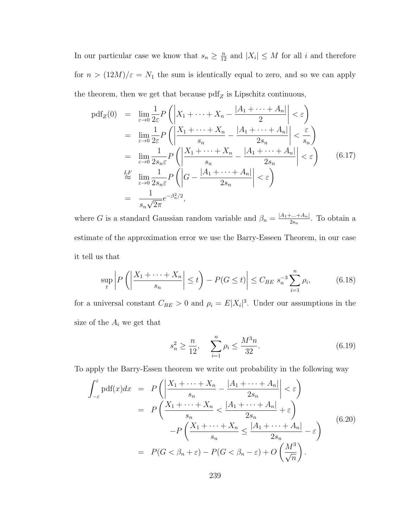In our particular case we know that  $s_n \geq \frac{n}{12}$  and  $|X_i| \leq M$  for all i and therefore for  $n > (12M)/\varepsilon = N_1$  the sum is identically equal to zero, and so we can apply the theorem, then we get that because  $\text{pdf}_Z$  is Lipschitz continuous,

$$
\begin{split}\n\text{pdf}_Z(0) &= \lim_{\varepsilon \to 0} \frac{1}{2\varepsilon} P\left( \left| X_1 + \dots + X_n - \frac{|A_1 + \dots + A_n|}{2} \right| < \varepsilon \right) \\
&= \lim_{\varepsilon \to 0} \frac{1}{2\varepsilon} P\left( \left| \frac{X_1 + \dots + X_n}{s_n} - \frac{|A_1 + \dots + A_n|}{2s_n} \right| < \frac{\varepsilon}{s_n} \right) \\
&= \lim_{\varepsilon \to 0} \frac{1}{2s_n \varepsilon} P\left( \left| \frac{X_1 + \dots + X_n}{s_n} - \frac{|A_1 + \dots + A_n|}{2s_n} \right| < \varepsilon \right) \\
& \stackrel{\text{LF}}{\approx} \lim_{\varepsilon \to 0} \frac{1}{2s_n \varepsilon} P\left( \left| G - \frac{|A_1 + \dots + A_n|}{2s_n} \right| < \varepsilon \right) \\
&= \frac{1}{s_n \sqrt{2\pi}} e^{-\beta_n^2/2},\n\end{split} \tag{6.17}
$$

where G is a standard Gaussian random variable and  $\beta_n = \frac{|A_1 + ... + A_n|}{2s_n}$  $\frac{1}{2s_n}$ . To obtain a estimate of the approximation error we use the Barry-Esseen Theorem, in our case it tell us that

$$
\sup_{t} \left| P\left( \left| \frac{X_1 + \dots + X_n}{s_n} \right| \le t \right) - P(G \le t) \right| \le C_{BE} s_n^{-3} \sum_{i=1}^n \rho_i,
$$
 (6.18)

for a universal constant  $C_{BE} > 0$  and  $\rho_i = E|X_i|^3$ . Under our assumptions in the size of the  $A_i$  we get that

$$
s_n^2 \ge \frac{n}{12}, \quad \sum_{i=1}^n \rho_i \le \frac{M^3 n}{32}.
$$
 (6.19)

To apply the Barry-Essen theorem we write out probability in the following way

<span id="page-247-0"></span>
$$
\int_{-\varepsilon}^{\varepsilon} \text{pdf}(x) dx = P\left(\left|\frac{X_1 + \dots + X_n}{s_n} - \frac{|A_1 + \dots + A_n|}{2s_n}\right| < \varepsilon\right)
$$
\n
$$
= P\left(\frac{X_1 + \dots + X_n}{s_n} < \frac{|A_1 + \dots + A_n|}{2s_n} + \varepsilon\right)
$$
\n
$$
-P\left(\frac{X_1 + \dots + X_n}{s_n} \le \frac{|A_1 + \dots + A_n|}{2s_n} - \varepsilon\right)
$$
\n
$$
= P(G < \beta_n + \varepsilon) - P(G < \beta_n - \varepsilon) + O\left(\frac{M^3}{\sqrt{n}}\right).
$$
\n(6.20)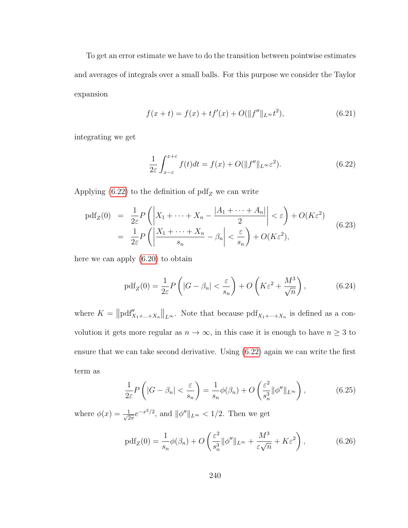To get an error estimate we have to do the transition between pointwise estimates and averages of integrals over a small balls. For this purpose we consider the Taylor expansion

$$
f(x+t) = f(x) + tf'(x) + O(||f''||_{L^{\infty}}t^2),
$$
\n(6.21)

integrating we get

<span id="page-248-0"></span>
$$
\frac{1}{2\varepsilon} \int_{x-\varepsilon}^{x+\varepsilon} f(t)dt = f(x) + O(||f''||_{L^{\infty}} \varepsilon^2).
$$
 (6.22)

Applying [\(6.22\)](#page-248-0) to the definition of  $pdf_Z$  we can write

$$
\begin{split} \text{pdf}_Z(0) &= \frac{1}{2\varepsilon} P\left( \left| X_1 + \dots + X_n - \frac{|A_1 + \dots + A_n|}{2} \right| < \varepsilon \right) + O(K\varepsilon^2) \\ &= \frac{1}{2\varepsilon} P\left( \left| \frac{X_1 + \dots + X_n}{s_n} - \beta_n \right| < \frac{\varepsilon}{s_n} \right) + O(K\varepsilon^2), \end{split} \tag{6.23}
$$

here we can apply [\(6.20\)](#page-247-0) to obtain

$$
\text{pdf}_Z(0) = \frac{1}{2\varepsilon} P\left(|G - \beta_n| < \frac{\varepsilon}{s_n}\right) + O\left(K\varepsilon^2 + \frac{M^3}{\sqrt{n}}\right),\tag{6.24}
$$

where  $K = ||pdf''_{X_1 + \dots + X_n}||_{L^{\infty}}$ . Note that because  $pdf_{X_1 + \dots + X_n}$  is defined as a convolution it gets more regular as  $n \to \infty$ , in this case it is enough to have  $n \geq 3$  to ensure that we can take second derivative. Using [\(6.22\)](#page-248-0) again we can write the first term as

$$
\frac{1}{2\varepsilon}P\left(|G-\beta_n|<\frac{\varepsilon}{s_n}\right)=\frac{1}{s_n}\phi(\beta_n)+O\left(\frac{\varepsilon^2}{s_n^3}\|\phi''\|_{L^\infty}\right),\tag{6.25}
$$

where  $\phi(x) = \frac{1}{\sqrt{2}}$  $\frac{1}{2\pi}e^{-x^2/2}$ , and  $\|\phi''\|_{L^{\infty}} < 1/2$ . Then we get

$$
\text{pdf}_Z(0) = \frac{1}{s_n} \phi(\beta_n) + O\left(\frac{\varepsilon^2}{s_n^3} \|\phi''\|_{L^\infty} + \frac{M^3}{\varepsilon \sqrt{n}} + K\varepsilon^2\right),\tag{6.26}
$$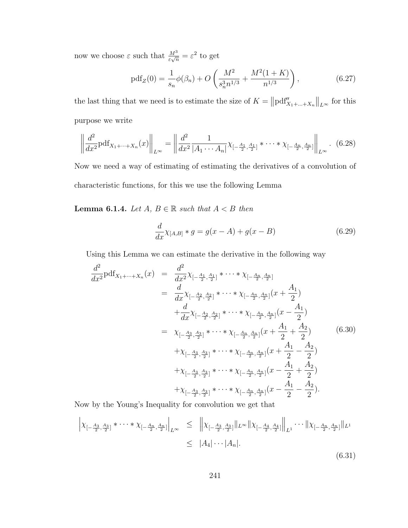now we choose  $\varepsilon$  such that  $\frac{M^3}{\varepsilon\sqrt{n}} = \varepsilon^2$  to get

<span id="page-249-0"></span>
$$
\text{pdf}_Z(0) = \frac{1}{s_n} \phi(\beta_n) + O\left(\frac{M^2}{s_n^3 n^{1/3}} + \frac{M^2(1+K)}{n^{1/3}}\right),\tag{6.27}
$$

the last thing that we need is to estimate the size of  $K = ||pdf'_{X_1 + ... + X_n}||_{L^{\infty}}$  for this purpose we write

$$
\left\| \frac{d^2}{dx^2} \text{pdf}_{X_1 + \dots + X_n}(x) \right\|_{L^\infty} = \left\| \frac{d^2}{dx^2} \frac{1}{|A_1 \cdots A_n|} \chi_{[-\frac{A_1}{2}, \frac{A_1}{2}]} * \cdots * \chi_{[-\frac{A_n}{2}, \frac{A_n}{2}]} \right\|_{L^\infty} .
$$
 (6.28)

Now we need a way of estimating of estimating the derivatives of a convolution of characteristic functions, for this we use the following Lemma

**Lemma 6.1.4.** Let  $A, B \in \mathbb{R}$  such that  $A < B$  then

$$
\frac{d}{dx}\chi_{[A,B]} * g = g(x - A) + g(x - B)
$$
\n(6.29)

Using this Lemma we can estimate the derivative in the following way

$$
\frac{d^2}{dx^2} \text{pdf}_{X_1 + \dots + X_n}(x) = \frac{d^2}{dx^2} \chi_{[-\frac{A_1}{2}, \frac{A_1}{2}]} \times \dots \times \chi_{[-\frac{A_n}{2}, \frac{A_n}{2}]} \times \dots \times \chi_{[-\frac{A_n}{2}, \frac{A_n}{2}]} (x + \frac{A_1}{2})
$$
\n
$$
= \frac{d}{dx} \chi_{[-\frac{A_2}{2}, \frac{A_2}{2}]} \times \dots \times \chi_{[-\frac{A_n}{2}, \frac{A_n}{2}]} (x + \frac{A_1}{2})
$$
\n
$$
= \chi_{[-\frac{A_3}{2}, \frac{A_3}{2}]} \times \dots \times \chi_{[-\frac{A_n}{2}, \frac{A_n}{2}]} (x + \frac{A_1}{2} + \frac{A_2}{2})
$$
\n
$$
+ \chi_{[-\frac{A_3}{2}, \frac{A_3}{2}]} \times \dots \times \chi_{[-\frac{A_n}{2}, \frac{A_n}{2}]} (x + \frac{A_1}{2} - \frac{A_2}{2})
$$
\n
$$
+ \chi_{[-\frac{A_3}{2}, \frac{A_3}{2}]} \times \dots \times \chi_{[-\frac{A_n}{2}, \frac{A_n}{2}]} (x - \frac{A_1}{2} + \frac{A_2}{2})
$$
\n
$$
+ \chi_{[-\frac{A_3}{2}, \frac{A_3}{2}]} \times \dots \times \chi_{[-\frac{A_n}{2}, \frac{A_n}{2}]} (x - \frac{A_1}{2} + \frac{A_2}{2})
$$

Now by the Young's Inequality for convolution we get that

$$
\left| \chi_{\left[-\frac{A_3}{2}, \frac{A_3}{2}\right]} * \cdots * \chi_{\left[-\frac{A_n}{2}, \frac{A_n}{2}\right]} \right|_{L^{\infty}} \leq \left\| \chi_{\left[-\frac{A_3}{2}, \frac{A_3}{2}\right]} \right\|_{L^{\infty}} \left\| \chi_{\left[-\frac{A_4}{2}, \frac{A_4}{2}\right]} \right\|_{L^1} \cdots \left\| \chi_{\left[-\frac{A_n}{2}, \frac{A_n}{2}\right]} \right\|_{L^1}
$$
  
 
$$
\leq |A_4| \cdots |A_n|. \tag{6.31}
$$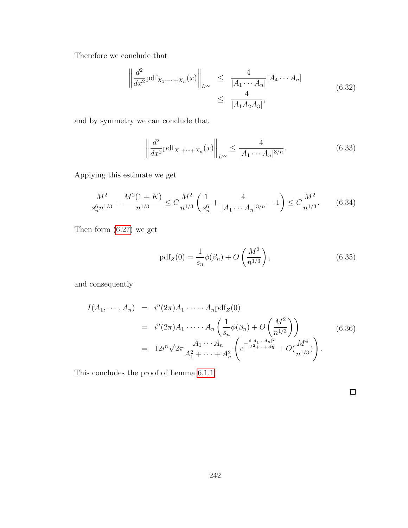Therefore we conclude that

$$
\left\| \frac{d^2}{dx^2} \text{pdf}_{X_1 + \dots + X_n}(x) \right\|_{L^\infty} \le \frac{4}{|A_1 \cdots A_n|} |A_4 \cdots A_n|
$$
\n
$$
\le \frac{4}{|A_1 A_2 A_3|},
$$
\n(6.32)

and by symmetry we can conclude that

$$
\left\| \frac{d^2}{dx^2} \text{pdf}_{X_1 + \dots + X_n}(x) \right\|_{L^\infty} \le \frac{4}{|A_1 \cdots A_n|^{3/n}}.
$$
\n(6.33)

Applying this estimate we get

$$
\frac{M^2}{s_n^6 n^{1/3}} + \frac{M^2 (1+K)}{n^{1/3}} \le C \frac{M^2}{n^{1/3}} \left( \frac{1}{s_n^6} + \frac{4}{|A_1 \cdots A_n|^{3/n}} + 1 \right) \le C \frac{M^2}{n^{1/3}}.
$$
 (6.34)

Then form [\(6.27\)](#page-249-0) we get

$$
pdf_Z(0) = \frac{1}{s_n} \phi(\beta_n) + O\left(\frac{M^2}{n^{1/3}}\right),
$$
\n(6.35)

and consequently

$$
I(A_1, \dots, A_n) = i^n (2\pi) A_1 \cdot \dots \cdot A_n \text{pdf}_Z(0)
$$
  
=  $i^n (2\pi) A_1 \cdot \dots \cdot A_n \left( \frac{1}{s_n} \phi(\beta_n) + O\left(\frac{M^2}{n^{1/3}}\right) \right)$  (6.36)  
=  $12i^n \sqrt{2\pi} \frac{A_1 \cdots A_n}{A_1^2 + \dots + A_n^2} \left( e^{-\frac{6|A_1 \cdots A_n|^2}{A_1^2 + \dots + A_n^2}} + O\left(\frac{M^4}{n^{1/3}}\right) \right).$ 

This concludes the proof of Lemma [6.1.1.](#page-244-0)

 $\Box$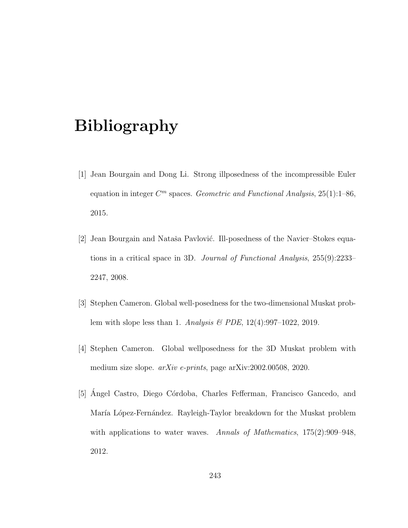### Bibliography

- [1] Jean Bourgain and Dong Li. Strong illposedness of the incompressible Euler equation in integer  $C<sup>m</sup>$  spaces. Geometric and Functional Analysis, 25(1):1-86, 2015.
- [2] Jean Bourgain and Nataša Pavlović. Ill-posedness of the Navier–Stokes equations in a critical space in 3D. Journal of Functional Analysis, 255(9):2233– 2247, 2008.
- [3] Stephen Cameron. Global well-posedness for the two-dimensional Muskat problem with slope less than 1. Analysis & PDE, 12(4):997–1022, 2019.
- [4] Stephen Cameron. Global wellposedness for the 3D Muskat problem with medium size slope. arXiv e-prints, page arXiv:2002.00508, 2020.
- [5] Angel Castro, Diego Córdoba, Charles Fefferman, Francisco Gancedo, and María López-Fernández. Rayleigh-Taylor breakdown for the Muskat problem with applications to water waves. Annals of Mathematics, 175(2):909-948, 2012.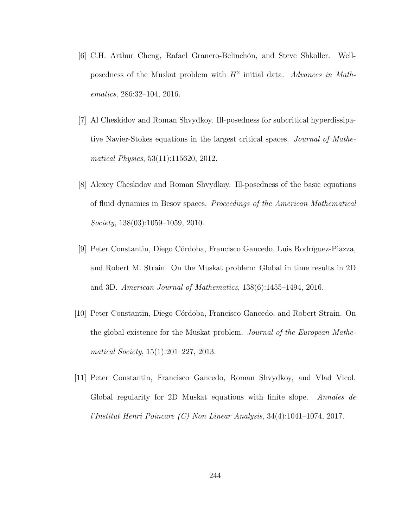- [6] C.H. Arthur Cheng, Rafael Granero-Belinchón, and Steve Shkoller. Wellposedness of the Muskat problem with  $H^2$  initial data. Advances in Mathematics, 286:32–104, 2016.
- [7] Al Cheskidov and Roman Shvydkoy. Ill-posedness for subcritical hyperdissipative Navier-Stokes equations in the largest critical spaces. Journal of Mathematical Physics, 53(11):115620, 2012.
- [8] Alexey Cheskidov and Roman Shvydkoy. Ill-posedness of the basic equations of fluid dynamics in Besov spaces. Proceedings of the American Mathematical Society, 138(03):1059–1059, 2010.
- [9] Peter Constantin, Diego Córdoba, Francisco Gancedo, Luis Rodríguez-Piazza, and Robert M. Strain. On the Muskat problem: Global in time results in 2D and 3D. American Journal of Mathematics, 138(6):1455–1494, 2016.
- [10] Peter Constantin, Diego C´ordoba, Francisco Gancedo, and Robert Strain. On the global existence for the Muskat problem. Journal of the European Mathematical Society, 15(1):201–227, 2013.
- [11] Peter Constantin, Francisco Gancedo, Roman Shvydkoy, and Vlad Vicol. Global regularity for 2D Muskat equations with finite slope. Annales de l'Institut Henri Poincare (C) Non Linear Analysis, 34(4):1041–1074, 2017.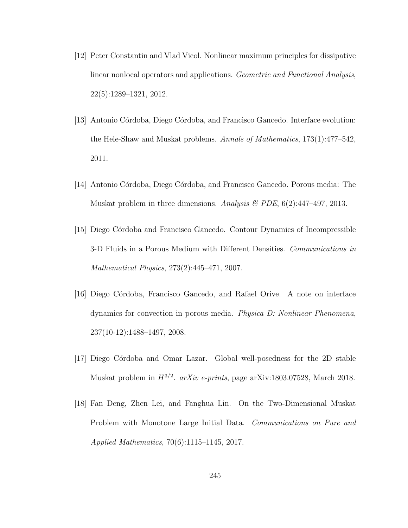- [12] Peter Constantin and Vlad Vicol. Nonlinear maximum principles for dissipative linear nonlocal operators and applications. Geometric and Functional Analysis, 22(5):1289–1321, 2012.
- [13] Antonio Córdoba, Diego Córdoba, and Francisco Gancedo. Interface evolution: the Hele-Shaw and Muskat problems. Annals of Mathematics, 173(1):477–542, 2011.
- [14] Antonio C´ordoba, Diego C´ordoba, and Francisco Gancedo. Porous media: The Muskat problem in three dimensions. Analysis & PDE,  $6(2)$ :447-497, 2013.
- [15] Diego C´ordoba and Francisco Gancedo. Contour Dynamics of Incompressible 3-D Fluids in a Porous Medium with Different Densities. Communications in Mathematical Physics, 273(2):445–471, 2007.
- [16] Diego C´ordoba, Francisco Gancedo, and Rafael Orive. A note on interface dynamics for convection in porous media. Physica D: Nonlinear Phenomena, 237(10-12):1488–1497, 2008.
- [17] Diego C´ordoba and Omar Lazar. Global well-posedness for the 2D stable Muskat problem in  $H^{3/2}$ . arXiv e-prints, page arXiv:1803.07528, March 2018.
- [18] Fan Deng, Zhen Lei, and Fanghua Lin. On the Two-Dimensional Muskat Problem with Monotone Large Initial Data. Communications on Pure and Applied Mathematics, 70(6):1115–1145, 2017.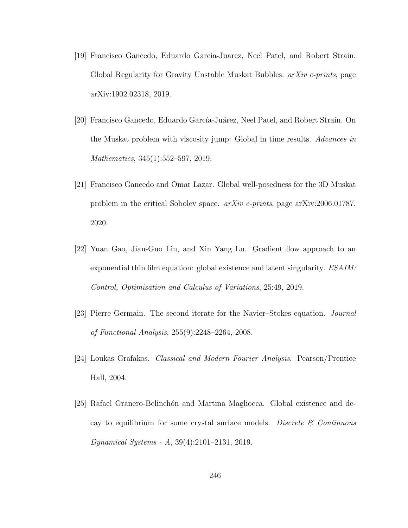- [19] Francisco Gancedo, Eduardo Garcia-Juarez, Neel Patel, and Robert Strain. Global Regularity for Gravity Unstable Muskat Bubbles. *arXiv e-prints*, page arXiv:1902.02318, 2019.
- [20] Francisco Gancedo, Eduardo García-Juárez, Neel Patel, and Robert Strain. On the Muskat problem with viscosity jump: Global in time results. Advances in Mathematics, 345(1):552–597, 2019.
- [21] Francisco Gancedo and Omar Lazar. Global well-posedness for the 3D Muskat problem in the critical Sobolev space. arXiv e-prints, page arXiv:2006.01787, 2020.
- [22] Yuan Gao, Jian-Guo Liu, and Xin Yang Lu. Gradient flow approach to an exponential thin film equation: global existence and latent singularity. ESAIM: Control, Optimisation and Calculus of Variations, 25:49, 2019.
- [23] Pierre Germain. The second iterate for the Navier–Stokes equation. Journal of Functional Analysis, 255(9):2248–2264, 2008.
- [24] Loukas Grafakos. Classical and Modern Fourier Analysis. Pearson/Prentice Hall, 2004.
- [25] Rafael Granero-Belinchón and Martina Magliocca. Global existence and decay to equilibrium for some crystal surface models. Discrete  $\mathcal C$  Continuous Dynamical Systems - A, 39(4):2101–2131, 2019.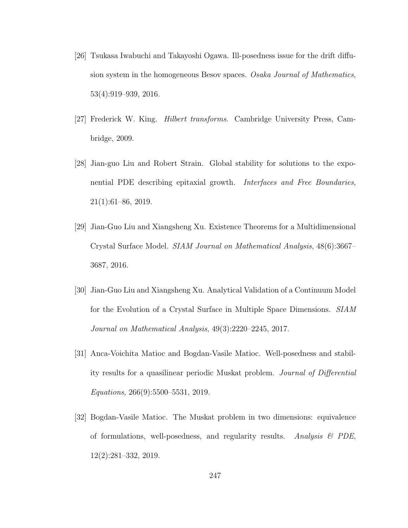- [26] Tsukasa Iwabuchi and Takayoshi Ogawa. Ill-posedness issue for the drift diffusion system in the homogeneous Besov spaces. Osaka Journal of Mathematics, 53(4):919–939, 2016.
- [27] Frederick W. King. Hilbert transforms. Cambridge University Press, Cambridge, 2009.
- [28] Jian-guo Liu and Robert Strain. Global stability for solutions to the exponential PDE describing epitaxial growth. Interfaces and Free Boundaries, 21(1):61–86, 2019.
- [29] Jian-Guo Liu and Xiangsheng Xu. Existence Theorems for a Multidimensional Crystal Surface Model. SIAM Journal on Mathematical Analysis, 48(6):3667– 3687, 2016.
- [30] Jian-Guo Liu and Xiangsheng Xu. Analytical Validation of a Continuum Model for the Evolution of a Crystal Surface in Multiple Space Dimensions. SIAM Journal on Mathematical Analysis, 49(3):2220–2245, 2017.
- [31] Anca-Voichita Matioc and Bogdan-Vasile Matioc. Well-posedness and stability results for a quasilinear periodic Muskat problem. Journal of Differential Equations, 266(9):5500–5531, 2019.
- [32] Bogdan-Vasile Matioc. The Muskat problem in two dimensions: equivalence of formulations, well-posedness, and regularity results. Analysis  $\mathcal{B}$  PDE, 12(2):281–332, 2019.